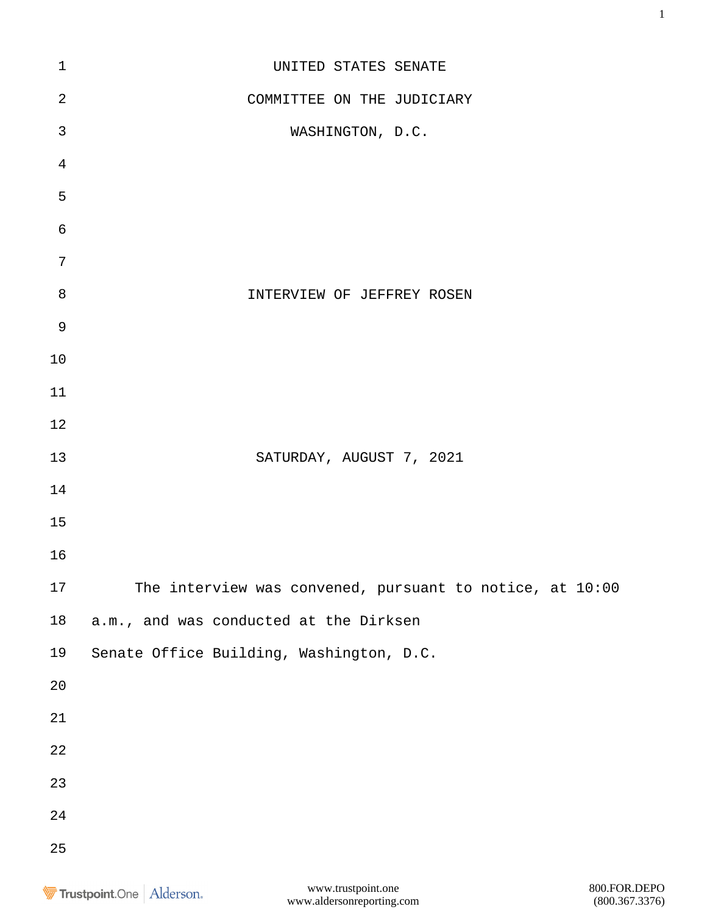| $\mathbf 1$    | UNITED STATES SENATE                                     |
|----------------|----------------------------------------------------------|
| $\overline{2}$ | COMMITTEE ON THE JUDICIARY                               |
| $\mathfrak{Z}$ | WASHINGTON, D.C.                                         |
| $\overline{4}$ |                                                          |
| 5              |                                                          |
| $\epsilon$     |                                                          |
| 7              |                                                          |
| $\, 8$         | INTERVIEW OF JEFFREY ROSEN                               |
| $\mathsf 9$    |                                                          |
| 10             |                                                          |
| 11             |                                                          |
| 12             |                                                          |
| 13             | SATURDAY, AUGUST 7, 2021                                 |
| 14             |                                                          |
| 15             |                                                          |
| 16             |                                                          |
| 17             | The interview was convened, pursuant to notice, at 10:00 |
| $18\,$         | a.m., and was conducted at the Dirksen                   |
| 19             | Senate Office Building, Washington, D.C.                 |
| $20\,$         |                                                          |
| 21             |                                                          |
| 22             |                                                          |
| 23             |                                                          |
| 24             |                                                          |
| 25             |                                                          |
|                |                                                          |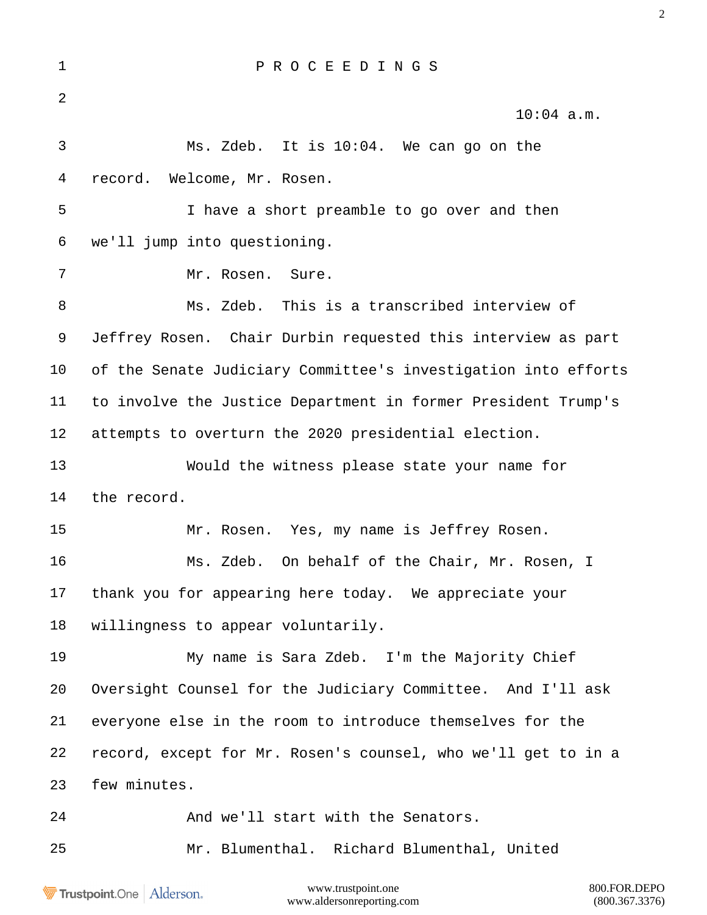| $\mathbf 1$    | PROCEEDINGS                                                    |
|----------------|----------------------------------------------------------------|
| $\overline{2}$ | $10:04$ a.m.                                                   |
| 3              | Ms. Zdeb. It is 10:04. We can go on the                        |
| 4              | record. Welcome, Mr. Rosen.                                    |
| 5              | I have a short preamble to go over and then                    |
| 6              | we'll jump into questioning.                                   |
| 7              | Mr. Rosen. Sure.                                               |
| 8              | Ms. Zdeb. This is a transcribed interview of                   |
| 9              | Jeffrey Rosen. Chair Durbin requested this interview as part   |
| $10 \,$        | of the Senate Judiciary Committee's investigation into efforts |
| 11             | to involve the Justice Department in former President Trump's  |
| 12             | attempts to overturn the 2020 presidential election.           |
| 13             | Would the witness please state your name for                   |
| 14             | the record.                                                    |
| 15             | Mr. Rosen. Yes, my name is Jeffrey Rosen.                      |
| 16             | Ms. Zdeb. On behalf of the Chair, Mr. Rosen, I                 |
| 17             | thank you for appearing here today. We appreciate your         |
| 18             | willingness to appear voluntarily.                             |
| 19             | My name is Sara Zdeb. I'm the Majority Chief                   |
| 20             | Oversight Counsel for the Judiciary Committee. And I'll ask    |
| 21             | everyone else in the room to introduce themselves for the      |
| 22             | record, except for Mr. Rosen's counsel, who we'll get to in a  |
| 23             | few minutes.                                                   |
| 24             | And we'll start with the Senators.                             |
| 25             | Mr. Blumenthal. Richard Blumenthal, United                     |
|                |                                                                |

Trustpoint.One | Alderson.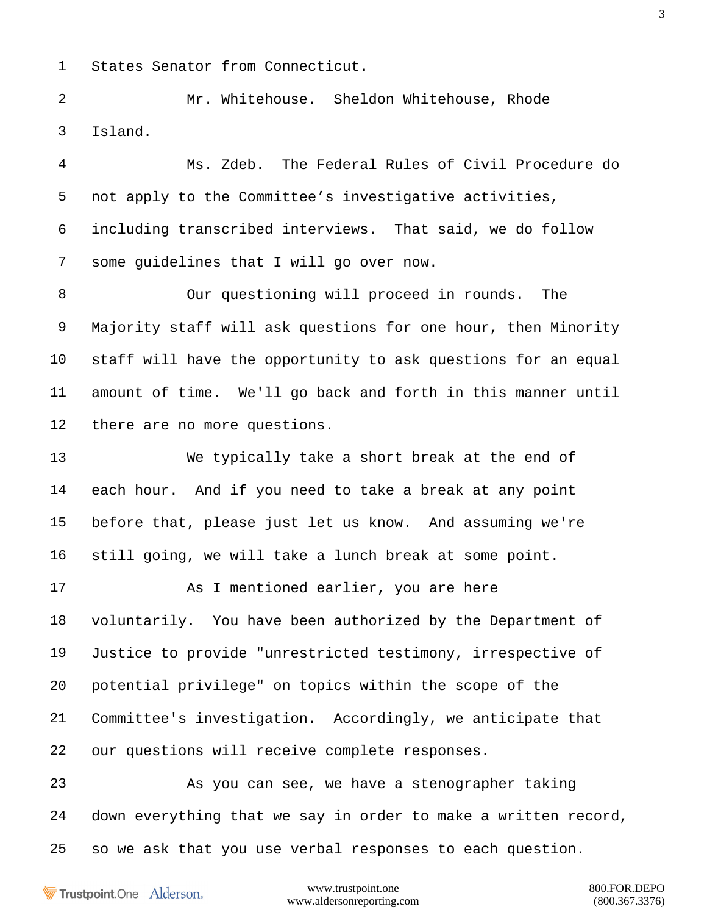States Senator from Connecticut.

 Mr. Whitehouse. Sheldon Whitehouse, Rhode Island.

 Ms. Zdeb. The Federal Rules of Civil Procedure do not apply to the Committee's investigative activities, including transcribed interviews. That said, we do follow some guidelines that I will go over now.

 Our questioning will proceed in rounds. The Majority staff will ask questions for one hour, then Minority staff will have the opportunity to ask questions for an equal amount of time. We'll go back and forth in this manner until there are no more questions.

 We typically take a short break at the end of each hour. And if you need to take a break at any point before that, please just let us know. And assuming we're still going, we will take a lunch break at some point.

 As I mentioned earlier, you are here voluntarily. You have been authorized by the Department of Justice to provide "unrestricted testimony, irrespective of potential privilege" on topics within the scope of the Committee's investigation. Accordingly, we anticipate that our questions will receive complete responses.

 As you can see, we have a stenographer taking down everything that we say in order to make a written record, so we ask that you use verbal responses to each question.

Trustpoint.One Alderson.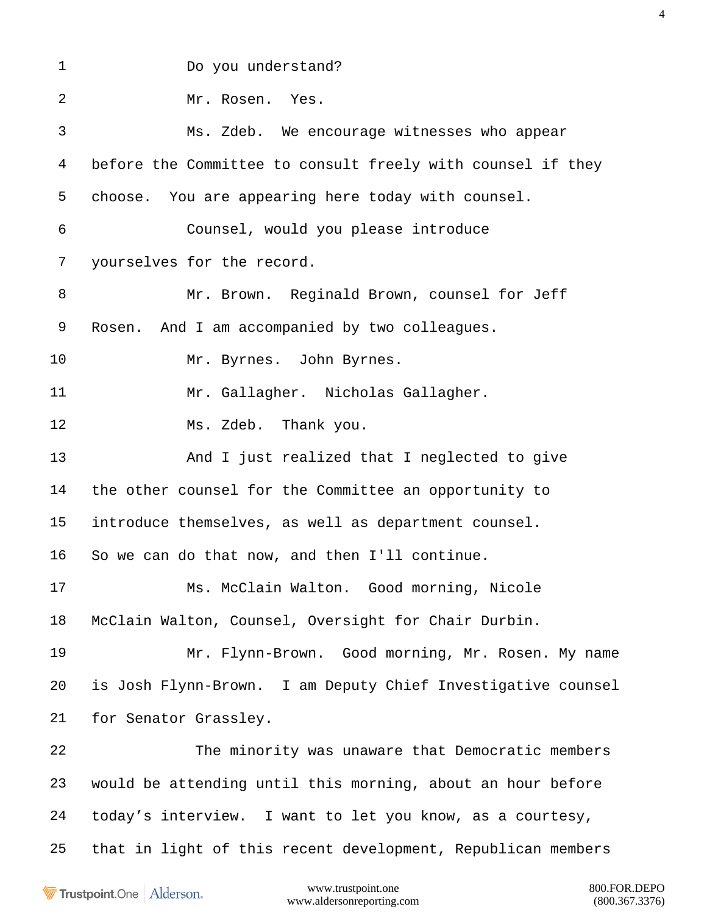Do you understand? Mr. Rosen. Yes. Ms. Zdeb. We encourage witnesses who appear before the Committee to consult freely with counsel if they choose. You are appearing here today with counsel. Counsel, would you please introduce yourselves for the record. Mr. Brown. Reginald Brown, counsel for Jeff Rosen. And I am accompanied by two colleagues. Mr. Byrnes. John Byrnes. Mr. Gallagher. Nicholas Gallagher. Ms. Zdeb. Thank you. And I just realized that I neglected to give the other counsel for the Committee an opportunity to introduce themselves, as well as department counsel. So we can do that now, and then I'll continue. Ms. McClain Walton. Good morning, Nicole McClain Walton, Counsel, Oversight for Chair Durbin. Mr. Flynn-Brown. Good morning, Mr. Rosen. My name is Josh Flynn-Brown. I am Deputy Chief Investigative counsel for Senator Grassley. The minority was unaware that Democratic members would be attending until this morning, about an hour before today's interview. I want to let you know, as a courtesy, that in light of this recent development, Republican members

Trustpoint.One Alderson.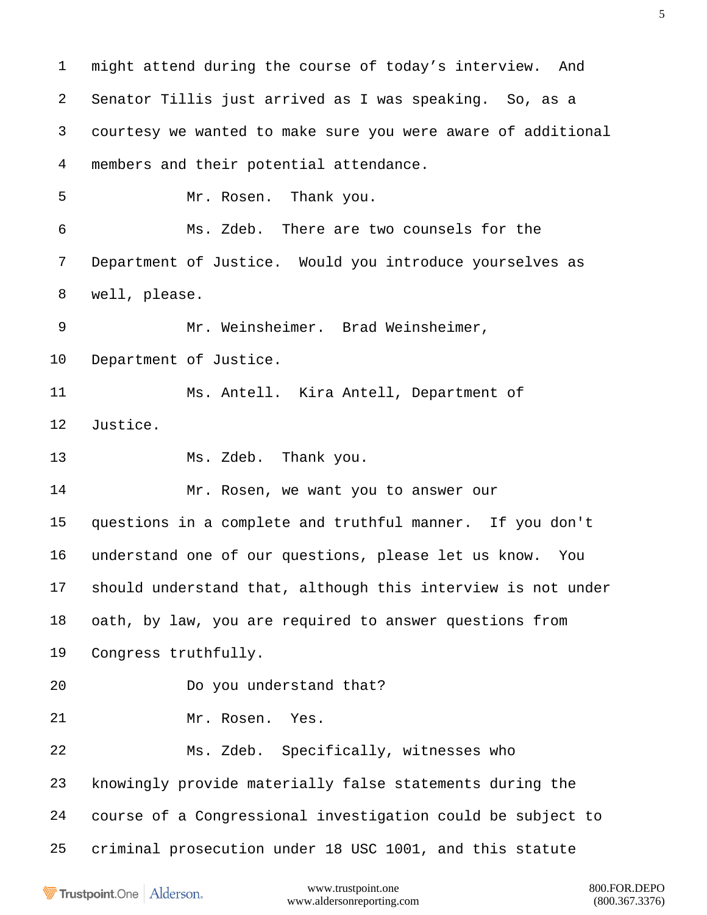might attend during the course of today's interview. And Senator Tillis just arrived as I was speaking. So, as a courtesy we wanted to make sure you were aware of additional members and their potential attendance. Mr. Rosen. Thank you. Ms. Zdeb. There are two counsels for the Department of Justice. Would you introduce yourselves as well, please. Mr. Weinsheimer. Brad Weinsheimer, Department of Justice. Ms. Antell. Kira Antell, Department of Justice. Ms. Zdeb. Thank you. Mr. Rosen, we want you to answer our questions in a complete and truthful manner. If you don't understand one of our questions, please let us know. You should understand that, although this interview is not under oath, by law, you are required to answer questions from Congress truthfully. Do you understand that? Mr. Rosen. Yes. Ms. Zdeb. Specifically, witnesses who knowingly provide materially false statements during the course of a Congressional investigation could be subject to criminal prosecution under 18 USC 1001, and this statute

Trustpoint.One Alderson.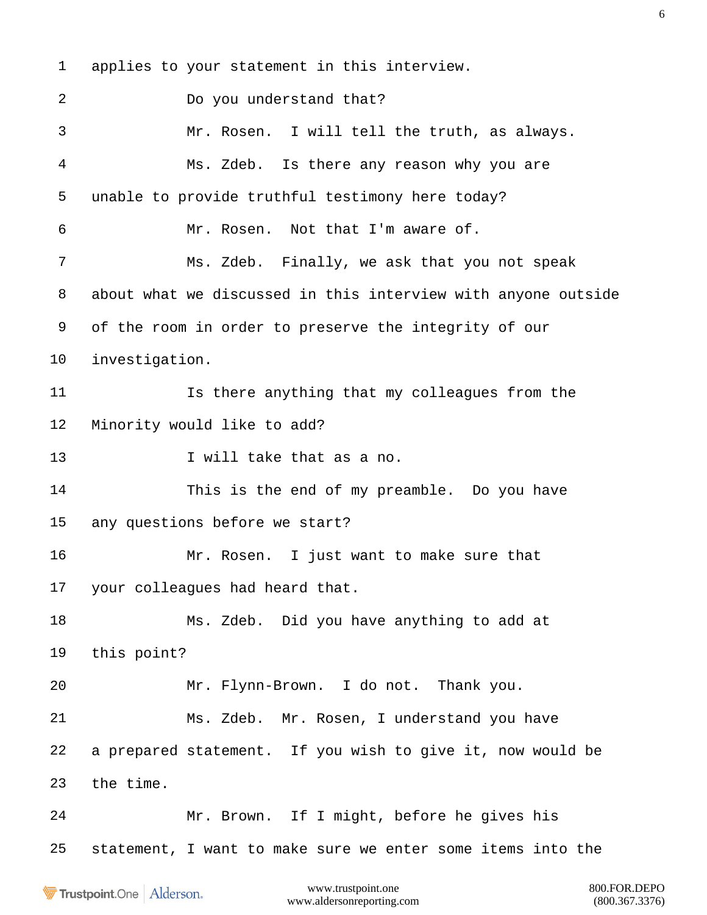applies to your statement in this interview. Do you understand that? Mr. Rosen. I will tell the truth, as always. Ms. Zdeb. Is there any reason why you are unable to provide truthful testimony here today? Mr. Rosen. Not that I'm aware of. Ms. Zdeb. Finally, we ask that you not speak about what we discussed in this interview with anyone outside of the room in order to preserve the integrity of our investigation. Is there anything that my colleagues from the Minority would like to add? 13 I will take that as a no. This is the end of my preamble. Do you have any questions before we start? Mr. Rosen. I just want to make sure that your colleagues had heard that. Ms. Zdeb. Did you have anything to add at this point? Mr. Flynn-Brown. I do not. Thank you. Ms. Zdeb. Mr. Rosen, I understand you have a prepared statement. If you wish to give it, now would be the time. Mr. Brown. If I might, before he gives his statement, I want to make sure we enter some items into the

**Trustpoint**.One Alderson.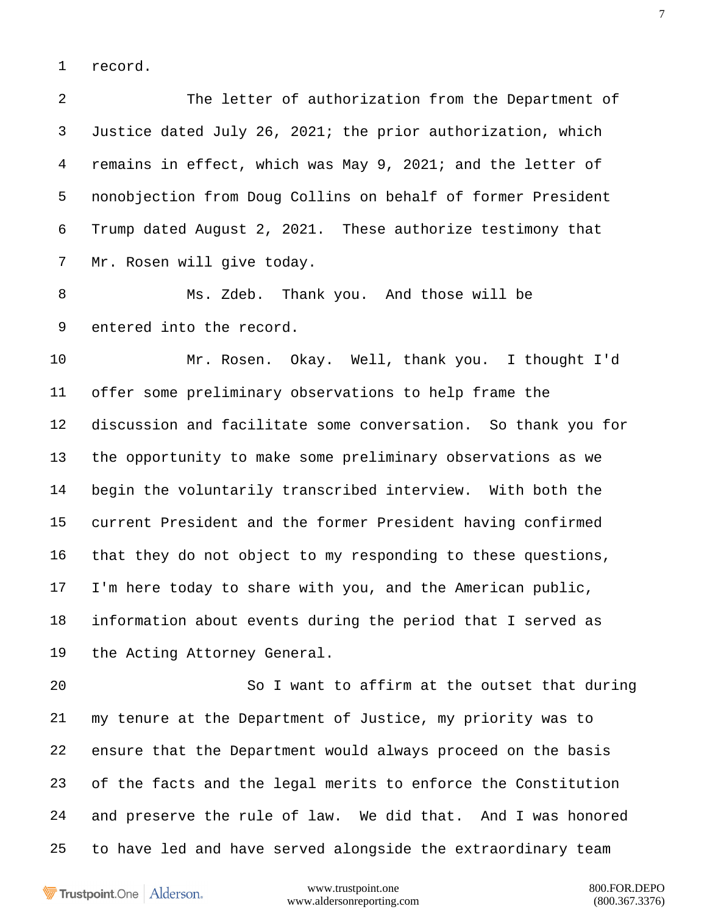record.

 The letter of authorization from the Department of Justice dated July 26, 2021; the prior authorization, which remains in effect, which was May 9, 2021; and the letter of nonobjection from Doug Collins on behalf of former President Trump dated August 2, 2021. These authorize testimony that Mr. Rosen will give today.

 Ms. Zdeb. Thank you. And those will be entered into the record.

 Mr. Rosen. Okay. Well, thank you. I thought I'd offer some preliminary observations to help frame the discussion and facilitate some conversation. So thank you for the opportunity to make some preliminary observations as we begin the voluntarily transcribed interview. With both the current President and the former President having confirmed that they do not object to my responding to these questions, I'm here today to share with you, and the American public, information about events during the period that I served as the Acting Attorney General.

 So I want to affirm at the outset that during my tenure at the Department of Justice, my priority was to ensure that the Department would always proceed on the basis of the facts and the legal merits to enforce the Constitution and preserve the rule of law. We did that. And I was honored to have led and have served alongside the extraordinary team

**Trustpoint**.One Alderson.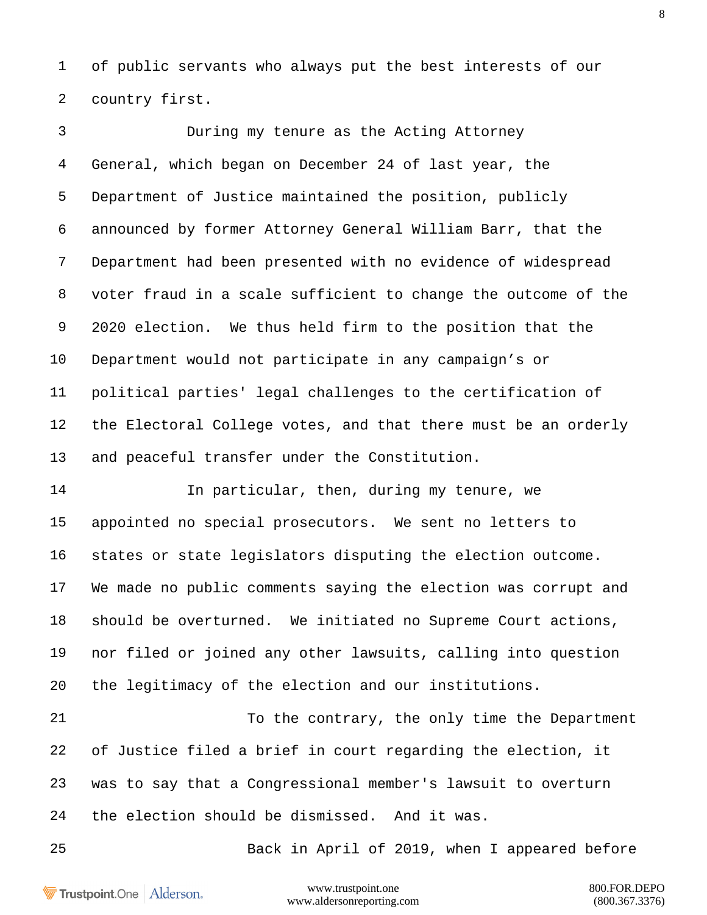of public servants who always put the best interests of our country first.

 During my tenure as the Acting Attorney General, which began on December 24 of last year, the Department of Justice maintained the position, publicly announced by former Attorney General William Barr, that the Department had been presented with no evidence of widespread voter fraud in a scale sufficient to change the outcome of the 2020 election. We thus held firm to the position that the Department would not participate in any campaign's or political parties' legal challenges to the certification of the Electoral College votes, and that there must be an orderly and peaceful transfer under the Constitution.

 In particular, then, during my tenure, we appointed no special prosecutors. We sent no letters to states or state legislators disputing the election outcome. We made no public comments saying the election was corrupt and should be overturned. We initiated no Supreme Court actions, nor filed or joined any other lawsuits, calling into question the legitimacy of the election and our institutions.

 To the contrary, the only time the Department of Justice filed a brief in court regarding the election, it was to say that a Congressional member's lawsuit to overturn the election should be dismissed. And it was.

Back in April of 2019, when I appeared before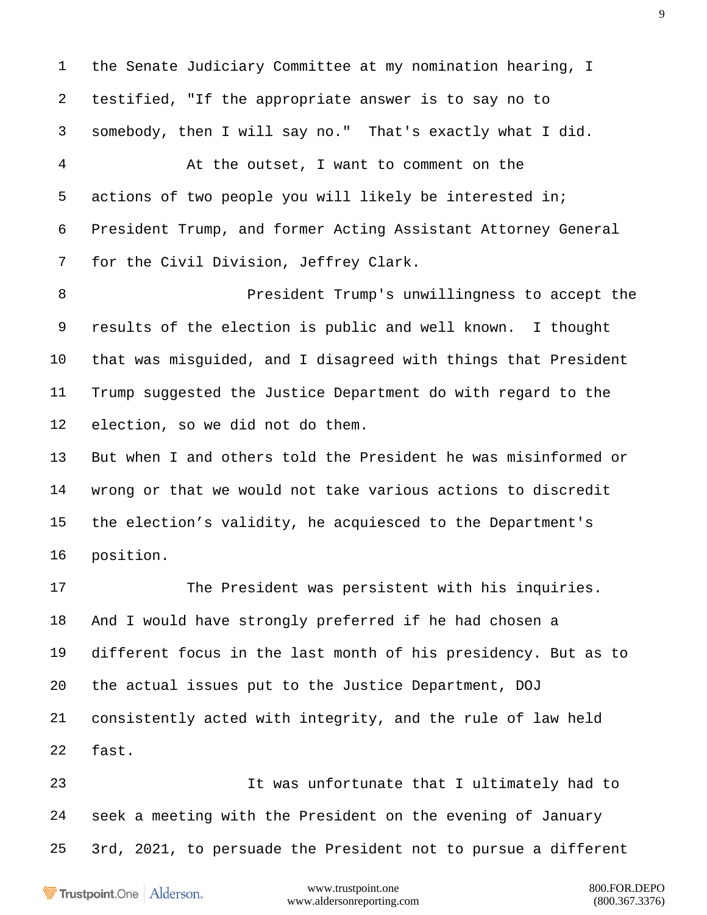the Senate Judiciary Committee at my nomination hearing, I testified, "If the appropriate answer is to say no to somebody, then I will say no." That's exactly what I did. At the outset, I want to comment on the

 actions of two people you will likely be interested in; President Trump, and former Acting Assistant Attorney General for the Civil Division, Jeffrey Clark.

 President Trump's unwillingness to accept the results of the election is public and well known. I thought that was misguided, and I disagreed with things that President Trump suggested the Justice Department do with regard to the election, so we did not do them.

 But when I and others told the President he was misinformed or wrong or that we would not take various actions to discredit the election's validity, he acquiesced to the Department's position.

 The President was persistent with his inquiries. And I would have strongly preferred if he had chosen a different focus in the last month of his presidency. But as to the actual issues put to the Justice Department, DOJ consistently acted with integrity, and the rule of law held fast.

 It was unfortunate that I ultimately had to seek a meeting with the President on the evening of January 3rd, 2021, to persuade the President not to pursue a different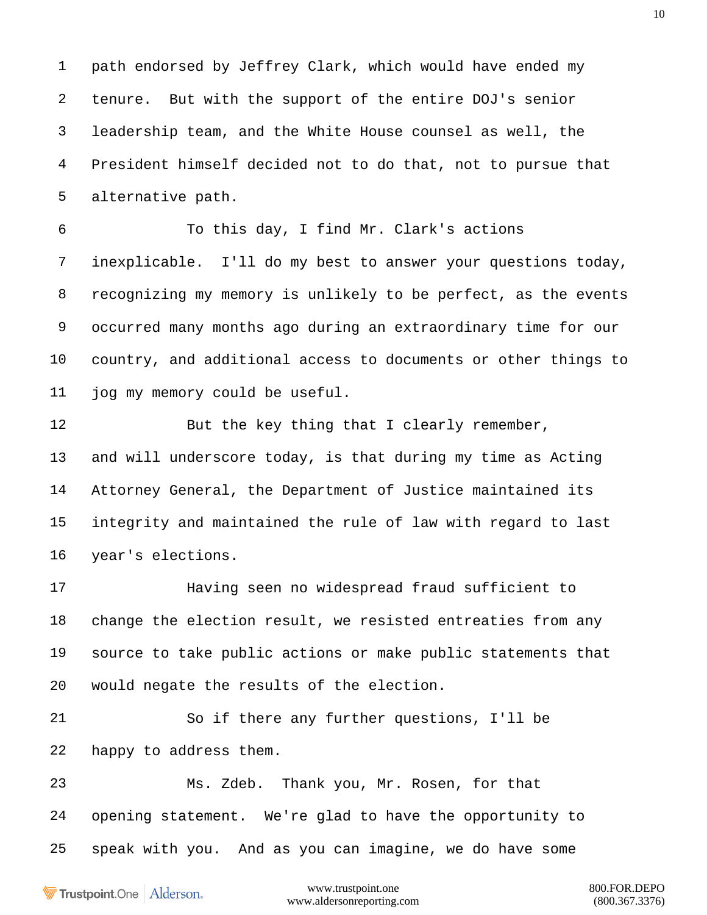path endorsed by Jeffrey Clark, which would have ended my tenure. But with the support of the entire DOJ's senior leadership team, and the White House counsel as well, the President himself decided not to do that, not to pursue that alternative path.

 To this day, I find Mr. Clark's actions inexplicable. I'll do my best to answer your questions today, recognizing my memory is unlikely to be perfect, as the events occurred many months ago during an extraordinary time for our country, and additional access to documents or other things to jog my memory could be useful.

12 But the key thing that I clearly remember, and will underscore today, is that during my time as Acting Attorney General, the Department of Justice maintained its integrity and maintained the rule of law with regard to last year's elections.

 Having seen no widespread fraud sufficient to change the election result, we resisted entreaties from any source to take public actions or make public statements that would negate the results of the election.

 So if there any further questions, I'll be happy to address them.

 Ms. Zdeb. Thank you, Mr. Rosen, for that opening statement. We're glad to have the opportunity to speak with you. And as you can imagine, we do have some

Trustpoint.One Alderson.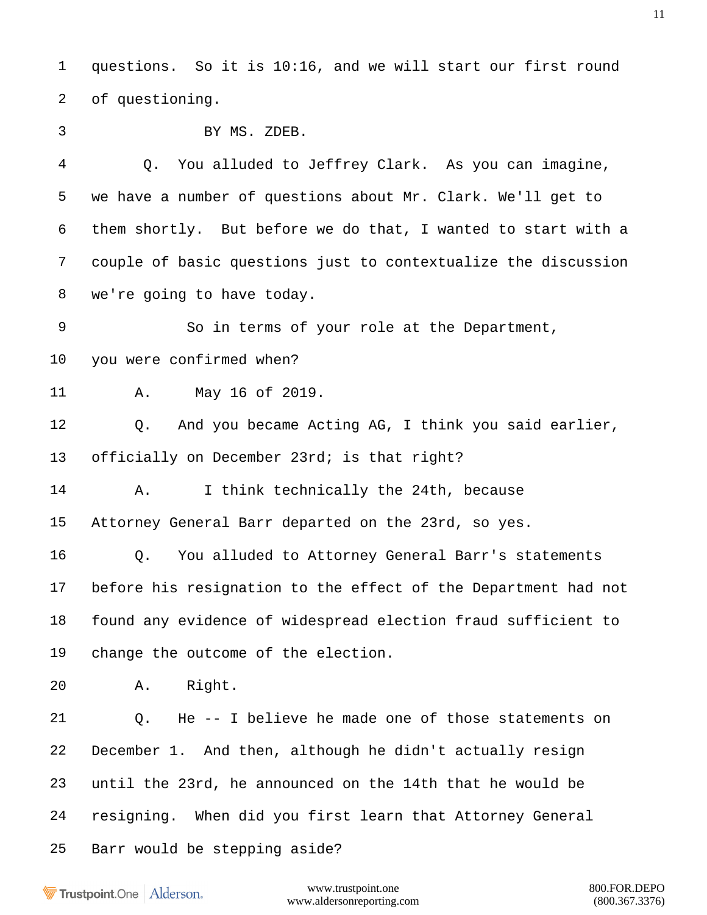questions. So it is 10:16, and we will start our first round of questioning.

BY MS. ZDEB.

 Q. You alluded to Jeffrey Clark. As you can imagine, we have a number of questions about Mr. Clark. We'll get to them shortly. But before we do that, I wanted to start with a couple of basic questions just to contextualize the discussion we're going to have today.

 So in terms of your role at the Department, you were confirmed when?

A. May 16 of 2019.

 Q. And you became Acting AG, I think you said earlier, officially on December 23rd; is that right?

A. I think technically the 24th, because

Attorney General Barr departed on the 23rd, so yes.

 Q. You alluded to Attorney General Barr's statements before his resignation to the effect of the Department had not found any evidence of widespread election fraud sufficient to change the outcome of the election.

A. Right.

 Q. He -- I believe he made one of those statements on December 1. And then, although he didn't actually resign until the 23rd, he announced on the 14th that he would be resigning. When did you first learn that Attorney General Barr would be stepping aside?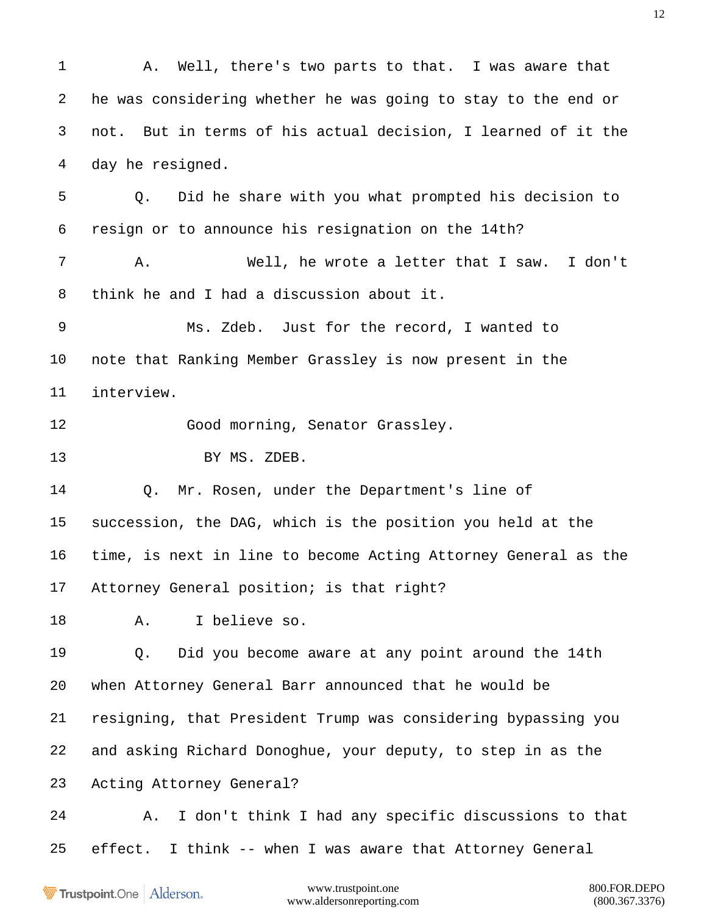A. Well, there's two parts to that. I was aware that he was considering whether he was going to stay to the end or not. But in terms of his actual decision, I learned of it the day he resigned. Q. Did he share with you what prompted his decision to resign or to announce his resignation on the 14th? A. Well, he wrote a letter that I saw. I don't think he and I had a discussion about it. Ms. Zdeb. Just for the record, I wanted to note that Ranking Member Grassley is now present in the interview. 12 Good morning, Senator Grassley. 13 BY MS. ZDEB. Q. Mr. Rosen, under the Department's line of succession, the DAG, which is the position you held at the time, is next in line to become Acting Attorney General as the Attorney General position; is that right? A. I believe so. Q. Did you become aware at any point around the 14th when Attorney General Barr announced that he would be resigning, that President Trump was considering bypassing you and asking Richard Donoghue, your deputy, to step in as the Acting Attorney General? A. I don't think I had any specific discussions to that effect. I think -- when I was aware that Attorney General

Trustpoint.One Alderson.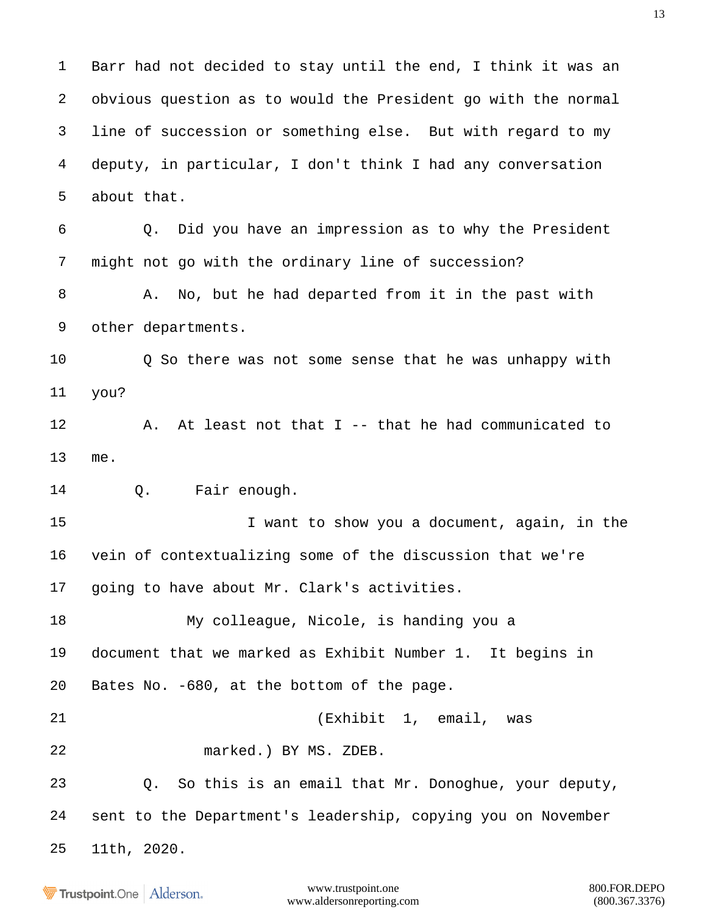Barr had not decided to stay until the end, I think it was an obvious question as to would the President go with the normal line of succession or something else. But with regard to my deputy, in particular, I don't think I had any conversation about that. Q. Did you have an impression as to why the President

might not go with the ordinary line of succession?

8 A. No, but he had departed from it in the past with other departments.

 Q So there was not some sense that he was unhappy with you?

 A. At least not that I -- that he had communicated to me.

14 0. Fair enough.

 I want to show you a document, again, in the vein of contextualizing some of the discussion that we're going to have about Mr. Clark's activities.

 My colleague, Nicole, is handing you a document that we marked as Exhibit Number 1. It begins in Bates No. -680, at the bottom of the page.

(Exhibit 1, email, was

marked.) BY MS. ZDEB.

 Q. So this is an email that Mr. Donoghue, your deputy, sent to the Department's leadership, copying you on November 11th, 2020.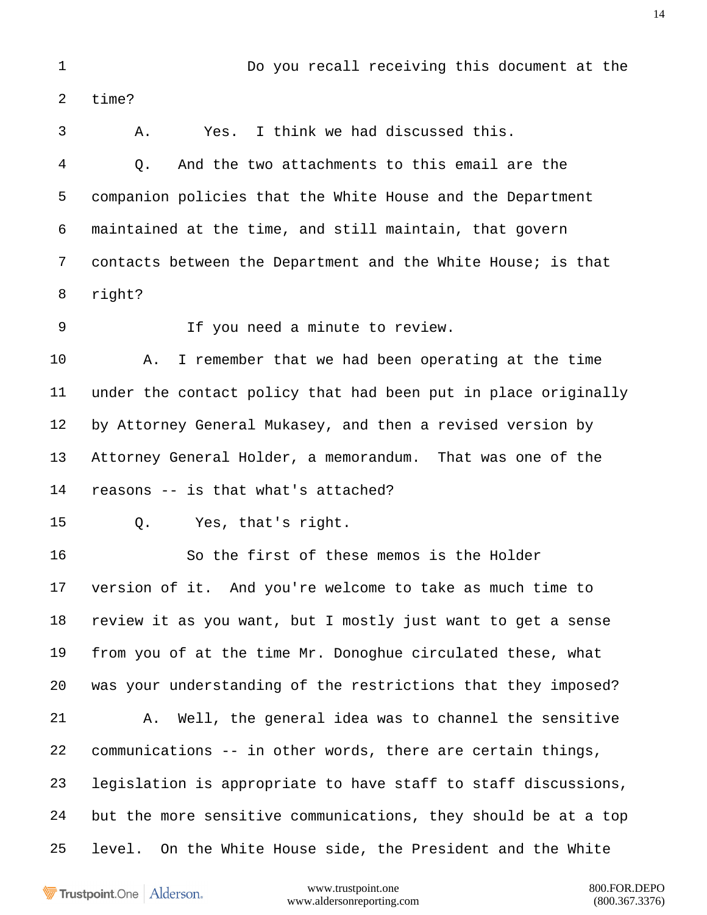time? A. Yes. I think we had discussed this. Q. And the two attachments to this email are the companion policies that the White House and the Department maintained at the time, and still maintain, that govern contacts between the Department and the White House; is that right? If you need a minute to review. A. I remember that we had been operating at the time under the contact policy that had been put in place originally by Attorney General Mukasey, and then a revised version by Attorney General Holder, a memorandum. That was one of the reasons -- is that what's attached? Q. Yes, that's right. So the first of these memos is the Holder version of it. And you're welcome to take as much time to review it as you want, but I mostly just want to get a sense from you of at the time Mr. Donoghue circulated these, what was your understanding of the restrictions that they imposed? A. Well, the general idea was to channel the sensitive communications -- in other words, there are certain things, legislation is appropriate to have staff to staff discussions, but the more sensitive communications, they should be at a top level. On the White House side, the President and the White

Do you recall receiving this document at the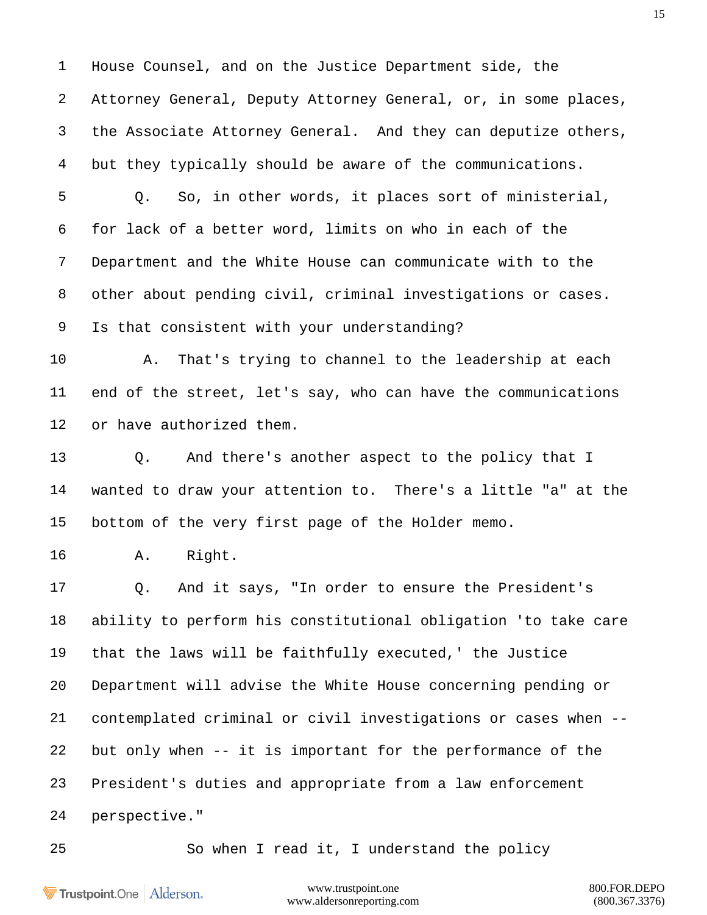House Counsel, and on the Justice Department side, the Attorney General, Deputy Attorney General, or, in some places, the Associate Attorney General. And they can deputize others, but they typically should be aware of the communications. Q. So, in other words, it places sort of ministerial, for lack of a better word, limits on who in each of the Department and the White House can communicate with to the other about pending civil, criminal investigations or cases. Is that consistent with your understanding? A. That's trying to channel to the leadership at each end of the street, let's say, who can have the communications or have authorized them. Q. And there's another aspect to the policy that I wanted to draw your attention to. There's a little "a" at the bottom of the very first page of the Holder memo. A. Right. Q. And it says, "In order to ensure the President's ability to perform his constitutional obligation 'to take care that the laws will be faithfully executed,' the Justice Department will advise the White House concerning pending or contemplated criminal or civil investigations or cases when -- but only when -- it is important for the performance of the President's duties and appropriate from a law enforcement perspective."

So when I read it, I understand the policy

Trustpoint.One Alderson.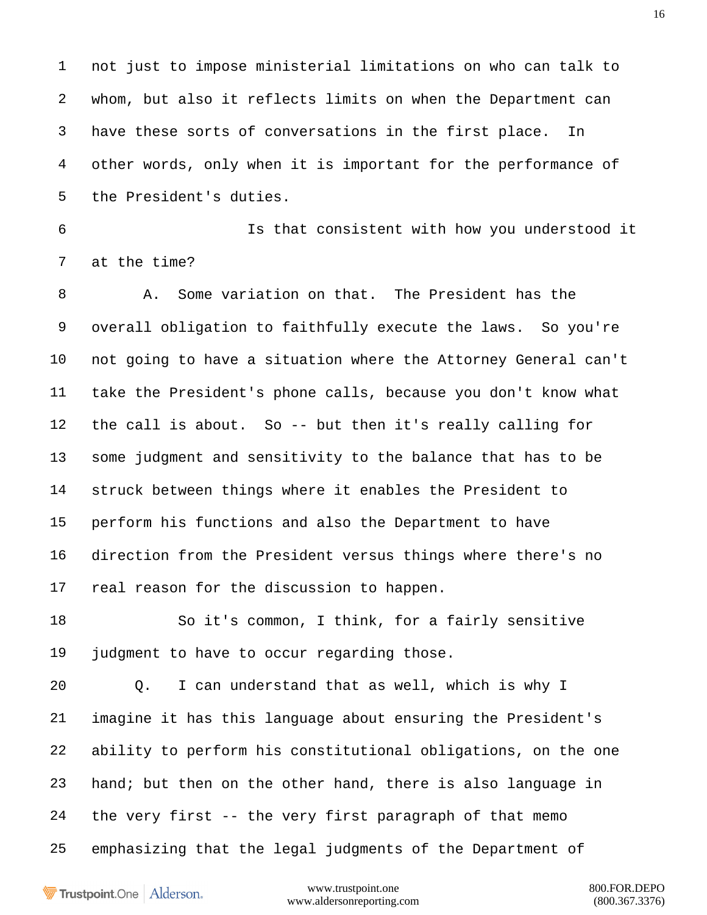not just to impose ministerial limitations on who can talk to whom, but also it reflects limits on when the Department can have these sorts of conversations in the first place. In other words, only when it is important for the performance of the President's duties.

 Is that consistent with how you understood it at the time?

 A. Some variation on that. The President has the overall obligation to faithfully execute the laws. So you're not going to have a situation where the Attorney General can't take the President's phone calls, because you don't know what the call is about. So -- but then it's really calling for some judgment and sensitivity to the balance that has to be struck between things where it enables the President to perform his functions and also the Department to have direction from the President versus things where there's no real reason for the discussion to happen.

 So it's common, I think, for a fairly sensitive judgment to have to occur regarding those.

 Q. I can understand that as well, which is why I imagine it has this language about ensuring the President's ability to perform his constitutional obligations, on the one hand; but then on the other hand, there is also language in the very first -- the very first paragraph of that memo emphasizing that the legal judgments of the Department of

Trustpoint.One Alderson.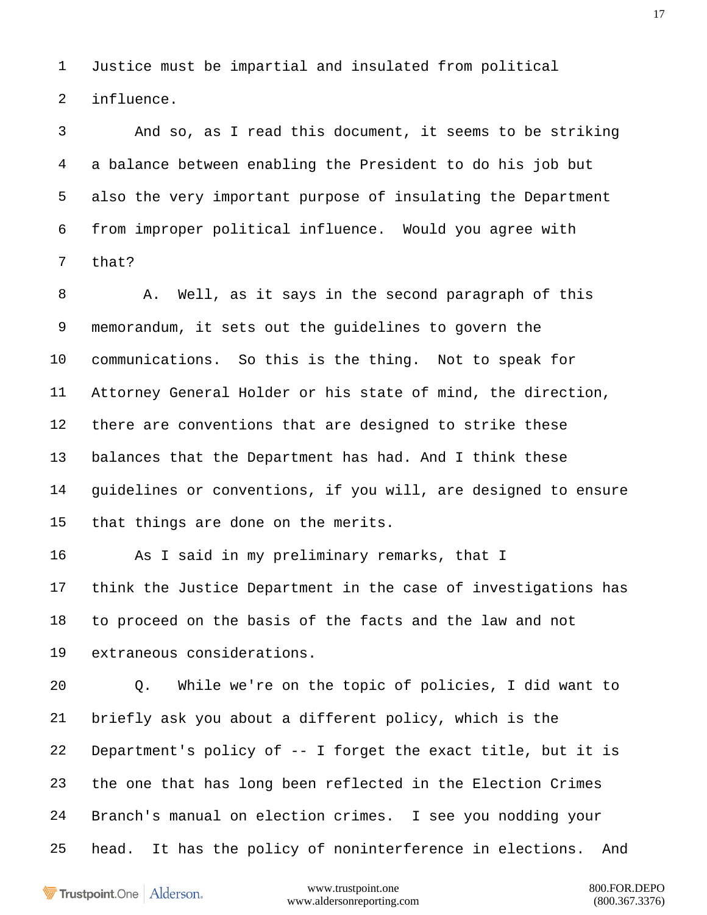Justice must be impartial and insulated from political influence.

 And so, as I read this document, it seems to be striking a balance between enabling the President to do his job but also the very important purpose of insulating the Department from improper political influence. Would you agree with that?

 A. Well, as it says in the second paragraph of this memorandum, it sets out the guidelines to govern the communications. So this is the thing. Not to speak for Attorney General Holder or his state of mind, the direction, there are conventions that are designed to strike these balances that the Department has had. And I think these guidelines or conventions, if you will, are designed to ensure that things are done on the merits.

 As I said in my preliminary remarks, that I think the Justice Department in the case of investigations has to proceed on the basis of the facts and the law and not extraneous considerations.

 Q. While we're on the topic of policies, I did want to briefly ask you about a different policy, which is the Department's policy of -- I forget the exact title, but it is the one that has long been reflected in the Election Crimes Branch's manual on election crimes. I see you nodding your head. It has the policy of noninterference in elections. And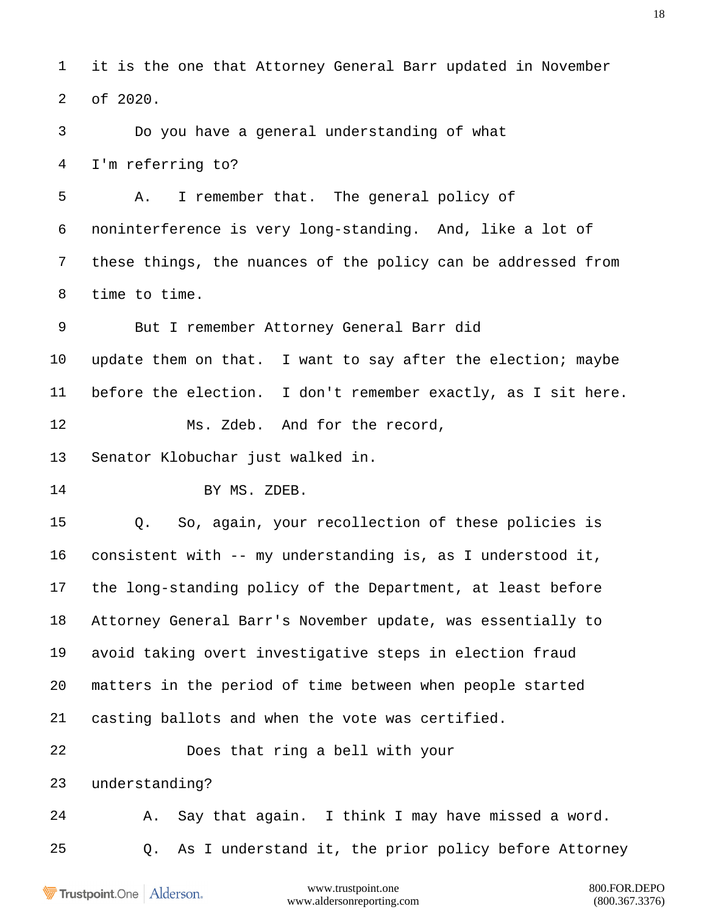it is the one that Attorney General Barr updated in November of 2020.

 Do you have a general understanding of what I'm referring to?

 A. I remember that. The general policy of noninterference is very long-standing. And, like a lot of these things, the nuances of the policy can be addressed from time to time.

 But I remember Attorney General Barr did update them on that. I want to say after the election; maybe before the election. I don't remember exactly, as I sit here. Ms. Zdeb. And for the record,

Senator Klobuchar just walked in.

14 BY MS. ZDEB.

 Q. So, again, your recollection of these policies is consistent with -- my understanding is, as I understood it, the long-standing policy of the Department, at least before Attorney General Barr's November update, was essentially to avoid taking overt investigative steps in election fraud matters in the period of time between when people started casting ballots and when the vote was certified. Does that ring a bell with your

understanding?

 A. Say that again. I think I may have missed a word. Q. As I understand it, the prior policy before Attorney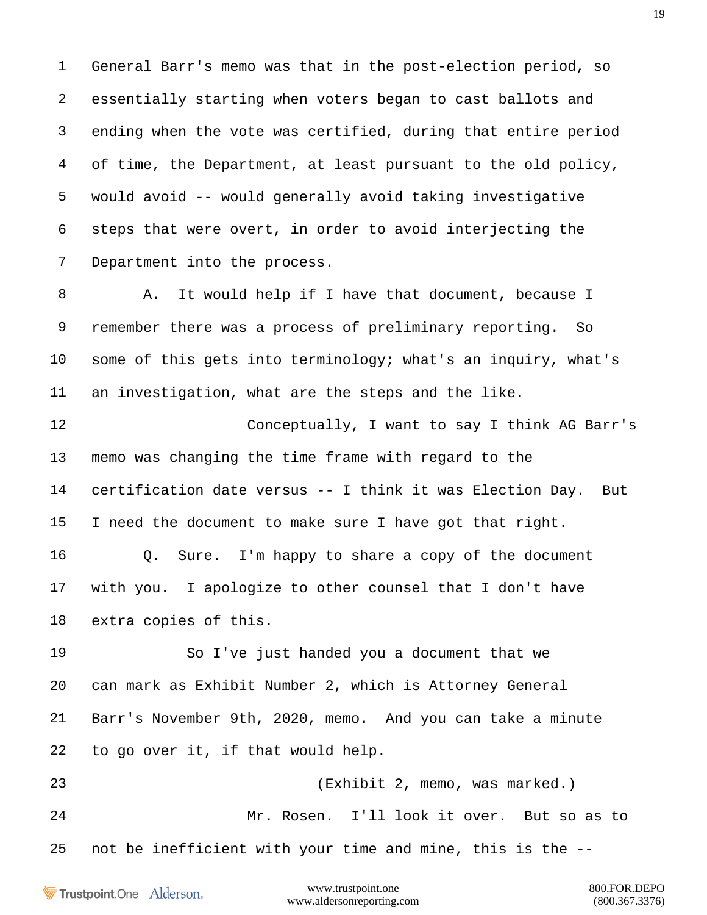General Barr's memo was that in the post-election period, so essentially starting when voters began to cast ballots and ending when the vote was certified, during that entire period of time, the Department, at least pursuant to the old policy, would avoid -- would generally avoid taking investigative steps that were overt, in order to avoid interjecting the Department into the process.

 A. It would help if I have that document, because I remember there was a process of preliminary reporting. So some of this gets into terminology; what's an inquiry, what's an investigation, what are the steps and the like.

 Conceptually, I want to say I think AG Barr's memo was changing the time frame with regard to the certification date versus -- I think it was Election Day. But I need the document to make sure I have got that right. Q. Sure. I'm happy to share a copy of the document with you. I apologize to other counsel that I don't have extra copies of this.

 So I've just handed you a document that we can mark as Exhibit Number 2, which is Attorney General Barr's November 9th, 2020, memo. And you can take a minute to go over it, if that would help.

 (Exhibit 2, memo, was marked.) Mr. Rosen. I'll look it over. But so as to not be inefficient with your time and mine, this is the --

Trustpoint.One Alderson.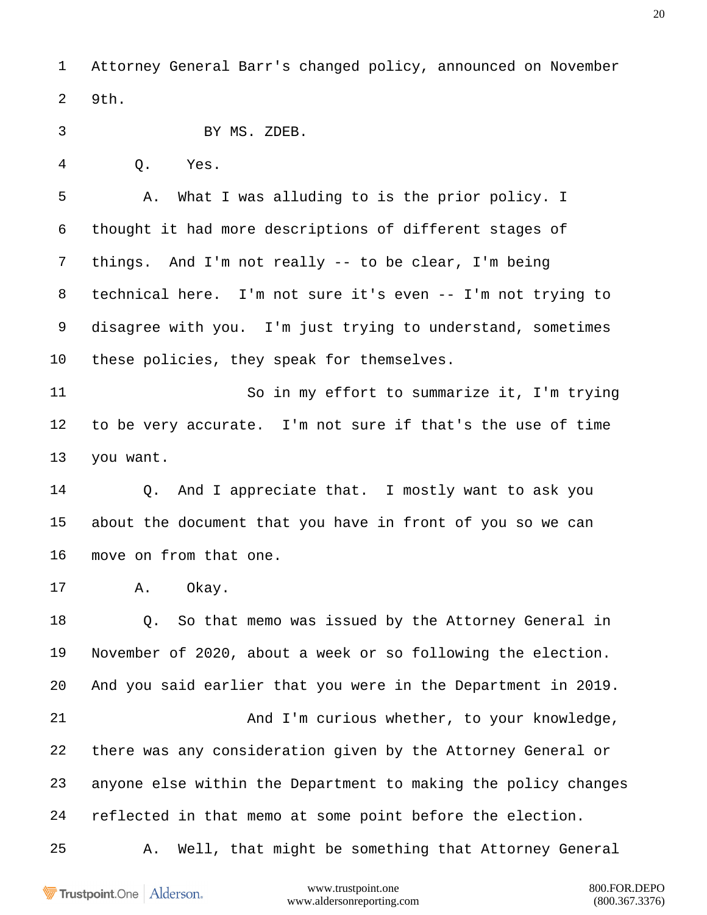Attorney General Barr's changed policy, announced on November 9th.

BY MS. ZDEB.

Q. Yes.

 A. What I was alluding to is the prior policy. I thought it had more descriptions of different stages of things. And I'm not really -- to be clear, I'm being technical here. I'm not sure it's even -- I'm not trying to disagree with you. I'm just trying to understand, sometimes these policies, they speak for themselves.

 So in my effort to summarize it, I'm trying to be very accurate. I'm not sure if that's the use of time you want.

 Q. And I appreciate that. I mostly want to ask you about the document that you have in front of you so we can move on from that one.

A. Okay.

 Q. So that memo was issued by the Attorney General in November of 2020, about a week or so following the election. And you said earlier that you were in the Department in 2019. And I'm curious whether, to your knowledge, there was any consideration given by the Attorney General or anyone else within the Department to making the policy changes reflected in that memo at some point before the election.

A. Well, that might be something that Attorney General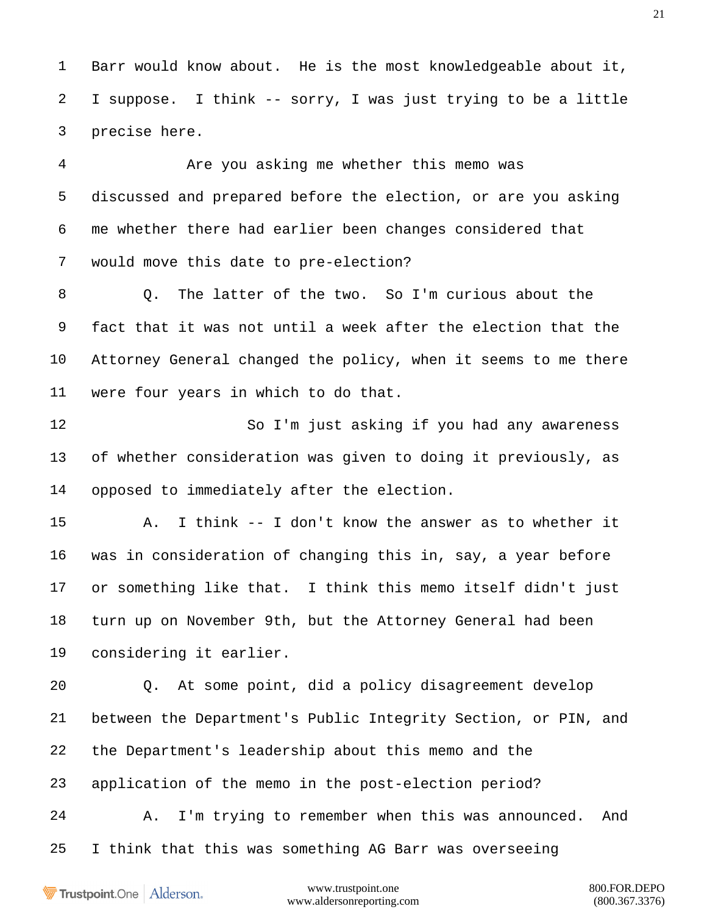Barr would know about. He is the most knowledgeable about it, I suppose. I think -- sorry, I was just trying to be a little precise here.

 Are you asking me whether this memo was discussed and prepared before the election, or are you asking me whether there had earlier been changes considered that would move this date to pre-election?

 Q. The latter of the two. So I'm curious about the fact that it was not until a week after the election that the Attorney General changed the policy, when it seems to me there were four years in which to do that.

 So I'm just asking if you had any awareness of whether consideration was given to doing it previously, as opposed to immediately after the election.

 A. I think -- I don't know the answer as to whether it was in consideration of changing this in, say, a year before or something like that. I think this memo itself didn't just turn up on November 9th, but the Attorney General had been considering it earlier.

 Q. At some point, did a policy disagreement develop between the Department's Public Integrity Section, or PIN, and the Department's leadership about this memo and the application of the memo in the post-election period?

 A. I'm trying to remember when this was announced. And I think that this was something AG Barr was overseeing

Trustpoint.One Alderson.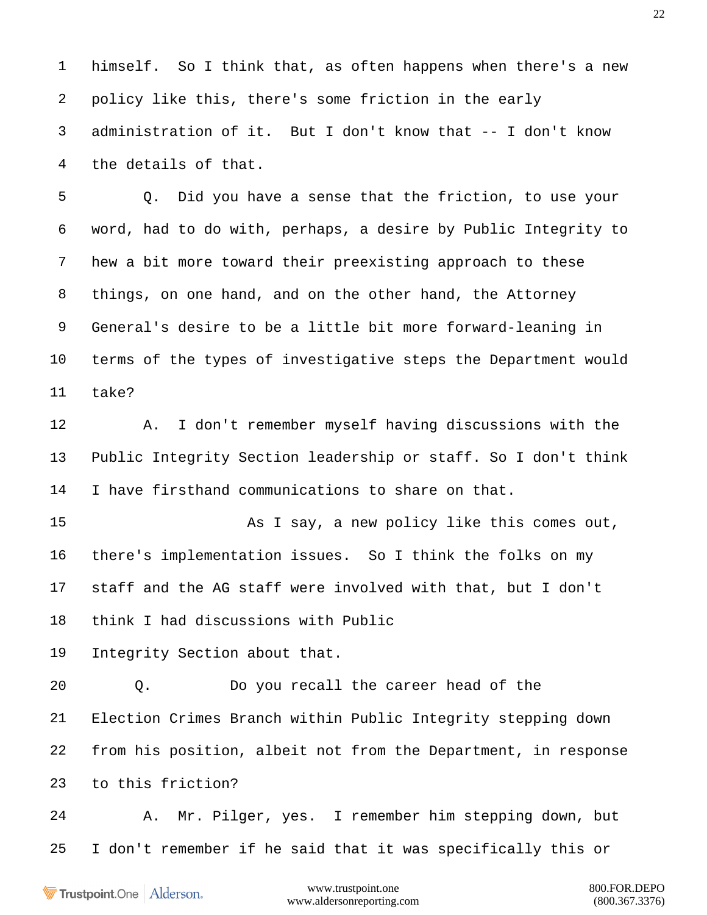himself. So I think that, as often happens when there's a new policy like this, there's some friction in the early administration of it. But I don't know that -- I don't know the details of that.

 Q. Did you have a sense that the friction, to use your word, had to do with, perhaps, a desire by Public Integrity to hew a bit more toward their preexisting approach to these things, on one hand, and on the other hand, the Attorney General's desire to be a little bit more forward-leaning in terms of the types of investigative steps the Department would take?

 A. I don't remember myself having discussions with the Public Integrity Section leadership or staff. So I don't think I have firsthand communications to share on that.

 As I say, a new policy like this comes out, there's implementation issues. So I think the folks on my staff and the AG staff were involved with that, but I don't think I had discussions with Public

Integrity Section about that.

 Q. Do you recall the career head of the Election Crimes Branch within Public Integrity stepping down from his position, albeit not from the Department, in response to this friction?

 A. Mr. Pilger, yes. I remember him stepping down, but I don't remember if he said that it was specifically this or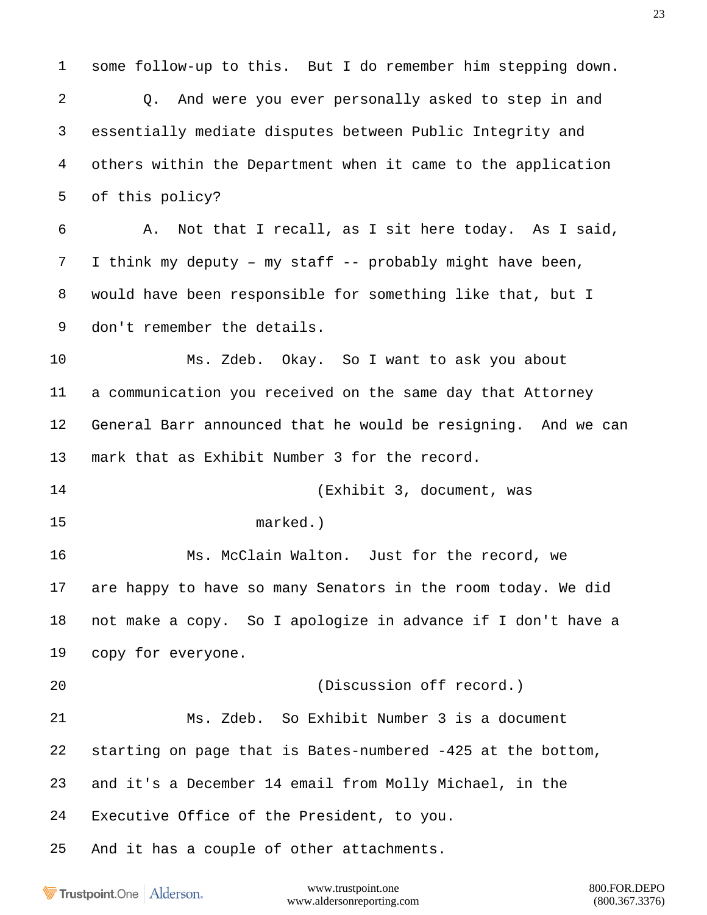some follow-up to this. But I do remember him stepping down. Q. And were you ever personally asked to step in and essentially mediate disputes between Public Integrity and others within the Department when it came to the application of this policy? A. Not that I recall, as I sit here today. As I said, I think my deputy – my staff -- probably might have been, would have been responsible for something like that, but I don't remember the details. Ms. Zdeb. Okay. So I want to ask you about a communication you received on the same day that Attorney General Barr announced that he would be resigning. And we can mark that as Exhibit Number 3 for the record. (Exhibit 3, document, was marked.) Ms. McClain Walton. Just for the record, we are happy to have so many Senators in the room today. We did not make a copy. So I apologize in advance if I don't have a copy for everyone. (Discussion off record.) Ms. Zdeb. So Exhibit Number 3 is a document starting on page that is Bates-numbered -425 at the bottom, and it's a December 14 email from Molly Michael, in the Executive Office of the President, to you. And it has a couple of other attachments.

Trustpoint.One Alderson.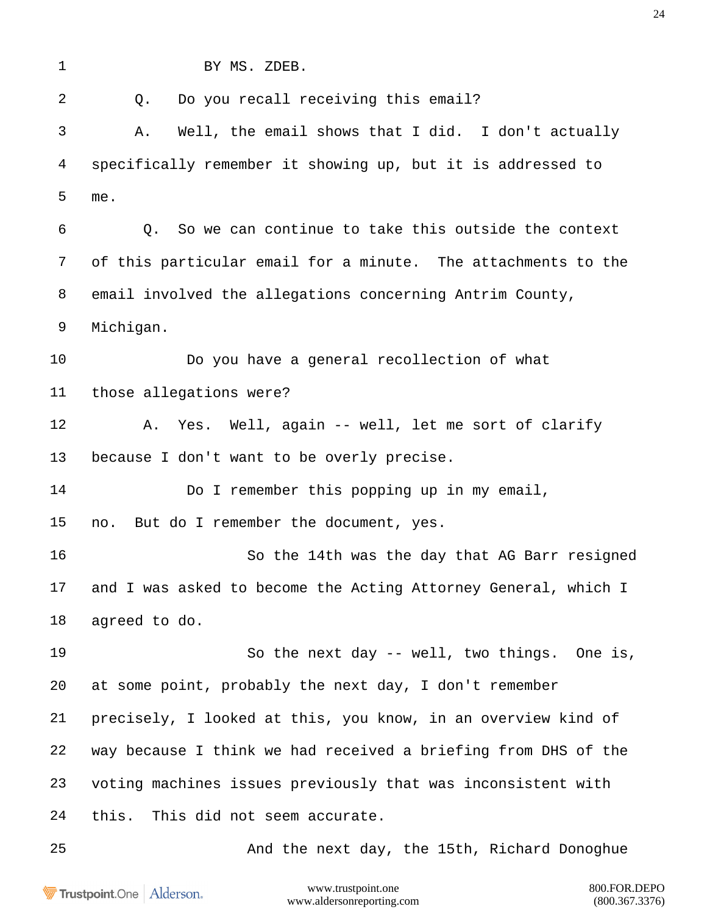BY MS. ZDEB. 2 0. Do you recall receiving this email? A. Well, the email shows that I did. I don't actually specifically remember it showing up, but it is addressed to me. Q. So we can continue to take this outside the context of this particular email for a minute. The attachments to the email involved the allegations concerning Antrim County, Michigan. Do you have a general recollection of what those allegations were? A. Yes. Well, again -- well, let me sort of clarify because I don't want to be overly precise. 14 Do I remember this popping up in my email, no. But do I remember the document, yes. So the 14th was the day that AG Barr resigned and I was asked to become the Acting Attorney General, which I agreed to do. So the next day -- well, two things. One is, at some point, probably the next day, I don't remember precisely, I looked at this, you know, in an overview kind of way because I think we had received a briefing from DHS of the voting machines issues previously that was inconsistent with this. This did not seem accurate. And the next day, the 15th, Richard Donoghue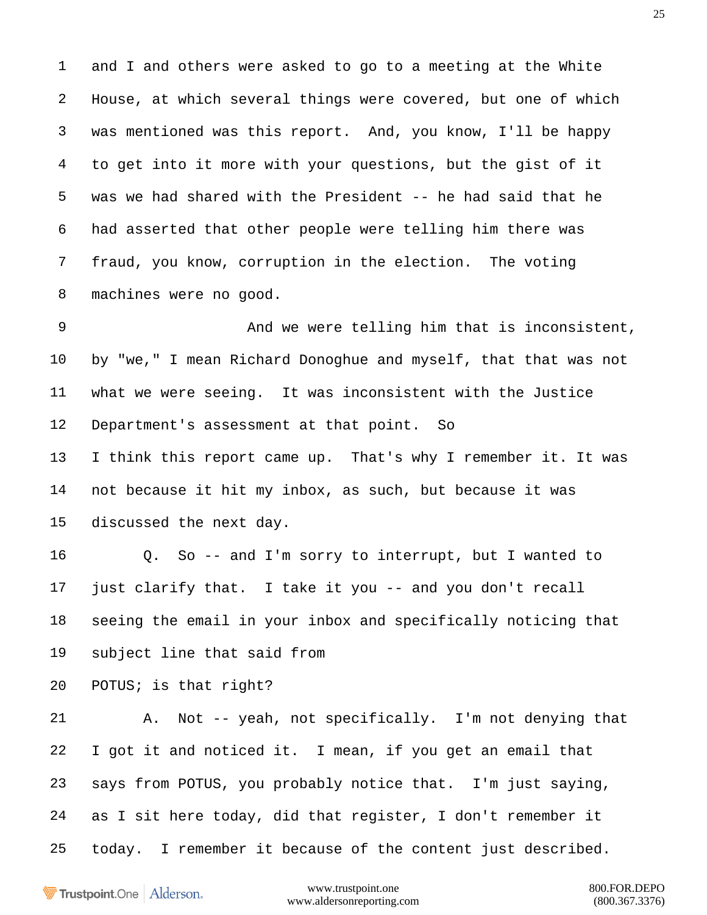and I and others were asked to go to a meeting at the White House, at which several things were covered, but one of which was mentioned was this report. And, you know, I'll be happy to get into it more with your questions, but the gist of it was we had shared with the President -- he had said that he had asserted that other people were telling him there was fraud, you know, corruption in the election. The voting machines were no good.

 And we were telling him that is inconsistent, by "we," I mean Richard Donoghue and myself, that that was not what we were seeing. It was inconsistent with the Justice Department's assessment at that point. So

 I think this report came up. That's why I remember it. It was not because it hit my inbox, as such, but because it was discussed the next day.

 Q. So -- and I'm sorry to interrupt, but I wanted to just clarify that. I take it you -- and you don't recall seeing the email in your inbox and specifically noticing that subject line that said from

POTUS; is that right?

 A. Not -- yeah, not specifically. I'm not denying that I got it and noticed it. I mean, if you get an email that says from POTUS, you probably notice that. I'm just saying, as I sit here today, did that register, I don't remember it today. I remember it because of the content just described.

Trustpoint.One Alderson.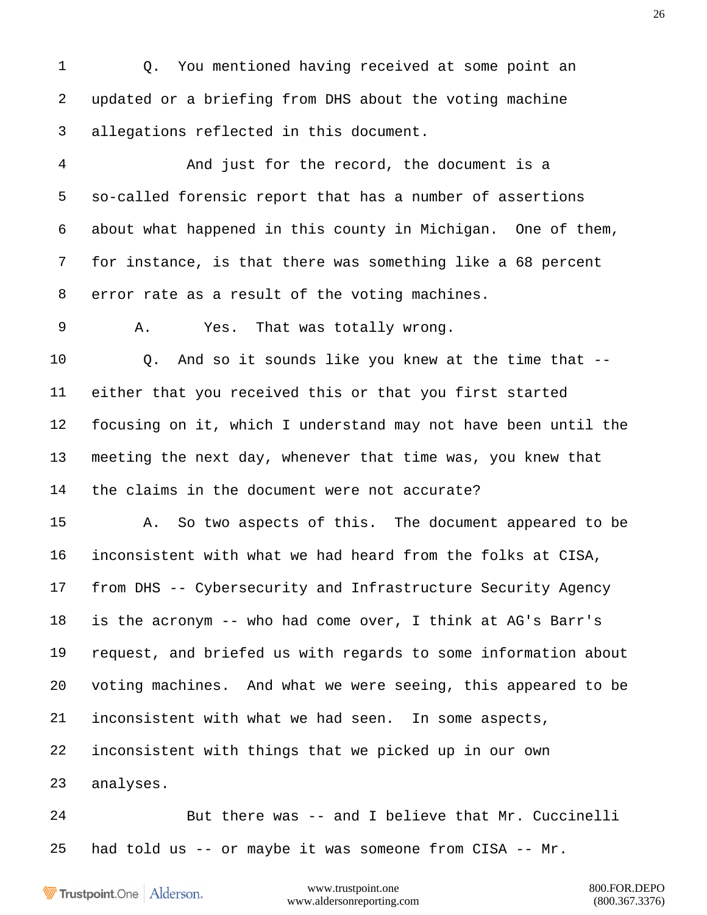Q. You mentioned having received at some point an updated or a briefing from DHS about the voting machine allegations reflected in this document.

 And just for the record, the document is a so-called forensic report that has a number of assertions about what happened in this county in Michigan. One of them, for instance, is that there was something like a 68 percent error rate as a result of the voting machines.

A. Yes. That was totally wrong.

 Q. And so it sounds like you knew at the time that -- either that you received this or that you first started focusing on it, which I understand may not have been until the meeting the next day, whenever that time was, you knew that the claims in the document were not accurate?

 A. So two aspects of this. The document appeared to be inconsistent with what we had heard from the folks at CISA, from DHS -- Cybersecurity and Infrastructure Security Agency is the acronym -- who had come over, I think at AG's Barr's request, and briefed us with regards to some information about voting machines. And what we were seeing, this appeared to be inconsistent with what we had seen. In some aspects, inconsistent with things that we picked up in our own analyses.

 But there was -- and I believe that Mr. Cuccinelli had told us -- or maybe it was someone from CISA -- Mr.

Trustpoint.One Alderson.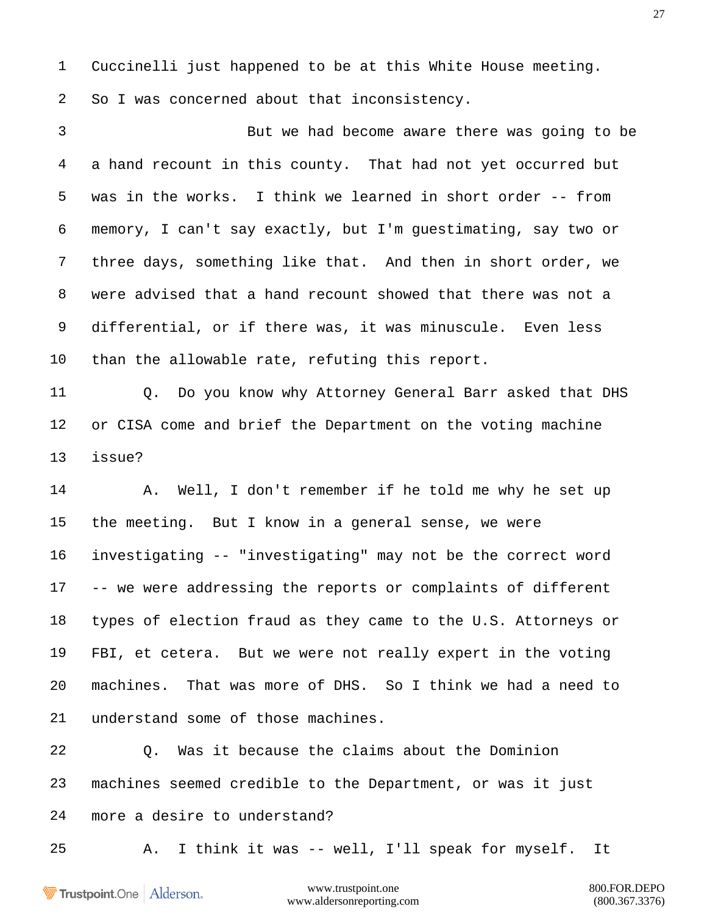Cuccinelli just happened to be at this White House meeting. So I was concerned about that inconsistency.

 But we had become aware there was going to be a hand recount in this county. That had not yet occurred but was in the works. I think we learned in short order -- from memory, I can't say exactly, but I'm guestimating, say two or three days, something like that. And then in short order, we were advised that a hand recount showed that there was not a differential, or if there was, it was minuscule. Even less than the allowable rate, refuting this report.

 Q. Do you know why Attorney General Barr asked that DHS or CISA come and brief the Department on the voting machine issue?

 A. Well, I don't remember if he told me why he set up the meeting. But I know in a general sense, we were investigating -- "investigating" may not be the correct word -- we were addressing the reports or complaints of different types of election fraud as they came to the U.S. Attorneys or FBI, et cetera. But we were not really expert in the voting machines. That was more of DHS. So I think we had a need to understand some of those machines.

 Q. Was it because the claims about the Dominion machines seemed credible to the Department, or was it just more a desire to understand?

A. I think it was -- well, I'll speak for myself. It

Trustpoint.One Alderson.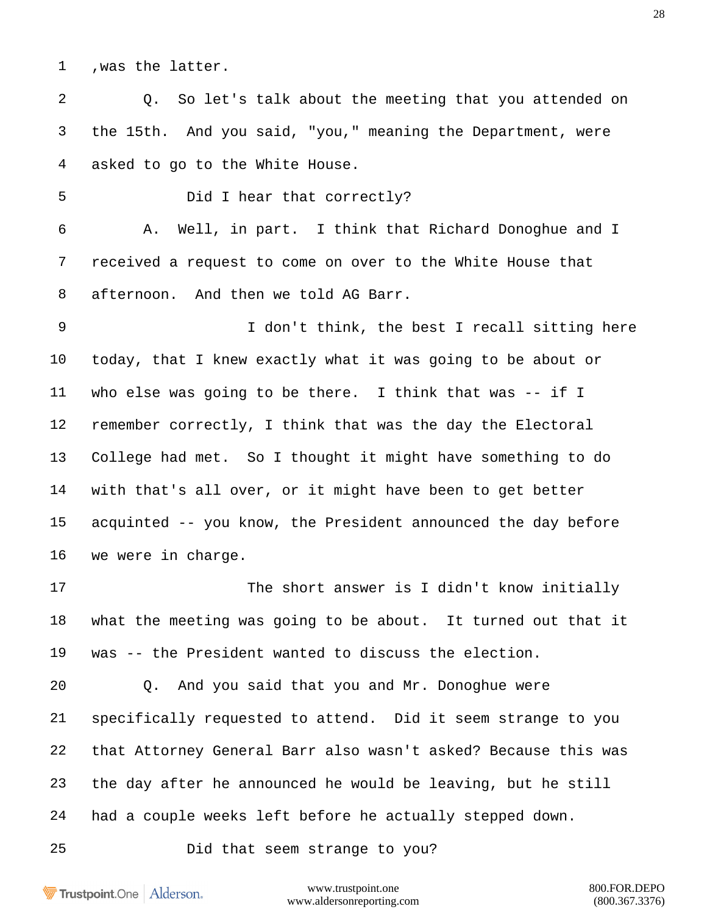,was the latter.

 Q. So let's talk about the meeting that you attended on the 15th. And you said, "you," meaning the Department, were asked to go to the White House.

Did I hear that correctly?

 A. Well, in part. I think that Richard Donoghue and I received a request to come on over to the White House that afternoon. And then we told AG Barr.

 I don't think, the best I recall sitting here today, that I knew exactly what it was going to be about or who else was going to be there. I think that was -- if I remember correctly, I think that was the day the Electoral College had met. So I thought it might have something to do with that's all over, or it might have been to get better acquinted -- you know, the President announced the day before we were in charge.

 The short answer is I didn't know initially what the meeting was going to be about. It turned out that it was -- the President wanted to discuss the election.

 Q. And you said that you and Mr. Donoghue were specifically requested to attend. Did it seem strange to you that Attorney General Barr also wasn't asked? Because this was the day after he announced he would be leaving, but he still had a couple weeks left before he actually stepped down.

Did that seem strange to you?

Trustpoint.One Alderson.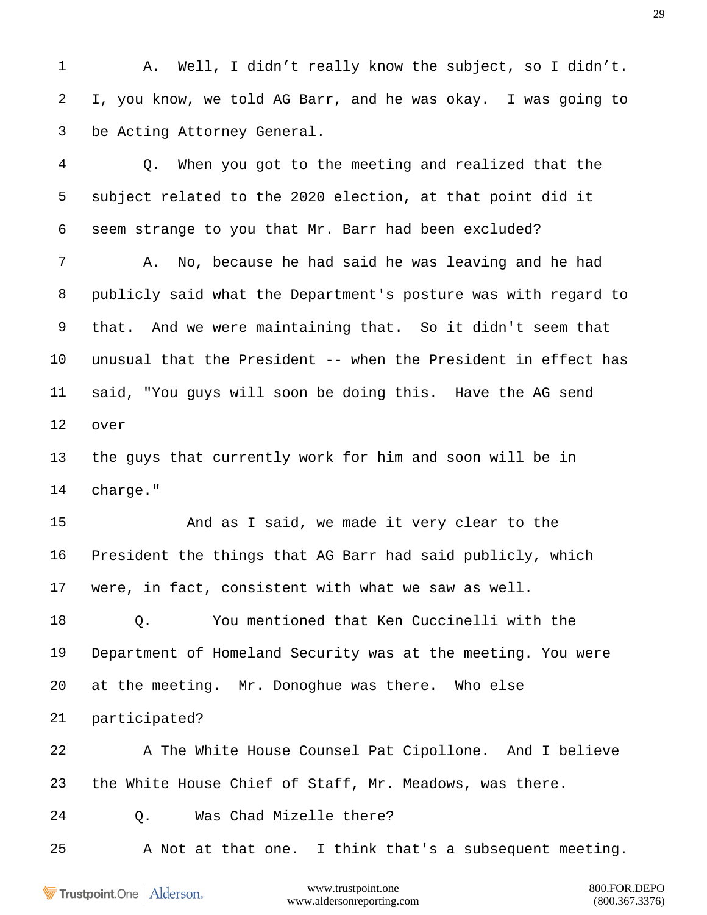A. Well, I didn't really know the subject, so I didn't. I, you know, we told AG Barr, and he was okay. I was going to be Acting Attorney General.

 Q. When you got to the meeting and realized that the subject related to the 2020 election, at that point did it seem strange to you that Mr. Barr had been excluded?

 A. No, because he had said he was leaving and he had publicly said what the Department's posture was with regard to that. And we were maintaining that. So it didn't seem that unusual that the President -- when the President in effect has said, "You guys will soon be doing this. Have the AG send over

 the guys that currently work for him and soon will be in charge."

 And as I said, we made it very clear to the President the things that AG Barr had said publicly, which were, in fact, consistent with what we saw as well.

 Q. You mentioned that Ken Cuccinelli with the Department of Homeland Security was at the meeting. You were at the meeting. Mr. Donoghue was there. Who else participated?

 A The White House Counsel Pat Cipollone. And I believe the White House Chief of Staff, Mr. Meadows, was there.

Q. Was Chad Mizelle there?

A Not at that one. I think that's a subsequent meeting.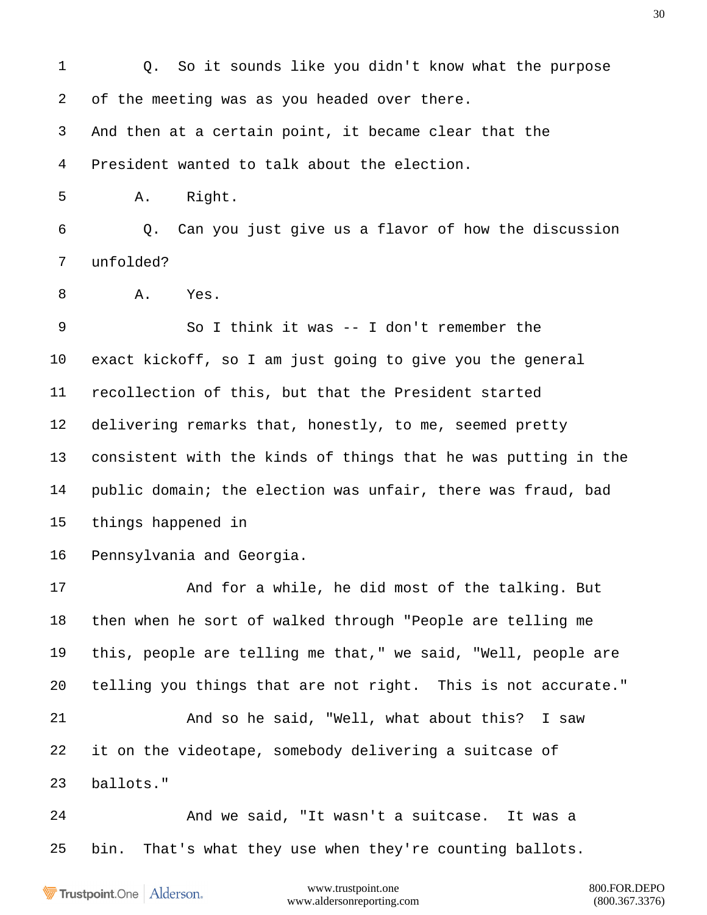Q. So it sounds like you didn't know what the purpose of the meeting was as you headed over there. And then at a certain point, it became clear that the President wanted to talk about the election. A. Right. Q. Can you just give us a flavor of how the discussion unfolded? A. Yes. So I think it was -- I don't remember the exact kickoff, so I am just going to give you the general recollection of this, but that the President started delivering remarks that, honestly, to me, seemed pretty consistent with the kinds of things that he was putting in the public domain; the election was unfair, there was fraud, bad things happened in Pennsylvania and Georgia. And for a while, he did most of the talking. But then when he sort of walked through "People are telling me this, people are telling me that," we said, "Well, people are telling you things that are not right. This is not accurate." And so he said, "Well, what about this? I saw it on the videotape, somebody delivering a suitcase of ballots." And we said, "It wasn't a suitcase. It was a bin. That's what they use when they're counting ballots.

Trustpoint.One Alderson.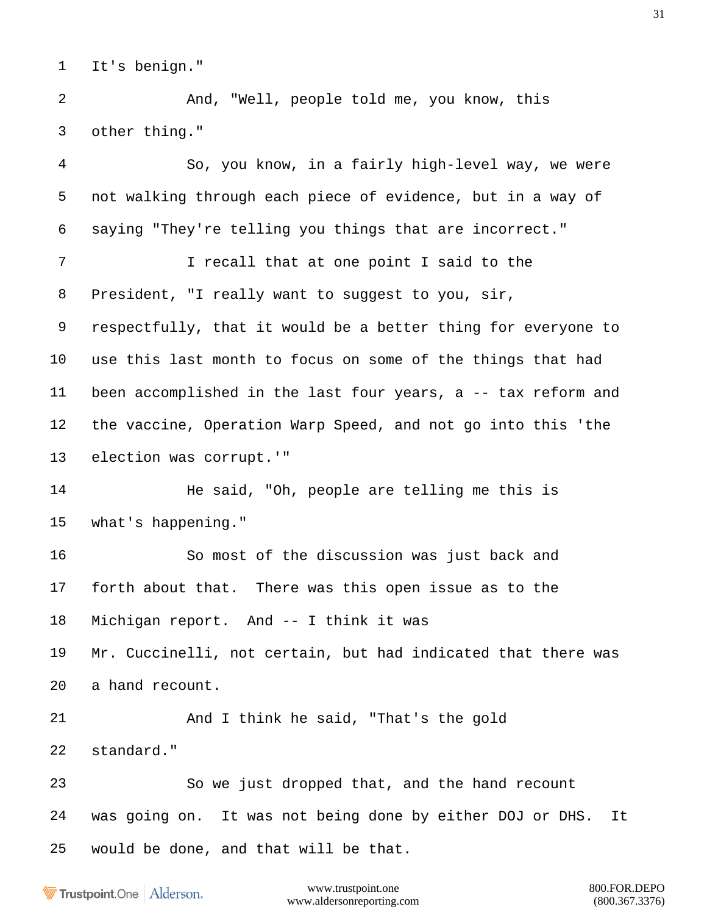It's benign."

 And, "Well, people told me, you know, this other thing."

 So, you know, in a fairly high-level way, we were not walking through each piece of evidence, but in a way of saying "They're telling you things that are incorrect." 7 I recall that at one point I said to the President, "I really want to suggest to you, sir, respectfully, that it would be a better thing for everyone to use this last month to focus on some of the things that had been accomplished in the last four years, a -- tax reform and the vaccine, Operation Warp Speed, and not go into this 'the election was corrupt.'" 14 He said, "Oh, people are telling me this is what's happening." So most of the discussion was just back and forth about that. There was this open issue as to the Michigan report. And -- I think it was Mr. Cuccinelli, not certain, but had indicated that there was a hand recount. And I think he said, "That's the gold standard." So we just dropped that, and the hand recount was going on. It was not being done by either DOJ or DHS. It would be done, and that will be that.

Trustpoint.One Alderson.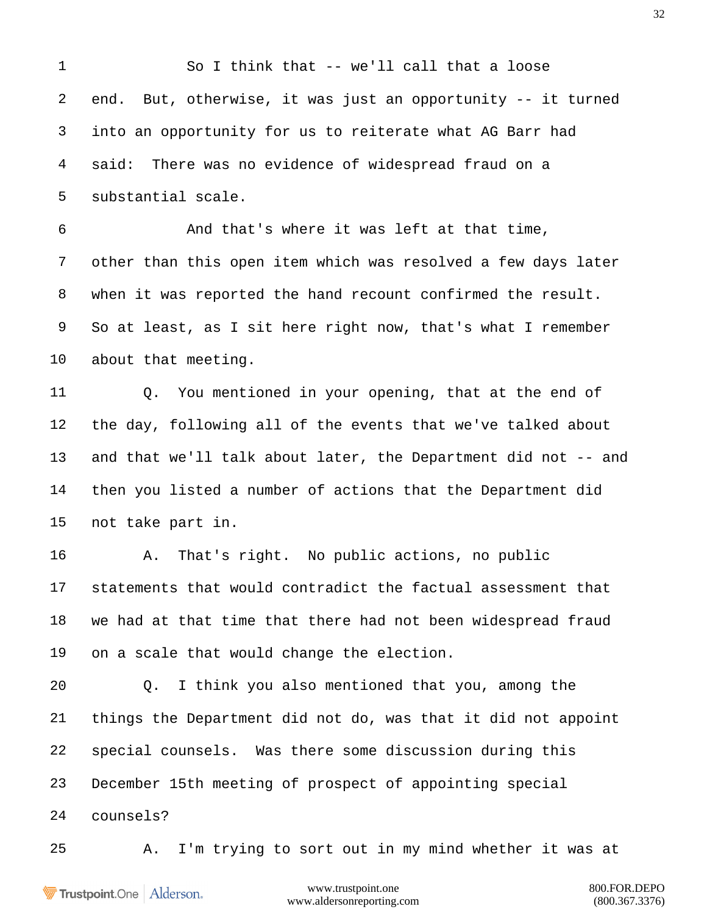So I think that -- we'll call that a loose end. But, otherwise, it was just an opportunity -- it turned into an opportunity for us to reiterate what AG Barr had said: There was no evidence of widespread fraud on a substantial scale. And that's where it was left at that time, other than this open item which was resolved a few days later when it was reported the hand recount confirmed the result. So at least, as I sit here right now, that's what I remember about that meeting. Q. You mentioned in your opening, that at the end of the day, following all of the events that we've talked about and that we'll talk about later, the Department did not -- and then you listed a number of actions that the Department did not take part in. A. That's right. No public actions, no public statements that would contradict the factual assessment that we had at that time that there had not been widespread fraud on a scale that would change the election. Q. I think you also mentioned that you, among the things the Department did not do, was that it did not appoint special counsels. Was there some discussion during this December 15th meeting of prospect of appointing special counsels? A. I'm trying to sort out in my mind whether it was at

**Trustpoint**.One Alderson.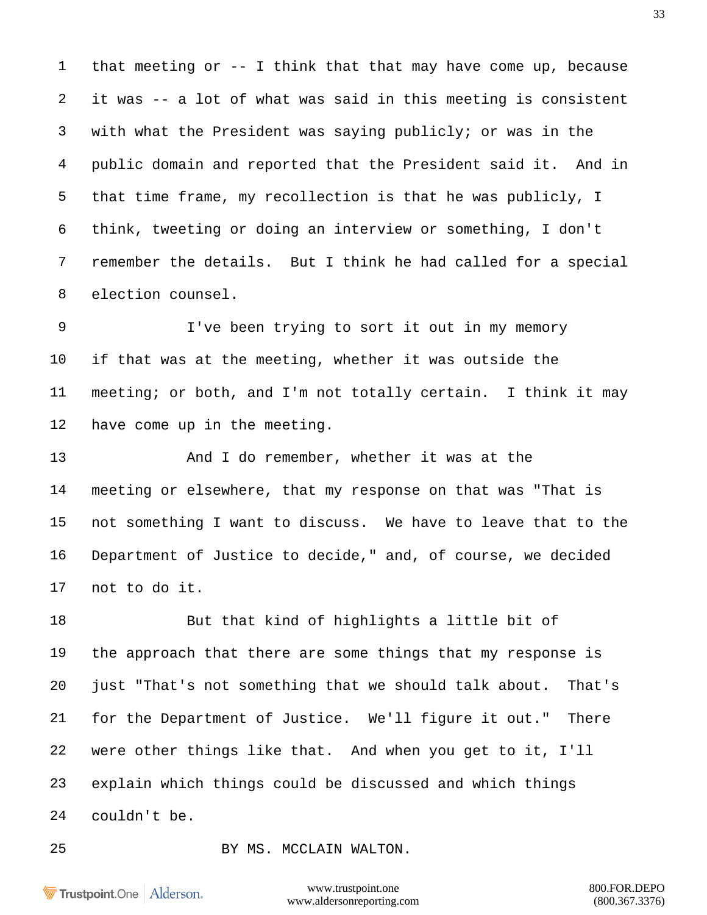that meeting or -- I think that that may have come up, because it was -- a lot of what was said in this meeting is consistent with what the President was saying publicly; or was in the public domain and reported that the President said it. And in that time frame, my recollection is that he was publicly, I think, tweeting or doing an interview or something, I don't remember the details. But I think he had called for a special election counsel.

 I've been trying to sort it out in my memory if that was at the meeting, whether it was outside the meeting; or both, and I'm not totally certain. I think it may have come up in the meeting.

 And I do remember, whether it was at the meeting or elsewhere, that my response on that was "That is not something I want to discuss. We have to leave that to the Department of Justice to decide," and, of course, we decided not to do it.

 But that kind of highlights a little bit of the approach that there are some things that my response is just "That's not something that we should talk about. That's for the Department of Justice. We'll figure it out." There were other things like that. And when you get to it, I'll explain which things could be discussed and which things couldn't be.

BY MS. MCCLAIN WALTON.

Trustpoint.One Alderson.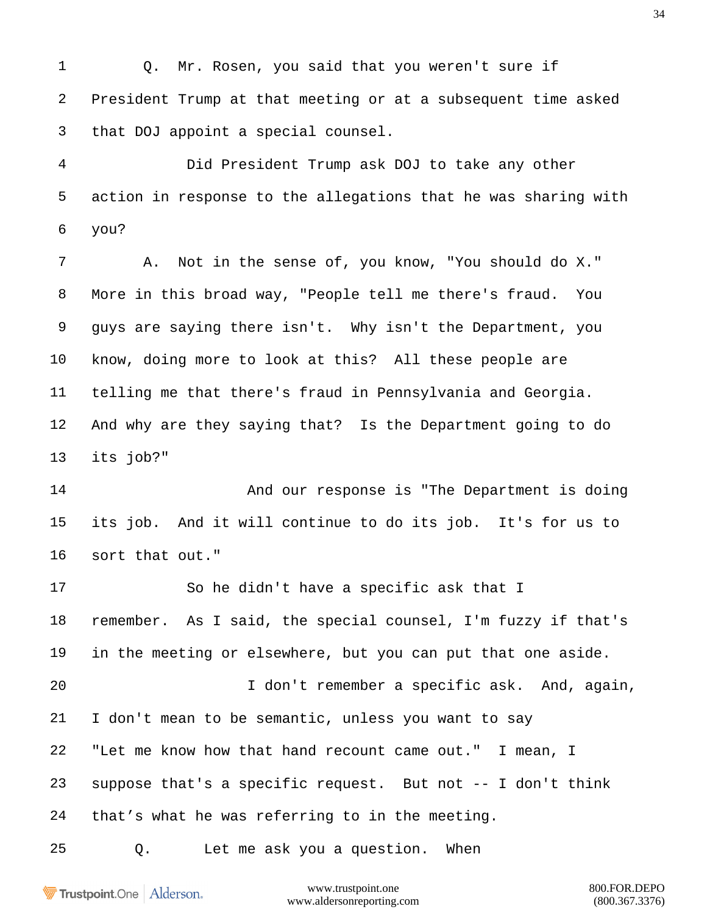Q. Mr. Rosen, you said that you weren't sure if President Trump at that meeting or at a subsequent time asked that DOJ appoint a special counsel.

 Did President Trump ask DOJ to take any other action in response to the allegations that he was sharing with you?

 A. Not in the sense of, you know, "You should do X." More in this broad way, "People tell me there's fraud. You guys are saying there isn't. Why isn't the Department, you know, doing more to look at this? All these people are telling me that there's fraud in Pennsylvania and Georgia. And why are they saying that? Is the Department going to do its job?"

 And our response is "The Department is doing its job. And it will continue to do its job. It's for us to sort that out."

 So he didn't have a specific ask that I remember. As I said, the special counsel, I'm fuzzy if that's in the meeting or elsewhere, but you can put that one aside. I don't remember a specific ask. And, again, I don't mean to be semantic, unless you want to say "Let me know how that hand recount came out." I mean, I suppose that's a specific request. But not -- I don't think that's what he was referring to in the meeting.

Q. Let me ask you a question. When

Trustpoint.One Alderson.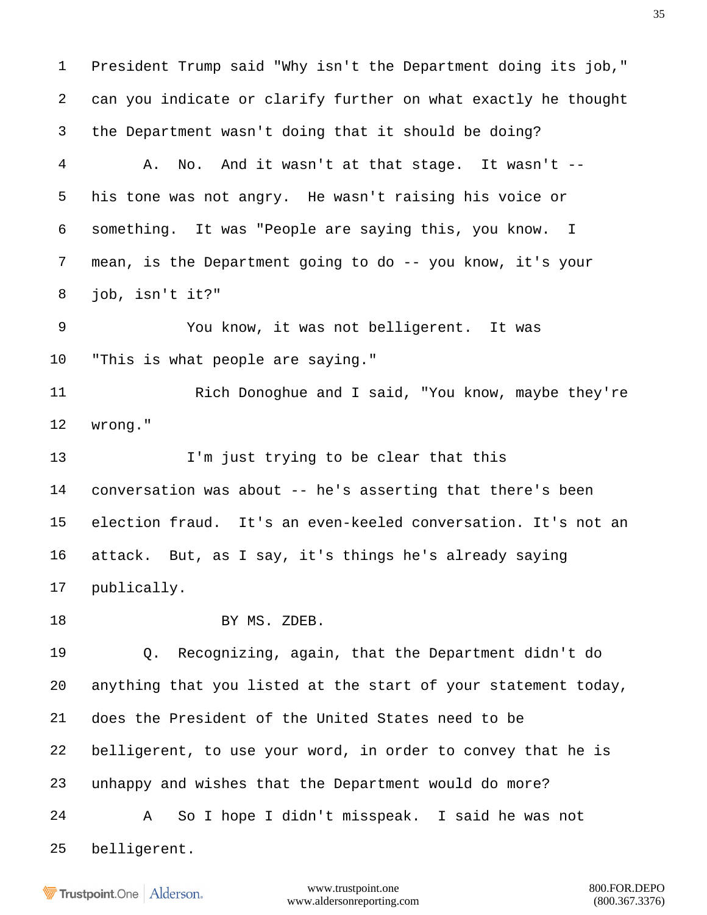President Trump said "Why isn't the Department doing its job," can you indicate or clarify further on what exactly he thought the Department wasn't doing that it should be doing? A. No. And it wasn't at that stage. It wasn't -- his tone was not angry. He wasn't raising his voice or something. It was "People are saying this, you know. I mean, is the Department going to do -- you know, it's your job, isn't it?" You know, it was not belligerent. It was "This is what people are saying." 11 Rich Donoghue and I said, "You know, maybe they're wrong." I'm just trying to be clear that this conversation was about -- he's asserting that there's been election fraud. It's an even-keeled conversation. It's not an attack. But, as I say, it's things he's already saying publically. 18 BY MS. ZDEB. Q. Recognizing, again, that the Department didn't do anything that you listed at the start of your statement today, does the President of the United States need to be belligerent, to use your word, in order to convey that he is unhappy and wishes that the Department would do more? A So I hope I didn't misspeak. I said he was not belligerent.

Trustpoint.One Alderson.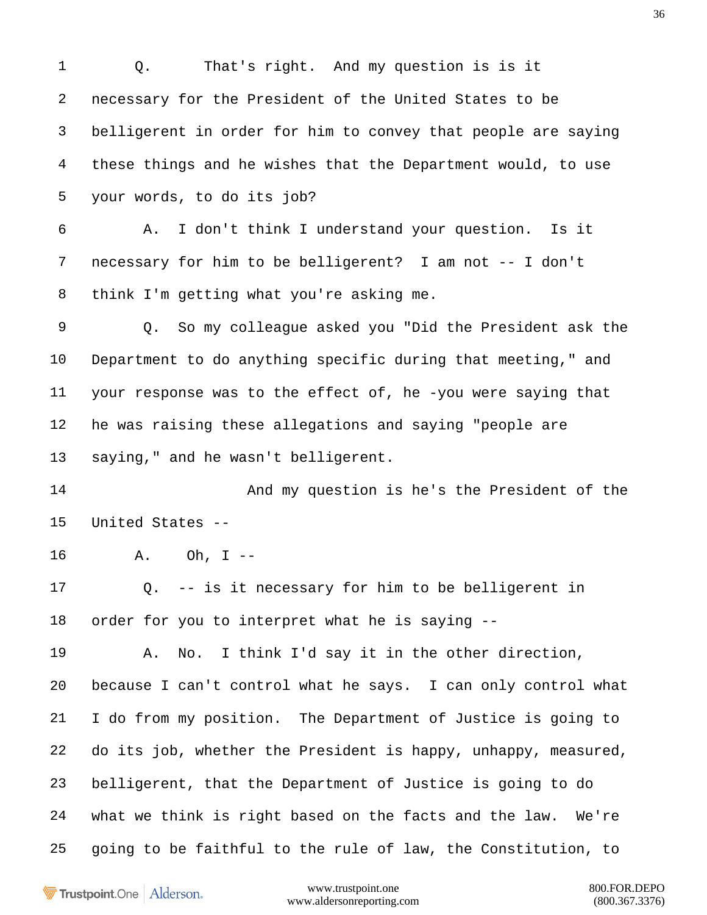Q. That's right. And my question is is it necessary for the President of the United States to be belligerent in order for him to convey that people are saying these things and he wishes that the Department would, to use your words, to do its job? A. I don't think I understand your question. Is it necessary for him to be belligerent? I am not -- I don't think I'm getting what you're asking me. Q. So my colleague asked you "Did the President ask the Department to do anything specific during that meeting," and your response was to the effect of, he -you were saying that he was raising these allegations and saying "people are saying," and he wasn't belligerent. And my question is he's the President of the United States -- A. Oh, I -- Q. -- is it necessary for him to be belligerent in order for you to interpret what he is saying -- A. No. I think I'd say it in the other direction, because I can't control what he says. I can only control what I do from my position. The Department of Justice is going to do its job, whether the President is happy, unhappy, measured, belligerent, that the Department of Justice is going to do what we think is right based on the facts and the law. We're going to be faithful to the rule of law, the Constitution, to

Trustpoint.One Alderson.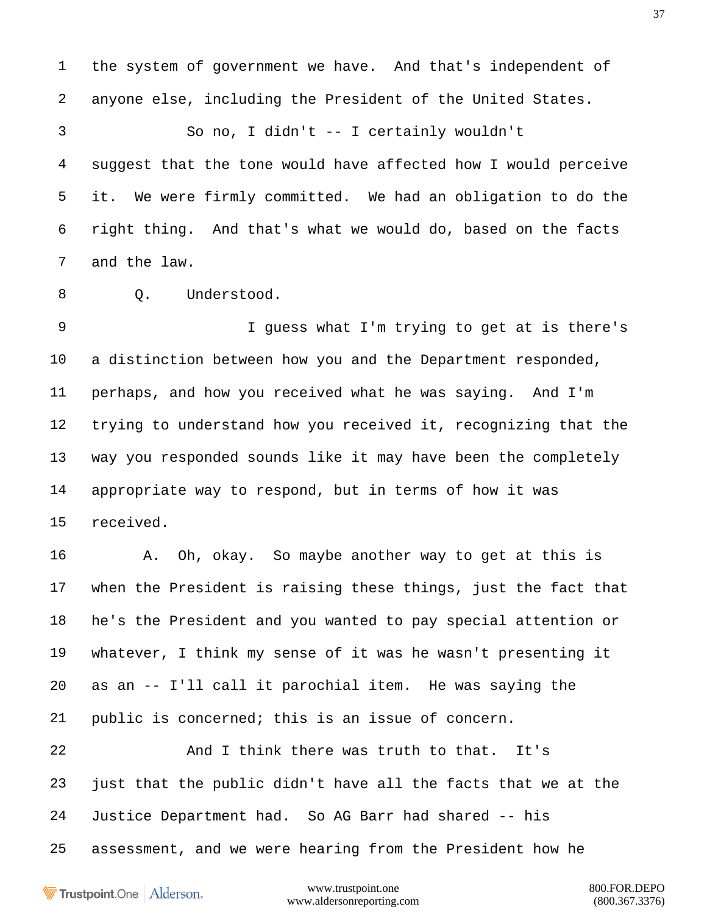anyone else, including the President of the United States. So no, I didn't -- I certainly wouldn't suggest that the tone would have affected how I would perceive it. We were firmly committed. We had an obligation to do the right thing. And that's what we would do, based on the facts and the law.

the system of government we have. And that's independent of

8 0. Understood.

 I guess what I'm trying to get at is there's a distinction between how you and the Department responded, perhaps, and how you received what he was saying. And I'm trying to understand how you received it, recognizing that the way you responded sounds like it may have been the completely appropriate way to respond, but in terms of how it was received.

 A. Oh, okay. So maybe another way to get at this is when the President is raising these things, just the fact that he's the President and you wanted to pay special attention or whatever, I think my sense of it was he wasn't presenting it as an -- I'll call it parochial item. He was saying the public is concerned; this is an issue of concern.

 And I think there was truth to that. It's just that the public didn't have all the facts that we at the Justice Department had. So AG Barr had shared -- his assessment, and we were hearing from the President how he

Trustpoint.One Alderson.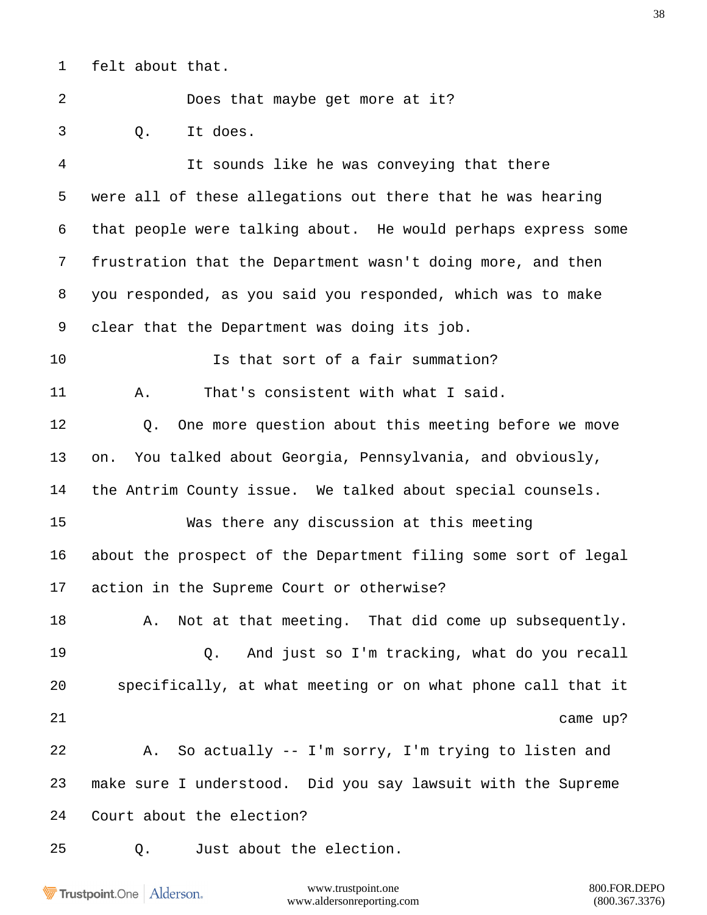felt about that.

Does that maybe get more at it?

Q. It does.

 It sounds like he was conveying that there were all of these allegations out there that he was hearing that people were talking about. He would perhaps express some frustration that the Department wasn't doing more, and then you responded, as you said you responded, which was to make clear that the Department was doing its job. Is that sort of a fair summation? A. That's consistent with what I said. Q. One more question about this meeting before we move on. You talked about Georgia, Pennsylvania, and obviously, the Antrim County issue. We talked about special counsels. Was there any discussion at this meeting about the prospect of the Department filing some sort of legal action in the Supreme Court or otherwise? 18 A. Not at that meeting. That did come up subsequently. Q. And just so I'm tracking, what do you recall specifically, at what meeting or on what phone call that it 21 came up? A. So actually -- I'm sorry, I'm trying to listen and make sure I understood. Did you say lawsuit with the Supreme Court about the election? Q. Just about the election.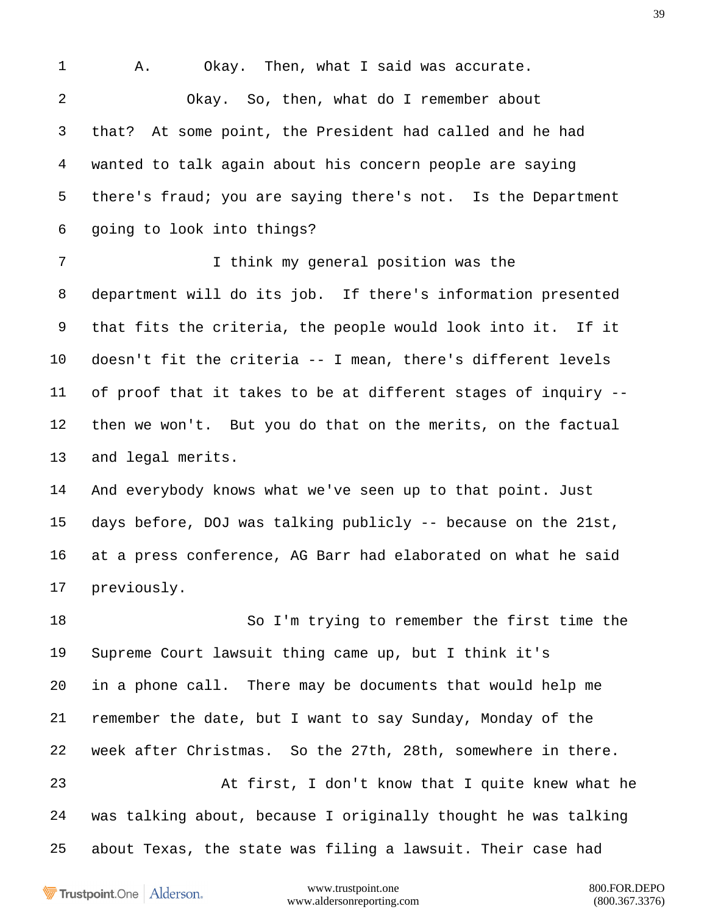1 A. Okay. Then, what I said was accurate. Okay. So, then, what do I remember about that? At some point, the President had called and he had wanted to talk again about his concern people are saying there's fraud; you are saying there's not. Is the Department going to look into things? I think my general position was the department will do its job. If there's information presented that fits the criteria, the people would look into it. If it doesn't fit the criteria -- I mean, there's different levels of proof that it takes to be at different stages of inquiry -- then we won't. But you do that on the merits, on the factual and legal merits. And everybody knows what we've seen up to that point. Just days before, DOJ was talking publicly -- because on the 21st, at a press conference, AG Barr had elaborated on what he said previously. So I'm trying to remember the first time the Supreme Court lawsuit thing came up, but I think it's in a phone call. There may be documents that would help me remember the date, but I want to say Sunday, Monday of the week after Christmas. So the 27th, 28th, somewhere in there. At first, I don't know that I quite knew what he was talking about, because I originally thought he was talking about Texas, the state was filing a lawsuit. Their case had

Trustpoint.One Alderson.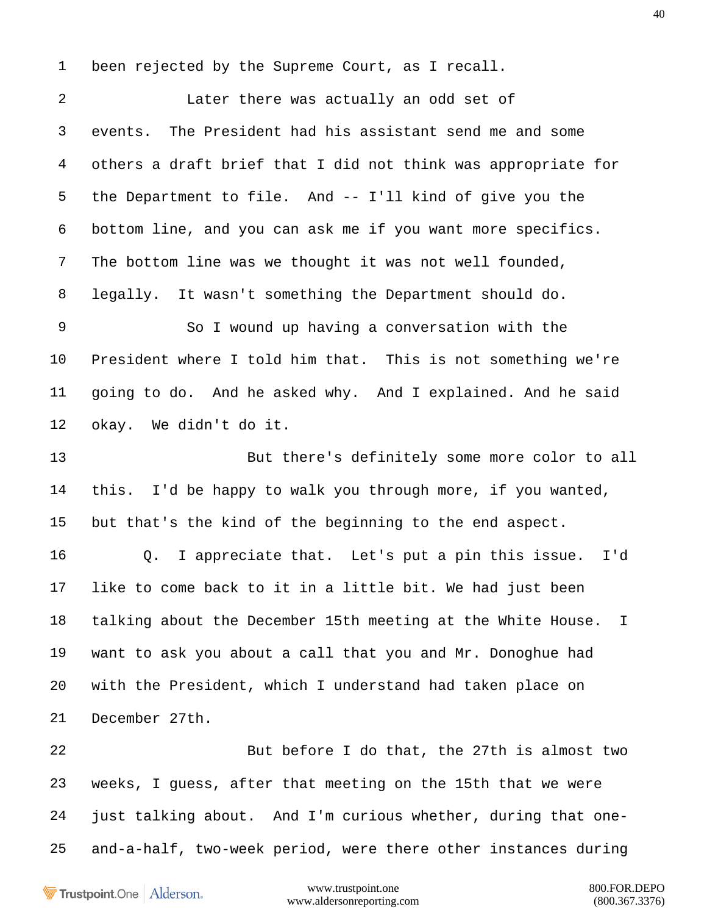been rejected by the Supreme Court, as I recall.

 Later there was actually an odd set of events. The President had his assistant send me and some others a draft brief that I did not think was appropriate for the Department to file. And -- I'll kind of give you the bottom line, and you can ask me if you want more specifics. The bottom line was we thought it was not well founded, legally. It wasn't something the Department should do. So I wound up having a conversation with the President where I told him that. This is not something we're going to do. And he asked why. And I explained. And he said okay. We didn't do it. But there's definitely some more color to all this. I'd be happy to walk you through more, if you wanted, but that's the kind of the beginning to the end aspect. Q. I appreciate that. Let's put a pin this issue. I'd like to come back to it in a little bit. We had just been talking about the December 15th meeting at the White House. I want to ask you about a call that you and Mr. Donoghue had with the President, which I understand had taken place on December 27th. But before I do that, the 27th is almost two weeks, I guess, after that meeting on the 15th that we were just talking about. And I'm curious whether, during that one-

and-a-half, two-week period, were there other instances during

Trustpoint.One Alderson.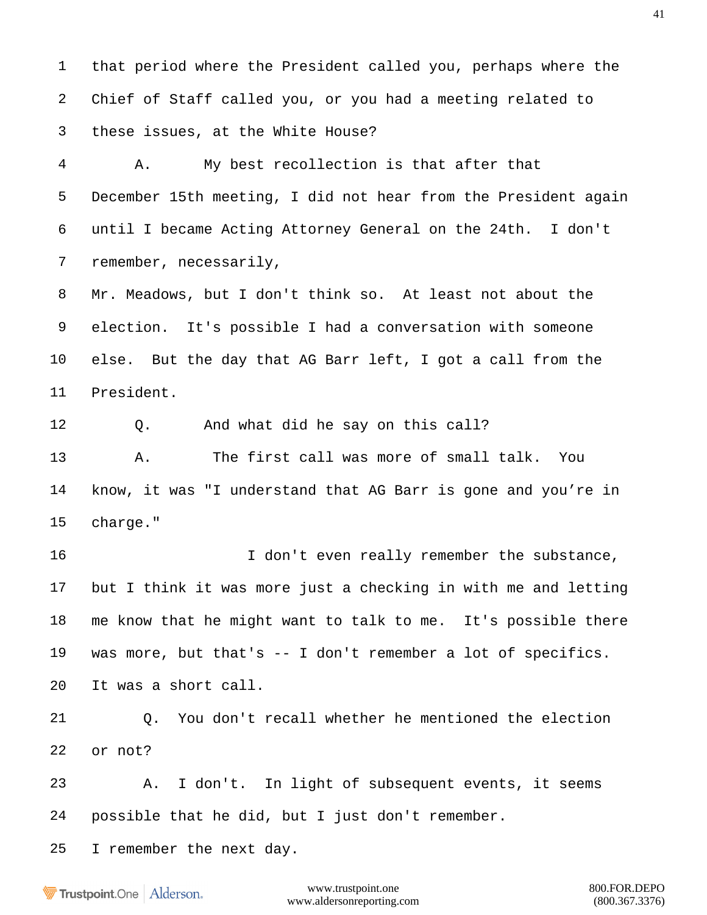that period where the President called you, perhaps where the Chief of Staff called you, or you had a meeting related to these issues, at the White House?

 A. My best recollection is that after that December 15th meeting, I did not hear from the President again until I became Acting Attorney General on the 24th. I don't remember, necessarily,

 Mr. Meadows, but I don't think so. At least not about the election. It's possible I had a conversation with someone else. But the day that AG Barr left, I got a call from the President.

Q. And what did he say on this call?

 A. The first call was more of small talk. You know, it was "I understand that AG Barr is gone and you're in charge."

 I don't even really remember the substance, but I think it was more just a checking in with me and letting me know that he might want to talk to me. It's possible there was more, but that's -- I don't remember a lot of specifics. It was a short call.

 Q. You don't recall whether he mentioned the election or not?

 A. I don't. In light of subsequent events, it seems possible that he did, but I just don't remember.

I remember the next day.

**Trustpoint**.One Alderson.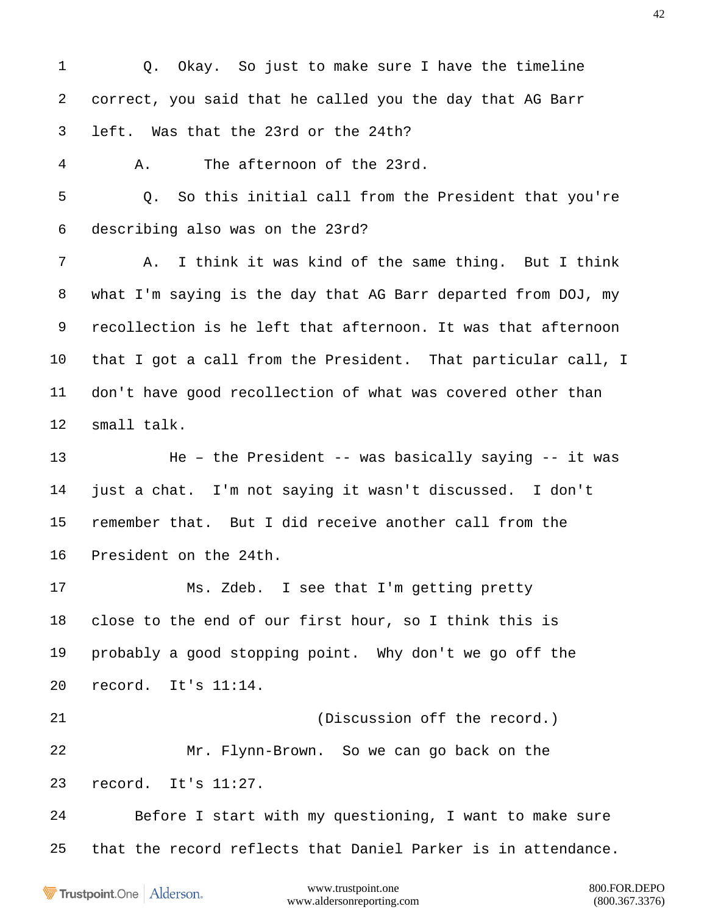Q. Okay. So just to make sure I have the timeline correct, you said that he called you the day that AG Barr left. Was that the 23rd or the 24th? A. The afternoon of the 23rd. Q. So this initial call from the President that you're describing also was on the 23rd? A. I think it was kind of the same thing. But I think what I'm saying is the day that AG Barr departed from DOJ, my recollection is he left that afternoon. It was that afternoon that I got a call from the President. That particular call, I don't have good recollection of what was covered other than small talk. He – the President -- was basically saying -- it was just a chat. I'm not saying it wasn't discussed. I don't remember that. But I did receive another call from the President on the 24th. Ms. Zdeb. I see that I'm getting pretty close to the end of our first hour, so I think this is probably a good stopping point. Why don't we go off the record. It's 11:14. (Discussion off the record.) Mr. Flynn-Brown. So we can go back on the record. It's 11:27. Before I start with my questioning, I want to make sure that the record reflects that Daniel Parker is in attendance.

Trustpoint.One Alderson.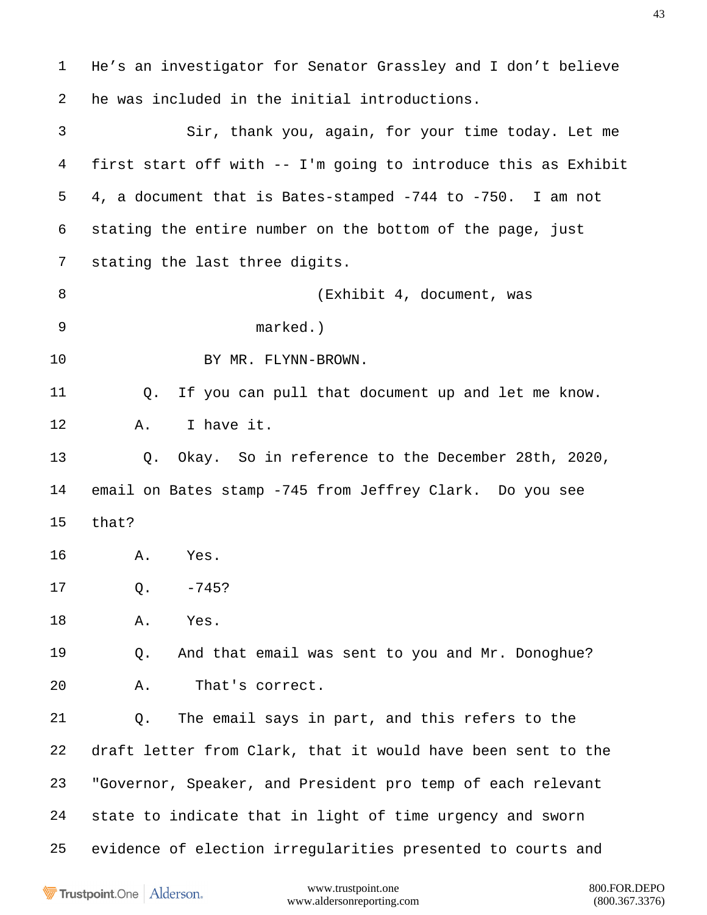He's an investigator for Senator Grassley and I don't believe he was included in the initial introductions. Sir, thank you, again, for your time today. Let me first start off with -- I'm going to introduce this as Exhibit 4, a document that is Bates-stamped -744 to -750. I am not stating the entire number on the bottom of the page, just stating the last three digits. 8 (Exhibit 4, document, was marked.) BY MR. FLYNN-BROWN. Q. If you can pull that document up and let me know. A. I have it. Q. Okay. So in reference to the December 28th, 2020, email on Bates stamp -745 from Jeffrey Clark. Do you see that? A. Yes. Q. -745? A. Yes. Q. And that email was sent to you and Mr. Donoghue? A. That's correct. Q. The email says in part, and this refers to the draft letter from Clark, that it would have been sent to the "Governor, Speaker, and President pro temp of each relevant state to indicate that in light of time urgency and sworn evidence of election irregularities presented to courts and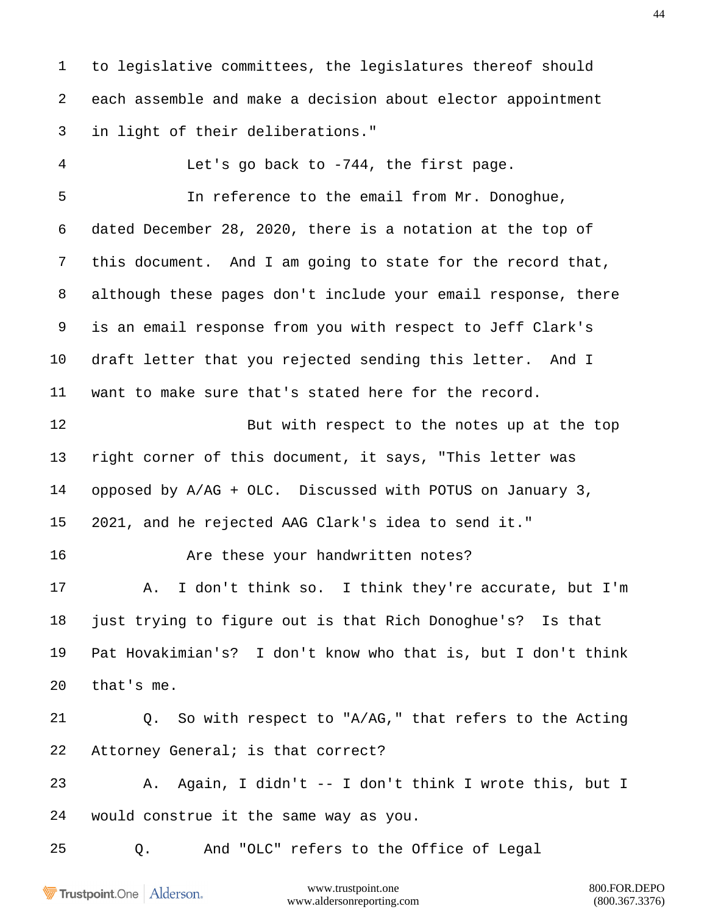to legislative committees, the legislatures thereof should each assemble and make a decision about elector appointment in light of their deliberations."

 Let's go back to -744, the first page. In reference to the email from Mr. Donoghue, dated December 28, 2020, there is a notation at the top of this document. And I am going to state for the record that, although these pages don't include your email response, there is an email response from you with respect to Jeff Clark's draft letter that you rejected sending this letter. And I want to make sure that's stated here for the record.

12 But with respect to the notes up at the top right corner of this document, it says, "This letter was opposed by A/AG + OLC. Discussed with POTUS on January 3, 2021, and he rejected AAG Clark's idea to send it."

16 Are these your handwritten notes?

 A. I don't think so. I think they're accurate, but I'm just trying to figure out is that Rich Donoghue's? Is that Pat Hovakimian's? I don't know who that is, but I don't think that's me.

 Q. So with respect to "A/AG," that refers to the Acting Attorney General; is that correct?

 A. Again, I didn't -- I don't think I wrote this, but I would construe it the same way as you.

Q. And "OLC" refers to the Office of Legal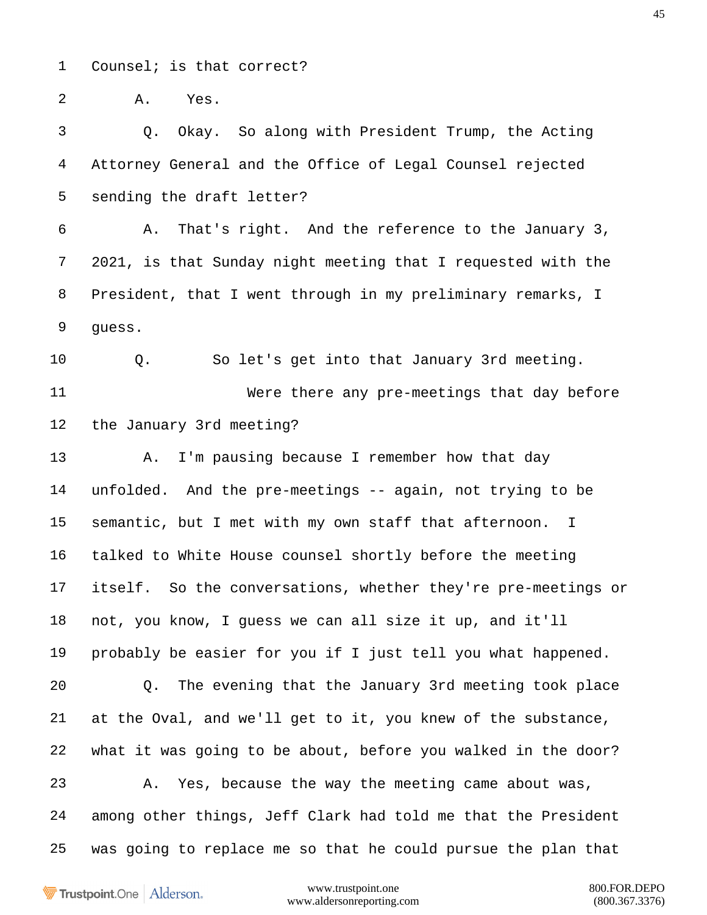Counsel; is that correct?

A. Yes.

 Q. Okay. So along with President Trump, the Acting Attorney General and the Office of Legal Counsel rejected sending the draft letter?

 A. That's right. And the reference to the January 3, 2021, is that Sunday night meeting that I requested with the President, that I went through in my preliminary remarks, I guess.

Q. So let's get into that January 3rd meeting.

 Were there any pre-meetings that day before the January 3rd meeting?

13 A. I'm pausing because I remember how that day unfolded. And the pre-meetings -- again, not trying to be semantic, but I met with my own staff that afternoon. I talked to White House counsel shortly before the meeting itself. So the conversations, whether they're pre-meetings or not, you know, I guess we can all size it up, and it'll probably be easier for you if I just tell you what happened. Q. The evening that the January 3rd meeting took place at the Oval, and we'll get to it, you knew of the substance, what it was going to be about, before you walked in the door? A. Yes, because the way the meeting came about was, among other things, Jeff Clark had told me that the President was going to replace me so that he could pursue the plan that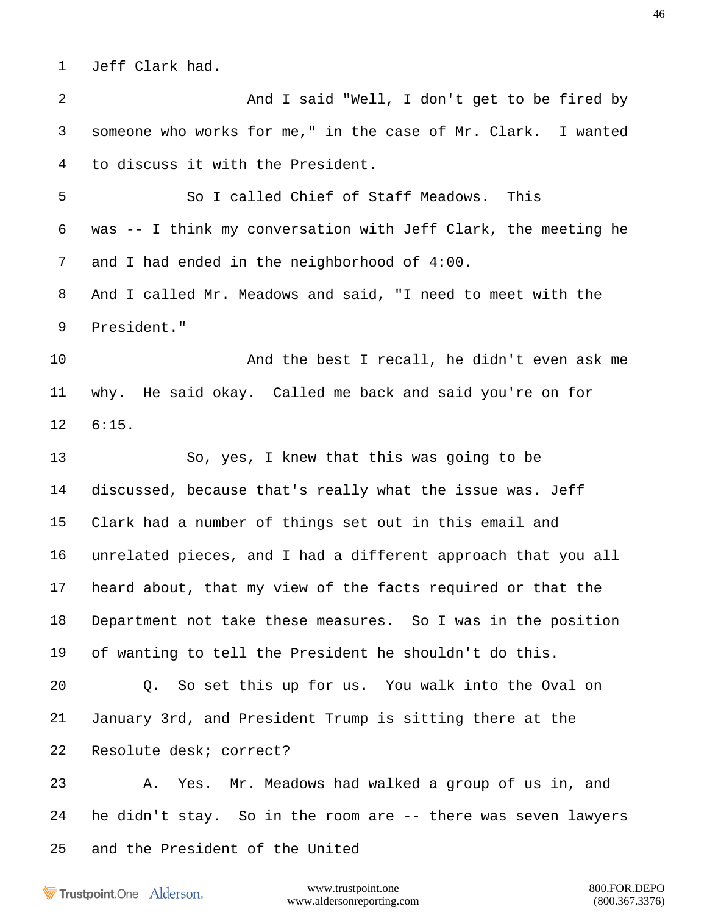Jeff Clark had.

 And I said "Well, I don't get to be fired by someone who works for me," in the case of Mr. Clark. I wanted to discuss it with the President.

 So I called Chief of Staff Meadows. This was -- I think my conversation with Jeff Clark, the meeting he and I had ended in the neighborhood of 4:00.

 And I called Mr. Meadows and said, "I need to meet with the President."

 And the best I recall, he didn't even ask me why. He said okay. Called me back and said you're on for 6:15.

 So, yes, I knew that this was going to be discussed, because that's really what the issue was. Jeff Clark had a number of things set out in this email and unrelated pieces, and I had a different approach that you all heard about, that my view of the facts required or that the Department not take these measures. So I was in the position of wanting to tell the President he shouldn't do this.

 Q. So set this up for us. You walk into the Oval on January 3rd, and President Trump is sitting there at the Resolute desk; correct?

 A. Yes. Mr. Meadows had walked a group of us in, and he didn't stay. So in the room are -- there was seven lawyers and the President of the United

Trustpoint.One Alderson.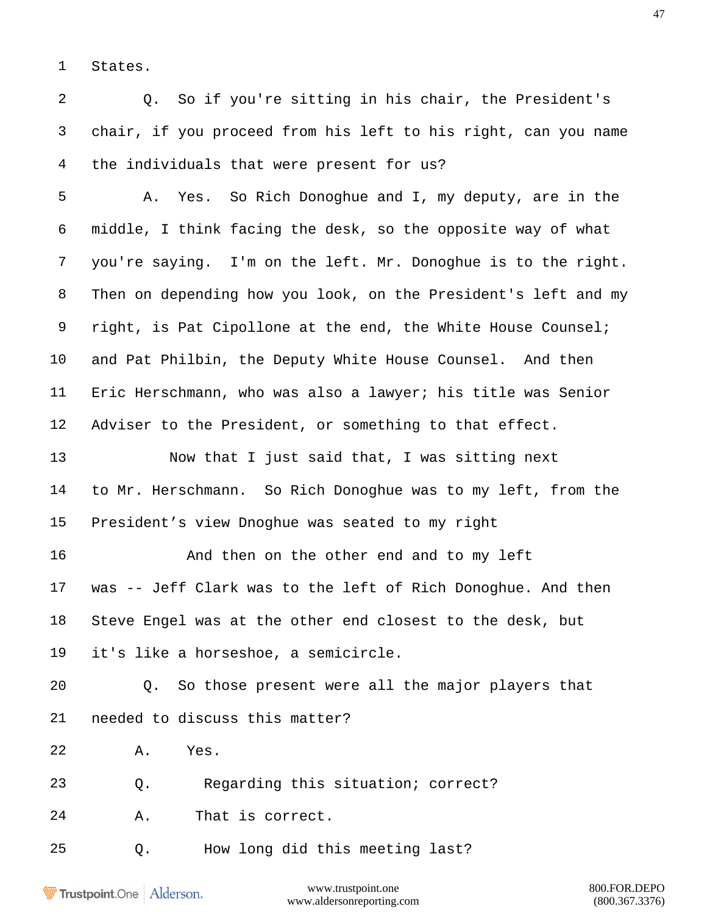States.

 Q. So if you're sitting in his chair, the President's chair, if you proceed from his left to his right, can you name the individuals that were present for us?

 A. Yes. So Rich Donoghue and I, my deputy, are in the middle, I think facing the desk, so the opposite way of what you're saying. I'm on the left. Mr. Donoghue is to the right. Then on depending how you look, on the President's left and my 9 right, is Pat Cipollone at the end, the White House Counsel; and Pat Philbin, the Deputy White House Counsel. And then Eric Herschmann, who was also a lawyer; his title was Senior Adviser to the President, or something to that effect.

 Now that I just said that, I was sitting next to Mr. Herschmann. So Rich Donoghue was to my left, from the President's view Dnoghue was seated to my right

16 And then on the other end and to my left was -- Jeff Clark was to the left of Rich Donoghue. And then Steve Engel was at the other end closest to the desk, but it's like a horseshoe, a semicircle.

 Q. So those present were all the major players that needed to discuss this matter?

A. Yes.

Q. Regarding this situation; correct?

A. That is correct.

Q. How long did this meeting last?

Trustpoint.One Alderson.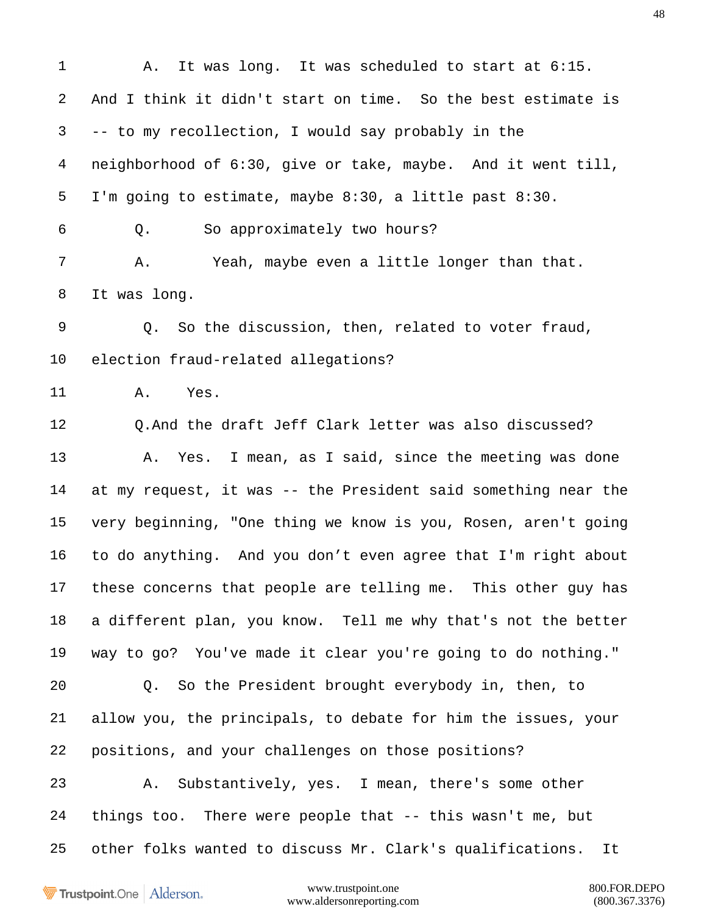A. It was long. It was scheduled to start at 6:15. And I think it didn't start on time. So the best estimate is -- to my recollection, I would say probably in the neighborhood of 6:30, give or take, maybe. And it went till, I'm going to estimate, maybe 8:30, a little past 8:30. Q. So approximately two hours? A. Yeah, maybe even a little longer than that. It was long. Q. So the discussion, then, related to voter fraud, election fraud-related allegations? A. Yes. Q.And the draft Jeff Clark letter was also discussed? A. Yes. I mean, as I said, since the meeting was done at my request, it was -- the President said something near the very beginning, "One thing we know is you, Rosen, aren't going to do anything. And you don't even agree that I'm right about these concerns that people are telling me. This other guy has a different plan, you know. Tell me why that's not the better way to go? You've made it clear you're going to do nothing." Q. So the President brought everybody in, then, to allow you, the principals, to debate for him the issues, your positions, and your challenges on those positions? A. Substantively, yes. I mean, there's some other things too. There were people that -- this wasn't me, but other folks wanted to discuss Mr. Clark's qualifications. It

Trustpoint.One Alderson.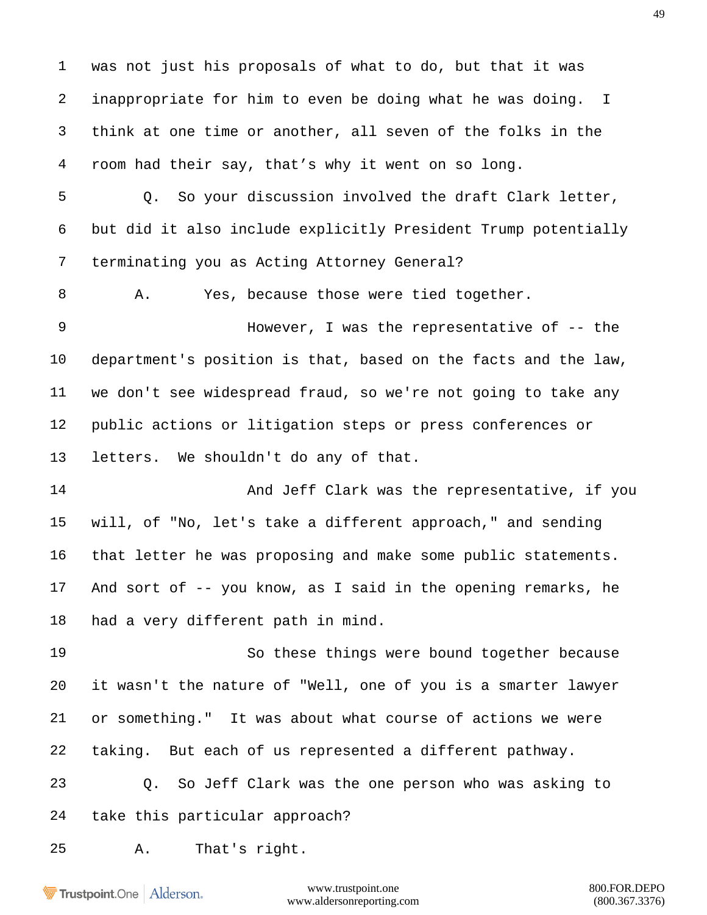was not just his proposals of what to do, but that it was inappropriate for him to even be doing what he was doing. I think at one time or another, all seven of the folks in the room had their say, that's why it went on so long.

 Q. So your discussion involved the draft Clark letter, but did it also include explicitly President Trump potentially terminating you as Acting Attorney General?

8 A. Yes, because those were tied together.

 However, I was the representative of -- the department's position is that, based on the facts and the law, we don't see widespread fraud, so we're not going to take any public actions or litigation steps or press conferences or letters. We shouldn't do any of that.

 And Jeff Clark was the representative, if you will, of "No, let's take a different approach," and sending that letter he was proposing and make some public statements. And sort of -- you know, as I said in the opening remarks, he had a very different path in mind.

 So these things were bound together because it wasn't the nature of "Well, one of you is a smarter lawyer or something." It was about what course of actions we were taking. But each of us represented a different pathway.

 Q. So Jeff Clark was the one person who was asking to take this particular approach?

A. That's right.

Trustpoint.One Alderson.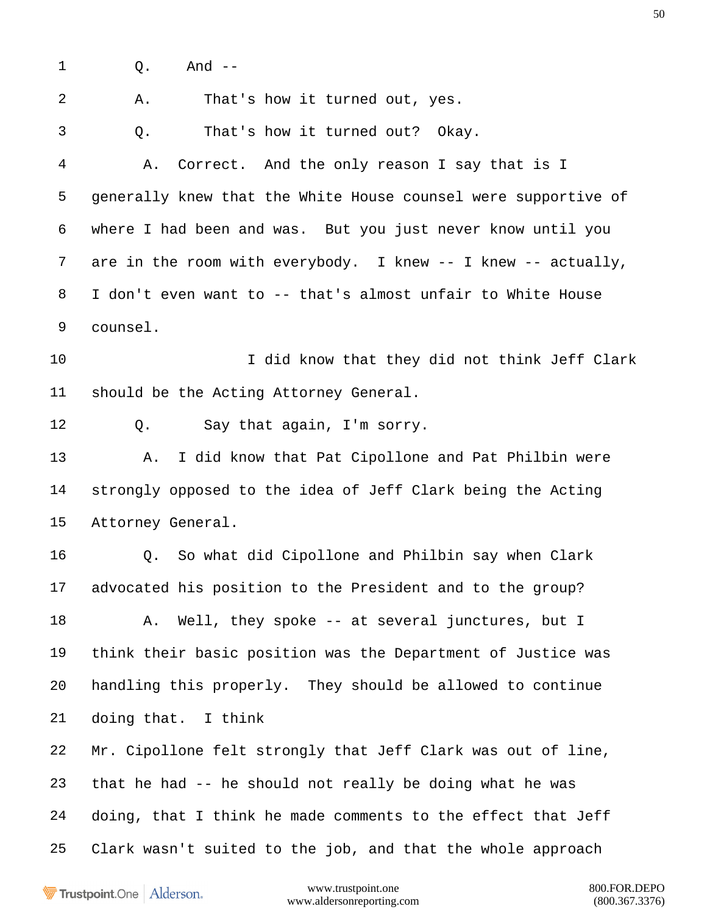1 0. And --

 A. That's how it turned out, yes. Q. That's how it turned out? Okay. A. Correct. And the only reason I say that is I generally knew that the White House counsel were supportive of where I had been and was. But you just never know until you 7 are in the room with everybody. I knew -- I knew -- actually, I don't even want to -- that's almost unfair to White House counsel. I did know that they did not think Jeff Clark should be the Acting Attorney General. Q. Say that again, I'm sorry. A. I did know that Pat Cipollone and Pat Philbin were strongly opposed to the idea of Jeff Clark being the Acting Attorney General. Q. So what did Cipollone and Philbin say when Clark advocated his position to the President and to the group? 18 A. Well, they spoke -- at several junctures, but I think their basic position was the Department of Justice was handling this properly. They should be allowed to continue doing that. I think Mr. Cipollone felt strongly that Jeff Clark was out of line, that he had -- he should not really be doing what he was doing, that I think he made comments to the effect that Jeff Clark wasn't suited to the job, and that the whole approach

Trustpoint.One Alderson.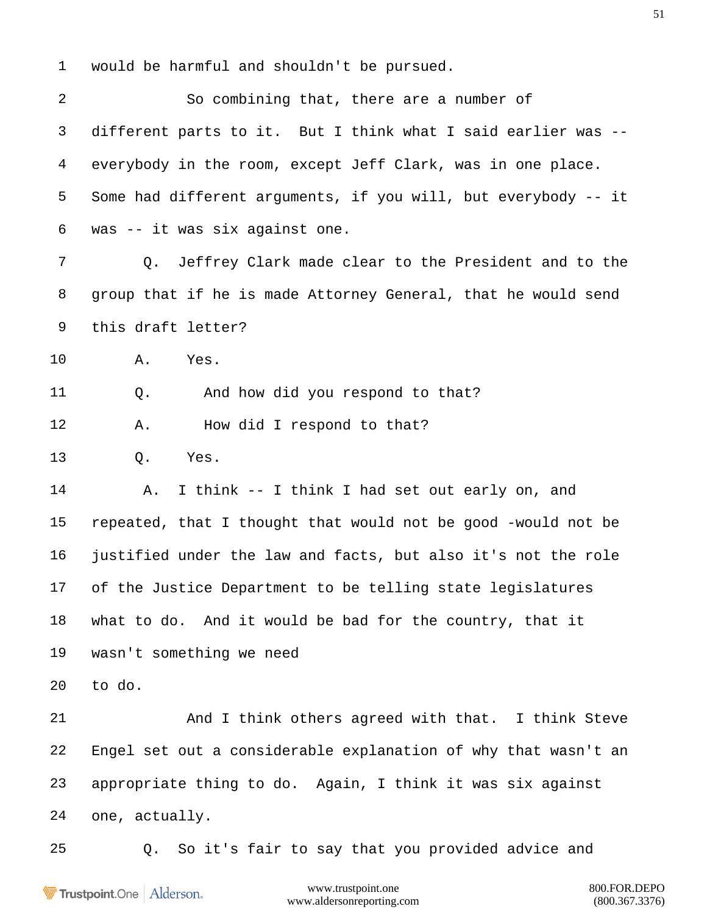would be harmful and shouldn't be pursued.

 So combining that, there are a number of different parts to it. But I think what I said earlier was -- everybody in the room, except Jeff Clark, was in one place. Some had different arguments, if you will, but everybody -- it was -- it was six against one. Q. Jeffrey Clark made clear to the President and to the group that if he is made Attorney General, that he would send this draft letter? A. Yes. Q. And how did you respond to that? 12 A. How did I respond to that? Q. Yes. A. I think -- I think I had set out early on, and repeated, that I thought that would not be good -would not be justified under the law and facts, but also it's not the role of the Justice Department to be telling state legislatures what to do. And it would be bad for the country, that it wasn't something we need to do. 21 And I think others agreed with that. I think Steve Engel set out a considerable explanation of why that wasn't an appropriate thing to do. Again, I think it was six against one, actually. Q. So it's fair to say that you provided advice and

Trustpoint.One Alderson.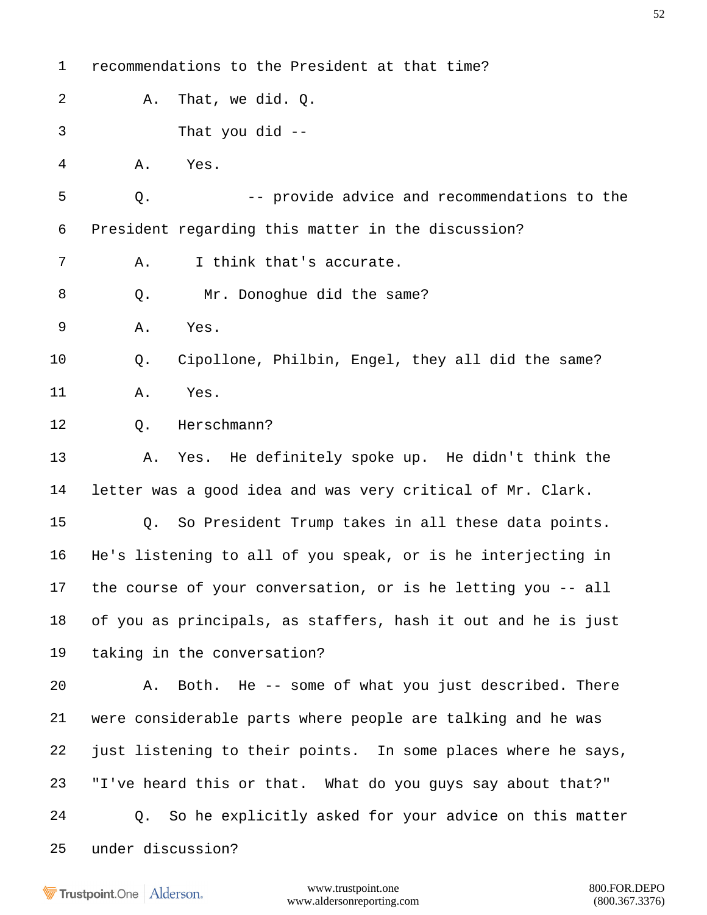| $\mathbf 1$ | recommendations to the President at that time?                |
|-------------|---------------------------------------------------------------|
| 2           | That, we did. $Q$ .<br>Α.                                     |
| 3           | That you did $-$                                              |
| 4           | Α.<br>Yes.                                                    |
| 5           | -- provide advice and recommendations to the<br>Q.            |
| 6           | President regarding this matter in the discussion?            |
| 7           | I think that's accurate.<br>Α.                                |
| 8           | Mr. Donoghue did the same?<br>Q.                              |
| 9           | Α.<br>Yes.                                                    |
| 10          | Cipollone, Philbin, Engel, they all did the same?<br>Q.       |
| 11          | Yes.<br>Α.                                                    |
| 12          | Herschmann?<br>$Q$ .                                          |
| 13          | Yes. He definitely spoke up. He didn't think the<br>Α.        |
| 14          | letter was a good idea and was very critical of Mr. Clark.    |
| 15          | So President Trump takes in all these data points.<br>Q.      |
| 16          | He's listening to all of you speak, or is he interjecting in  |
| 17          | the course of your conversation, or is he letting you -- all  |
| 18          | of you as principals, as staffers, hash it out and he is just |
| 19          | taking in the conversation?                                   |
| 20          | A. Both. He -- some of what you just described. There         |
| 21          | were considerable parts where people are talking and he was   |
| 22          | just listening to their points. In some places where he says, |
| 23          | "I've heard this or that. What do you guys say about that?"   |
| 24          | So he explicitly asked for your advice on this matter<br>Q.   |
| 25          | under discussion?                                             |
|             |                                                               |

www.trustpoint.one 800.FOR.DEPO www.aldersonreporting.com (800.367.3376)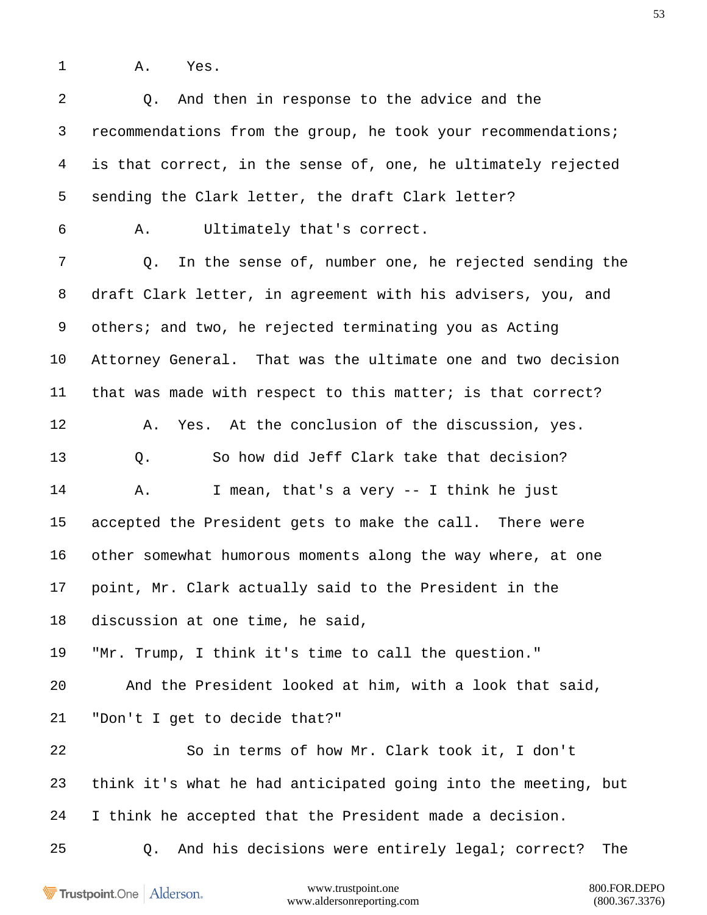A. Yes.

| $\overline{a}$ | And then in response to the advice and the<br>Q.               |
|----------------|----------------------------------------------------------------|
| 3              | recommendations from the group, he took your recommendations;  |
| $\overline{4}$ | is that correct, in the sense of, one, he ultimately rejected  |
| 5              | sending the Clark letter, the draft Clark letter?              |
| 6              | Ultimately that's correct.<br>Α.                               |
| 7              | In the sense of, number one, he rejected sending the<br>Q.     |
| 8              | draft Clark letter, in agreement with his advisers, you, and   |
| 9              | others; and two, he rejected terminating you as Acting         |
| 10             | Attorney General. That was the ultimate one and two decision   |
| 11             | that was made with respect to this matter; is that correct?    |
| 12             | Yes. At the conclusion of the discussion, yes.<br>Α.           |
| 13             | So how did Jeff Clark take that decision?<br>Q.                |
| 14             | I mean, that's a very -- I think he just<br>Α.                 |
| 15             | accepted the President gets to make the call. There were       |
| 16             | other somewhat humorous moments along the way where, at one    |
| 17             | point, Mr. Clark actually said to the President in the         |
| 18             | discussion at one time, he said,                               |
| 19             | "Mr. Trump, I think it's time to call the question."           |
| 20             | And the President looked at him, with a look that said,        |
| 21             | "Don't I get to decide that?"                                  |
| 22             | So in terms of how Mr. Clark took it, I don't                  |
| 23             | think it's what he had anticipated going into the meeting, but |
| 24             | I think he accepted that the President made a decision.        |
| 25             | And his decisions were entirely legal; correct?<br>Q.<br>The   |
|                |                                                                |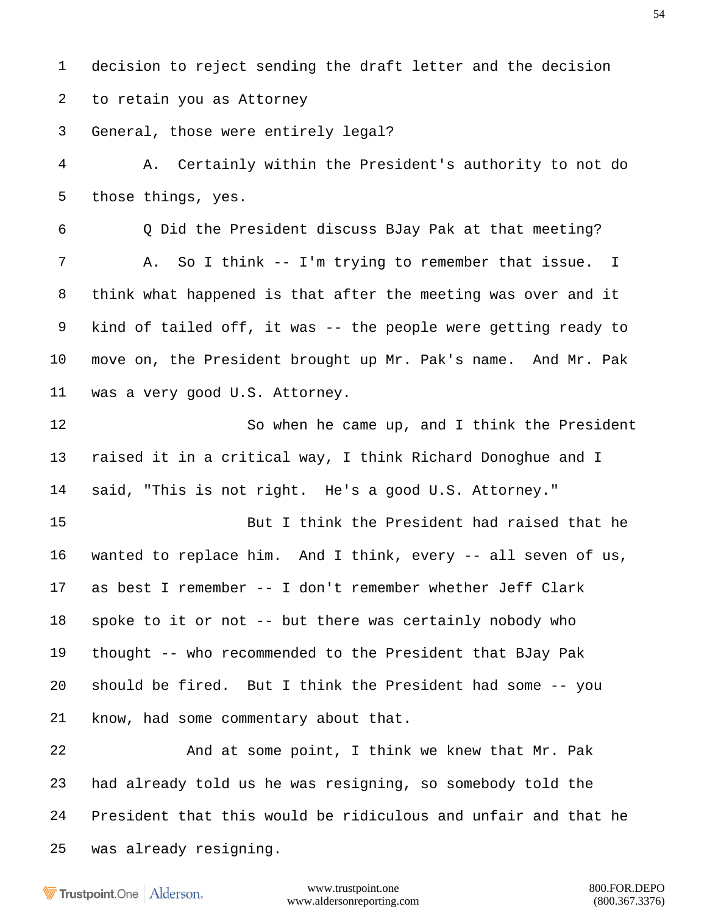decision to reject sending the draft letter and the decision to retain you as Attorney

General, those were entirely legal?

 A. Certainly within the President's authority to not do those things, yes.

 Q Did the President discuss BJay Pak at that meeting? A. So I think -- I'm trying to remember that issue. I think what happened is that after the meeting was over and it kind of tailed off, it was -- the people were getting ready to move on, the President brought up Mr. Pak's name. And Mr. Pak was a very good U.S. Attorney.

 So when he came up, and I think the President raised it in a critical way, I think Richard Donoghue and I said, "This is not right. He's a good U.S. Attorney."

 But I think the President had raised that he wanted to replace him. And I think, every -- all seven of us, as best I remember -- I don't remember whether Jeff Clark spoke to it or not -- but there was certainly nobody who thought -- who recommended to the President that BJay Pak should be fired. But I think the President had some -- you know, had some commentary about that.

 And at some point, I think we knew that Mr. Pak had already told us he was resigning, so somebody told the President that this would be ridiculous and unfair and that he was already resigning.

**Trustpoint**.One Alderson.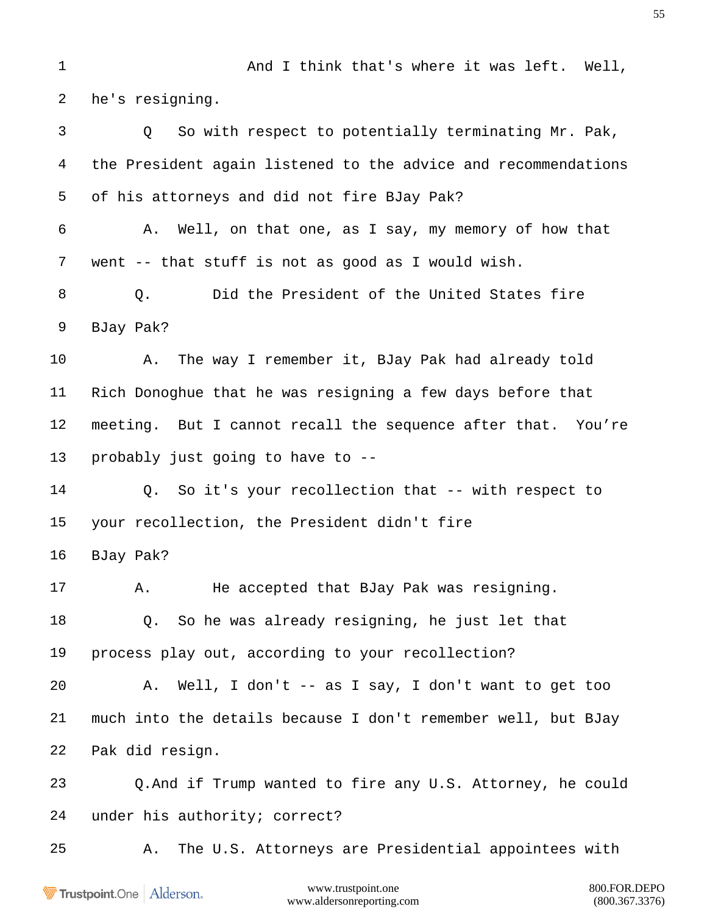1 And I think that's where it was left. Well, he's resigning. Q So with respect to potentially terminating Mr. Pak, the President again listened to the advice and recommendations of his attorneys and did not fire BJay Pak? A. Well, on that one, as I say, my memory of how that went -- that stuff is not as good as I would wish. 8 O. Did the President of the United States fire BJay Pak? A. The way I remember it, BJay Pak had already told Rich Donoghue that he was resigning a few days before that meeting. But I cannot recall the sequence after that. You're probably just going to have to -- Q. So it's your recollection that -- with respect to your recollection, the President didn't fire BJay Pak? A. He accepted that BJay Pak was resigning. Q. So he was already resigning, he just let that process play out, according to your recollection? A. Well, I don't -- as I say, I don't want to get too much into the details because I don't remember well, but BJay Pak did resign. Q.And if Trump wanted to fire any U.S. Attorney, he could under his authority; correct? A. The U.S. Attorneys are Presidential appointees with

Trustpoint.One Alderson.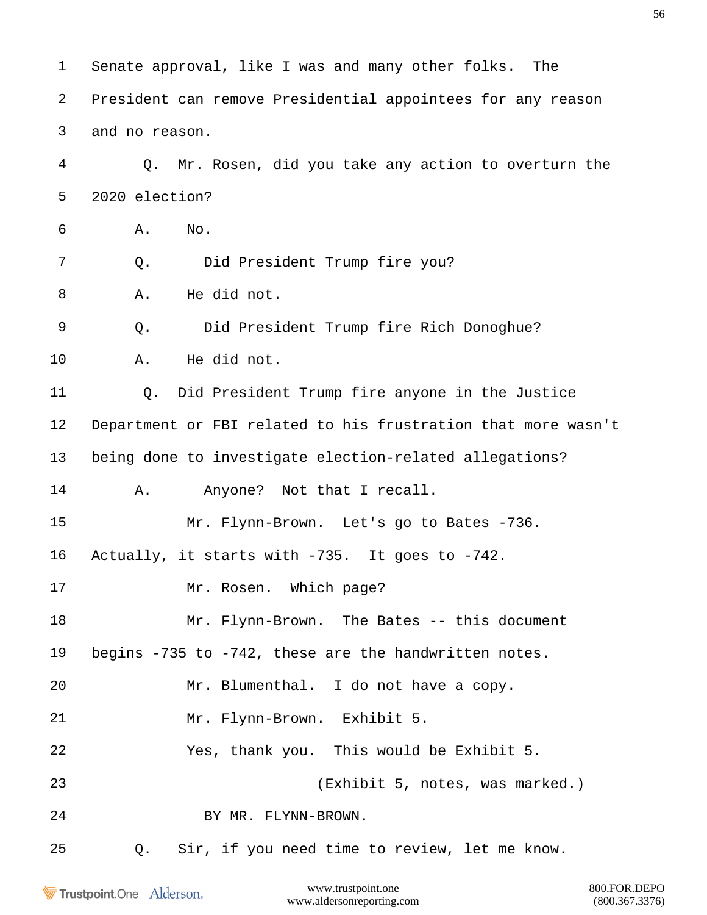Senate approval, like I was and many other folks. The President can remove Presidential appointees for any reason and no reason. Q. Mr. Rosen, did you take any action to overturn the 2020 election? A. No. Q. Did President Trump fire you? A. He did not. Q. Did President Trump fire Rich Donoghue? A. He did not. Q. Did President Trump fire anyone in the Justice Department or FBI related to his frustration that more wasn't being done to investigate election-related allegations? 14 A. Anyone? Not that I recall. Mr. Flynn-Brown. Let's go to Bates -736. Actually, it starts with -735. It goes to -742. 17 Mr. Rosen. Which page? Mr. Flynn-Brown. The Bates -- this document begins -735 to -742, these are the handwritten notes. Mr. Blumenthal. I do not have a copy. Mr. Flynn-Brown. Exhibit 5. Yes, thank you. This would be Exhibit 5. (Exhibit 5, notes, was marked.) BY MR. FLYNN-BROWN. Q. Sir, if you need time to review, let me know.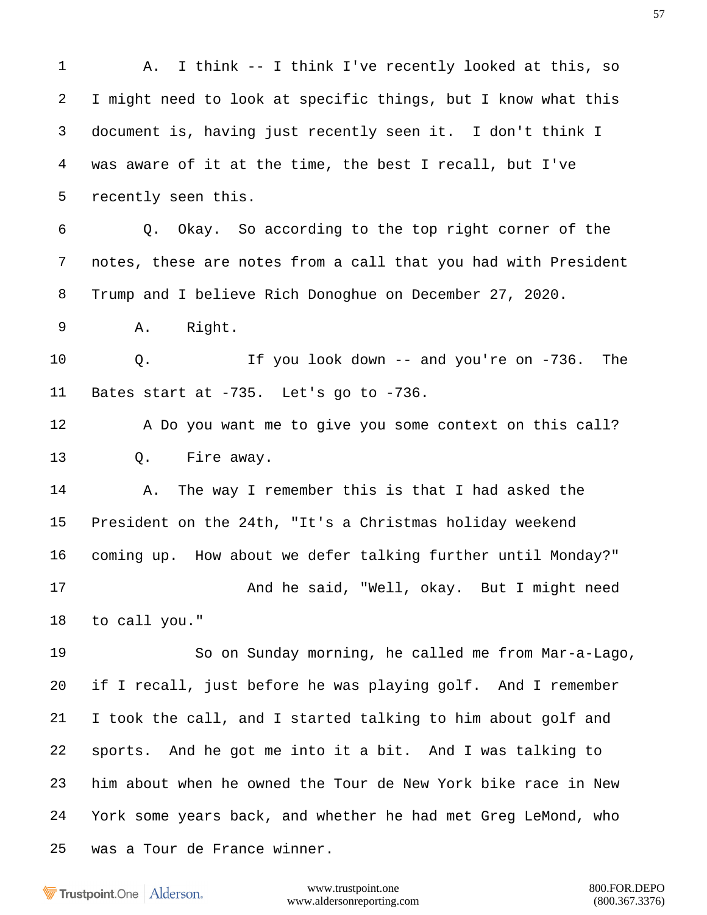1 A. I think -- I think I've recently looked at this, so I might need to look at specific things, but I know what this document is, having just recently seen it. I don't think I was aware of it at the time, the best I recall, but I've recently seen this. Q. Okay. So according to the top right corner of the notes, these are notes from a call that you had with President Trump and I believe Rich Donoghue on December 27, 2020. A. Right. Q. If you look down -- and you're on -736. The Bates start at -735. Let's go to -736. A Do you want me to give you some context on this call? Q. Fire away. A. The way I remember this is that I had asked the President on the 24th, "It's a Christmas holiday weekend coming up. How about we defer talking further until Monday?" 17 And he said, "Well, okay. But I might need to call you." So on Sunday morning, he called me from Mar-a-Lago, if I recall, just before he was playing golf. And I remember I took the call, and I started talking to him about golf and sports. And he got me into it a bit. And I was talking to him about when he owned the Tour de New York bike race in New York some years back, and whether he had met Greg LeMond, who was a Tour de France winner.

Trustpoint.One Alderson.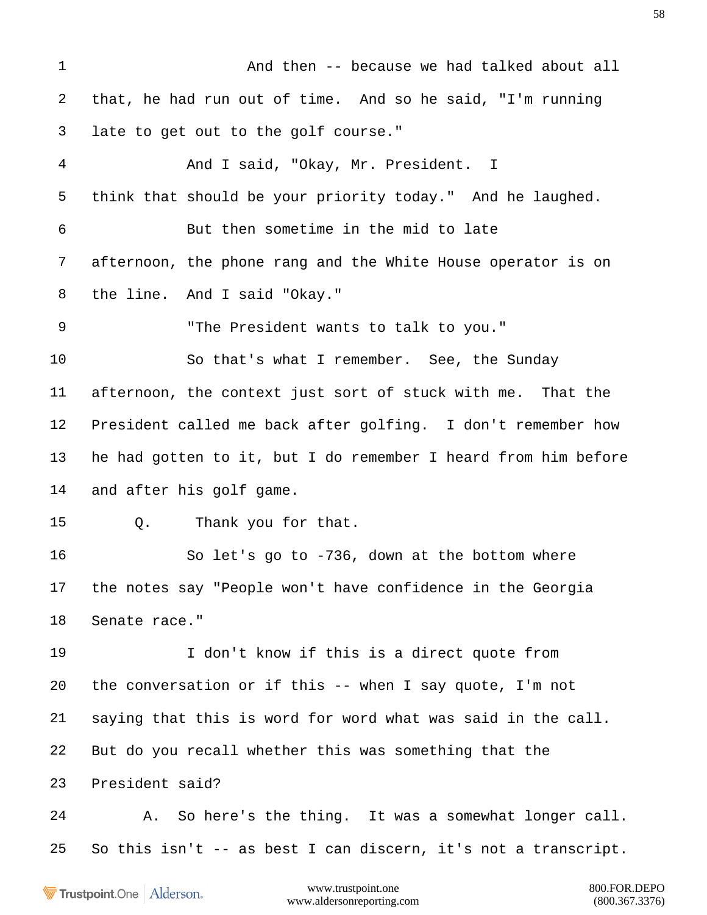And then -- because we had talked about all that, he had run out of time. And so he said, "I'm running late to get out to the golf course." And I said, "Okay, Mr. President. I think that should be your priority today." And he laughed. But then sometime in the mid to late afternoon, the phone rang and the White House operator is on the line. And I said "Okay." "The President wants to talk to you." So that's what I remember. See, the Sunday afternoon, the context just sort of stuck with me. That the President called me back after golfing. I don't remember how he had gotten to it, but I do remember I heard from him before and after his golf game. Q. Thank you for that. So let's go to -736, down at the bottom where the notes say "People won't have confidence in the Georgia Senate race." I don't know if this is a direct quote from the conversation or if this -- when I say quote, I'm not saying that this is word for word what was said in the call. But do you recall whether this was something that the President said? A. So here's the thing. It was a somewhat longer call. So this isn't -- as best I can discern, it's not a transcript.

Trustpoint.One Alderson.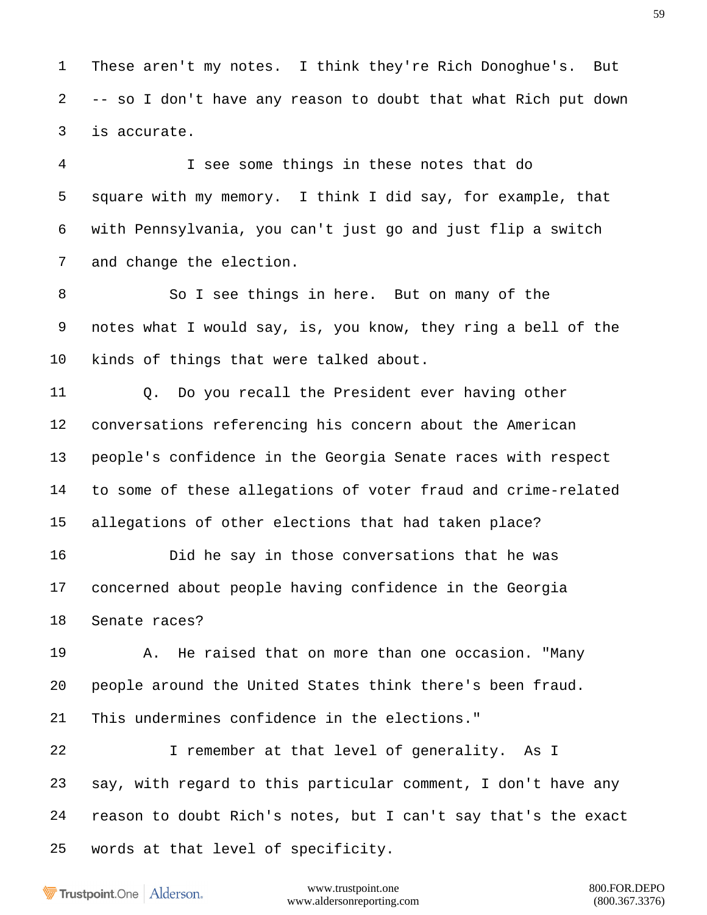These aren't my notes. I think they're Rich Donoghue's. But -- so I don't have any reason to doubt that what Rich put down is accurate.

 I see some things in these notes that do square with my memory. I think I did say, for example, that with Pennsylvania, you can't just go and just flip a switch and change the election.

 So I see things in here. But on many of the notes what I would say, is, you know, they ring a bell of the kinds of things that were talked about.

 Q. Do you recall the President ever having other conversations referencing his concern about the American people's confidence in the Georgia Senate races with respect to some of these allegations of voter fraud and crime-related allegations of other elections that had taken place?

 Did he say in those conversations that he was concerned about people having confidence in the Georgia Senate races?

 A. He raised that on more than one occasion. "Many people around the United States think there's been fraud. This undermines confidence in the elections."

 I remember at that level of generality. As I say, with regard to this particular comment, I don't have any reason to doubt Rich's notes, but I can't say that's the exact words at that level of specificity.

Trustpoint.One Alderson.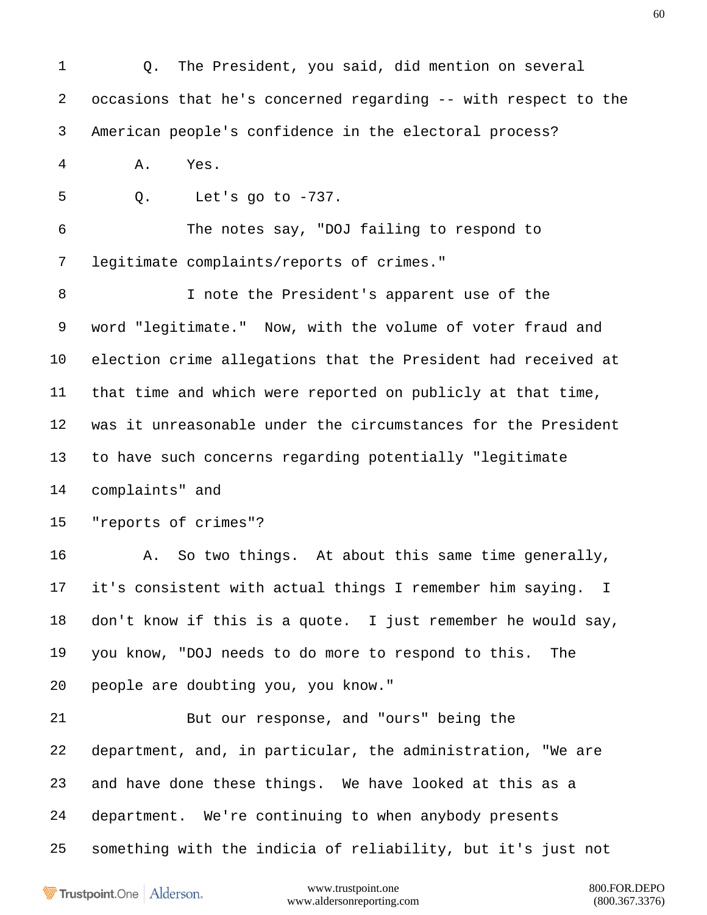Q. The President, you said, did mention on several occasions that he's concerned regarding -- with respect to the American people's confidence in the electoral process? A. Yes. Q. Let's go to -737. The notes say, "DOJ failing to respond to legitimate complaints/reports of crimes." I note the President's apparent use of the word "legitimate." Now, with the volume of voter fraud and election crime allegations that the President had received at that time and which were reported on publicly at that time, was it unreasonable under the circumstances for the President to have such concerns regarding potentially "legitimate complaints" and "reports of crimes"? A. So two things. At about this same time generally, it's consistent with actual things I remember him saying. I don't know if this is a quote. I just remember he would say, you know, "DOJ needs to do more to respond to this. The people are doubting you, you know." But our response, and "ours" being the department, and, in particular, the administration, "We are and have done these things. We have looked at this as a department. We're continuing to when anybody presents something with the indicia of reliability, but it's just not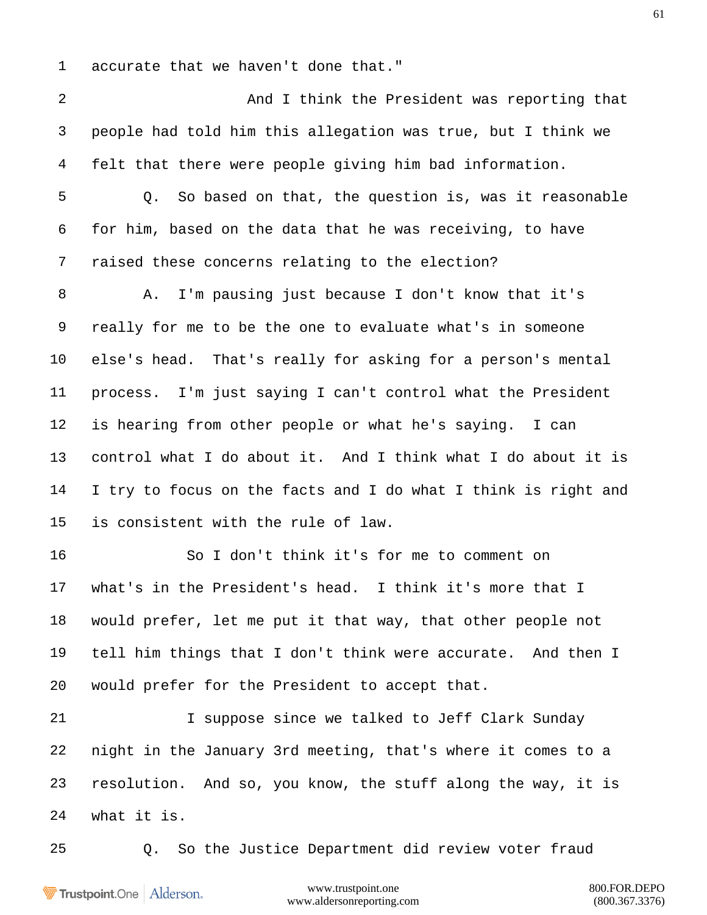accurate that we haven't done that."

 And I think the President was reporting that people had told him this allegation was true, but I think we felt that there were people giving him bad information. Q. So based on that, the question is, was it reasonable for him, based on the data that he was receiving, to have raised these concerns relating to the election? A. I'm pausing just because I don't know that it's really for me to be the one to evaluate what's in someone else's head. That's really for asking for a person's mental process. I'm just saying I can't control what the President is hearing from other people or what he's saying. I can control what I do about it. And I think what I do about it is I try to focus on the facts and I do what I think is right and is consistent with the rule of law. So I don't think it's for me to comment on what's in the President's head. I think it's more that I would prefer, let me put it that way, that other people not tell him things that I don't think were accurate. And then I would prefer for the President to accept that. I suppose since we talked to Jeff Clark Sunday night in the January 3rd meeting, that's where it comes to a resolution. And so, you know, the stuff along the way, it is what it is. Q. So the Justice Department did review voter fraud

Trustpoint.One Alderson.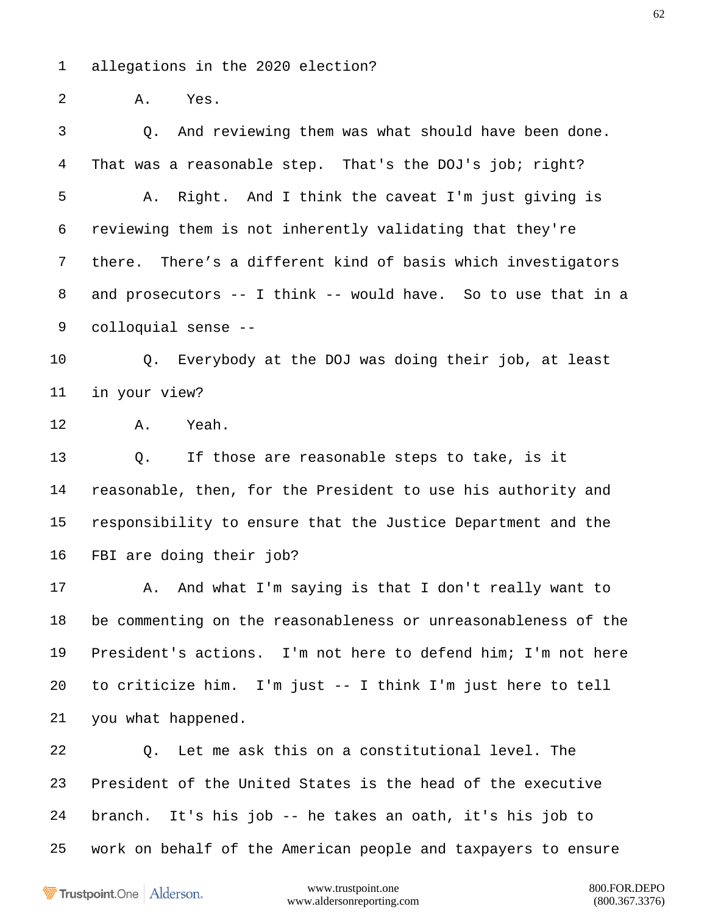allegations in the 2020 election?

A. Yes.

 Q. And reviewing them was what should have been done. That was a reasonable step. That's the DOJ's job; right? A. Right. And I think the caveat I'm just giving is reviewing them is not inherently validating that they're there. There's a different kind of basis which investigators and prosecutors -- I think -- would have. So to use that in a colloquial sense --

 Q. Everybody at the DOJ was doing their job, at least in your view?

A. Yeah.

 Q. If those are reasonable steps to take, is it reasonable, then, for the President to use his authority and responsibility to ensure that the Justice Department and the FBI are doing their job?

17 A. And what I'm saying is that I don't really want to be commenting on the reasonableness or unreasonableness of the President's actions. I'm not here to defend him; I'm not here to criticize him. I'm just -- I think I'm just here to tell you what happened.

 Q. Let me ask this on a constitutional level. The President of the United States is the head of the executive branch. It's his job -- he takes an oath, it's his job to work on behalf of the American people and taxpayers to ensure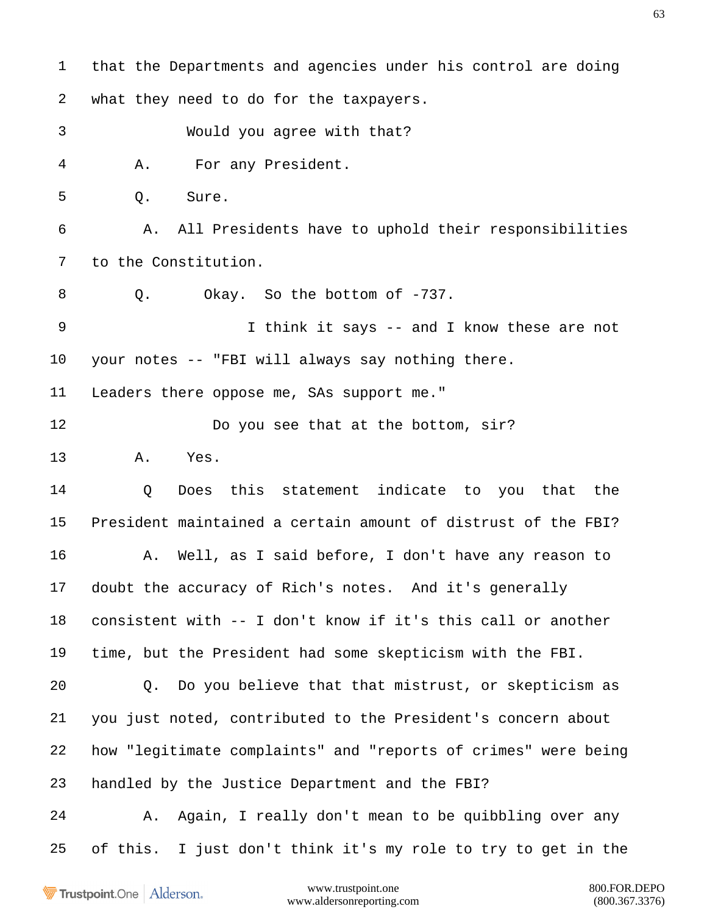that the Departments and agencies under his control are doing what they need to do for the taxpayers. Would you agree with that? A. For any President. Q. Sure. A. All Presidents have to uphold their responsibilities to the Constitution. 8 Q. Okay. So the bottom of -737. 9 I think it says -- and I know these are not your notes -- "FBI will always say nothing there. Leaders there oppose me, SAs support me." 12 Do you see that at the bottom, sir? A. Yes. Q Does this statement indicate to you that the President maintained a certain amount of distrust of the FBI? A. Well, as I said before, I don't have any reason to doubt the accuracy of Rich's notes. And it's generally consistent with -- I don't know if it's this call or another time, but the President had some skepticism with the FBI. Q. Do you believe that that mistrust, or skepticism as you just noted, contributed to the President's concern about how "legitimate complaints" and "reports of crimes" were being handled by the Justice Department and the FBI? A. Again, I really don't mean to be quibbling over any of this. I just don't think it's my role to try to get in the

Trustpoint.One Alderson.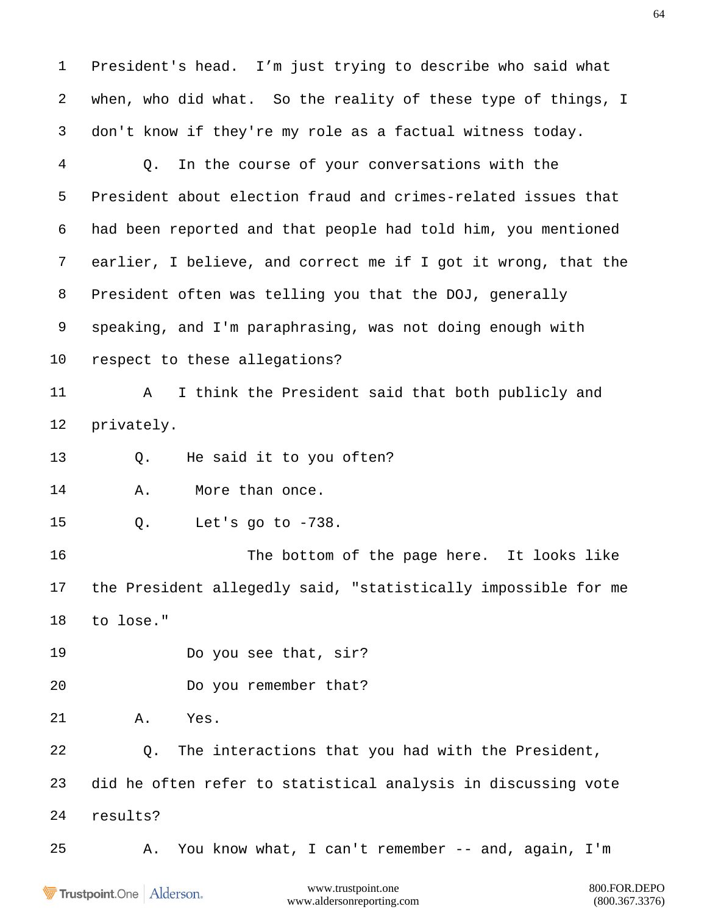President's head. I'm just trying to describe who said what when, who did what. So the reality of these type of things, I don't know if they're my role as a factual witness today. Q. In the course of your conversations with the President about election fraud and crimes-related issues that had been reported and that people had told him, you mentioned earlier, I believe, and correct me if I got it wrong, that the President often was telling you that the DOJ, generally speaking, and I'm paraphrasing, was not doing enough with respect to these allegations? A I think the President said that both publicly and privately. Q. He said it to you often? A. More than once. Q. Let's go to -738. 16 The bottom of the page here. It looks like the President allegedly said, "statistically impossible for me to lose." Do you see that, sir? Do you remember that? A. Yes. Q. The interactions that you had with the President, did he often refer to statistical analysis in discussing vote results? A. You know what, I can't remember -- and, again, I'm

Trustpoint.One Alderson.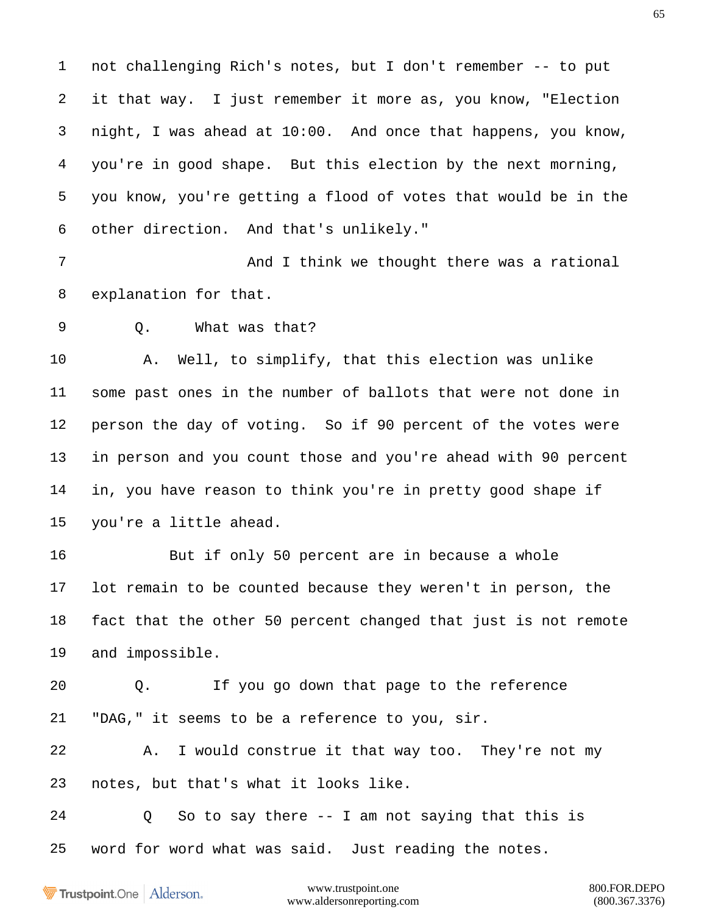not challenging Rich's notes, but I don't remember -- to put it that way. I just remember it more as, you know, "Election night, I was ahead at 10:00. And once that happens, you know, you're in good shape. But this election by the next morning, you know, you're getting a flood of votes that would be in the other direction. And that's unlikely."

7 And I think we thought there was a rational explanation for that.

Q. What was that?

 A. Well, to simplify, that this election was unlike some past ones in the number of ballots that were not done in person the day of voting. So if 90 percent of the votes were in person and you count those and you're ahead with 90 percent in, you have reason to think you're in pretty good shape if you're a little ahead.

 But if only 50 percent are in because a whole lot remain to be counted because they weren't in person, the fact that the other 50 percent changed that just is not remote and impossible.

 Q. If you go down that page to the reference "DAG," it seems to be a reference to you, sir.

 A. I would construe it that way too. They're not my notes, but that's what it looks like.

 Q So to say there -- I am not saying that this is word for word what was said. Just reading the notes.

Trustpoint.One Alderson.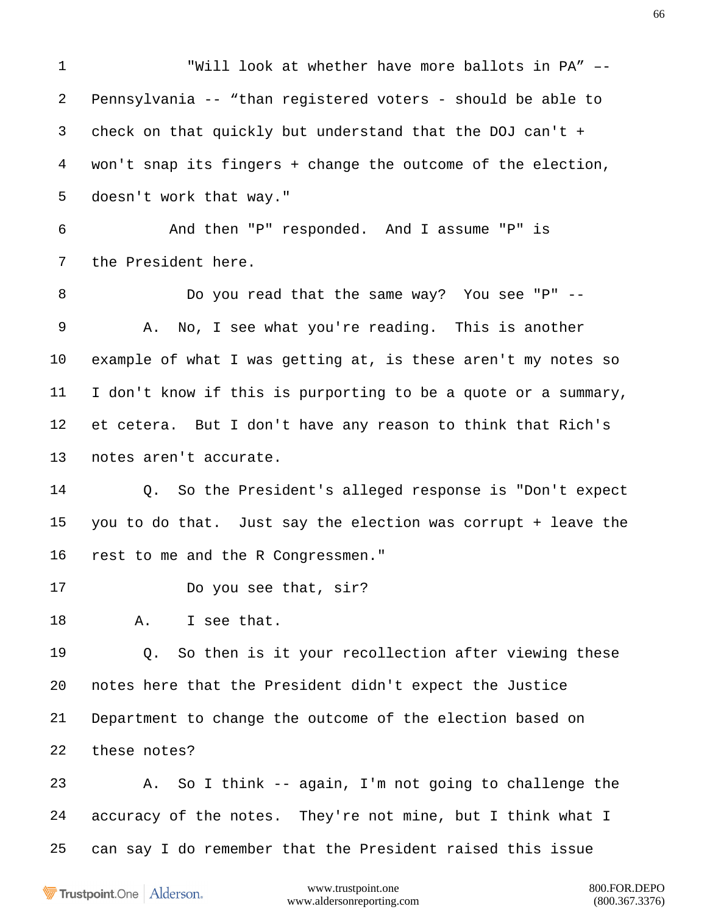"Will look at whether have more ballots in PA" –- Pennsylvania -- "than registered voters - should be able to check on that quickly but understand that the DOJ can't + won't snap its fingers + change the outcome of the election, doesn't work that way." And then "P" responded. And I assume "P" is the President here. Do you read that the same way? You see "P" -- A. No, I see what you're reading. This is another example of what I was getting at, is these aren't my notes so I don't know if this is purporting to be a quote or a summary, et cetera. But I don't have any reason to think that Rich's notes aren't accurate. Q. So the President's alleged response is "Don't expect you to do that. Just say the election was corrupt + leave the rest to me and the R Congressmen." Do you see that, sir? A. I see that. Q. So then is it your recollection after viewing these notes here that the President didn't expect the Justice Department to change the outcome of the election based on these notes? A. So I think -- again, I'm not going to challenge the accuracy of the notes. They're not mine, but I think what I can say I do remember that the President raised this issue

Trustpoint.One Alderson.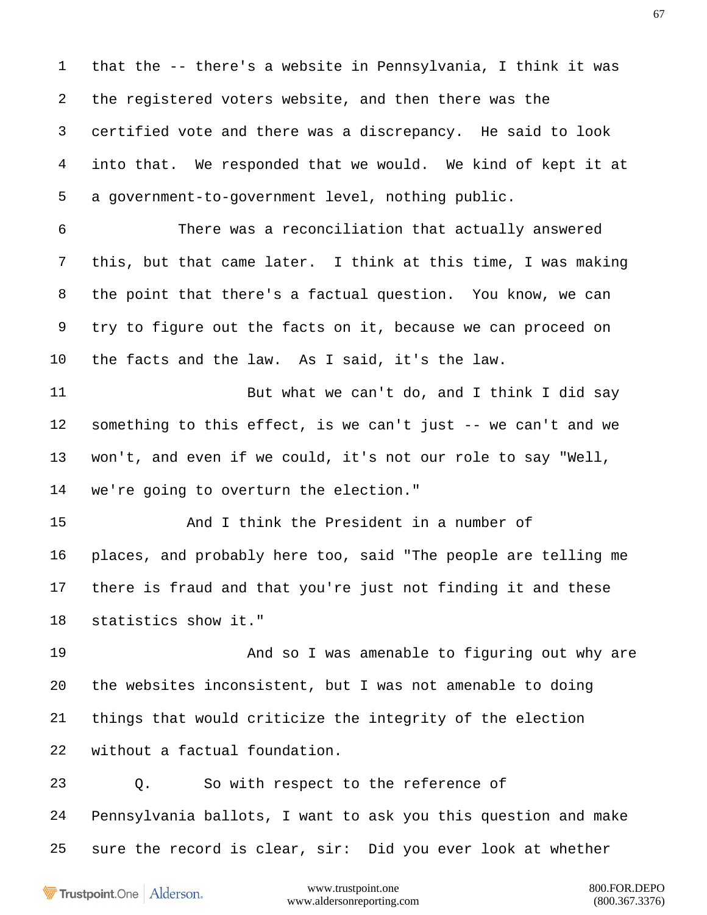that the -- there's a website in Pennsylvania, I think it was the registered voters website, and then there was the certified vote and there was a discrepancy. He said to look into that. We responded that we would. We kind of kept it at a government-to-government level, nothing public. There was a reconciliation that actually answered this, but that came later. I think at this time, I was making the point that there's a factual question. You know, we can try to figure out the facts on it, because we can proceed on the facts and the law. As I said, it's the law. But what we can't do, and I think I did say something to this effect, is we can't just -- we can't and we won't, and even if we could, it's not our role to say "Well, we're going to overturn the election." And I think the President in a number of places, and probably here too, said "The people are telling me there is fraud and that you're just not finding it and these statistics show it." And so I was amenable to figuring out why are the websites inconsistent, but I was not amenable to doing things that would criticize the integrity of the election without a factual foundation. Q. So with respect to the reference of Pennsylvania ballots, I want to ask you this question and make sure the record is clear, sir: Did you ever look at whether

Trustpoint.One Alderson.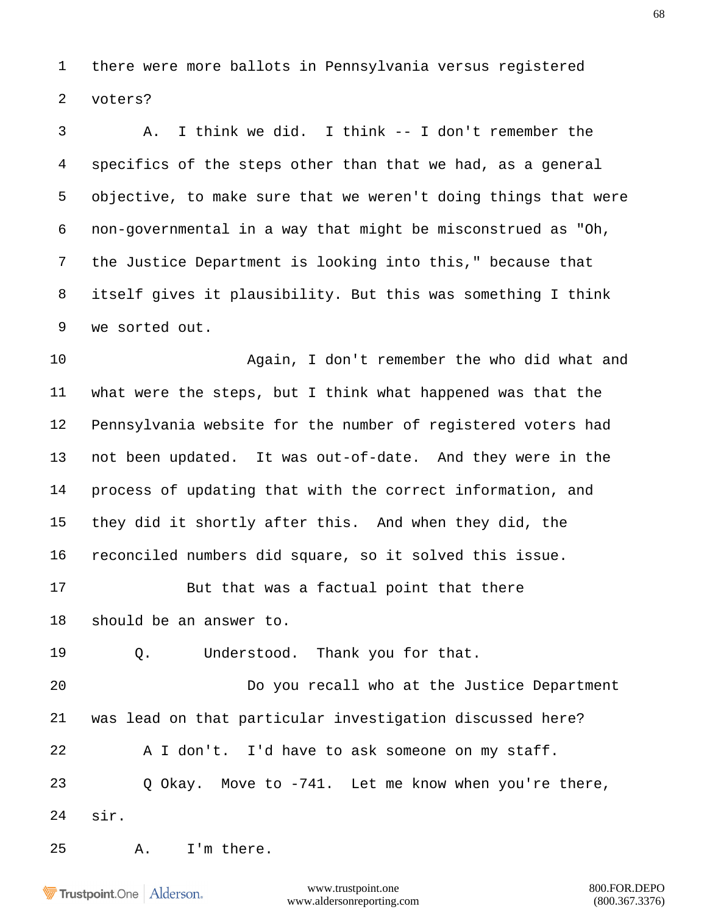there were more ballots in Pennsylvania versus registered voters?

 A. I think we did. I think -- I don't remember the specifics of the steps other than that we had, as a general objective, to make sure that we weren't doing things that were non-governmental in a way that might be misconstrued as "Oh, the Justice Department is looking into this," because that itself gives it plausibility. But this was something I think we sorted out.

 Again, I don't remember the who did what and what were the steps, but I think what happened was that the Pennsylvania website for the number of registered voters had not been updated. It was out-of-date. And they were in the process of updating that with the correct information, and they did it shortly after this. And when they did, the reconciled numbers did square, so it solved this issue.

 But that was a factual point that there should be an answer to.

Q. Understood. Thank you for that.

 Do you recall who at the Justice Department was lead on that particular investigation discussed here? A I don't. I'd have to ask someone on my staff. Q Okay. Move to -741. Let me know when you're there, sir.

A. I'm there.

Trustpoint.One Alderson.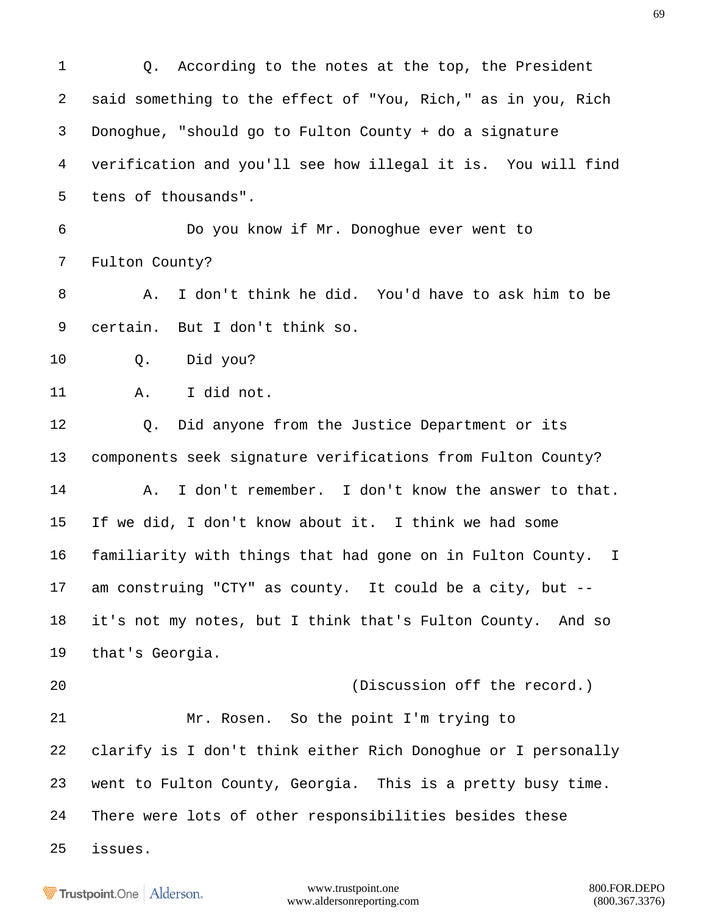Q. According to the notes at the top, the President said something to the effect of "You, Rich," as in you, Rich Donoghue, "should go to Fulton County + do a signature verification and you'll see how illegal it is. You will find tens of thousands". Do you know if Mr. Donoghue ever went to Fulton County? A. I don't think he did. You'd have to ask him to be certain. But I don't think so. Q. Did you? A. I did not. Q. Did anyone from the Justice Department or its components seek signature verifications from Fulton County? A. I don't remember. I don't know the answer to that. If we did, I don't know about it. I think we had some familiarity with things that had gone on in Fulton County. I am construing "CTY" as county. It could be a city, but -- it's not my notes, but I think that's Fulton County. And so that's Georgia. (Discussion off the record.) Mr. Rosen. So the point I'm trying to clarify is I don't think either Rich Donoghue or I personally went to Fulton County, Georgia. This is a pretty busy time. There were lots of other responsibilities besides these issues.

**Trustpoint**.One Alderson.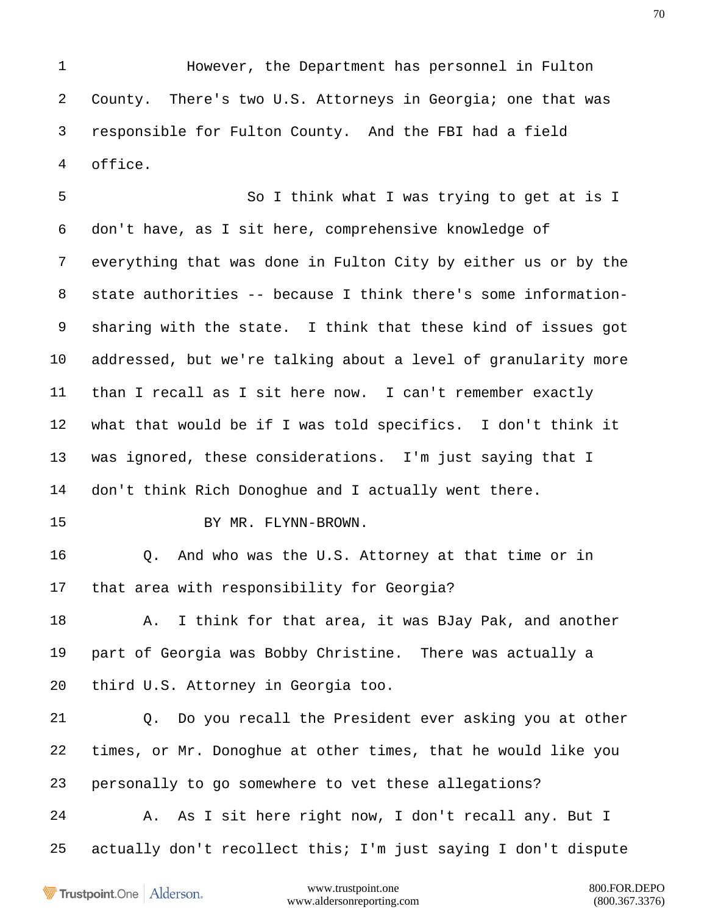However, the Department has personnel in Fulton County. There's two U.S. Attorneys in Georgia; one that was responsible for Fulton County. And the FBI had a field office.

 So I think what I was trying to get at is I don't have, as I sit here, comprehensive knowledge of everything that was done in Fulton City by either us or by the state authorities -- because I think there's some information- sharing with the state. I think that these kind of issues got addressed, but we're talking about a level of granularity more than I recall as I sit here now. I can't remember exactly what that would be if I was told specifics. I don't think it was ignored, these considerations. I'm just saying that I don't think Rich Donoghue and I actually went there.

BY MR. FLYNN-BROWN.

 Q. And who was the U.S. Attorney at that time or in that area with responsibility for Georgia?

18 A. I think for that area, it was BJay Pak, and another part of Georgia was Bobby Christine. There was actually a third U.S. Attorney in Georgia too.

 Q. Do you recall the President ever asking you at other times, or Mr. Donoghue at other times, that he would like you personally to go somewhere to vet these allegations?

 A. As I sit here right now, I don't recall any. But I actually don't recollect this; I'm just saying I don't dispute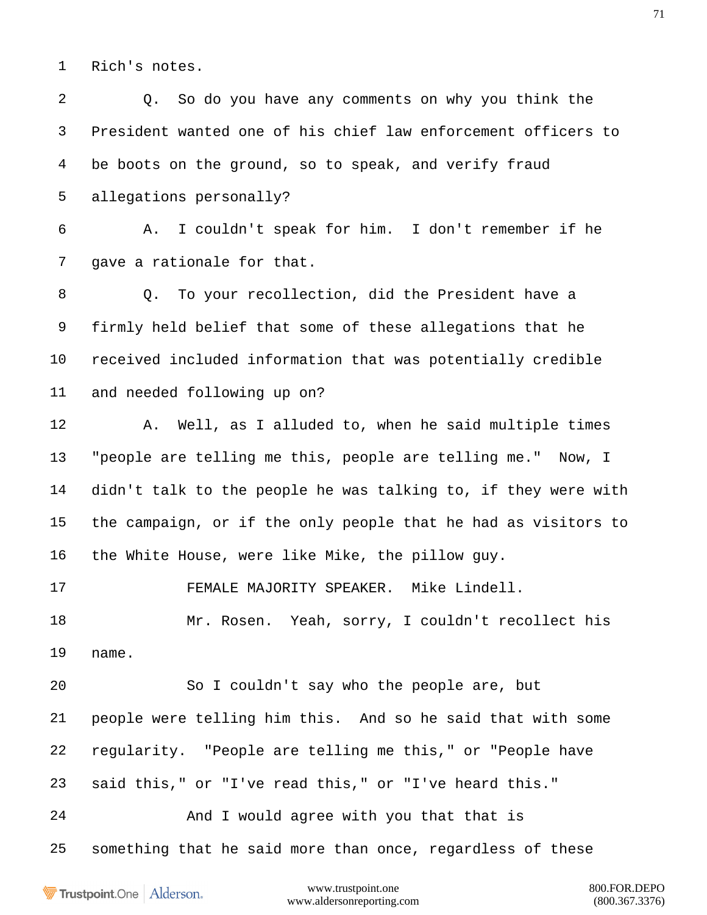Rich's notes.

 Q. So do you have any comments on why you think the President wanted one of his chief law enforcement officers to be boots on the ground, so to speak, and verify fraud allegations personally? A. I couldn't speak for him. I don't remember if he 7 gave a rationale for that. Q. To your recollection, did the President have a firmly held belief that some of these allegations that he received included information that was potentially credible and needed following up on? A. Well, as I alluded to, when he said multiple times "people are telling me this, people are telling me." Now, I didn't talk to the people he was talking to, if they were with the campaign, or if the only people that he had as visitors to the White House, were like Mike, the pillow guy. FEMALE MAJORITY SPEAKER. Mike Lindell. Mr. Rosen. Yeah, sorry, I couldn't recollect his name. So I couldn't say who the people are, but people were telling him this. And so he said that with some regularity. "People are telling me this," or "People have said this," or "I've read this," or "I've heard this." 24 And I would agree with you that that is something that he said more than once, regardless of these

Trustpoint.One Alderson.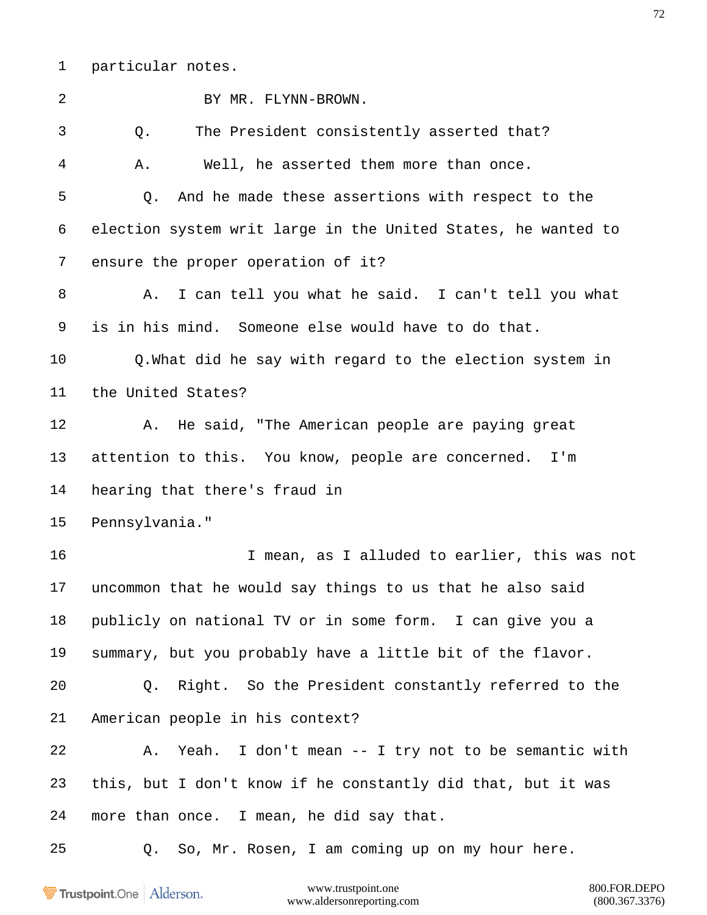particular notes.

| $\overline{2}$ | BY MR. FLYNN-BROWN.                                           |
|----------------|---------------------------------------------------------------|
| 3              | The President consistently asserted that?<br>Q.               |
| 4              | Well, he asserted them more than once.<br>Α.                  |
| 5              | And he made these assertions with respect to the<br>Q.        |
| 6              | election system writ large in the United States, he wanted to |
| 7              | ensure the proper operation of it?                            |
| 8              | I can tell you what he said. I can't tell you what<br>Α.      |
| 9              | is in his mind. Someone else would have to do that.           |
| $10\,$         | Q.What did he say with regard to the election system in       |
| 11             | the United States?                                            |
| 12             | He said, "The American people are paying great<br>Α.          |
| 13             | attention to this. You know, people are concerned.<br>I'm     |
| 14             | hearing that there's fraud in                                 |
| 15             | Pennsylvania."                                                |
| 16             | I mean, as I alluded to earlier, this was not                 |
| 17             | uncommon that he would say things to us that he also said     |
| 18             | publicly on national TV or in some form. I can give you a     |
| 19             | summary, but you probably have a little bit of the flavor.    |
| 20             | Q. Right. So the President constantly referred to the         |
| 21             | American people in his context?                               |
| 22             | A. Yeah. I don't mean -- I try not to be semantic with        |
| 23             | this, but I don't know if he constantly did that, but it was  |
| 24             | more than once. I mean, he did say that.                      |
| 25             | Q. So, Mr. Rosen, I am coming up on my hour here.             |
|                |                                                               |

Trustpoint.One | Alderson.

www.trustpoint.one 800.FOR.DEPO<br>w.aldersonreporting.com (800.367.3376) www.aldersonreporting.com (800.367.3376)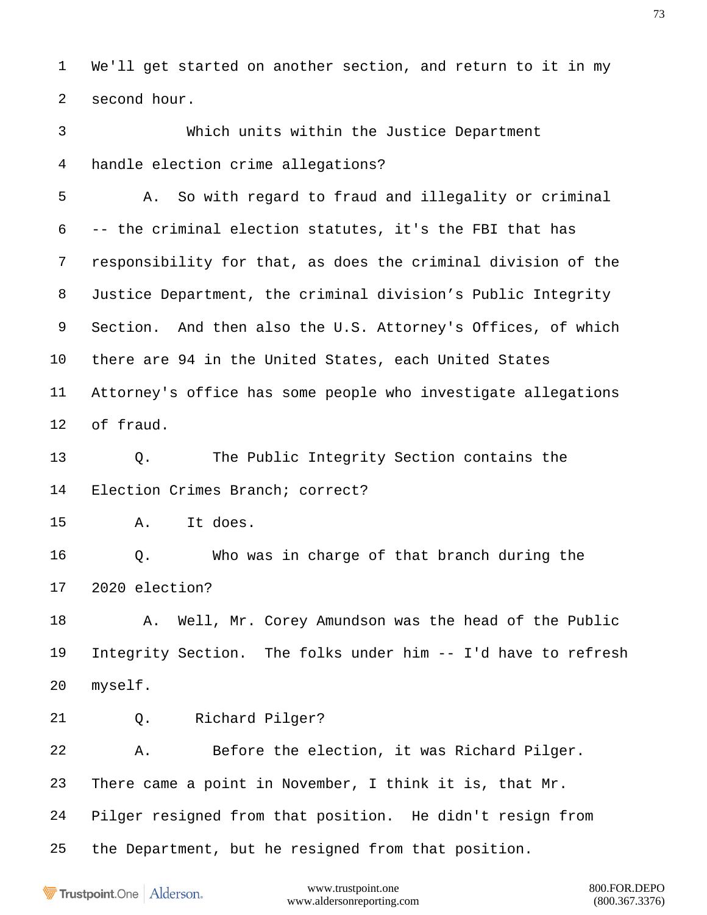We'll get started on another section, and return to it in my second hour.

 Which units within the Justice Department handle election crime allegations?

 A. So with regard to fraud and illegality or criminal -- the criminal election statutes, it's the FBI that has responsibility for that, as does the criminal division of the Justice Department, the criminal division's Public Integrity Section. And then also the U.S. Attorney's Offices, of which there are 94 in the United States, each United States Attorney's office has some people who investigate allegations of fraud.

 Q. The Public Integrity Section contains the Election Crimes Branch; correct?

A. It does.

 Q. Who was in charge of that branch during the 2020 election?

18 A. Well, Mr. Corey Amundson was the head of the Public Integrity Section. The folks under him -- I'd have to refresh myself.

Q. Richard Pilger?

 A. Before the election, it was Richard Pilger. There came a point in November, I think it is, that Mr. Pilger resigned from that position. He didn't resign from the Department, but he resigned from that position.

Trustpoint.One Alderson.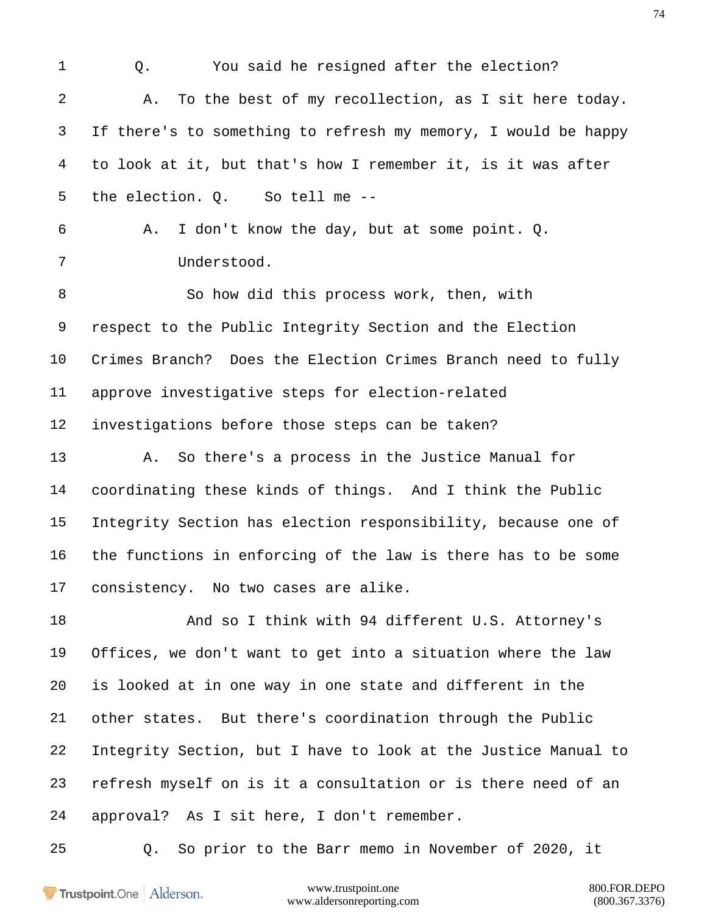1 0. You said he resigned after the election? A. To the best of my recollection, as I sit here today. If there's to something to refresh my memory, I would be happy to look at it, but that's how I remember it, is it was after the election. Q. So tell me -- A. I don't know the day, but at some point. Q. Understood. So how did this process work, then, with respect to the Public Integrity Section and the Election Crimes Branch? Does the Election Crimes Branch need to fully approve investigative steps for election-related investigations before those steps can be taken? A. So there's a process in the Justice Manual for coordinating these kinds of things. And I think the Public Integrity Section has election responsibility, because one of the functions in enforcing of the law is there has to be some consistency. No two cases are alike. And so I think with 94 different U.S. Attorney's Offices, we don't want to get into a situation where the law is looked at in one way in one state and different in the other states. But there's coordination through the Public Integrity Section, but I have to look at the Justice Manual to refresh myself on is it a consultation or is there need of an approval? As I sit here, I don't remember. Q. So prior to the Barr memo in November of 2020, it

Trustpoint.One Alderson.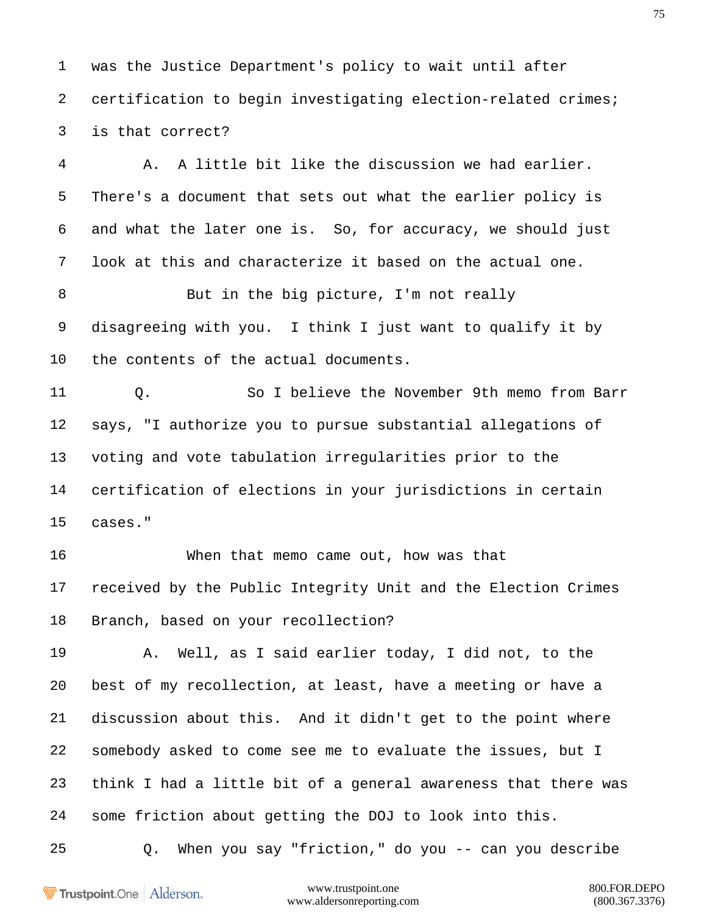was the Justice Department's policy to wait until after certification to begin investigating election-related crimes; is that correct?

 A. A little bit like the discussion we had earlier. There's a document that sets out what the earlier policy is and what the later one is. So, for accuracy, we should just look at this and characterize it based on the actual one.

8 But in the big picture, I'm not really disagreeing with you. I think I just want to qualify it by the contents of the actual documents.

 Q. So I believe the November 9th memo from Barr says, "I authorize you to pursue substantial allegations of voting and vote tabulation irregularities prior to the certification of elections in your jurisdictions in certain cases."

 When that memo came out, how was that received by the Public Integrity Unit and the Election Crimes Branch, based on your recollection?

 A. Well, as I said earlier today, I did not, to the best of my recollection, at least, have a meeting or have a discussion about this. And it didn't get to the point where somebody asked to come see me to evaluate the issues, but I think I had a little bit of a general awareness that there was some friction about getting the DOJ to look into this.

Q. When you say "friction," do you -- can you describe

Trustpoint.One Alderson.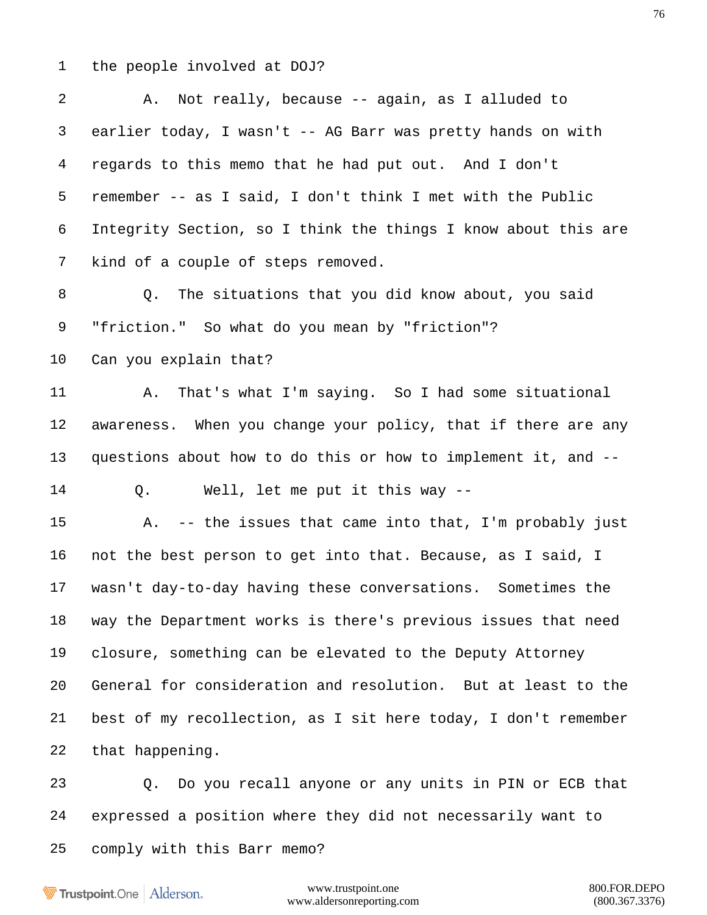the people involved at DOJ?

 A. Not really, because -- again, as I alluded to earlier today, I wasn't -- AG Barr was pretty hands on with regards to this memo that he had put out. And I don't remember -- as I said, I don't think I met with the Public Integrity Section, so I think the things I know about this are kind of a couple of steps removed. Q. The situations that you did know about, you said "friction." So what do you mean by "friction"? Can you explain that? A. That's what I'm saying. So I had some situational awareness. When you change your policy, that if there are any questions about how to do this or how to implement it, and -- Q. Well, let me put it this way -- A. -- the issues that came into that, I'm probably just not the best person to get into that. Because, as I said, I wasn't day-to-day having these conversations. Sometimes the way the Department works is there's previous issues that need closure, something can be elevated to the Deputy Attorney General for consideration and resolution. But at least to the best of my recollection, as I sit here today, I don't remember that happening. Q. Do you recall anyone or any units in PIN or ECB that expressed a position where they did not necessarily want to comply with this Barr memo?

Trustpoint.One Alderson.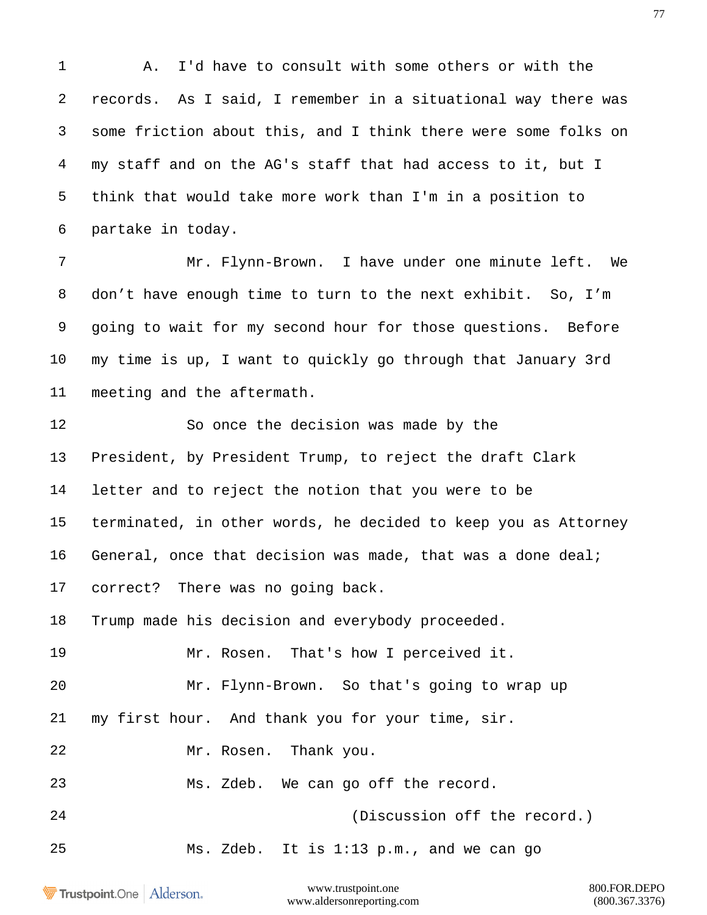A. I'd have to consult with some others or with the records. As I said, I remember in a situational way there was some friction about this, and I think there were some folks on my staff and on the AG's staff that had access to it, but I think that would take more work than I'm in a position to partake in today.

 Mr. Flynn-Brown. I have under one minute left. We don't have enough time to turn to the next exhibit. So, I'm going to wait for my second hour for those questions. Before my time is up, I want to quickly go through that January 3rd meeting and the aftermath.

 So once the decision was made by the President, by President Trump, to reject the draft Clark letter and to reject the notion that you were to be terminated, in other words, he decided to keep you as Attorney General, once that decision was made, that was a done deal; correct? There was no going back. Trump made his decision and everybody proceeded.

Mr. Rosen. That's how I perceived it.

Mr. Flynn-Brown. So that's going to wrap up

my first hour. And thank you for your time, sir.

Mr. Rosen. Thank you.

Ms. Zdeb. We can go off the record.

(Discussion off the record.)

Ms. Zdeb. It is 1:13 p.m., and we can go

Trustpoint.One Alderson.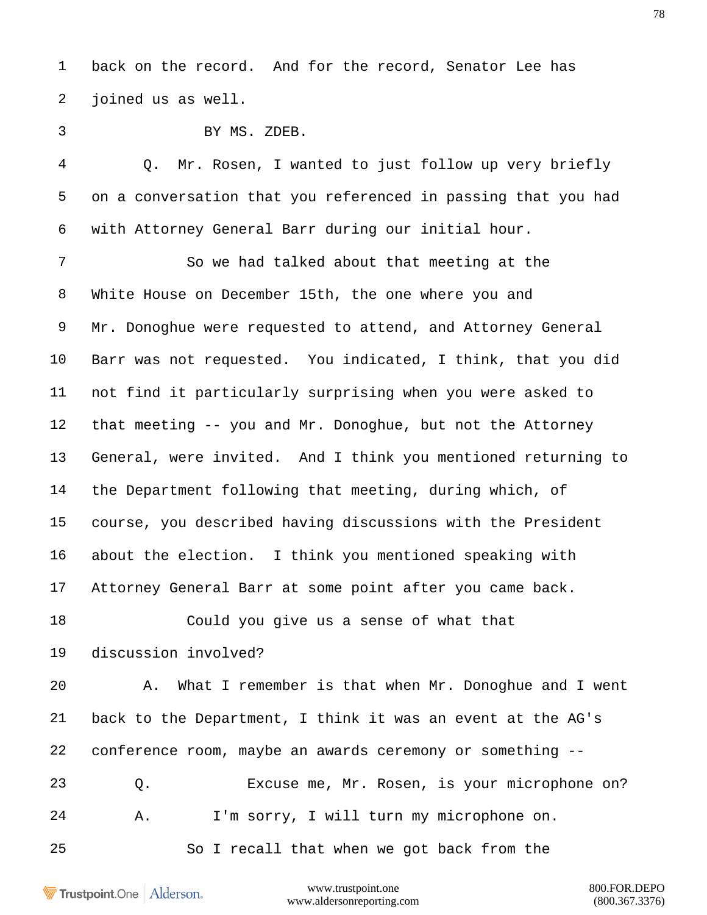back on the record. And for the record, Senator Lee has joined us as well.

| ۰<br>a. |
|---------|
|         |
|         |
|         |

BY MS. ZDEB.

 Q. Mr. Rosen, I wanted to just follow up very briefly on a conversation that you referenced in passing that you had with Attorney General Barr during our initial hour.

 So we had talked about that meeting at the White House on December 15th, the one where you and Mr. Donoghue were requested to attend, and Attorney General Barr was not requested. You indicated, I think, that you did not find it particularly surprising when you were asked to that meeting -- you and Mr. Donoghue, but not the Attorney General, were invited. And I think you mentioned returning to the Department following that meeting, during which, of course, you described having discussions with the President about the election. I think you mentioned speaking with Attorney General Barr at some point after you came back.

Could you give us a sense of what that

discussion involved?

 A. What I remember is that when Mr. Donoghue and I went back to the Department, I think it was an event at the AG's conference room, maybe an awards ceremony or something -- Q. Excuse me, Mr. Rosen, is your microphone on?

A. I'm sorry, I will turn my microphone on.

So I recall that when we got back from the

Trustpoint.One Alderson.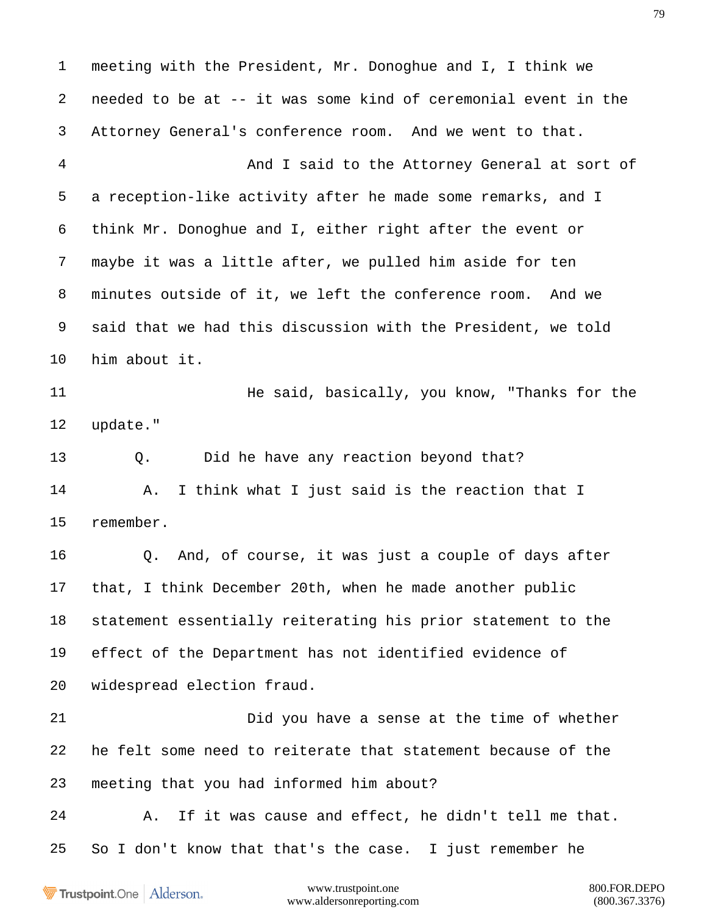meeting with the President, Mr. Donoghue and I, I think we needed to be at -- it was some kind of ceremonial event in the Attorney General's conference room. And we went to that.

 And I said to the Attorney General at sort of a reception-like activity after he made some remarks, and I think Mr. Donoghue and I, either right after the event or maybe it was a little after, we pulled him aside for ten minutes outside of it, we left the conference room. And we said that we had this discussion with the President, we told him about it.

**He said, basically, you know, "Thanks for the** update."

 Q. Did he have any reaction beyond that? A. I think what I just said is the reaction that I remember.

 Q. And, of course, it was just a couple of days after that, I think December 20th, when he made another public statement essentially reiterating his prior statement to the effect of the Department has not identified evidence of widespread election fraud.

 Did you have a sense at the time of whether he felt some need to reiterate that statement because of the meeting that you had informed him about?

 A. If it was cause and effect, he didn't tell me that. So I don't know that that's the case. I just remember he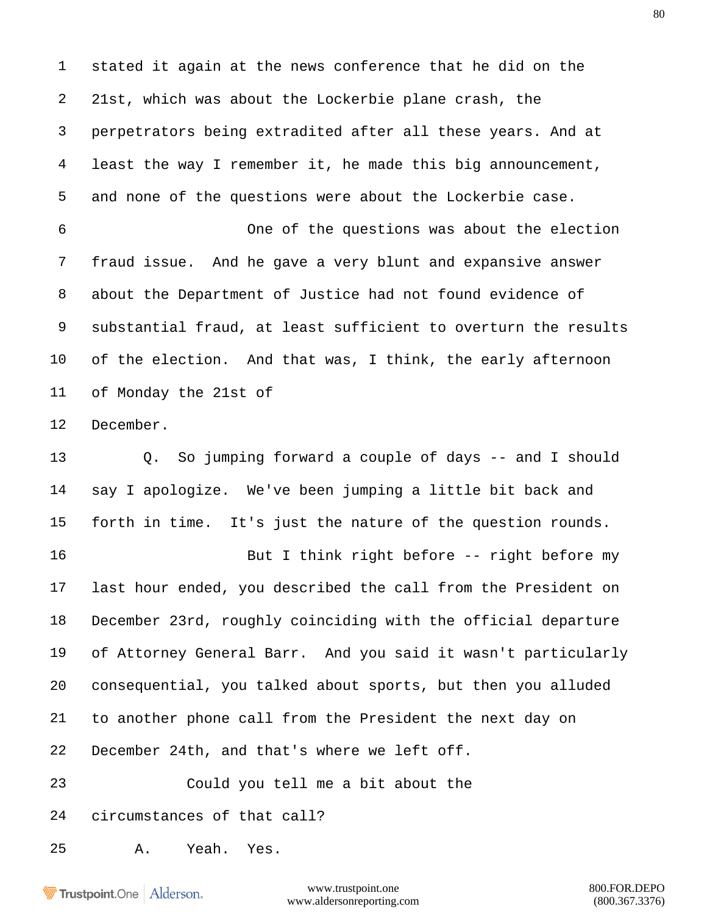stated it again at the news conference that he did on the 21st, which was about the Lockerbie plane crash, the perpetrators being extradited after all these years. And at least the way I remember it, he made this big announcement, and none of the questions were about the Lockerbie case. One of the questions was about the election fraud issue. And he gave a very blunt and expansive answer about the Department of Justice had not found evidence of substantial fraud, at least sufficient to overturn the results of the election. And that was, I think, the early afternoon of Monday the 21st of December. Q. So jumping forward a couple of days -- and I should say I apologize. We've been jumping a little bit back and forth in time. It's just the nature of the question rounds. 16 But I think right before -- right before my

 last hour ended, you described the call from the President on December 23rd, roughly coinciding with the official departure of Attorney General Barr. And you said it wasn't particularly consequential, you talked about sports, but then you alluded to another phone call from the President the next day on December 24th, and that's where we left off.

Could you tell me a bit about the

circumstances of that call?

A. Yeah. Yes.

Trustpoint.One Alderson.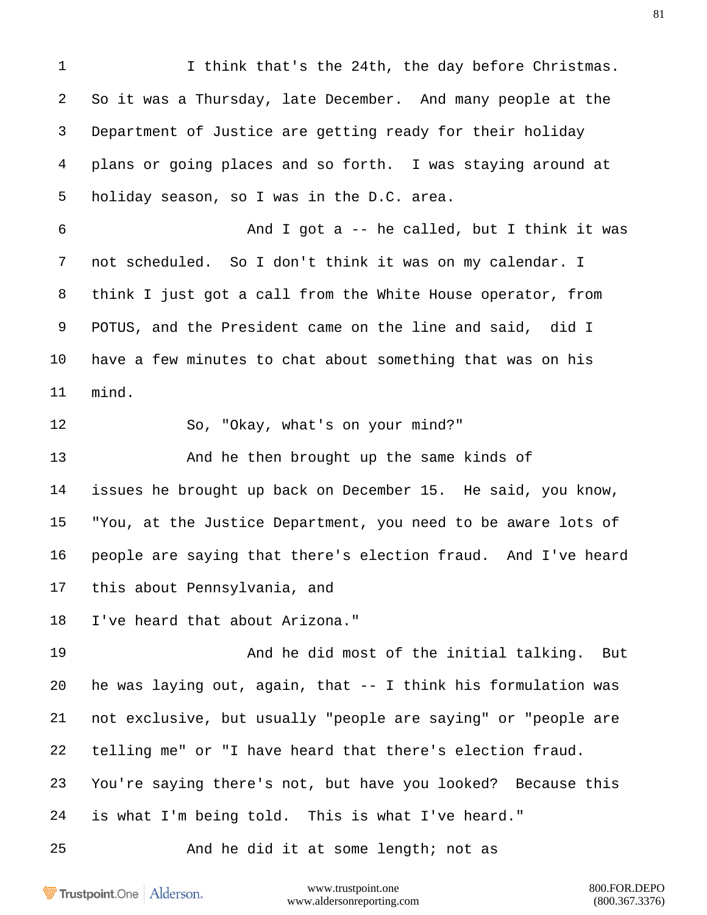1 I think that's the 24th, the day before Christmas. So it was a Thursday, late December. And many people at the Department of Justice are getting ready for their holiday plans or going places and so forth. I was staying around at holiday season, so I was in the D.C. area. And I got a -- he called, but I think it was not scheduled. So I don't think it was on my calendar. I think I just got a call from the White House operator, from POTUS, and the President came on the line and said, did I have a few minutes to chat about something that was on his mind. So, "Okay, what's on your mind?" And he then brought up the same kinds of issues he brought up back on December 15. He said, you know, "You, at the Justice Department, you need to be aware lots of people are saying that there's election fraud. And I've heard this about Pennsylvania, and I've heard that about Arizona." And he did most of the initial talking. But he was laying out, again, that -- I think his formulation was not exclusive, but usually "people are saying" or "people are telling me" or "I have heard that there's election fraud. You're saying there's not, but have you looked? Because this is what I'm being told. This is what I've heard." And he did it at some length; not as

Trustpoint.One Alderson.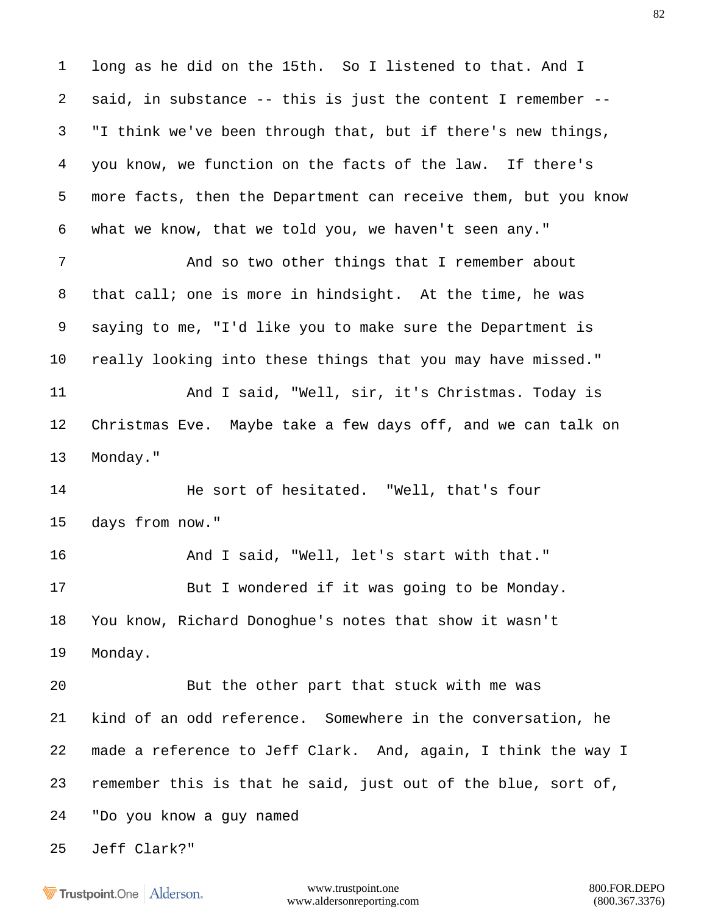long as he did on the 15th. So I listened to that. And I said, in substance -- this is just the content I remember -- "I think we've been through that, but if there's new things, you know, we function on the facts of the law. If there's more facts, then the Department can receive them, but you know what we know, that we told you, we haven't seen any." And so two other things that I remember about that call; one is more in hindsight. At the time, he was

 saying to me, "I'd like you to make sure the Department is really looking into these things that you may have missed." 11 And I said, "Well, sir, it's Christmas. Today is Christmas Eve. Maybe take a few days off, and we can talk on Monday."

14 He sort of hesitated. "Well, that's four days from now."

 And I said, "Well, let's start with that." 17 But I wondered if it was going to be Monday. You know, Richard Donoghue's notes that show it wasn't Monday.

 But the other part that stuck with me was kind of an odd reference. Somewhere in the conversation, he made a reference to Jeff Clark. And, again, I think the way I remember this is that he said, just out of the blue, sort of, "Do you know a guy named

Jeff Clark?"

**Trustpoint**.One Alderson.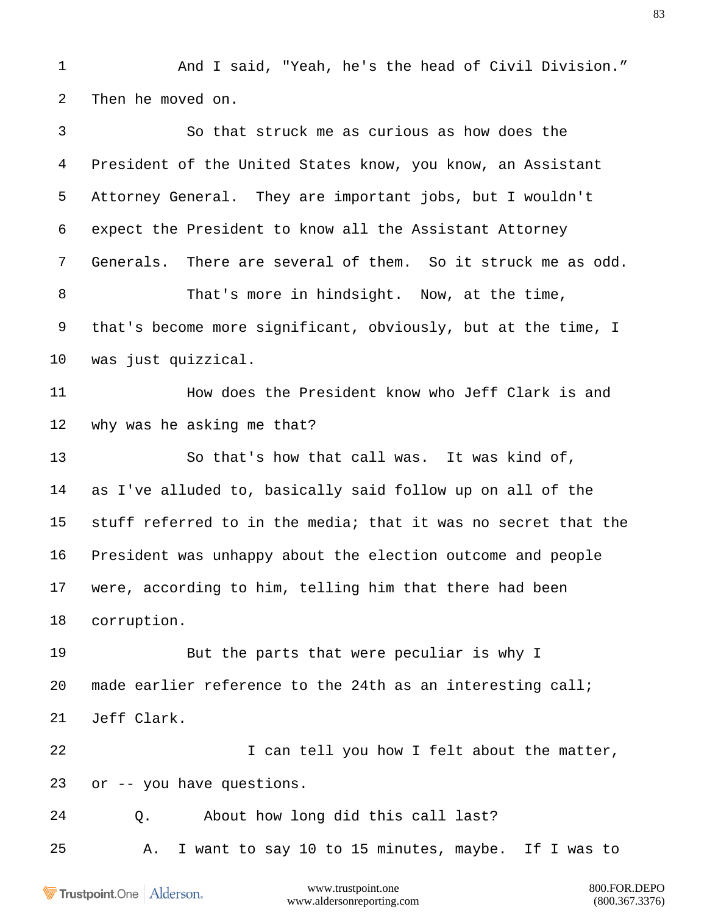And I said, "Yeah, he's the head of Civil Division." Then he moved on.

 So that struck me as curious as how does the President of the United States know, you know, an Assistant Attorney General. They are important jobs, but I wouldn't expect the President to know all the Assistant Attorney Generals. There are several of them. So it struck me as odd. That's more in hindsight. Now, at the time, that's become more significant, obviously, but at the time, I was just quizzical. **How does the President know who Jeff Clark is and**  why was he asking me that? So that's how that call was. It was kind of, as I've alluded to, basically said follow up on all of the stuff referred to in the media; that it was no secret that the President was unhappy about the election outcome and people were, according to him, telling him that there had been corruption. 19 But the parts that were peculiar is why I made earlier reference to the 24th as an interesting call; Jeff Clark. 22 I can tell you how I felt about the matter, or -- you have questions. Q. About how long did this call last? A. I want to say 10 to 15 minutes, maybe. If I was to

Trustpoint.One Alderson.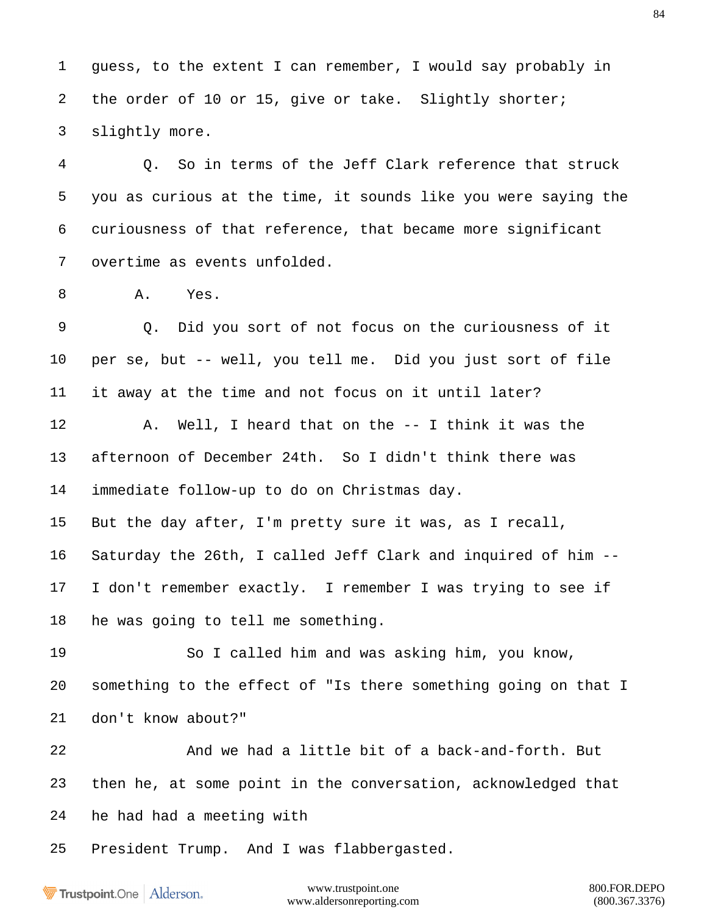guess, to the extent I can remember, I would say probably in 2 the order of 10 or 15, give or take. Slightly shorter; slightly more.

 Q. So in terms of the Jeff Clark reference that struck you as curious at the time, it sounds like you were saying the curiousness of that reference, that became more significant overtime as events unfolded.

A. Yes.

 Q. Did you sort of not focus on the curiousness of it per se, but -- well, you tell me. Did you just sort of file it away at the time and not focus on it until later? A. Well, I heard that on the -- I think it was the afternoon of December 24th. So I didn't think there was immediate follow-up to do on Christmas day. But the day after, I'm pretty sure it was, as I recall, Saturday the 26th, I called Jeff Clark and inquired of him -- I don't remember exactly. I remember I was trying to see if

he was going to tell me something.

 So I called him and was asking him, you know, something to the effect of "Is there something going on that I don't know about?"

 And we had a little bit of a back-and-forth. But then he, at some point in the conversation, acknowledged that he had had a meeting with

President Trump. And I was flabbergasted.

Trustpoint.One Alderson.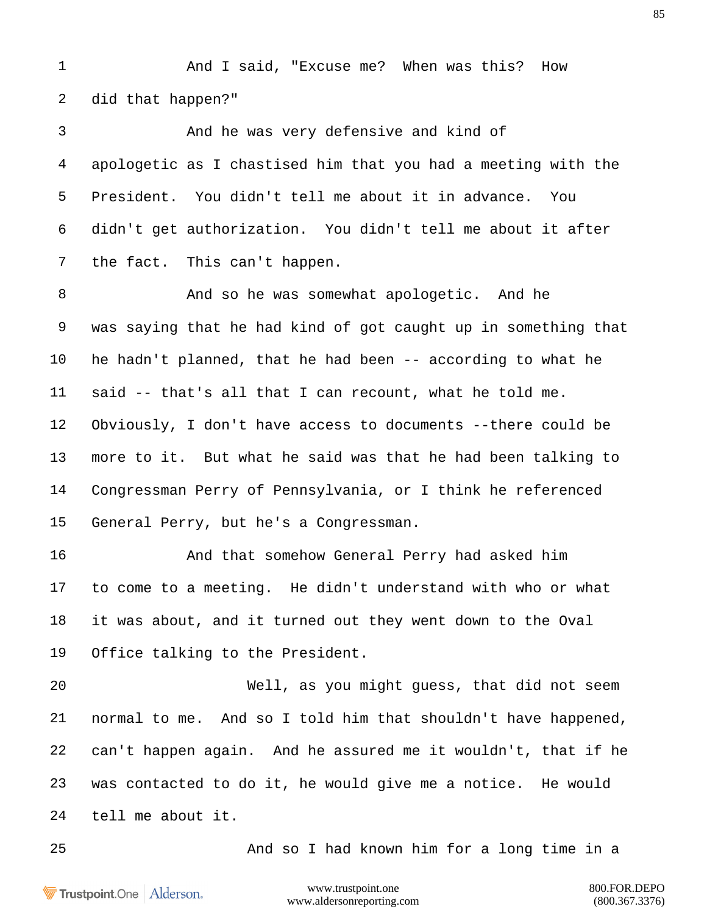And I said, "Excuse me? When was this? How did that happen?"

 And he was very defensive and kind of apologetic as I chastised him that you had a meeting with the President. You didn't tell me about it in advance. You didn't get authorization. You didn't tell me about it after the fact. This can't happen.

 And so he was somewhat apologetic. And he was saying that he had kind of got caught up in something that he hadn't planned, that he had been -- according to what he said -- that's all that I can recount, what he told me. Obviously, I don't have access to documents --there could be more to it. But what he said was that he had been talking to Congressman Perry of Pennsylvania, or I think he referenced General Perry, but he's a Congressman.

 And that somehow General Perry had asked him to come to a meeting. He didn't understand with who or what it was about, and it turned out they went down to the Oval Office talking to the President.

 Well, as you might guess, that did not seem normal to me. And so I told him that shouldn't have happened, can't happen again. And he assured me it wouldn't, that if he was contacted to do it, he would give me a notice. He would tell me about it.

And so I had known him for a long time in a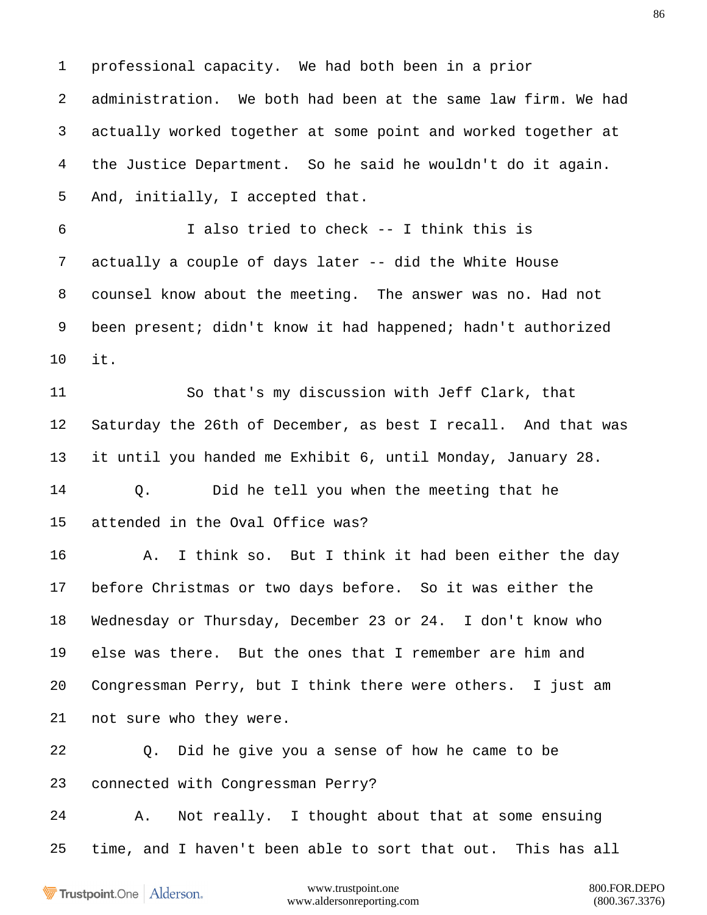professional capacity. We had both been in a prior administration. We both had been at the same law firm. We had actually worked together at some point and worked together at the Justice Department. So he said he wouldn't do it again. And, initially, I accepted that. I also tried to check -- I think this is actually a couple of days later -- did the White House counsel know about the meeting. The answer was no. Had not been present; didn't know it had happened; hadn't authorized it. So that's my discussion with Jeff Clark, that Saturday the 26th of December, as best I recall. And that was it until you handed me Exhibit 6, until Monday, January 28. Q. Did he tell you when the meeting that he attended in the Oval Office was? A. I think so. But I think it had been either the day before Christmas or two days before. So it was either the Wednesday or Thursday, December 23 or 24. I don't know who else was there. But the ones that I remember are him and Congressman Perry, but I think there were others. I just am not sure who they were. Q. Did he give you a sense of how he came to be connected with Congressman Perry? A. Not really. I thought about that at some ensuing time, and I haven't been able to sort that out. This has all

Trustpoint.One Alderson.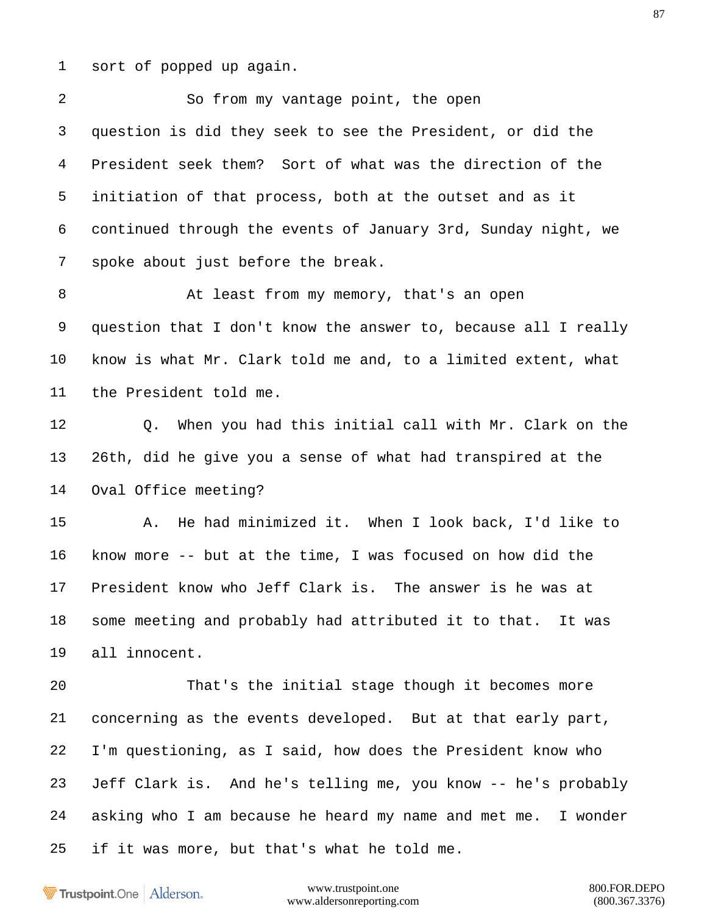sort of popped up again.

 So from my vantage point, the open question is did they seek to see the President, or did the President seek them? Sort of what was the direction of the initiation of that process, both at the outset and as it continued through the events of January 3rd, Sunday night, we spoke about just before the break.

 At least from my memory, that's an open question that I don't know the answer to, because all I really know is what Mr. Clark told me and, to a limited extent, what the President told me.

 Q. When you had this initial call with Mr. Clark on the 26th, did he give you a sense of what had transpired at the Oval Office meeting?

 A. He had minimized it. When I look back, I'd like to know more -- but at the time, I was focused on how did the President know who Jeff Clark is. The answer is he was at some meeting and probably had attributed it to that. It was all innocent.

 That's the initial stage though it becomes more concerning as the events developed. But at that early part, I'm questioning, as I said, how does the President know who Jeff Clark is. And he's telling me, you know -- he's probably asking who I am because he heard my name and met me. I wonder if it was more, but that's what he told me.

Trustpoint.One Alderson.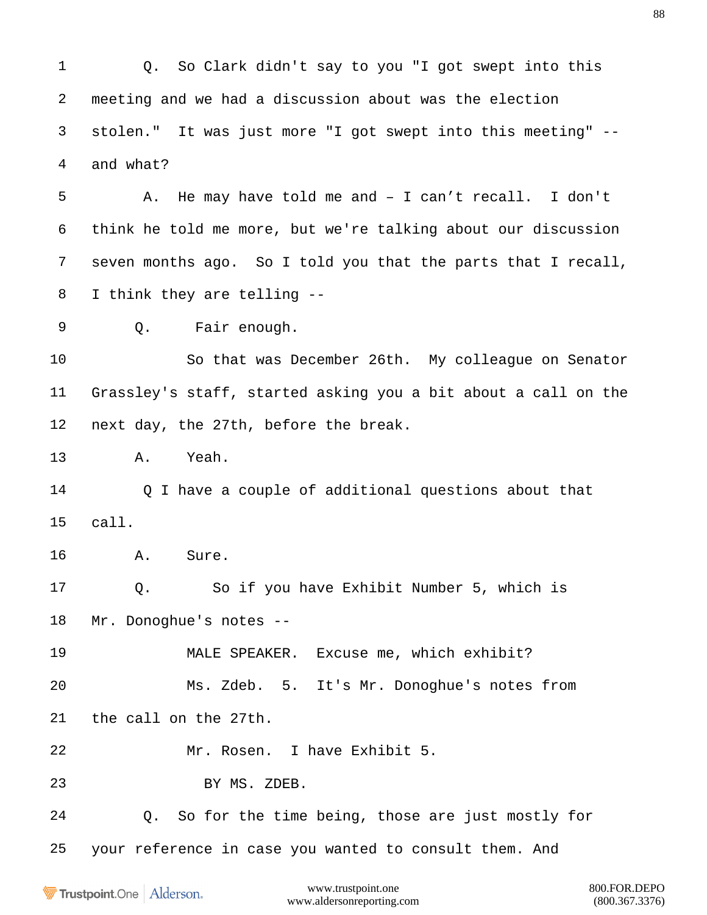Q. So Clark didn't say to you "I got swept into this meeting and we had a discussion about was the election stolen." It was just more "I got swept into this meeting" -- and what? A. He may have told me and – I can't recall. I don't think he told me more, but we're talking about our discussion seven months ago. So I told you that the parts that I recall, I think they are telling -- Q. Fair enough. So that was December 26th. My colleague on Senator Grassley's staff, started asking you a bit about a call on the next day, the 27th, before the break. A. Yeah. 14 O I have a couple of additional questions about that

call.

A. Sure.

 Q. So if you have Exhibit Number 5, which is Mr. Donoghue's notes --

MALE SPEAKER. Excuse me, which exhibit?

 Ms. Zdeb. 5. It's Mr. Donoghue's notes from the call on the 27th.

Mr. Rosen. I have Exhibit 5.

BY MS. ZDEB.

Q. So for the time being, those are just mostly for

your reference in case you wanted to consult them. And

**Trustpoint**.One Alderson.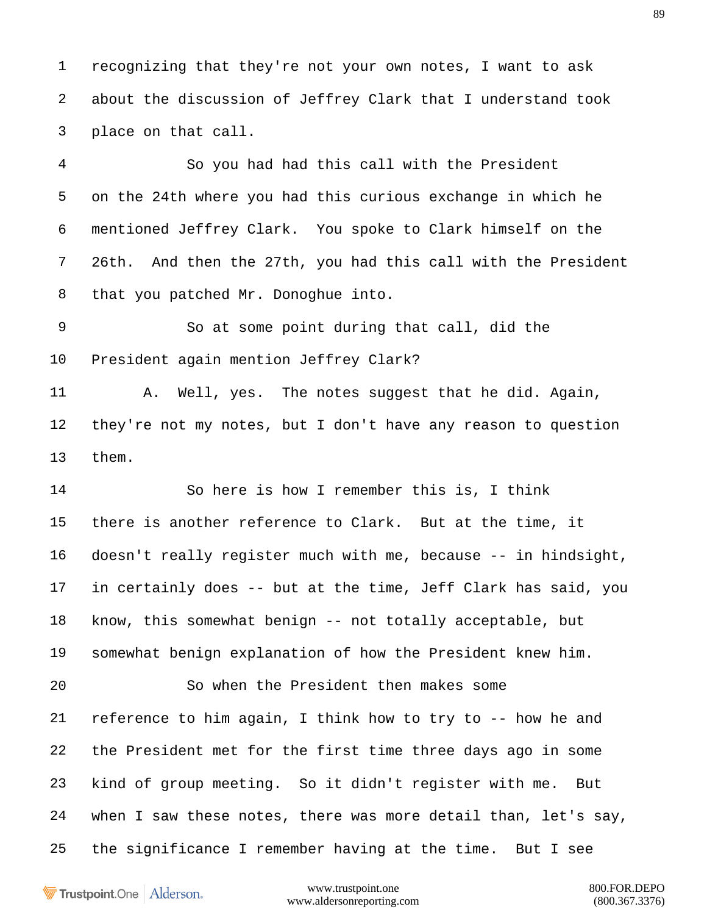recognizing that they're not your own notes, I want to ask about the discussion of Jeffrey Clark that I understand took place on that call.

 So you had had this call with the President on the 24th where you had this curious exchange in which he mentioned Jeffrey Clark. You spoke to Clark himself on the 26th. And then the 27th, you had this call with the President that you patched Mr. Donoghue into.

 So at some point during that call, did the President again mention Jeffrey Clark?

11 A. Well, yes. The notes suggest that he did. Again, they're not my notes, but I don't have any reason to question them.

 So here is how I remember this is, I think there is another reference to Clark. But at the time, it doesn't really register much with me, because -- in hindsight, in certainly does -- but at the time, Jeff Clark has said, you know, this somewhat benign -- not totally acceptable, but somewhat benign explanation of how the President knew him. So when the President then makes some reference to him again, I think how to try to -- how he and the President met for the first time three days ago in some kind of group meeting. So it didn't register with me. But when I saw these notes, there was more detail than, let's say, the significance I remember having at the time. But I see

Trustpoint.One Alderson.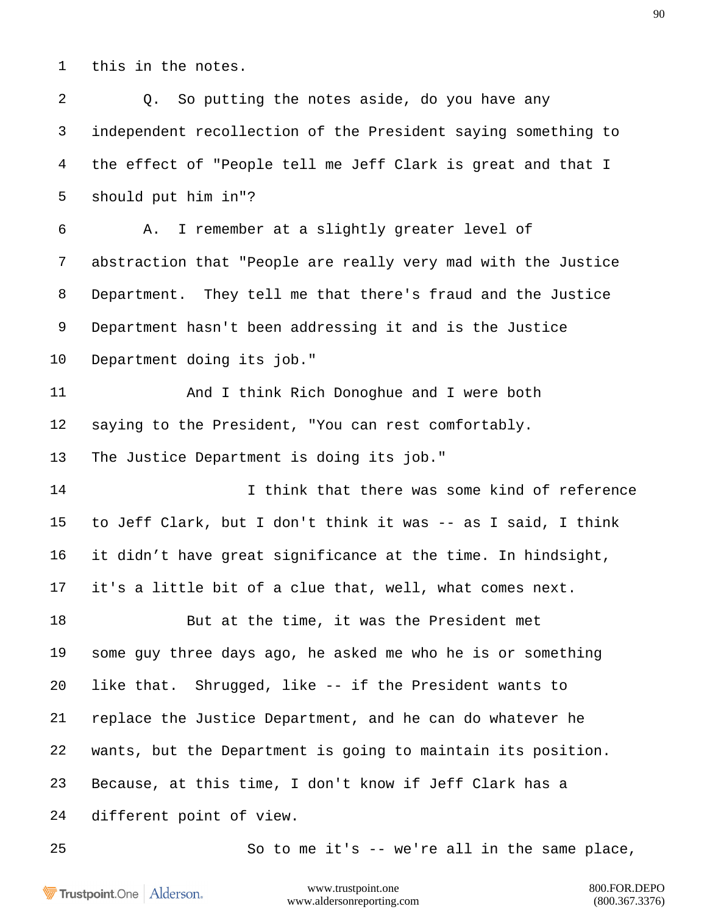this in the notes.

| $\overline{2}$ | So putting the notes aside, do you have any<br>Q.             |
|----------------|---------------------------------------------------------------|
| 3              | independent recollection of the President saying something to |
| $\overline{4}$ | the effect of "People tell me Jeff Clark is great and that I  |
| 5              | should put him in"?                                           |
| 6              | I remember at a slightly greater level of<br>Α.               |
| $\overline{7}$ | abstraction that "People are really very mad with the Justice |
| 8              | Department. They tell me that there's fraud and the Justice   |
| 9              | Department hasn't been addressing it and is the Justice       |
| 10             | Department doing its job."                                    |
| 11             | And I think Rich Donoghue and I were both                     |
| 12             | saying to the President, "You can rest comfortably.           |
| 13             | The Justice Department is doing its job."                     |
| 14             | I think that there was some kind of reference                 |
| 15             | to Jeff Clark, but I don't think it was -- as I said, I think |
| 16             | it didn't have great significance at the time. In hindsight,  |
| 17             | it's a little bit of a clue that, well, what comes next.      |
| 18             | But at the time, it was the President met                     |
| 19             | some guy three days ago, he asked me who he is or something   |
| 20             | like that. Shrugged, like -- if the President wants to        |
| 21             | replace the Justice Department, and he can do whatever he     |
| 22             | wants, but the Department is going to maintain its position.  |
| 23             | Because, at this time, I don't know if Jeff Clark has a       |
| 24             | different point of view.                                      |
| 25             | So to me it's -- we're all in the same place,                 |

Trustpoint.One | Alderson.

www.trustpoint.one 800.FOR.DEPO<br>w.aldersonreporting.com (800.367.3376) www.aldersonreporting.com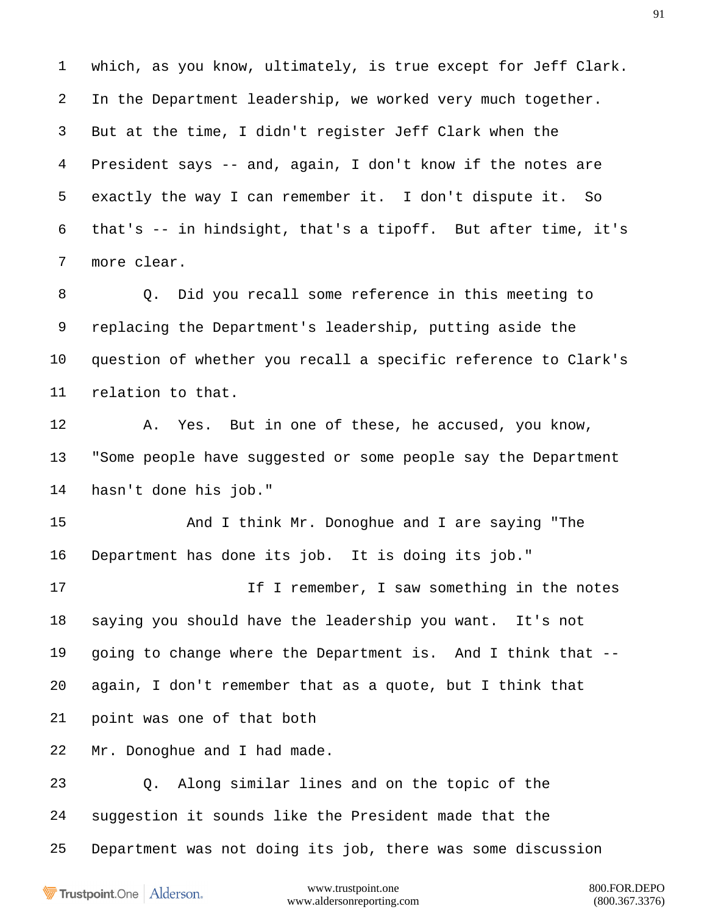which, as you know, ultimately, is true except for Jeff Clark. In the Department leadership, we worked very much together. But at the time, I didn't register Jeff Clark when the President says -- and, again, I don't know if the notes are exactly the way I can remember it. I don't dispute it. So that's -- in hindsight, that's a tipoff. But after time, it's more clear.

 Q. Did you recall some reference in this meeting to replacing the Department's leadership, putting aside the question of whether you recall a specific reference to Clark's relation to that.

 A. Yes. But in one of these, he accused, you know, "Some people have suggested or some people say the Department hasn't done his job."

 And I think Mr. Donoghue and I are saying "The Department has done its job. It is doing its job."

17 17 If I remember, I saw something in the notes saying you should have the leadership you want. It's not going to change where the Department is. And I think that -- again, I don't remember that as a quote, but I think that point was one of that both

Mr. Donoghue and I had made.

 Q. Along similar lines and on the topic of the suggestion it sounds like the President made that the Department was not doing its job, there was some discussion

Trustpoint.One Alderson.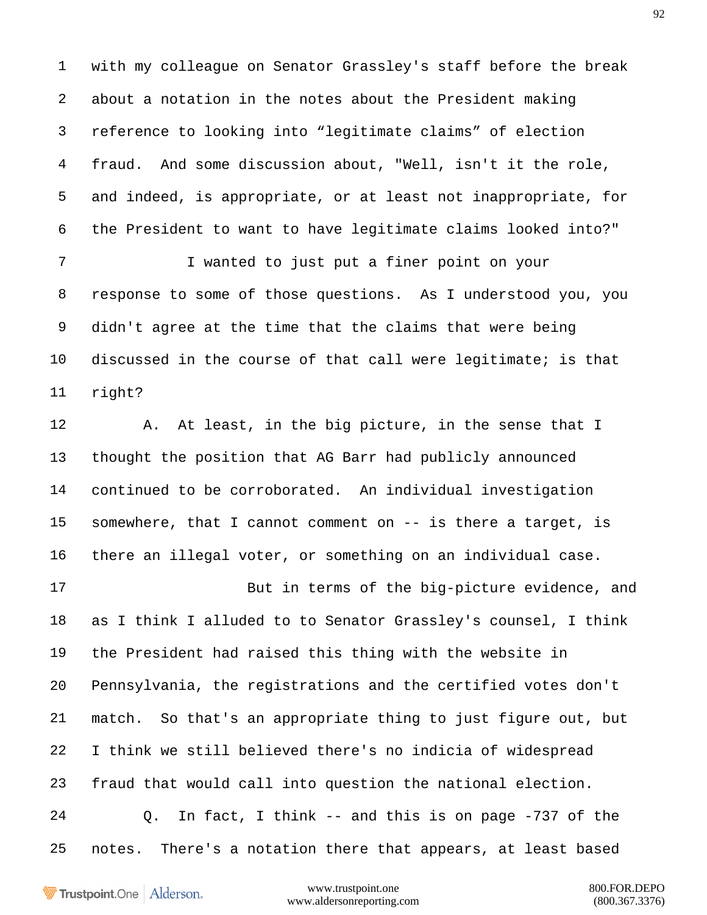with my colleague on Senator Grassley's staff before the break about a notation in the notes about the President making reference to looking into "legitimate claims" of election fraud. And some discussion about, "Well, isn't it the role, and indeed, is appropriate, or at least not inappropriate, for the President to want to have legitimate claims looked into?"

 I wanted to just put a finer point on your response to some of those questions. As I understood you, you didn't agree at the time that the claims that were being discussed in the course of that call were legitimate; is that right?

 A. At least, in the big picture, in the sense that I thought the position that AG Barr had publicly announced continued to be corroborated. An individual investigation somewhere, that I cannot comment on -- is there a target, is there an illegal voter, or something on an individual case.

 But in terms of the big-picture evidence, and as I think I alluded to to Senator Grassley's counsel, I think the President had raised this thing with the website in Pennsylvania, the registrations and the certified votes don't match. So that's an appropriate thing to just figure out, but I think we still believed there's no indicia of widespread fraud that would call into question the national election. Q. In fact, I think -- and this is on page -737 of the notes. There's a notation there that appears, at least based

Trustpoint.One Alderson.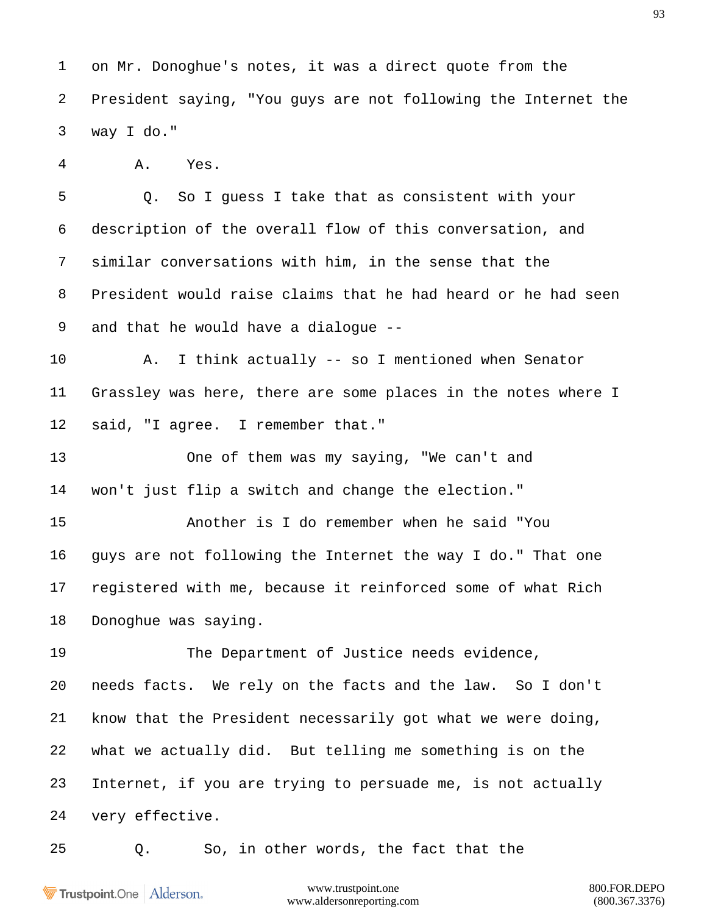on Mr. Donoghue's notes, it was a direct quote from the President saying, "You guys are not following the Internet the way I do."

A. Yes.

 Q. So I guess I take that as consistent with your description of the overall flow of this conversation, and similar conversations with him, in the sense that the President would raise claims that he had heard or he had seen and that he would have a dialogue --

 A. I think actually -- so I mentioned when Senator Grassley was here, there are some places in the notes where I said, "I agree. I remember that."

 One of them was my saying, "We can't and won't just flip a switch and change the election."

 Another is I do remember when he said "You guys are not following the Internet the way I do." That one registered with me, because it reinforced some of what Rich Donoghue was saying.

 The Department of Justice needs evidence, needs facts. We rely on the facts and the law. So I don't know that the President necessarily got what we were doing, what we actually did. But telling me something is on the Internet, if you are trying to persuade me, is not actually very effective.

Q. So, in other words, the fact that the

Trustpoint.One Alderson.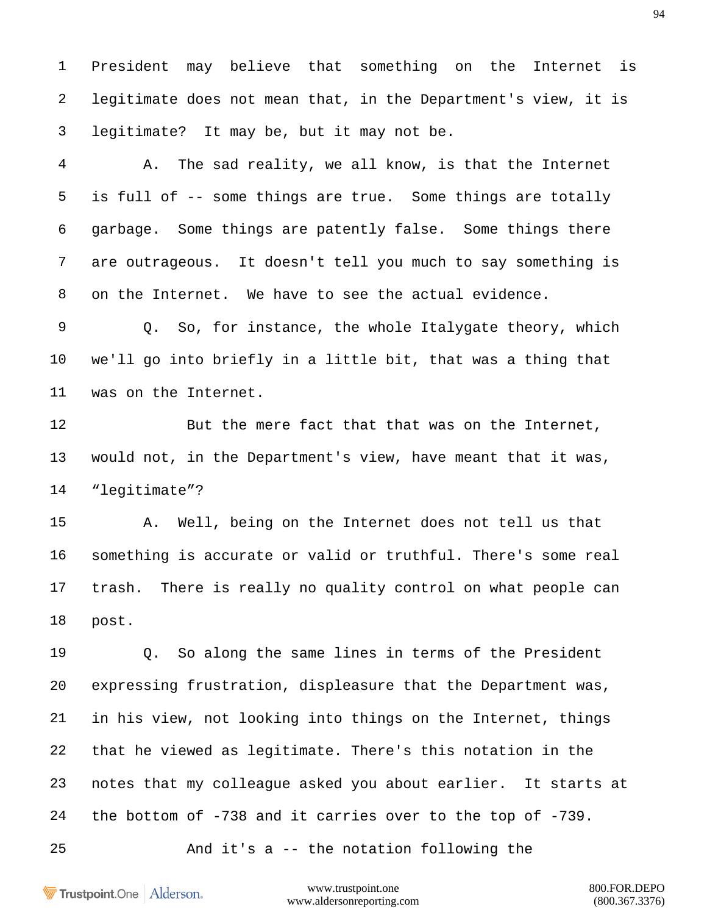President may believe that something on the Internet is legitimate does not mean that, in the Department's view, it is legitimate? It may be, but it may not be.

 A. The sad reality, we all know, is that the Internet is full of -- some things are true. Some things are totally garbage. Some things are patently false. Some things there are outrageous. It doesn't tell you much to say something is on the Internet. We have to see the actual evidence.

 Q. So, for instance, the whole Italygate theory, which we'll go into briefly in a little bit, that was a thing that was on the Internet.

12 But the mere fact that that was on the Internet, would not, in the Department's view, have meant that it was, "legitimate"?

 A. Well, being on the Internet does not tell us that something is accurate or valid or truthful. There's some real trash. There is really no quality control on what people can post.

 Q. So along the same lines in terms of the President expressing frustration, displeasure that the Department was, in his view, not looking into things on the Internet, things that he viewed as legitimate. There's this notation in the notes that my colleague asked you about earlier. It starts at the bottom of -738 and it carries over to the top of -739.

And it's a -- the notation following the

Trustpoint.One Alderson.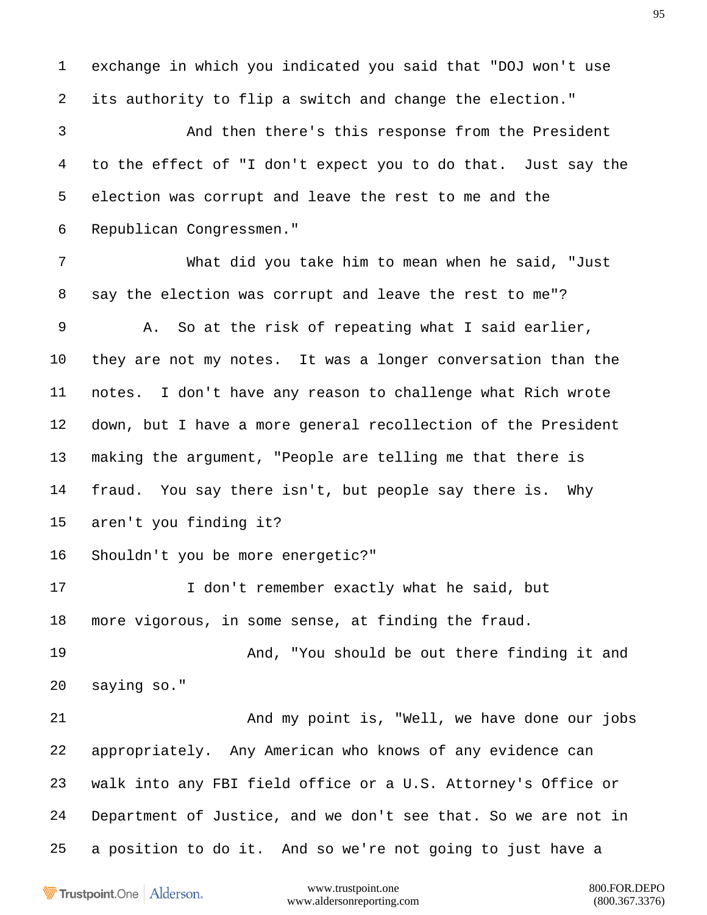exchange in which you indicated you said that "DOJ won't use its authority to flip a switch and change the election."

 And then there's this response from the President to the effect of "I don't expect you to do that. Just say the election was corrupt and leave the rest to me and the Republican Congressmen."

 What did you take him to mean when he said, "Just say the election was corrupt and leave the rest to me"? A. So at the risk of repeating what I said earlier, they are not my notes. It was a longer conversation than the notes. I don't have any reason to challenge what Rich wrote down, but I have a more general recollection of the President making the argument, "People are telling me that there is fraud. You say there isn't, but people say there is. Why aren't you finding it? Shouldn't you be more energetic?" 17 I don't remember exactly what he said, but

more vigorous, in some sense, at finding the fraud.

 And, "You should be out there finding it and saying so."

 And my point is, "Well, we have done our jobs appropriately. Any American who knows of any evidence can walk into any FBI field office or a U.S. Attorney's Office or Department of Justice, and we don't see that. So we are not in a position to do it. And so we're not going to just have a

Trustpoint.One Alderson.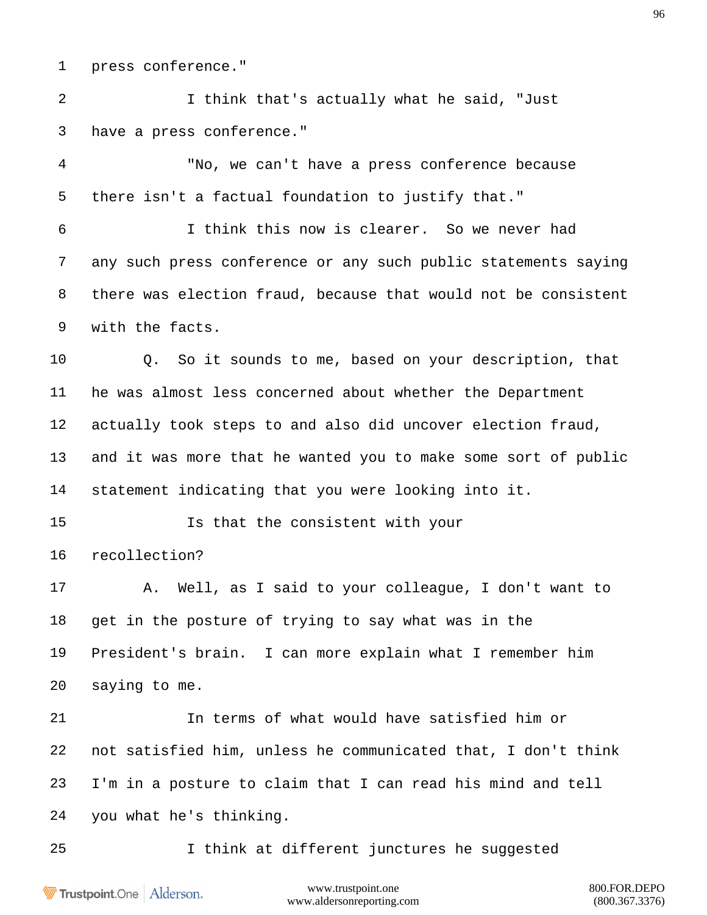press conference."

 I think that's actually what he said, "Just have a press conference."

 "No, we can't have a press conference because there isn't a factual foundation to justify that."

 I think this now is clearer. So we never had any such press conference or any such public statements saying there was election fraud, because that would not be consistent with the facts.

 Q. So it sounds to me, based on your description, that he was almost less concerned about whether the Department actually took steps to and also did uncover election fraud, and it was more that he wanted you to make some sort of public statement indicating that you were looking into it.

 Is that the consistent with your recollection?

 A. Well, as I said to your colleague, I don't want to get in the posture of trying to say what was in the President's brain. I can more explain what I remember him saying to me.

 In terms of what would have satisfied him or not satisfied him, unless he communicated that, I don't think I'm in a posture to claim that I can read his mind and tell you what he's thinking.

I think at different junctures he suggested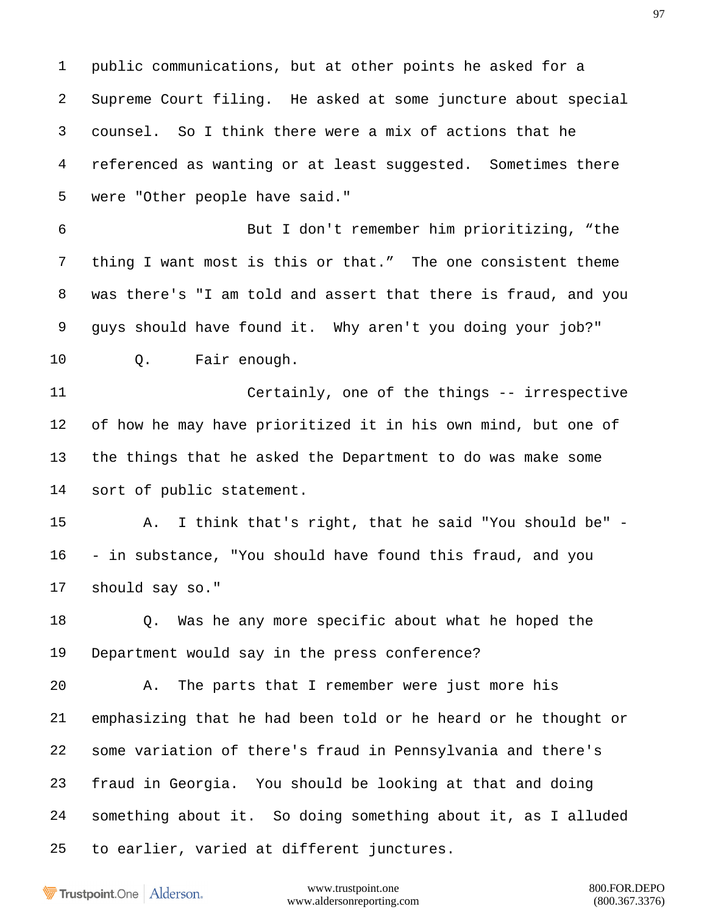public communications, but at other points he asked for a Supreme Court filing. He asked at some juncture about special counsel. So I think there were a mix of actions that he referenced as wanting or at least suggested. Sometimes there were "Other people have said."

 But I don't remember him prioritizing, "the thing I want most is this or that." The one consistent theme was there's "I am told and assert that there is fraud, and you guys should have found it. Why aren't you doing your job?" Q. Fair enough.

 Certainly, one of the things -- irrespective of how he may have prioritized it in his own mind, but one of the things that he asked the Department to do was make some sort of public statement.

 A. I think that's right, that he said "You should be" - - in substance, "You should have found this fraud, and you should say so."

 Q. Was he any more specific about what he hoped the Department would say in the press conference?

 A. The parts that I remember were just more his emphasizing that he had been told or he heard or he thought or some variation of there's fraud in Pennsylvania and there's fraud in Georgia. You should be looking at that and doing something about it. So doing something about it, as I alluded to earlier, varied at different junctures.

Trustpoint.One Alderson.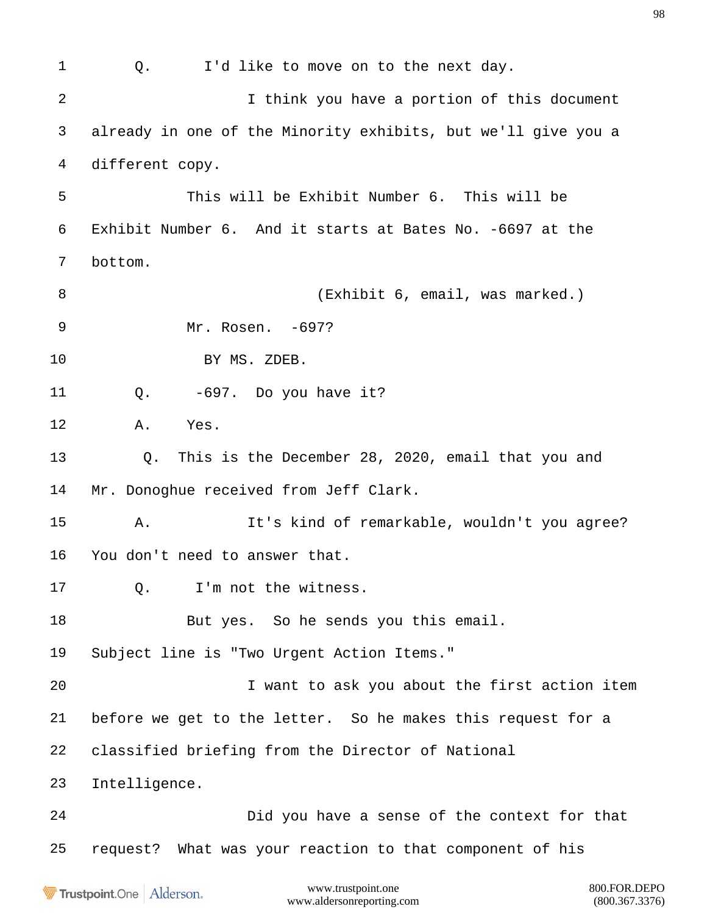www.trustpoint.one 800.FOR.DEPO 1 0. I'd like to move on to the next day. I think you have a portion of this document already in one of the Minority exhibits, but we'll give you a different copy. This will be Exhibit Number 6. This will be Exhibit Number 6. And it starts at Bates No. -6697 at the bottom. 8 (Exhibit 6, email, was marked.) Mr. Rosen. -697? BY MS. ZDEB. Q. -697. Do you have it? A. Yes. Q. This is the December 28, 2020, email that you and Mr. Donoghue received from Jeff Clark. A. It's kind of remarkable, wouldn't you agree? You don't need to answer that. 17 0. I'm not the witness. 18 But yes. So he sends you this email. Subject line is "Two Urgent Action Items." I want to ask you about the first action item before we get to the letter. So he makes this request for a classified briefing from the Director of National Intelligence. Did you have a sense of the context for that request? What was your reaction to that component of his

Trustpoint.One Alderson.

www.aldersonreporting.com (800.367.3376)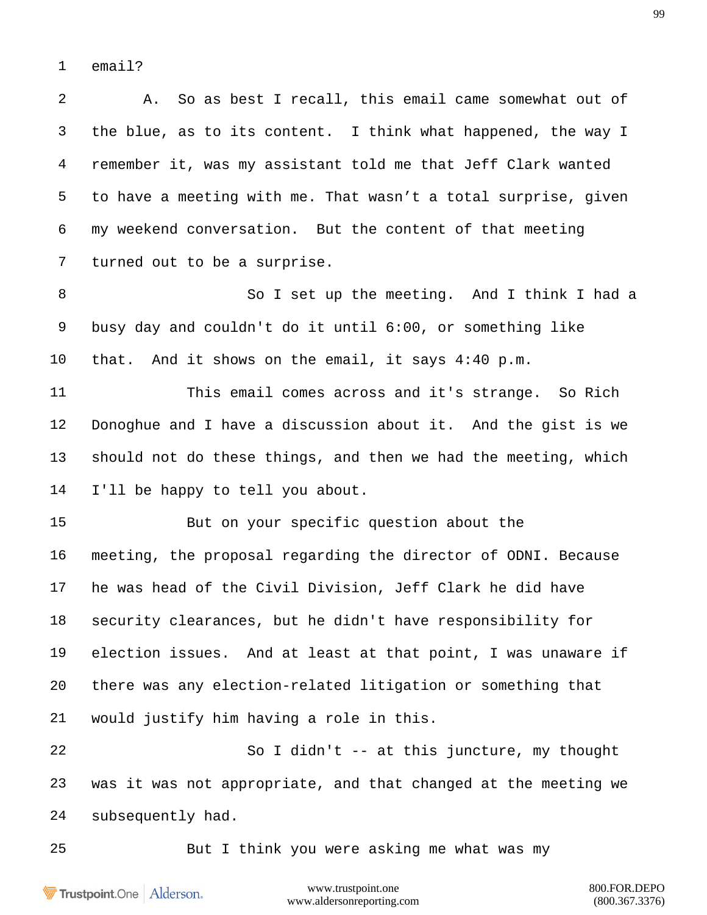email?

 A. So as best I recall, this email came somewhat out of the blue, as to its content. I think what happened, the way I remember it, was my assistant told me that Jeff Clark wanted to have a meeting with me. That wasn't a total surprise, given my weekend conversation. But the content of that meeting turned out to be a surprise. So I set up the meeting. And I think I had a busy day and couldn't do it until 6:00, or something like that. And it shows on the email, it says 4:40 p.m. This email comes across and it's strange. So Rich Donoghue and I have a discussion about it. And the gist is we should not do these things, and then we had the meeting, which I'll be happy to tell you about. But on your specific question about the meeting, the proposal regarding the director of ODNI. Because he was head of the Civil Division, Jeff Clark he did have security clearances, but he didn't have responsibility for election issues. And at least at that point, I was unaware if there was any election-related litigation or something that would justify him having a role in this. So I didn't -- at this juncture, my thought was it was not appropriate, and that changed at the meeting we

subsequently had.

But I think you were asking me what was my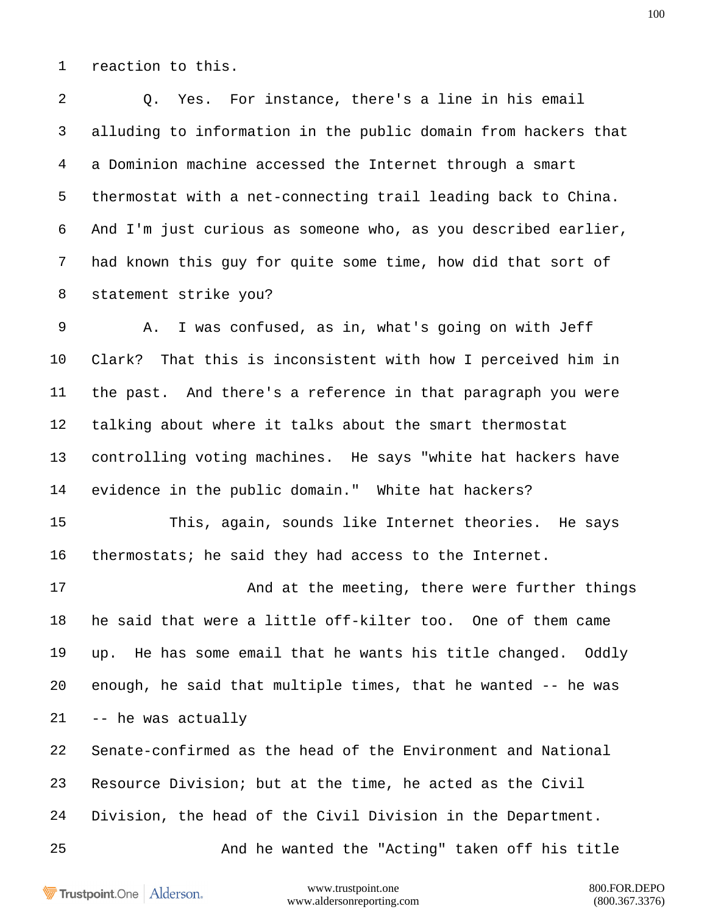reaction to this.

 Q. Yes. For instance, there's a line in his email alluding to information in the public domain from hackers that a Dominion machine accessed the Internet through a smart thermostat with a net-connecting trail leading back to China. And I'm just curious as someone who, as you described earlier, had known this guy for quite some time, how did that sort of statement strike you? A. I was confused, as in, what's going on with Jeff

 Clark? That this is inconsistent with how I perceived him in the past. And there's a reference in that paragraph you were talking about where it talks about the smart thermostat controlling voting machines. He says "white hat hackers have evidence in the public domain." White hat hackers?

 This, again, sounds like Internet theories. He says thermostats; he said they had access to the Internet.

17 And at the meeting, there were further things he said that were a little off-kilter too. One of them came up. He has some email that he wants his title changed. Oddly enough, he said that multiple times, that he wanted -- he was -- he was actually

 Senate-confirmed as the head of the Environment and National Resource Division; but at the time, he acted as the Civil Division, the head of the Civil Division in the Department.

And he wanted the "Acting" taken off his title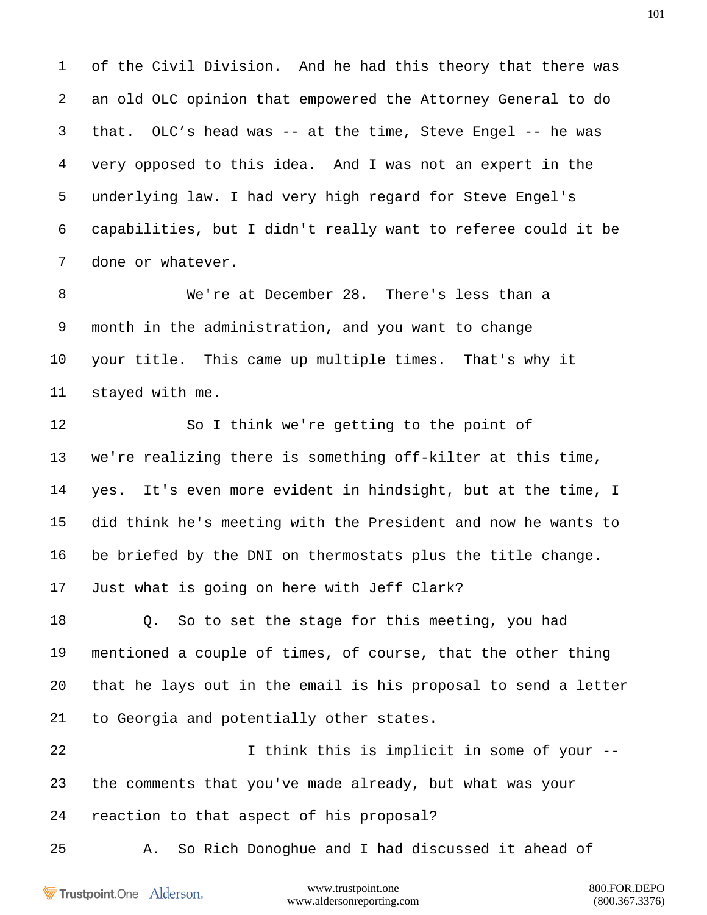of the Civil Division. And he had this theory that there was an old OLC opinion that empowered the Attorney General to do that. OLC's head was -- at the time, Steve Engel -- he was very opposed to this idea. And I was not an expert in the underlying law. I had very high regard for Steve Engel's capabilities, but I didn't really want to referee could it be done or whatever.

 We're at December 28. There's less than a month in the administration, and you want to change your title. This came up multiple times. That's why it stayed with me.

 So I think we're getting to the point of we're realizing there is something off-kilter at this time, yes. It's even more evident in hindsight, but at the time, I did think he's meeting with the President and now he wants to be briefed by the DNI on thermostats plus the title change. Just what is going on here with Jeff Clark?

 Q. So to set the stage for this meeting, you had mentioned a couple of times, of course, that the other thing that he lays out in the email is his proposal to send a letter to Georgia and potentially other states.

22 1 I think this is implicit in some of your -- the comments that you've made already, but what was your reaction to that aspect of his proposal?

A. So Rich Donoghue and I had discussed it ahead of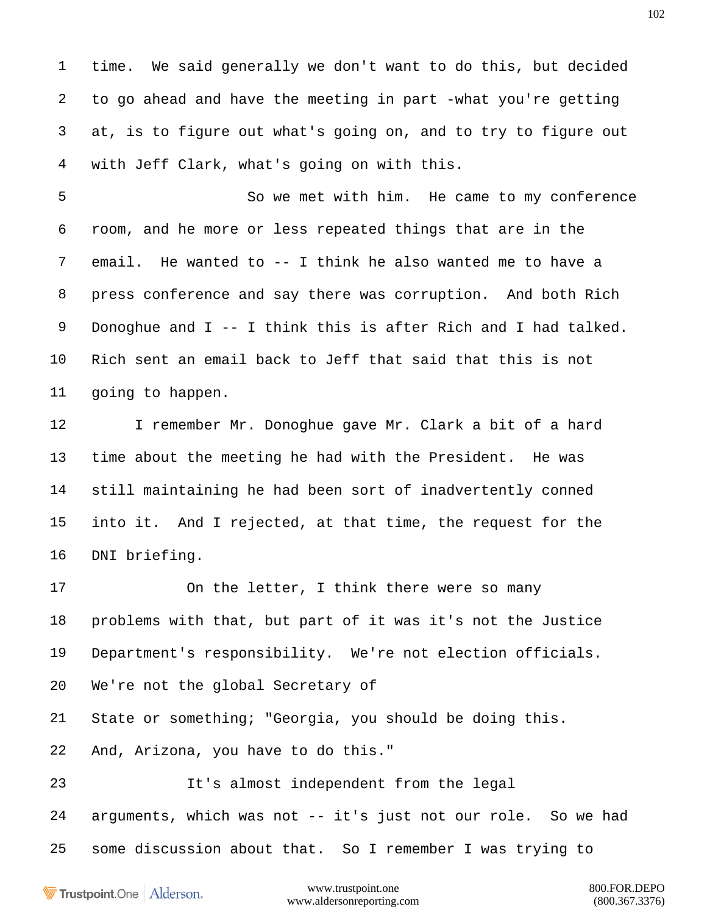time. We said generally we don't want to do this, but decided to go ahead and have the meeting in part -what you're getting at, is to figure out what's going on, and to try to figure out with Jeff Clark, what's going on with this.

 So we met with him. He came to my conference room, and he more or less repeated things that are in the email. He wanted to -- I think he also wanted me to have a press conference and say there was corruption. And both Rich Donoghue and I -- I think this is after Rich and I had talked. Rich sent an email back to Jeff that said that this is not going to happen.

 I remember Mr. Donoghue gave Mr. Clark a bit of a hard time about the meeting he had with the President. He was still maintaining he had been sort of inadvertently conned into it. And I rejected, at that time, the request for the DNI briefing.

 On the letter, I think there were so many problems with that, but part of it was it's not the Justice Department's responsibility. We're not election officials. We're not the global Secretary of State or something; "Georgia, you should be doing this. And, Arizona, you have to do this."

 It's almost independent from the legal arguments, which was not -- it's just not our role. So we had some discussion about that. So I remember I was trying to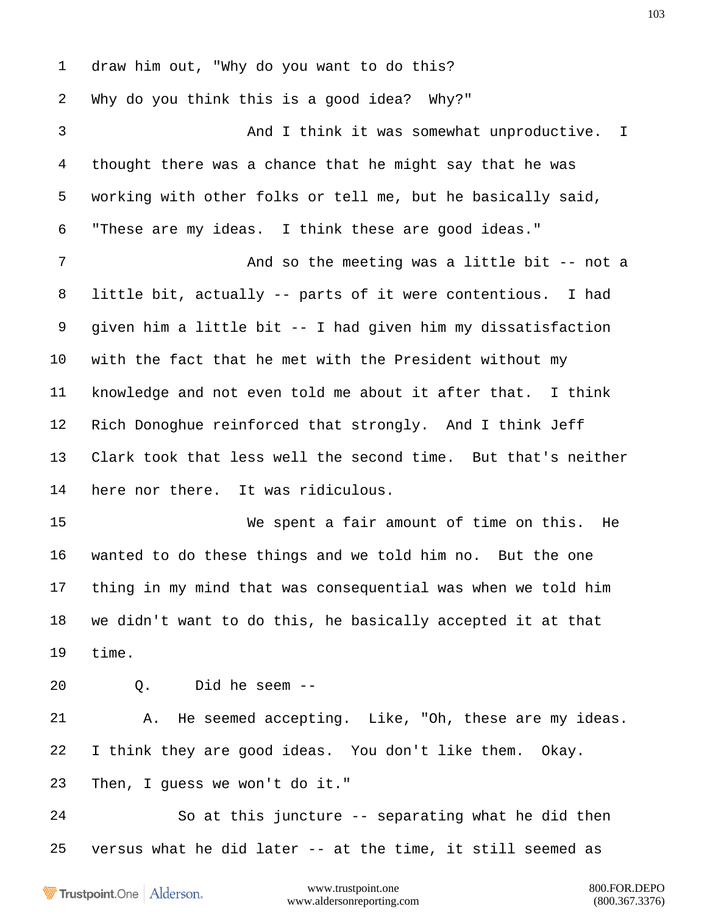draw him out, "Why do you want to do this? Why do you think this is a good idea? Why?" And I think it was somewhat unproductive. I thought there was a chance that he might say that he was working with other folks or tell me, but he basically said, "These are my ideas. I think these are good ideas." 7 And so the meeting was a little bit -- not a little bit, actually -- parts of it were contentious. I had given him a little bit -- I had given him my dissatisfaction with the fact that he met with the President without my knowledge and not even told me about it after that. I think Rich Donoghue reinforced that strongly. And I think Jeff Clark took that less well the second time. But that's neither here nor there. It was ridiculous. We spent a fair amount of time on this. He wanted to do these things and we told him no. But the one thing in my mind that was consequential was when we told him we didn't want to do this, he basically accepted it at that time. Q. Did he seem -- A. He seemed accepting. Like, "Oh, these are my ideas. I think they are good ideas. You don't like them. Okay. Then, I guess we won't do it." So at this juncture -- separating what he did then versus what he did later -- at the time, it still seemed as

Trustpoint.One Alderson.

www.trustpoint.one 800.FOR.DEPO www.aldersonreporting.com (800.367.3376)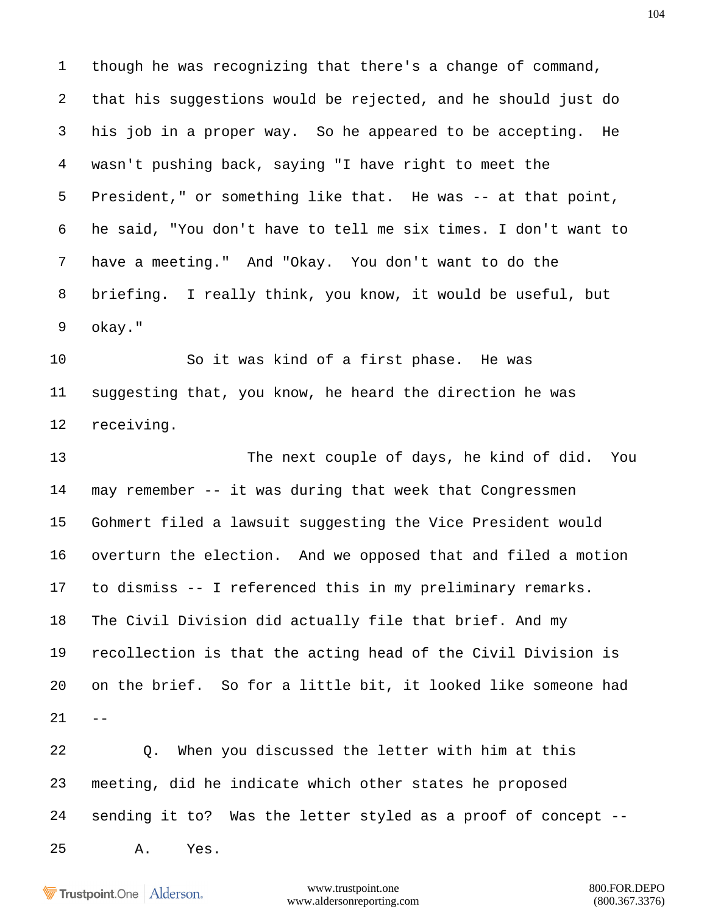though he was recognizing that there's a change of command, that his suggestions would be rejected, and he should just do his job in a proper way. So he appeared to be accepting. He wasn't pushing back, saying "I have right to meet the President," or something like that. He was -- at that point, he said, "You don't have to tell me six times. I don't want to have a meeting." And "Okay. You don't want to do the briefing. I really think, you know, it would be useful, but okay."

 So it was kind of a first phase. He was suggesting that, you know, he heard the direction he was receiving.

 The next couple of days, he kind of did. You may remember -- it was during that week that Congressmen Gohmert filed a lawsuit suggesting the Vice President would overturn the election. And we opposed that and filed a motion to dismiss -- I referenced this in my preliminary remarks. The Civil Division did actually file that brief. And my recollection is that the acting head of the Civil Division is on the brief. So for a little bit, it looked like someone had  $21 - -$ 

 Q. When you discussed the letter with him at this meeting, did he indicate which other states he proposed sending it to? Was the letter styled as a proof of concept -- A. Yes.

```
Trustpoint.One Alderson.
```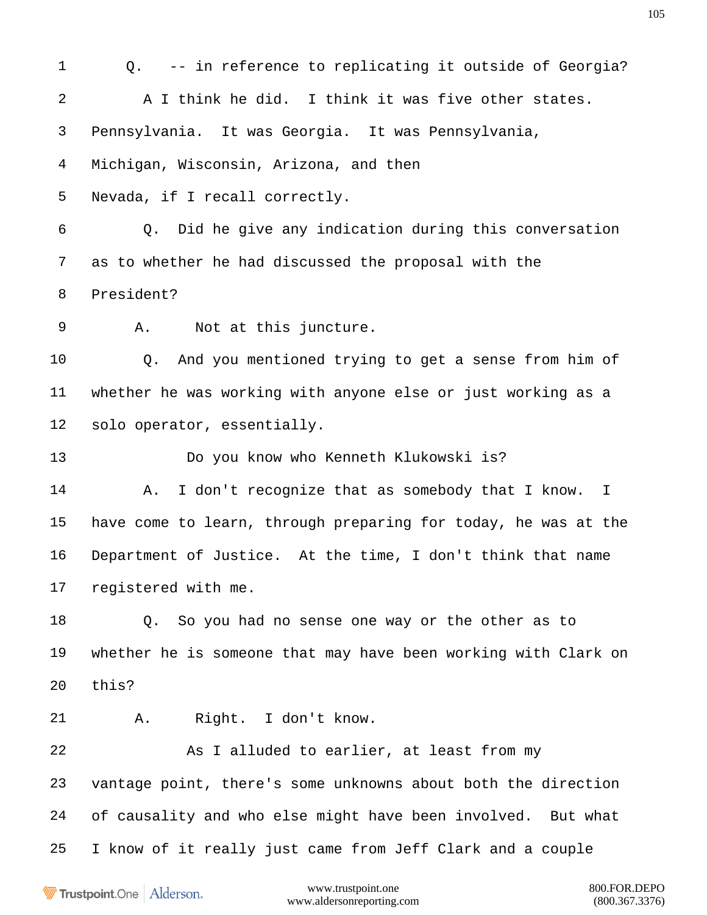Q. -- in reference to replicating it outside of Georgia? A I think he did. I think it was five other states. Pennsylvania. It was Georgia. It was Pennsylvania, Michigan, Wisconsin, Arizona, and then Nevada, if I recall correctly. Q. Did he give any indication during this conversation as to whether he had discussed the proposal with the President? A. Not at this juncture. Q. And you mentioned trying to get a sense from him of whether he was working with anyone else or just working as a solo operator, essentially. Do you know who Kenneth Klukowski is? 14 A. I don't recognize that as somebody that I know. I have come to learn, through preparing for today, he was at the Department of Justice. At the time, I don't think that name registered with me. Q. So you had no sense one way or the other as to whether he is someone that may have been working with Clark on this? A. Right. I don't know. As I alluded to earlier, at least from my vantage point, there's some unknowns about both the direction of causality and who else might have been involved. But what I know of it really just came from Jeff Clark and a couple

Trustpoint.One Alderson.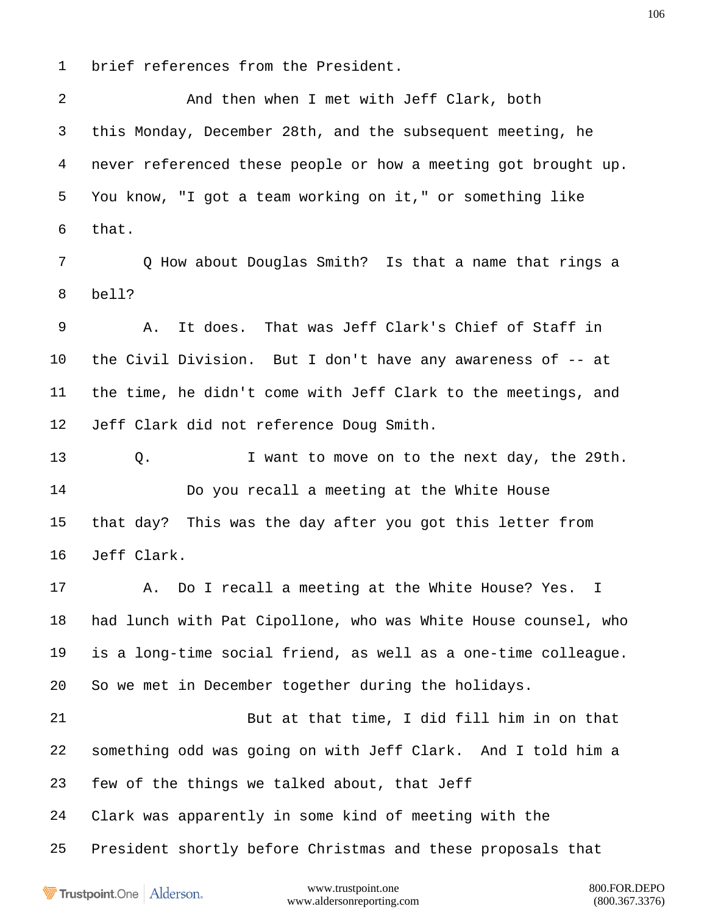brief references from the President.

 And then when I met with Jeff Clark, both this Monday, December 28th, and the subsequent meeting, he never referenced these people or how a meeting got brought up. You know, "I got a team working on it," or something like that.

 Q How about Douglas Smith? Is that a name that rings a bell?

 A. It does. That was Jeff Clark's Chief of Staff in the Civil Division. But I don't have any awareness of -- at the time, he didn't come with Jeff Clark to the meetings, and Jeff Clark did not reference Doug Smith.

 Q. I want to move on to the next day, the 29th. Do you recall a meeting at the White House that day? This was the day after you got this letter from Jeff Clark.

 A. Do I recall a meeting at the White House? Yes. I had lunch with Pat Cipollone, who was White House counsel, who is a long-time social friend, as well as a one-time colleague. So we met in December together during the holidays.

 But at that time, I did fill him in on that something odd was going on with Jeff Clark. And I told him a few of the things we talked about, that Jeff

Clark was apparently in some kind of meeting with the

President shortly before Christmas and these proposals that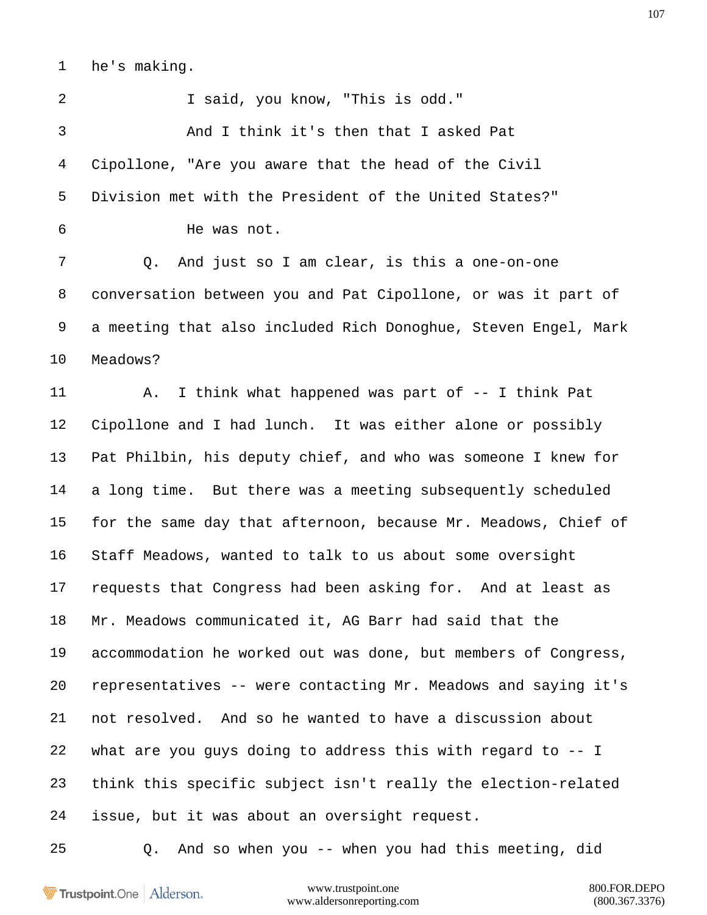he's making.

2 1 Said, you know, "This is odd." And I think it's then that I asked Pat Cipollone, "Are you aware that the head of the Civil Division met with the President of the United States?" He was not. Q. And just so I am clear, is this a one-on-one conversation between you and Pat Cipollone, or was it part of a meeting that also included Rich Donoghue, Steven Engel, Mark Meadows? 11 A. I think what happened was part of -- I think Pat Cipollone and I had lunch. It was either alone or possibly Pat Philbin, his deputy chief, and who was someone I knew for a long time. But there was a meeting subsequently scheduled for the same day that afternoon, because Mr. Meadows, Chief of Staff Meadows, wanted to talk to us about some oversight requests that Congress had been asking for. And at least as Mr. Meadows communicated it, AG Barr had said that the accommodation he worked out was done, but members of Congress, representatives -- were contacting Mr. Meadows and saying it's not resolved. And so he wanted to have a discussion about what are you guys doing to address this with regard to -- I think this specific subject isn't really the election-related issue, but it was about an oversight request.

Trustpoint.One Alderson.

www.trustpoint.one 800.FOR.DEPO www.aldersonreporting.com (800.367.3376)

Q. And so when you -- when you had this meeting, did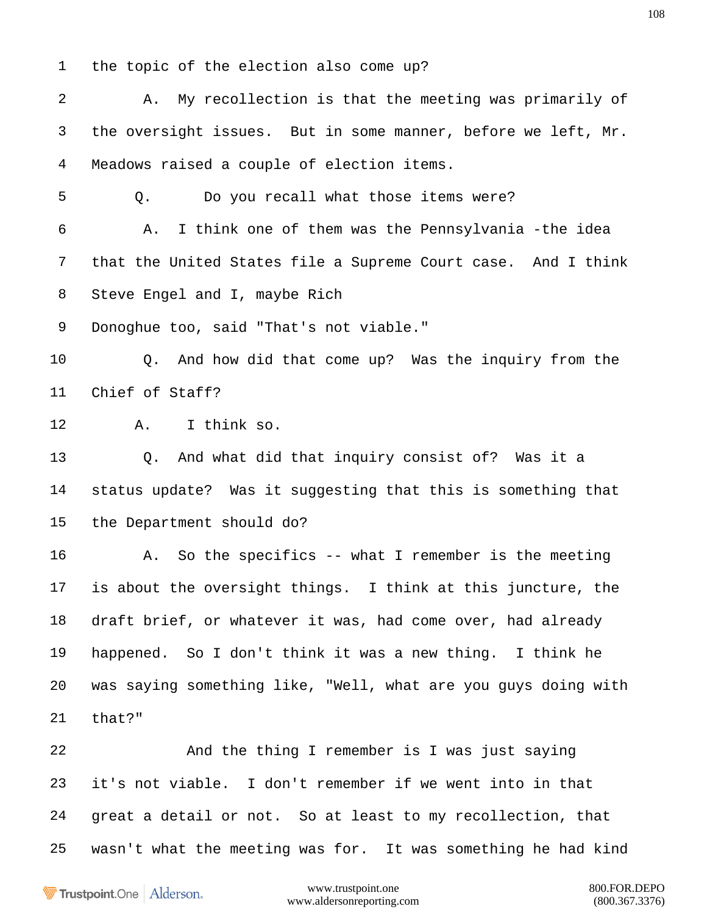the topic of the election also come up?

 A. My recollection is that the meeting was primarily of the oversight issues. But in some manner, before we left, Mr. Meadows raised a couple of election items. Q. Do you recall what those items were? A. I think one of them was the Pennsylvania -the idea that the United States file a Supreme Court case. And I think Steve Engel and I, maybe Rich Donoghue too, said "That's not viable." Q. And how did that come up? Was the inquiry from the Chief of Staff? A. I think so. Q. And what did that inquiry consist of? Was it a status update? Was it suggesting that this is something that the Department should do? A. So the specifics -- what I remember is the meeting is about the oversight things. I think at this juncture, the draft brief, or whatever it was, had come over, had already happened. So I don't think it was a new thing. I think he was saying something like, "Well, what are you guys doing with that?" And the thing I remember is I was just saying it's not viable. I don't remember if we went into in that great a detail or not. So at least to my recollection, that wasn't what the meeting was for. It was something he had kind

Trustpoint.One Alderson.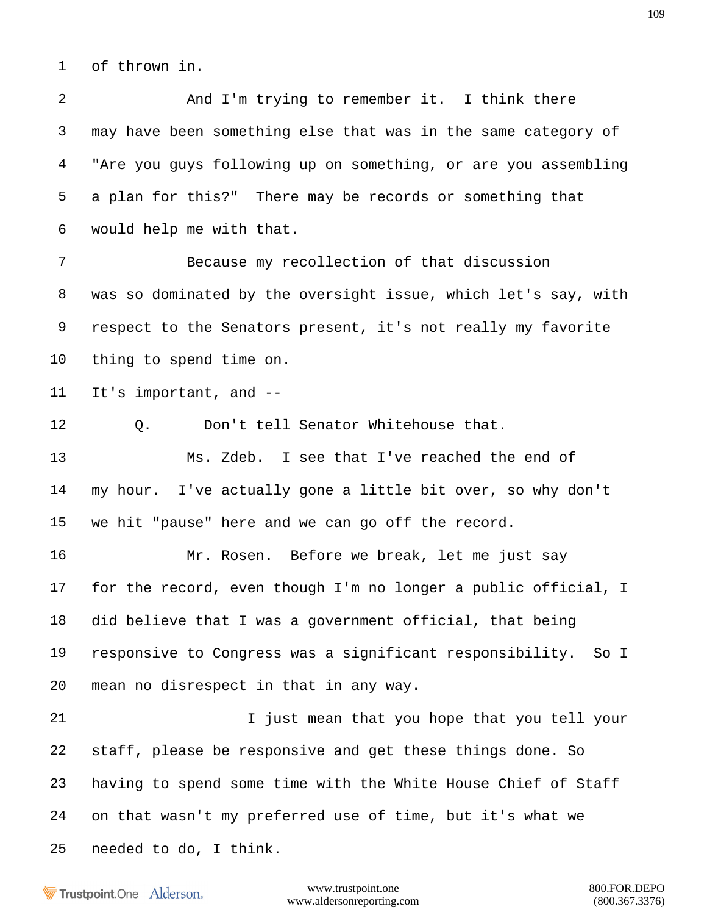of thrown in.

 And I'm trying to remember it. I think there may have been something else that was in the same category of "Are you guys following up on something, or are you assembling a plan for this?" There may be records or something that would help me with that. Because my recollection of that discussion was so dominated by the oversight issue, which let's say, with respect to the Senators present, it's not really my favorite thing to spend time on. It's important, and -- Q. Don't tell Senator Whitehouse that. Ms. Zdeb. I see that I've reached the end of my hour. I've actually gone a little bit over, so why don't we hit "pause" here and we can go off the record. Mr. Rosen. Before we break, let me just say for the record, even though I'm no longer a public official, I did believe that I was a government official, that being responsive to Congress was a significant responsibility. So I mean no disrespect in that in any way. 21 1 1 Just mean that you hope that you tell your staff, please be responsive and get these things done. So having to spend some time with the White House Chief of Staff on that wasn't my preferred use of time, but it's what we needed to do, I think.

Trustpoint.One Alderson.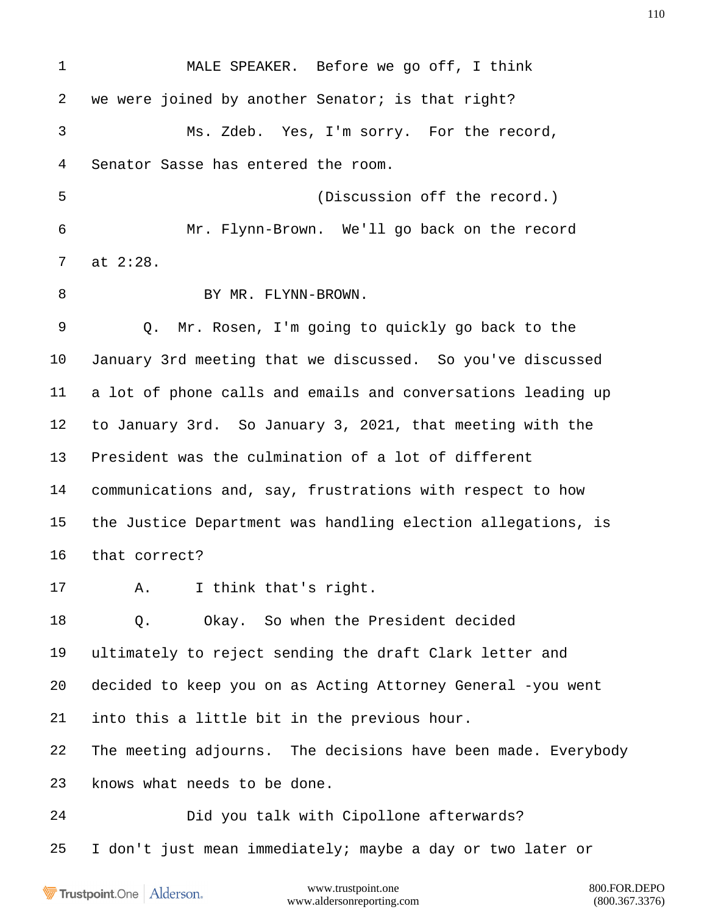MALE SPEAKER. Before we go off, I think we were joined by another Senator; is that right? Ms. Zdeb. Yes, I'm sorry. For the record, Senator Sasse has entered the room. (Discussion off the record.) Mr. Flynn-Brown. We'll go back on the record at 2:28. 8 BY MR. FLYNN-BROWN. Q. Mr. Rosen, I'm going to quickly go back to the January 3rd meeting that we discussed. So you've discussed a lot of phone calls and emails and conversations leading up to January 3rd. So January 3, 2021, that meeting with the President was the culmination of a lot of different communications and, say, frustrations with respect to how the Justice Department was handling election allegations, is that correct? A. I think that's right. Q. Okay. So when the President decided ultimately to reject sending the draft Clark letter and decided to keep you on as Acting Attorney General -you went into this a little bit in the previous hour. The meeting adjourns. The decisions have been made. Everybody knows what needs to be done. Did you talk with Cipollone afterwards? I don't just mean immediately; maybe a day or two later or

**Trustpoint**.One Alderson.

www.trustpoint.one 800.FOR.DEPO www.aldersonreporting.com (800.367.3376)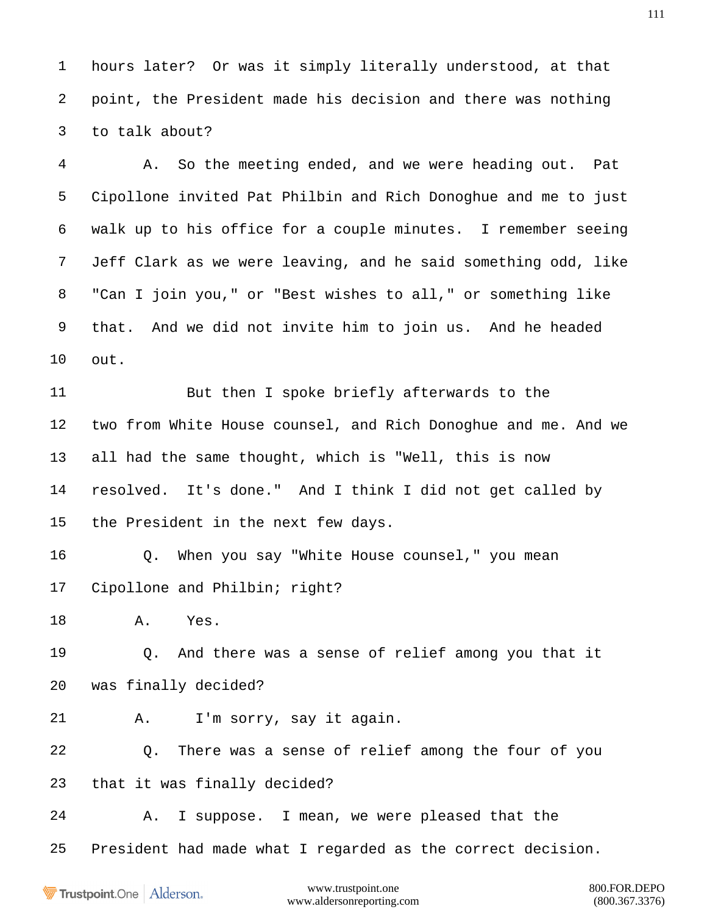hours later? Or was it simply literally understood, at that point, the President made his decision and there was nothing to talk about?

 A. So the meeting ended, and we were heading out. Pat Cipollone invited Pat Philbin and Rich Donoghue and me to just walk up to his office for a couple minutes. I remember seeing Jeff Clark as we were leaving, and he said something odd, like "Can I join you," or "Best wishes to all," or something like that. And we did not invite him to join us. And he headed out.

 But then I spoke briefly afterwards to the two from White House counsel, and Rich Donoghue and me. And we all had the same thought, which is "Well, this is now resolved. It's done." And I think I did not get called by the President in the next few days.

 Q. When you say "White House counsel," you mean Cipollone and Philbin; right?

A. Yes.

 Q. And there was a sense of relief among you that it was finally decided?

A. I'm sorry, say it again.

 Q. There was a sense of relief among the four of you that it was finally decided?

A. I suppose. I mean, we were pleased that the

President had made what I regarded as the correct decision.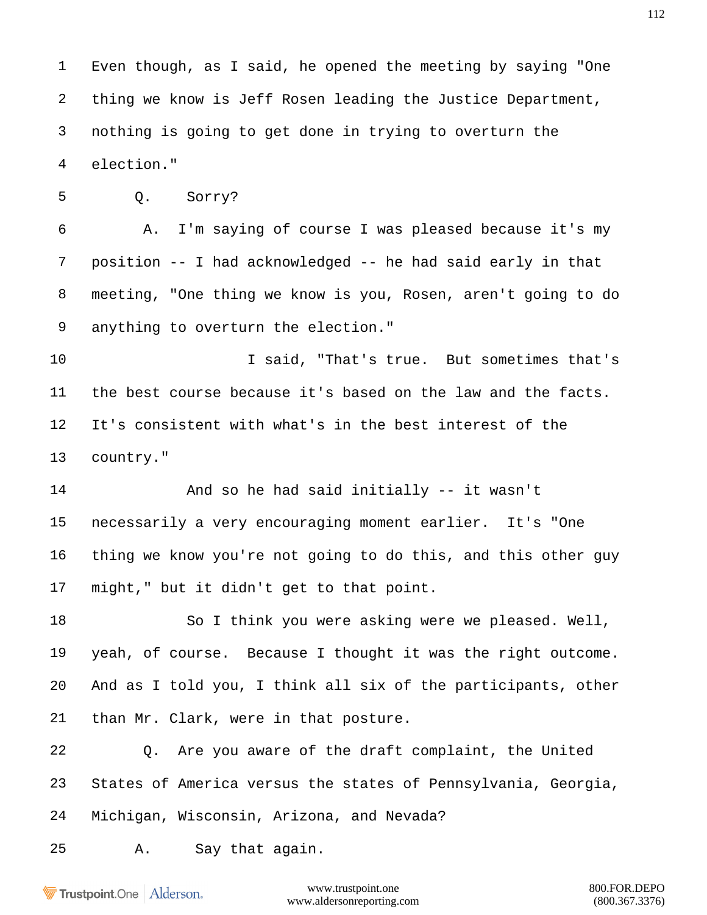Even though, as I said, he opened the meeting by saying "One thing we know is Jeff Rosen leading the Justice Department, nothing is going to get done in trying to overturn the election."

Q. Sorry?

 A. I'm saying of course I was pleased because it's my position -- I had acknowledged -- he had said early in that meeting, "One thing we know is you, Rosen, aren't going to do anything to overturn the election."

10 10 I said, "That's true. But sometimes that's the best course because it's based on the law and the facts. It's consistent with what's in the best interest of the country."

 And so he had said initially -- it wasn't necessarily a very encouraging moment earlier. It's "One thing we know you're not going to do this, and this other guy might," but it didn't get to that point.

18 So I think you were asking were we pleased. Well, yeah, of course. Because I thought it was the right outcome. And as I told you, I think all six of the participants, other than Mr. Clark, were in that posture.

 Q. Are you aware of the draft complaint, the United States of America versus the states of Pennsylvania, Georgia, Michigan, Wisconsin, Arizona, and Nevada?

A. Say that again.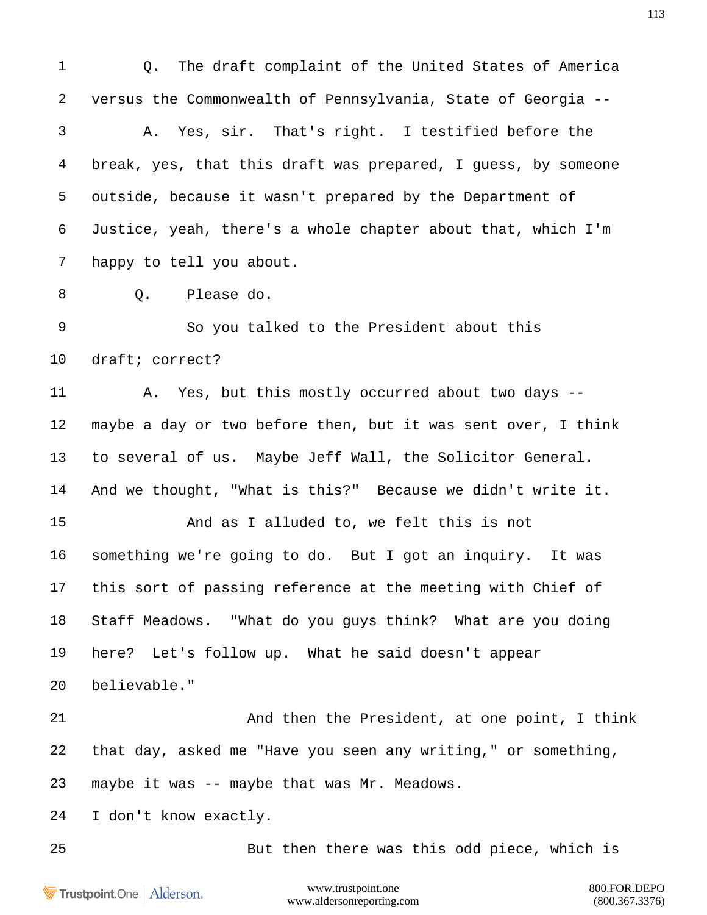www.trustpoint.one 800.FOR.DEPO Q. The draft complaint of the United States of America versus the Commonwealth of Pennsylvania, State of Georgia -- A. Yes, sir. That's right. I testified before the break, yes, that this draft was prepared, I guess, by someone outside, because it wasn't prepared by the Department of Justice, yeah, there's a whole chapter about that, which I'm happy to tell you about. 8 0. Please do. So you talked to the President about this draft; correct? A. Yes, but this mostly occurred about two days -- maybe a day or two before then, but it was sent over, I think to several of us. Maybe Jeff Wall, the Solicitor General. And we thought, "What is this?" Because we didn't write it. And as I alluded to, we felt this is not something we're going to do. But I got an inquiry. It was this sort of passing reference at the meeting with Chief of Staff Meadows. "What do you guys think? What are you doing here? Let's follow up. What he said doesn't appear believable." And then the President, at one point, I think that day, asked me "Have you seen any writing," or something, maybe it was -- maybe that was Mr. Meadows. I don't know exactly. But then there was this odd piece, which is

Trustpoint.One Alderson.

www.aldersonreporting.com (800.367.3376)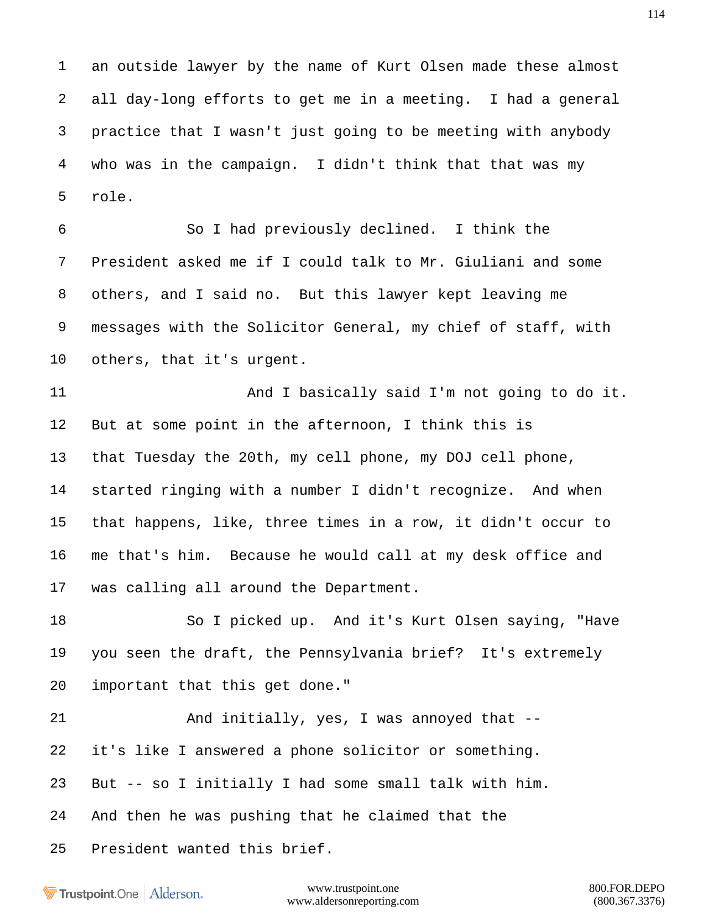an outside lawyer by the name of Kurt Olsen made these almost all day-long efforts to get me in a meeting. I had a general practice that I wasn't just going to be meeting with anybody who was in the campaign. I didn't think that that was my role.

 So I had previously declined. I think the President asked me if I could talk to Mr. Giuliani and some others, and I said no. But this lawyer kept leaving me messages with the Solicitor General, my chief of staff, with others, that it's urgent.

11 And I basically said I'm not going to do it. But at some point in the afternoon, I think this is that Tuesday the 20th, my cell phone, my DOJ cell phone, started ringing with a number I didn't recognize. And when that happens, like, three times in a row, it didn't occur to me that's him. Because he would call at my desk office and was calling all around the Department.

 So I picked up. And it's Kurt Olsen saying, "Have you seen the draft, the Pennsylvania brief? It's extremely important that this get done."

21 And initially, yes, I was annoyed that -- it's like I answered a phone solicitor or something. But -- so I initially I had some small talk with him. And then he was pushing that he claimed that the President wanted this brief.

**Trustpoint**.One Alderson.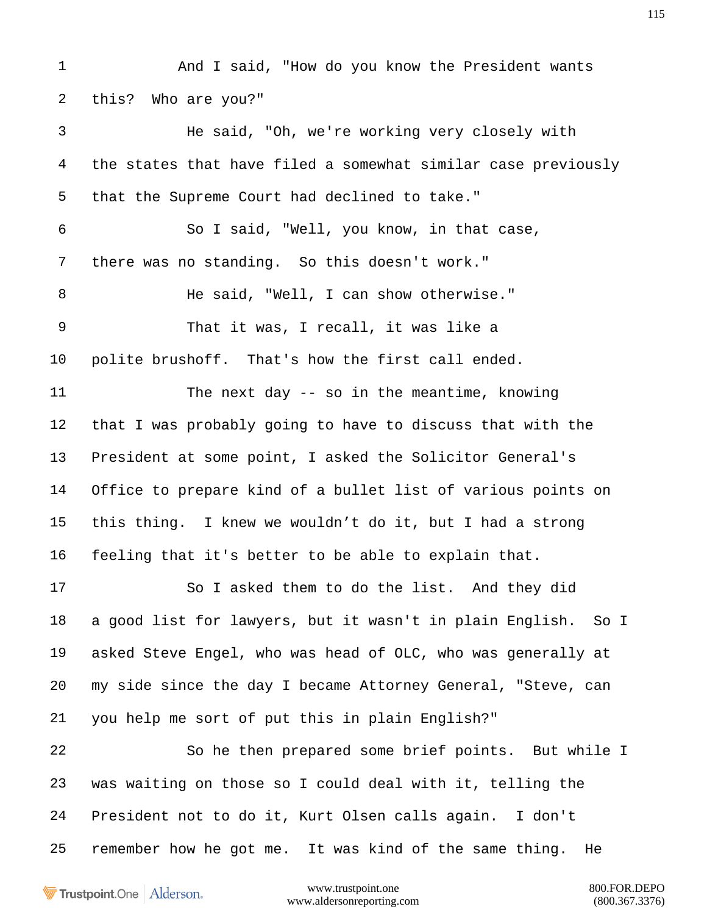And I said, "How do you know the President wants this? Who are you?" He said, "Oh, we're working very closely with the states that have filed a somewhat similar case previously that the Supreme Court had declined to take." So I said, "Well, you know, in that case, there was no standing. So this doesn't work." He said, "Well, I can show otherwise." That it was, I recall, it was like a polite brushoff. That's how the first call ended. The next day -- so in the meantime, knowing that I was probably going to have to discuss that with the President at some point, I asked the Solicitor General's Office to prepare kind of a bullet list of various points on this thing. I knew we wouldn't do it, but I had a strong feeling that it's better to be able to explain that. So I asked them to do the list. And they did a good list for lawyers, but it wasn't in plain English. So I asked Steve Engel, who was head of OLC, who was generally at my side since the day I became Attorney General, "Steve, can you help me sort of put this in plain English?" So he then prepared some brief points. But while I was waiting on those so I could deal with it, telling the President not to do it, Kurt Olsen calls again. I don't remember how he got me. It was kind of the same thing. He

Trustpoint.One Alderson.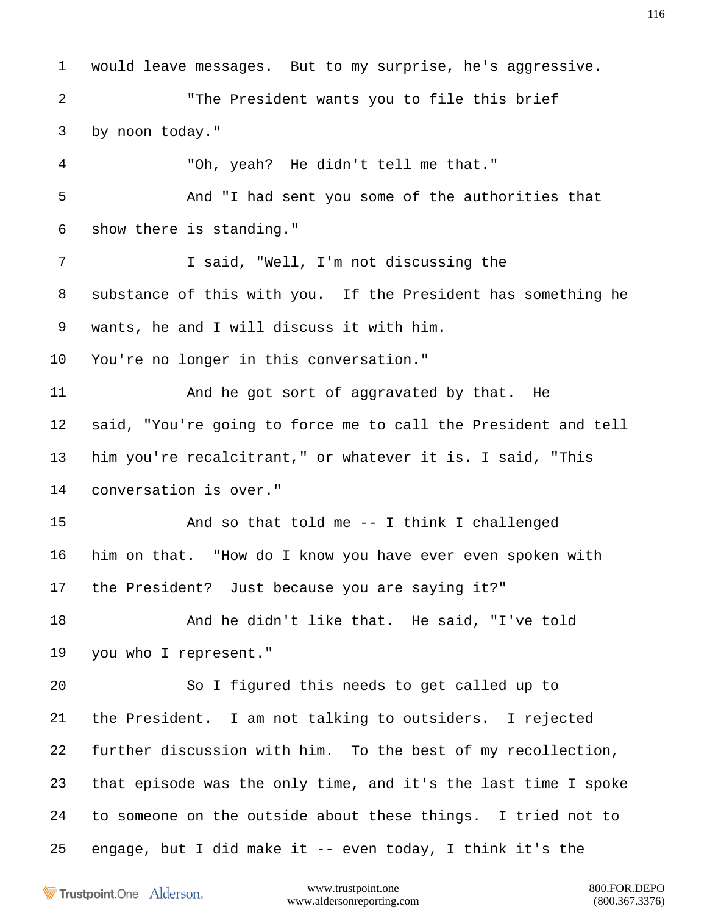would leave messages. But to my surprise, he's aggressive. "The President wants you to file this brief by noon today." "Oh, yeah? He didn't tell me that." And "I had sent you some of the authorities that show there is standing." 7 I said, "Well, I'm not discussing the substance of this with you. If the President has something he wants, he and I will discuss it with him. You're no longer in this conversation." 11 And he got sort of aggravated by that. He said, "You're going to force me to call the President and tell him you're recalcitrant," or whatever it is. I said, "This conversation is over." And so that told me -- I think I challenged him on that. "How do I know you have ever even spoken with the President? Just because you are saying it?" And he didn't like that. He said, "I've told you who I represent." So I figured this needs to get called up to the President. I am not talking to outsiders. I rejected further discussion with him. To the best of my recollection, that episode was the only time, and it's the last time I spoke to someone on the outside about these things. I tried not to engage, but I did make it -- even today, I think it's the

**Trustpoint**.One Alderson.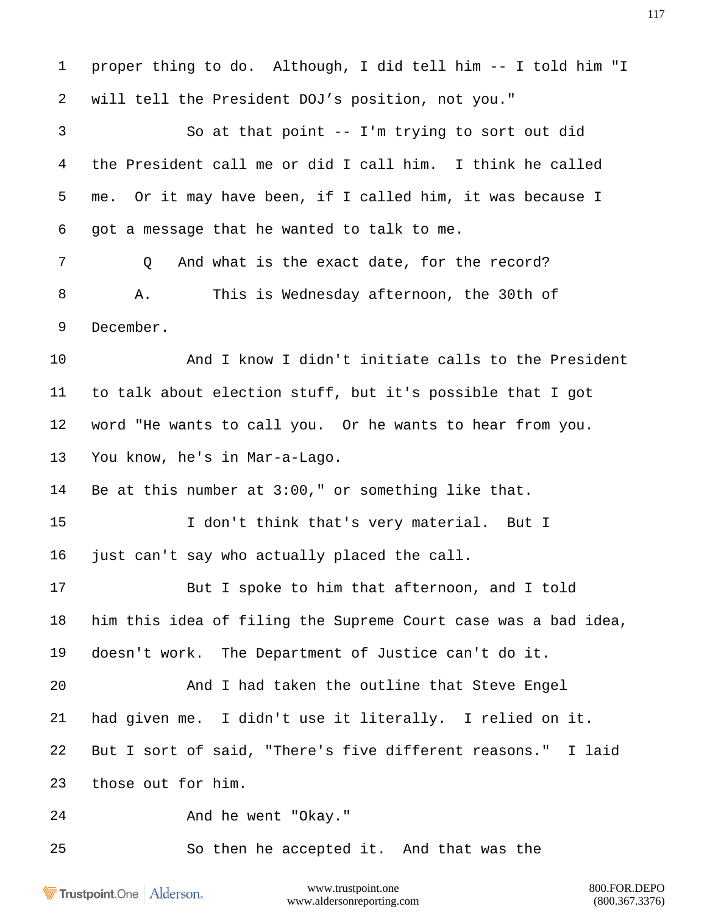proper thing to do. Although, I did tell him -- I told him "I will tell the President DOJ's position, not you." So at that point -- I'm trying to sort out did the President call me or did I call him. I think he called me. Or it may have been, if I called him, it was because I got a message that he wanted to talk to me. 7 0 And what is the exact date, for the record? A. This is Wednesday afternoon, the 30th of December. And I know I didn't initiate calls to the President to talk about election stuff, but it's possible that I got word "He wants to call you. Or he wants to hear from you. You know, he's in Mar-a-Lago. Be at this number at 3:00," or something like that. I don't think that's very material. But I just can't say who actually placed the call. But I spoke to him that afternoon, and I told him this idea of filing the Supreme Court case was a bad idea, doesn't work. The Department of Justice can't do it. And I had taken the outline that Steve Engel had given me. I didn't use it literally. I relied on it. But I sort of said, "There's five different reasons." I laid those out for him. And he went "Okay." So then he accepted it. And that was the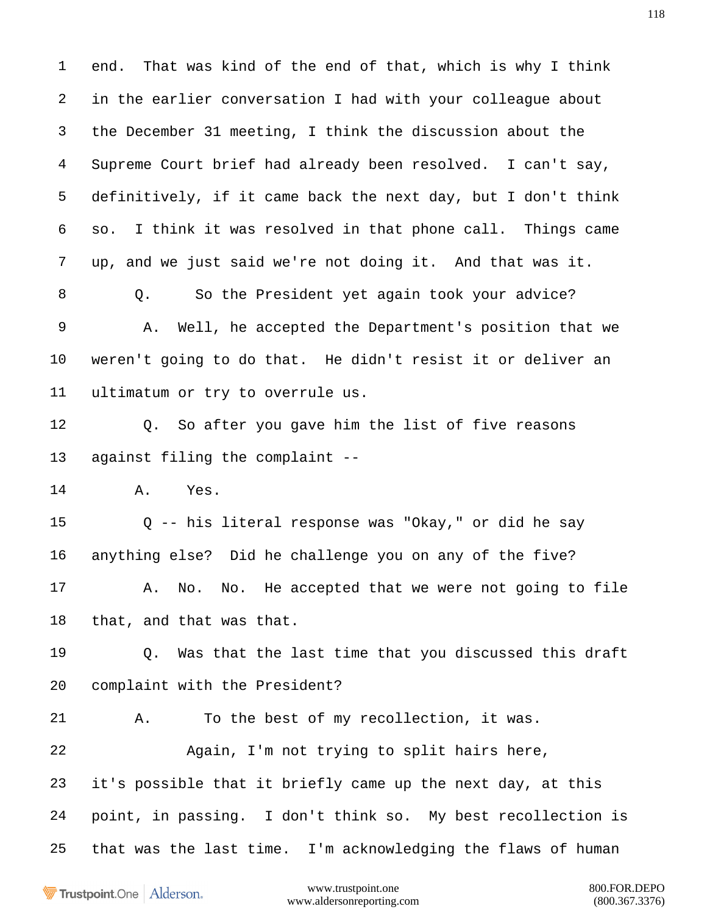end. That was kind of the end of that, which is why I think in the earlier conversation I had with your colleague about the December 31 meeting, I think the discussion about the Supreme Court brief had already been resolved. I can't say, definitively, if it came back the next day, but I don't think so. I think it was resolved in that phone call. Things came up, and we just said we're not doing it. And that was it. Q. So the President yet again took your advice? A. Well, he accepted the Department's position that we weren't going to do that. He didn't resist it or deliver an ultimatum or try to overrule us. Q. So after you gave him the list of five reasons against filing the complaint -- A. Yes. Q -- his literal response was "Okay," or did he say anything else? Did he challenge you on any of the five? A. No. No. He accepted that we were not going to file that, and that was that. Q. Was that the last time that you discussed this draft complaint with the President? A. To the best of my recollection, it was. Again, I'm not trying to split hairs here, it's possible that it briefly came up the next day, at this point, in passing. I don't think so. My best recollection is that was the last time. I'm acknowledging the flaws of human

Trustpoint.One Alderson.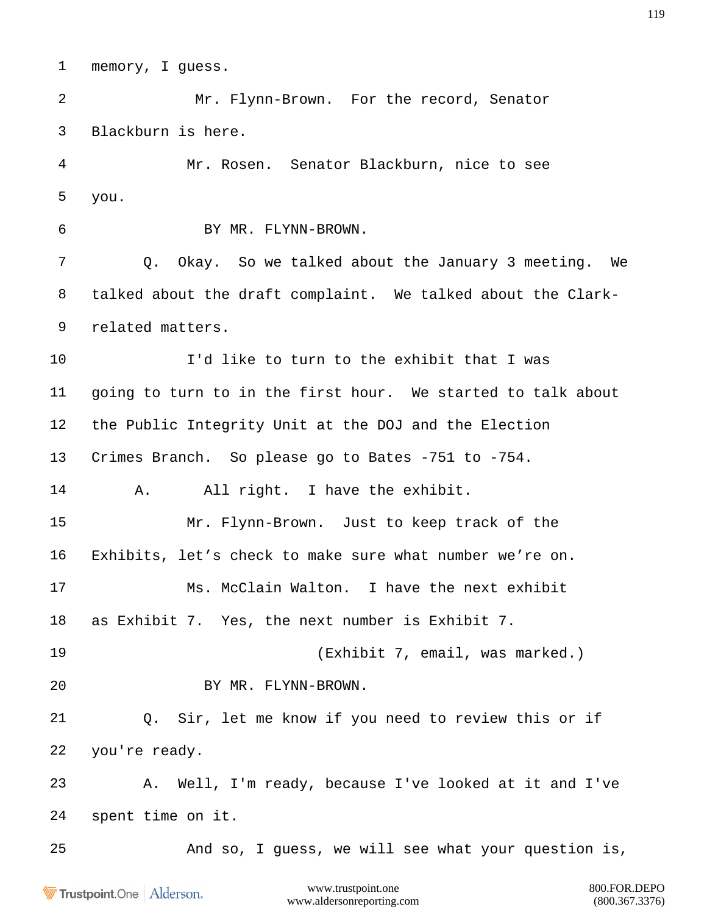memory, I guess.

 Mr. Flynn-Brown. For the record, Senator Blackburn is here.

 Mr. Rosen. Senator Blackburn, nice to see you.

BY MR. FLYNN-BROWN.

 Q. Okay. So we talked about the January 3 meeting. We talked about the draft complaint. We talked about the Clark- related matters.

 I'd like to turn to the exhibit that I was going to turn to in the first hour. We started to talk about the Public Integrity Unit at the DOJ and the Election Crimes Branch. So please go to Bates -751 to -754.

A. All right. I have the exhibit.

 Mr. Flynn-Brown. Just to keep track of the Exhibits, let's check to make sure what number we're on.

Ms. McClain Walton. I have the next exhibit

as Exhibit 7. Yes, the next number is Exhibit 7.

(Exhibit 7, email, was marked.)

BY MR. FLYNN-BROWN.

 Q. Sir, let me know if you need to review this or if you're ready.

 A. Well, I'm ready, because I've looked at it and I've spent time on it.

And so, I guess, we will see what your question is,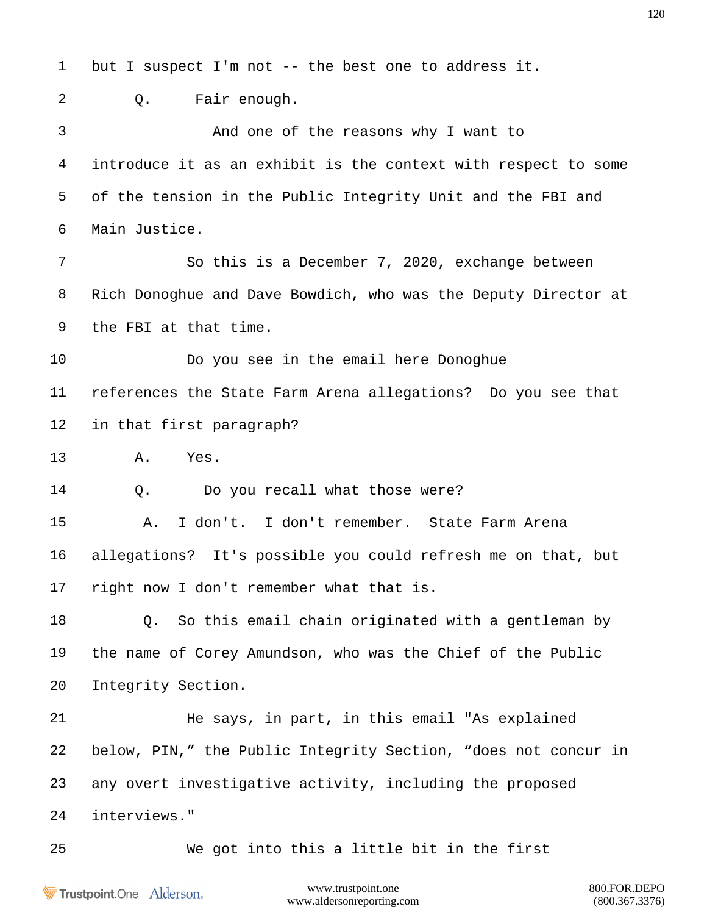but I suspect I'm not -- the best one to address it. Q. Fair enough. And one of the reasons why I want to introduce it as an exhibit is the context with respect to some of the tension in the Public Integrity Unit and the FBI and Main Justice. So this is a December 7, 2020, exchange between Rich Donoghue and Dave Bowdich, who was the Deputy Director at the FBI at that time. Do you see in the email here Donoghue references the State Farm Arena allegations? Do you see that in that first paragraph? A. Yes. 14 0. Do you recall what those were? A. I don't. I don't remember. State Farm Arena allegations? It's possible you could refresh me on that, but right now I don't remember what that is. Q. So this email chain originated with a gentleman by the name of Corey Amundson, who was the Chief of the Public Integrity Section. He says, in part, in this email "As explained below, PIN," the Public Integrity Section, "does not concur in any overt investigative activity, including the proposed interviews." We got into this a little bit in the first

Trustpoint.One Alderson.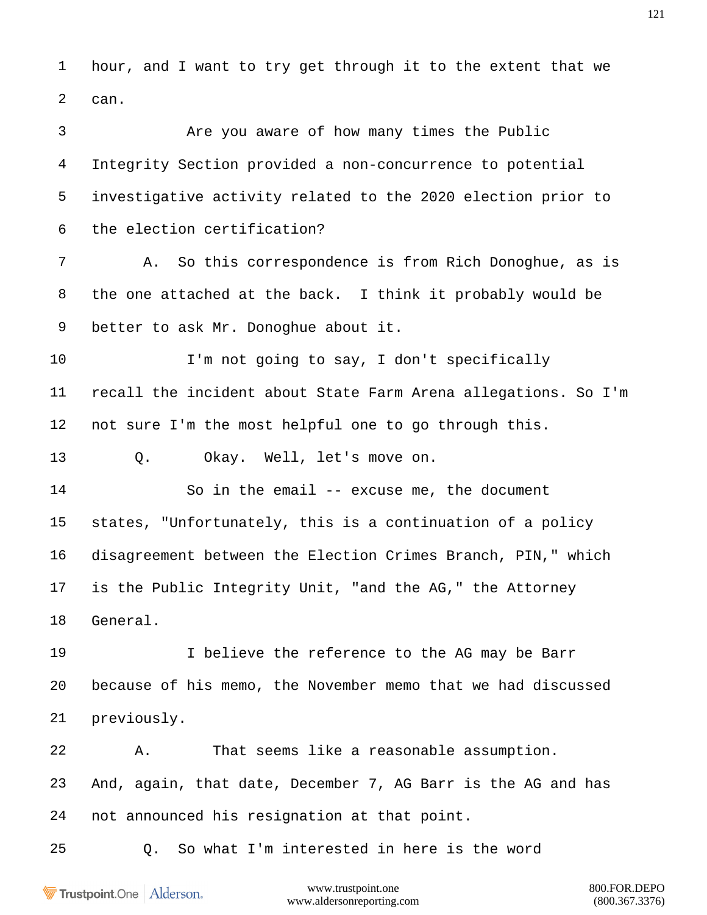hour, and I want to try get through it to the extent that we can.

 Are you aware of how many times the Public Integrity Section provided a non-concurrence to potential investigative activity related to the 2020 election prior to the election certification?

 A. So this correspondence is from Rich Donoghue, as is the one attached at the back. I think it probably would be better to ask Mr. Donoghue about it.

10 I'm not going to say, I don't specifically recall the incident about State Farm Arena allegations. So I'm not sure I'm the most helpful one to go through this.

Q. Okay. Well, let's move on.

 So in the email -- excuse me, the document states, "Unfortunately, this is a continuation of a policy disagreement between the Election Crimes Branch, PIN," which is the Public Integrity Unit, "and the AG," the Attorney General.

 I believe the reference to the AG may be Barr because of his memo, the November memo that we had discussed previously.

 A. That seems like a reasonable assumption. And, again, that date, December 7, AG Barr is the AG and has not announced his resignation at that point.

Q. So what I'm interested in here is the word

Trustpoint.One Alderson.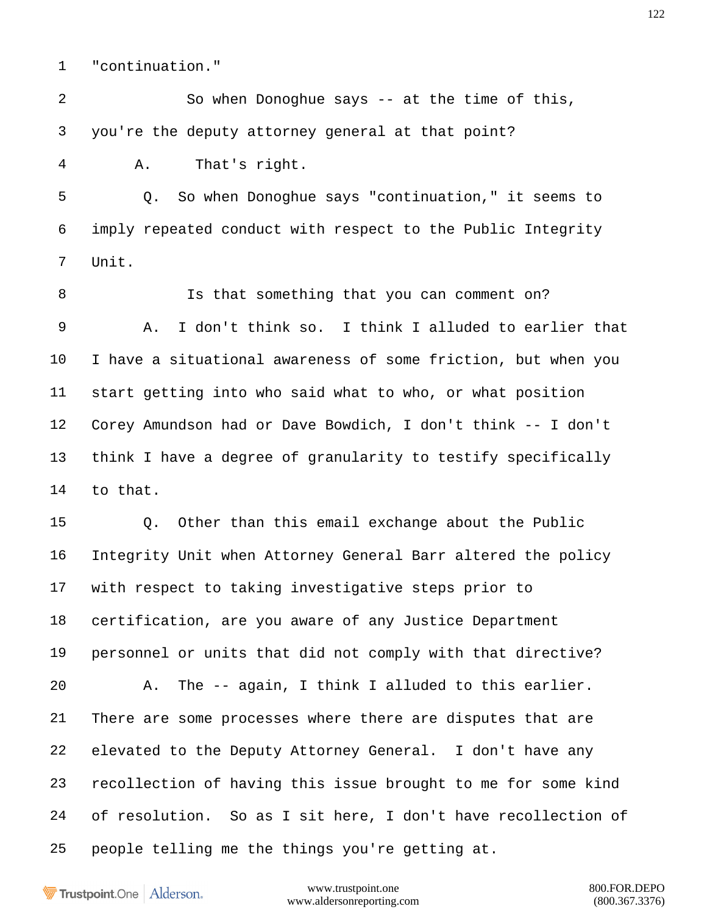"continuation."

 So when Donoghue says -- at the time of this, you're the deputy attorney general at that point?

A. That's right.

 Q. So when Donoghue says "continuation," it seems to imply repeated conduct with respect to the Public Integrity Unit.

 Is that something that you can comment on? A. I don't think so. I think I alluded to earlier that I have a situational awareness of some friction, but when you start getting into who said what to who, or what position Corey Amundson had or Dave Bowdich, I don't think -- I don't think I have a degree of granularity to testify specifically to that.

 Q. Other than this email exchange about the Public Integrity Unit when Attorney General Barr altered the policy with respect to taking investigative steps prior to certification, are you aware of any Justice Department personnel or units that did not comply with that directive? A. The -- again, I think I alluded to this earlier. There are some processes where there are disputes that are elevated to the Deputy Attorney General. I don't have any recollection of having this issue brought to me for some kind of resolution. So as I sit here, I don't have recollection of people telling me the things you're getting at.

Trustpoint.One Alderson.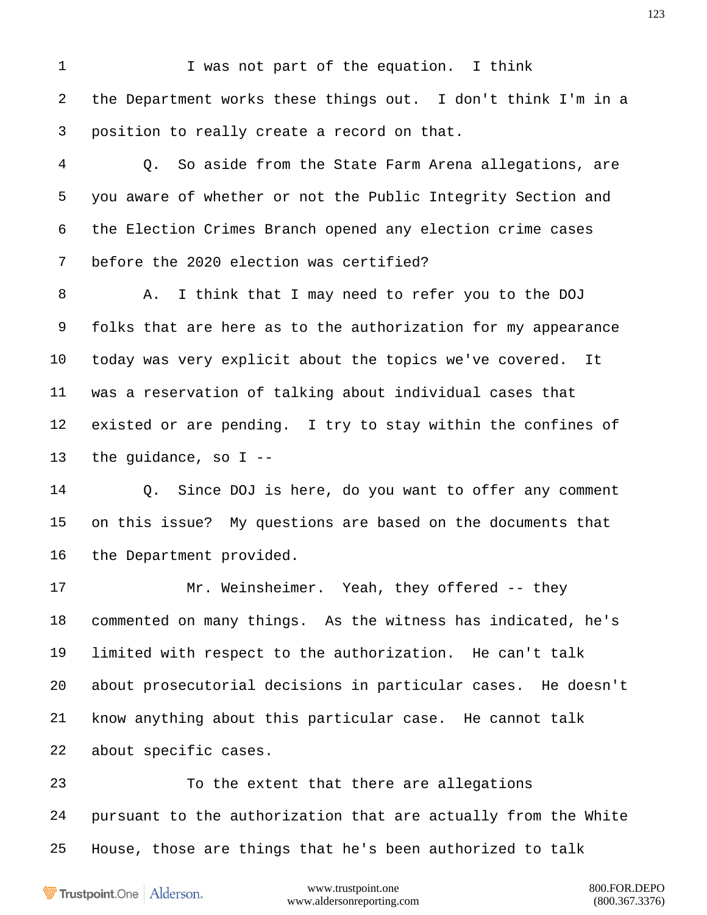1 I was not part of the equation. I think the Department works these things out. I don't think I'm in a position to really create a record on that.

 Q. So aside from the State Farm Arena allegations, are you aware of whether or not the Public Integrity Section and the Election Crimes Branch opened any election crime cases before the 2020 election was certified?

 A. I think that I may need to refer you to the DOJ folks that are here as to the authorization for my appearance today was very explicit about the topics we've covered. It was a reservation of talking about individual cases that existed or are pending. I try to stay within the confines of the guidance, so I --

 Q. Since DOJ is here, do you want to offer any comment on this issue? My questions are based on the documents that the Department provided.

17 Mr. Weinsheimer. Yeah, they offered -- they commented on many things. As the witness has indicated, he's limited with respect to the authorization. He can't talk about prosecutorial decisions in particular cases. He doesn't know anything about this particular case. He cannot talk about specific cases.

 To the extent that there are allegations pursuant to the authorization that are actually from the White House, those are things that he's been authorized to talk

Trustpoint.One Alderson.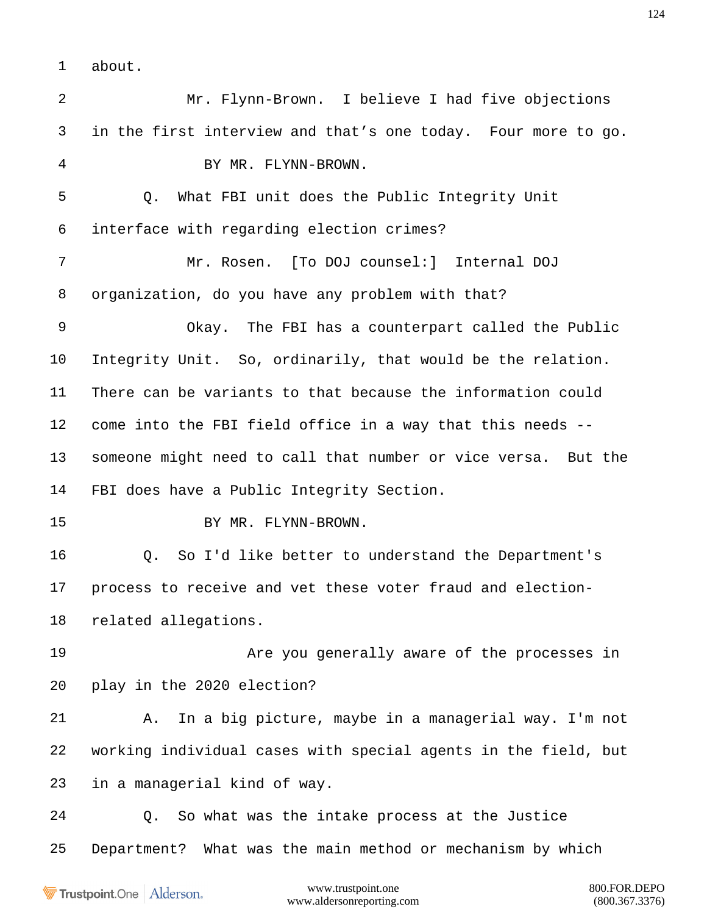about.

 Mr. Flynn-Brown. I believe I had five objections in the first interview and that's one today. Four more to go. BY MR. FLYNN-BROWN. Q. What FBI unit does the Public Integrity Unit interface with regarding election crimes? Mr. Rosen. [To DOJ counsel:] Internal DOJ organization, do you have any problem with that? Okay. The FBI has a counterpart called the Public Integrity Unit. So, ordinarily, that would be the relation. There can be variants to that because the information could come into the FBI field office in a way that this needs -- someone might need to call that number or vice versa. But the FBI does have a Public Integrity Section. 15 BY MR. FLYNN-BROWN. Q. So I'd like better to understand the Department's process to receive and vet these voter fraud and election- related allegations. **Are you generally aware of the processes in**  play in the 2020 election? A. In a big picture, maybe in a managerial way. I'm not working individual cases with special agents in the field, but in a managerial kind of way. Q. So what was the intake process at the Justice Department? What was the main method or mechanism by which

Trustpoint.One Alderson.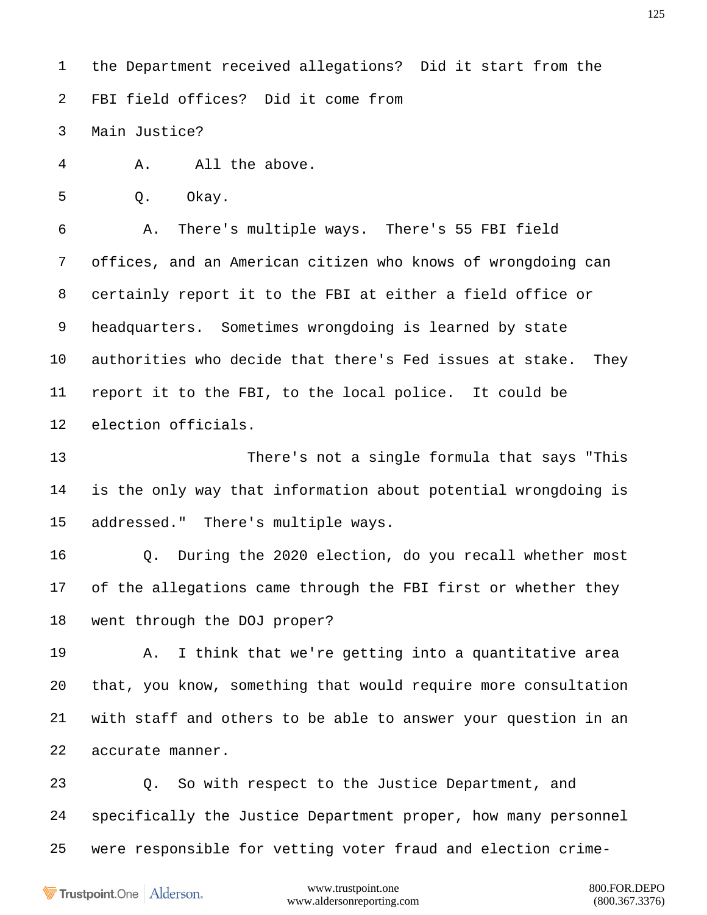the Department received allegations? Did it start from the FBI field offices? Did it come from

Main Justice?

A. All the above.

Q. Okay.

 A. There's multiple ways. There's 55 FBI field offices, and an American citizen who knows of wrongdoing can certainly report it to the FBI at either a field office or headquarters. Sometimes wrongdoing is learned by state authorities who decide that there's Fed issues at stake. They report it to the FBI, to the local police. It could be election officials.

 There's not a single formula that says "This is the only way that information about potential wrongdoing is addressed." There's multiple ways.

 Q. During the 2020 election, do you recall whether most of the allegations came through the FBI first or whether they went through the DOJ proper?

 A. I think that we're getting into a quantitative area that, you know, something that would require more consultation with staff and others to be able to answer your question in an accurate manner.

 Q. So with respect to the Justice Department, and specifically the Justice Department proper, how many personnel were responsible for vetting voter fraud and election crime-

Trustpoint.One Alderson.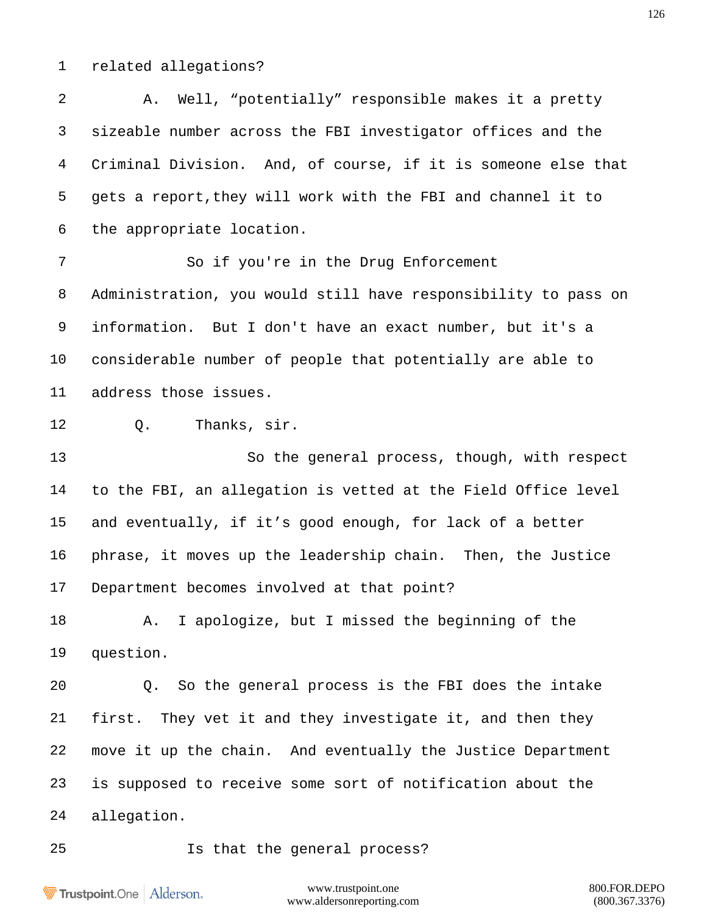related allegations?

 A. Well, "potentially" responsible makes it a pretty sizeable number across the FBI investigator offices and the Criminal Division. And, of course, if it is someone else that gets a report,they will work with the FBI and channel it to the appropriate location. So if you're in the Drug Enforcement Administration, you would still have responsibility to pass on information. But I don't have an exact number, but it's a considerable number of people that potentially are able to address those issues. Q. Thanks, sir. So the general process, though, with respect to the FBI, an allegation is vetted at the Field Office level and eventually, if it's good enough, for lack of a better phrase, it moves up the leadership chain. Then, the Justice Department becomes involved at that point? A. I apologize, but I missed the beginning of the question. Q. So the general process is the FBI does the intake first. They vet it and they investigate it, and then they move it up the chain. And eventually the Justice Department is supposed to receive some sort of notification about the allegation. Is that the general process?

Trustpoint.One Alderson.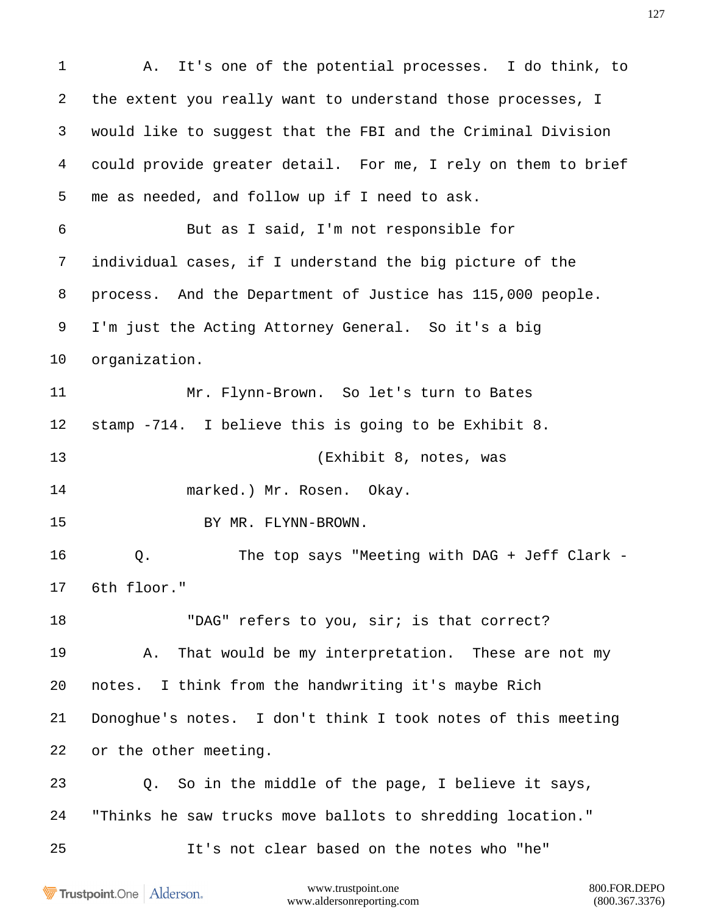A. It's one of the potential processes. I do think, to the extent you really want to understand those processes, I would like to suggest that the FBI and the Criminal Division could provide greater detail. For me, I rely on them to brief me as needed, and follow up if I need to ask. But as I said, I'm not responsible for individual cases, if I understand the big picture of the process. And the Department of Justice has 115,000 people. I'm just the Acting Attorney General. So it's a big organization. Mr. Flynn-Brown. So let's turn to Bates stamp -714. I believe this is going to be Exhibit 8. (Exhibit 8, notes, was marked.) Mr. Rosen. Okay. 15 BY MR. FLYNN-BROWN. 16 0. The top says "Meeting with DAG + Jeff Clark - 6th floor." 18 "DAG" refers to you, sir; is that correct? A. That would be my interpretation. These are not my notes. I think from the handwriting it's maybe Rich Donoghue's notes. I don't think I took notes of this meeting or the other meeting. Q. So in the middle of the page, I believe it says, "Thinks he saw trucks move ballots to shredding location." It's not clear based on the notes who "he"

Trustpoint.One Alderson.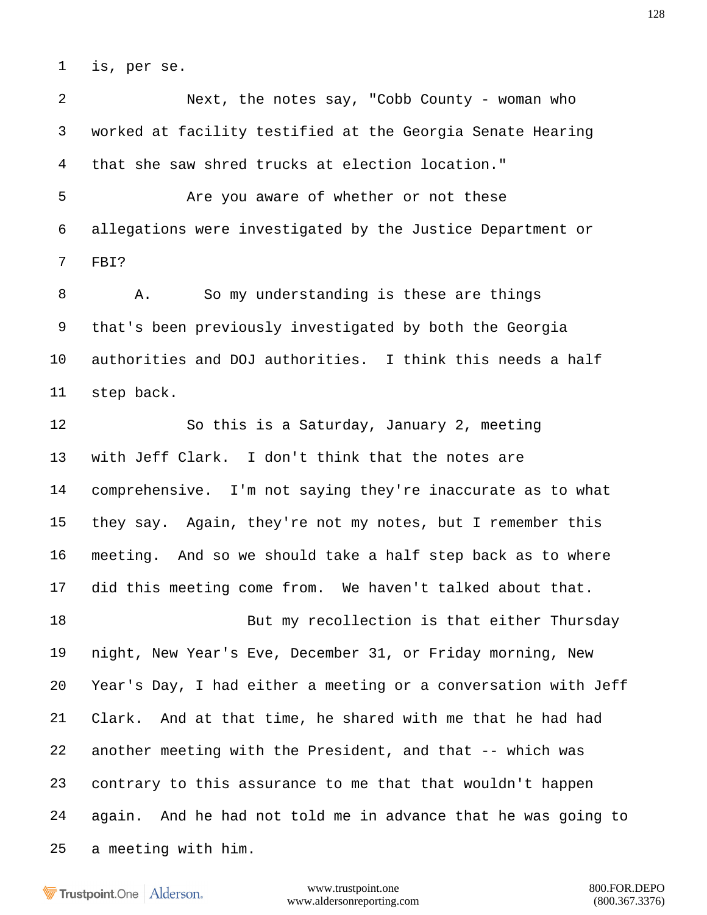is, per se.

 Next, the notes say, "Cobb County - woman who worked at facility testified at the Georgia Senate Hearing that she saw shred trucks at election location."

 Are you aware of whether or not these allegations were investigated by the Justice Department or FBI?

8 A. So my understanding is these are things that's been previously investigated by both the Georgia authorities and DOJ authorities. I think this needs a half step back.

 So this is a Saturday, January 2, meeting with Jeff Clark. I don't think that the notes are comprehensive. I'm not saying they're inaccurate as to what they say. Again, they're not my notes, but I remember this meeting. And so we should take a half step back as to where did this meeting come from. We haven't talked about that.

18 But my recollection is that either Thursday night, New Year's Eve, December 31, or Friday morning, New Year's Day, I had either a meeting or a conversation with Jeff Clark. And at that time, he shared with me that he had had another meeting with the President, and that -- which was contrary to this assurance to me that that wouldn't happen again. And he had not told me in advance that he was going to a meeting with him.

**Trustpoint**.One Alderson.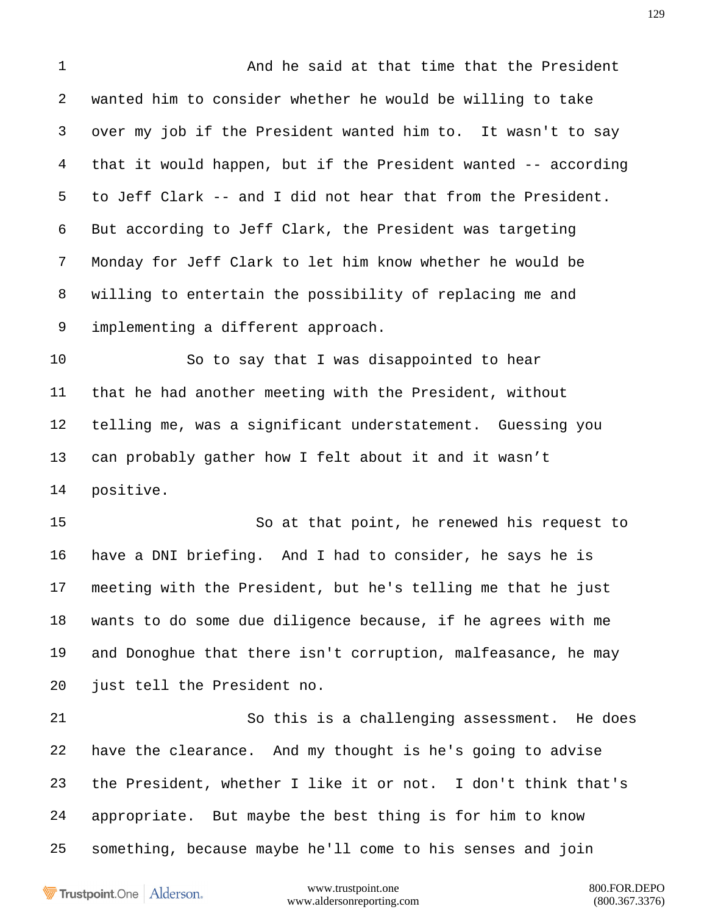And he said at that time that the President wanted him to consider whether he would be willing to take over my job if the President wanted him to. It wasn't to say that it would happen, but if the President wanted -- according to Jeff Clark -- and I did not hear that from the President. But according to Jeff Clark, the President was targeting Monday for Jeff Clark to let him know whether he would be willing to entertain the possibility of replacing me and implementing a different approach.

 So to say that I was disappointed to hear that he had another meeting with the President, without telling me, was a significant understatement. Guessing you can probably gather how I felt about it and it wasn't positive.

 So at that point, he renewed his request to have a DNI briefing. And I had to consider, he says he is meeting with the President, but he's telling me that he just wants to do some due diligence because, if he agrees with me and Donoghue that there isn't corruption, malfeasance, he may just tell the President no.

 So this is a challenging assessment. He does have the clearance. And my thought is he's going to advise the President, whether I like it or not. I don't think that's appropriate. But maybe the best thing is for him to know something, because maybe he'll come to his senses and join

Trustpoint.One Alderson.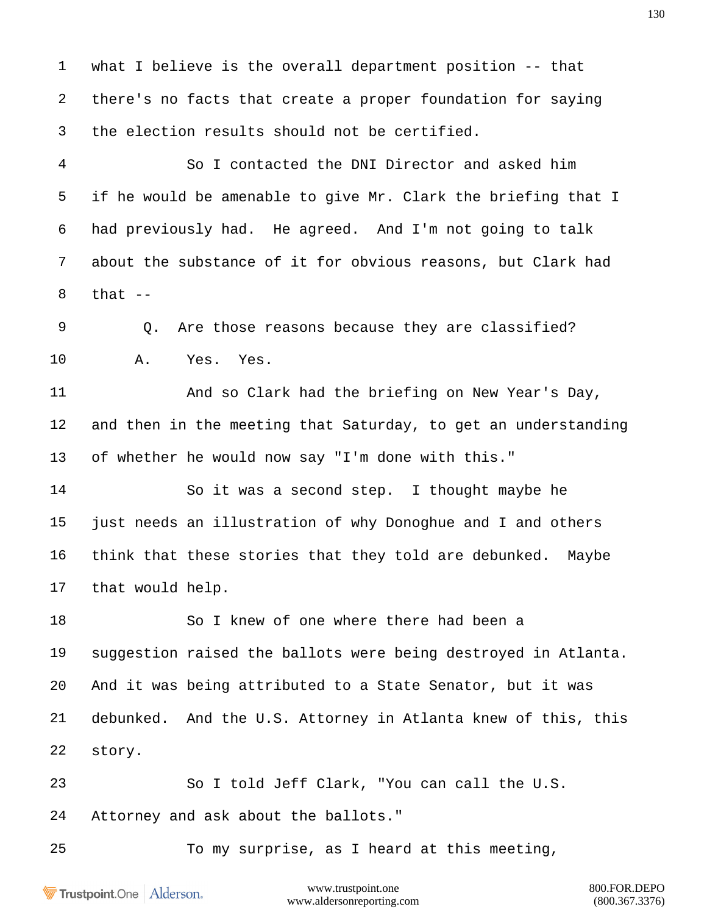what I believe is the overall department position -- that there's no facts that create a proper foundation for saying the election results should not be certified.

 So I contacted the DNI Director and asked him if he would be amenable to give Mr. Clark the briefing that I had previously had. He agreed. And I'm not going to talk about the substance of it for obvious reasons, but Clark had that  $-$ 

 Q. Are those reasons because they are classified? A. Yes. Yes.

 And so Clark had the briefing on New Year's Day, and then in the meeting that Saturday, to get an understanding of whether he would now say "I'm done with this."

 So it was a second step. I thought maybe he just needs an illustration of why Donoghue and I and others think that these stories that they told are debunked. Maybe that would help.

 So I knew of one where there had been a suggestion raised the ballots were being destroyed in Atlanta. And it was being attributed to a State Senator, but it was debunked. And the U.S. Attorney in Atlanta knew of this, this story.

 So I told Jeff Clark, "You can call the U.S. Attorney and ask about the ballots."

To my surprise, as I heard at this meeting,

Trustpoint.One Alderson.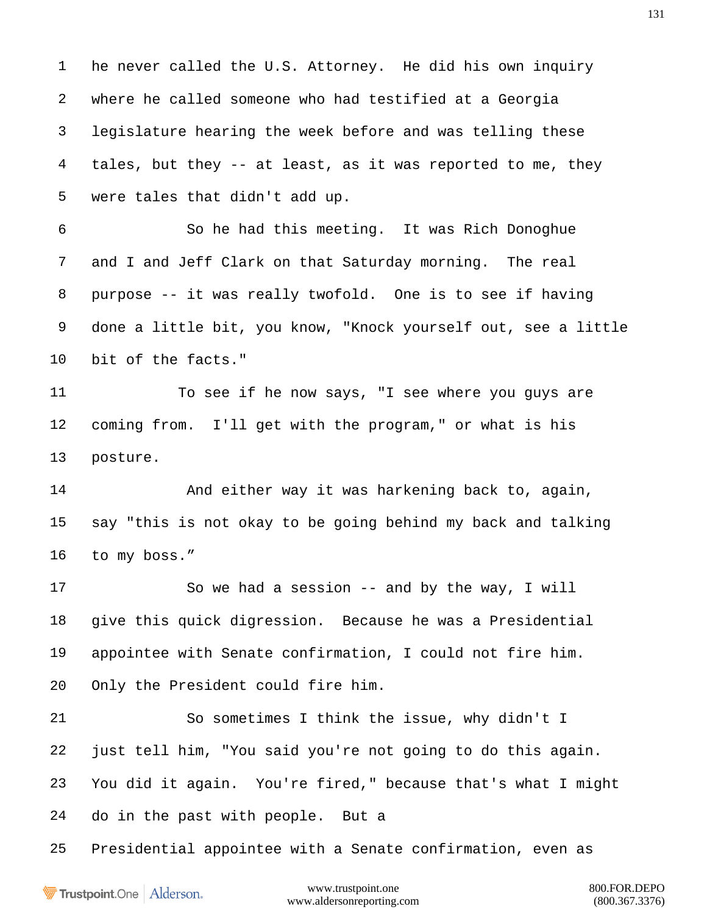he never called the U.S. Attorney. He did his own inquiry where he called someone who had testified at a Georgia legislature hearing the week before and was telling these tales, but they -- at least, as it was reported to me, they were tales that didn't add up.

 So he had this meeting. It was Rich Donoghue and I and Jeff Clark on that Saturday morning. The real purpose -- it was really twofold. One is to see if having done a little bit, you know, "Knock yourself out, see a little bit of the facts."

 To see if he now says, "I see where you guys are coming from. I'll get with the program," or what is his posture.

 And either way it was harkening back to, again, say "this is not okay to be going behind my back and talking to my boss."

 So we had a session -- and by the way, I will give this quick digression. Because he was a Presidential appointee with Senate confirmation, I could not fire him. Only the President could fire him.

 So sometimes I think the issue, why didn't I just tell him, "You said you're not going to do this again. You did it again. You're fired," because that's what I might do in the past with people. But a

Presidential appointee with a Senate confirmation, even as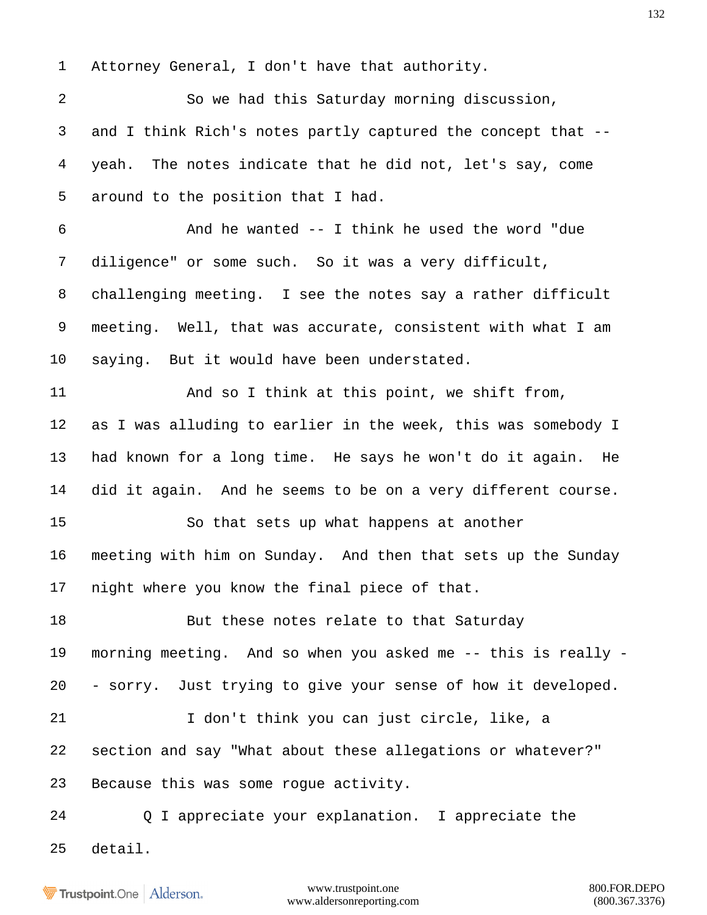Attorney General, I don't have that authority.

 So we had this Saturday morning discussion, and I think Rich's notes partly captured the concept that -- yeah. The notes indicate that he did not, let's say, come around to the position that I had. And he wanted -- I think he used the word "due diligence" or some such. So it was a very difficult, challenging meeting. I see the notes say a rather difficult meeting. Well, that was accurate, consistent with what I am saying. But it would have been understated. 11 And so I think at this point, we shift from, as I was alluding to earlier in the week, this was somebody I had known for a long time. He says he won't do it again. He did it again. And he seems to be on a very different course. So that sets up what happens at another meeting with him on Sunday. And then that sets up the Sunday night where you know the final piece of that. 18 But these notes relate to that Saturday morning meeting. And so when you asked me -- this is really - - sorry. Just trying to give your sense of how it developed. I don't think you can just circle, like, a section and say "What about these allegations or whatever?" Because this was some rogue activity. Q I appreciate your explanation. I appreciate the detail.

**Trustpoint**.One Alderson.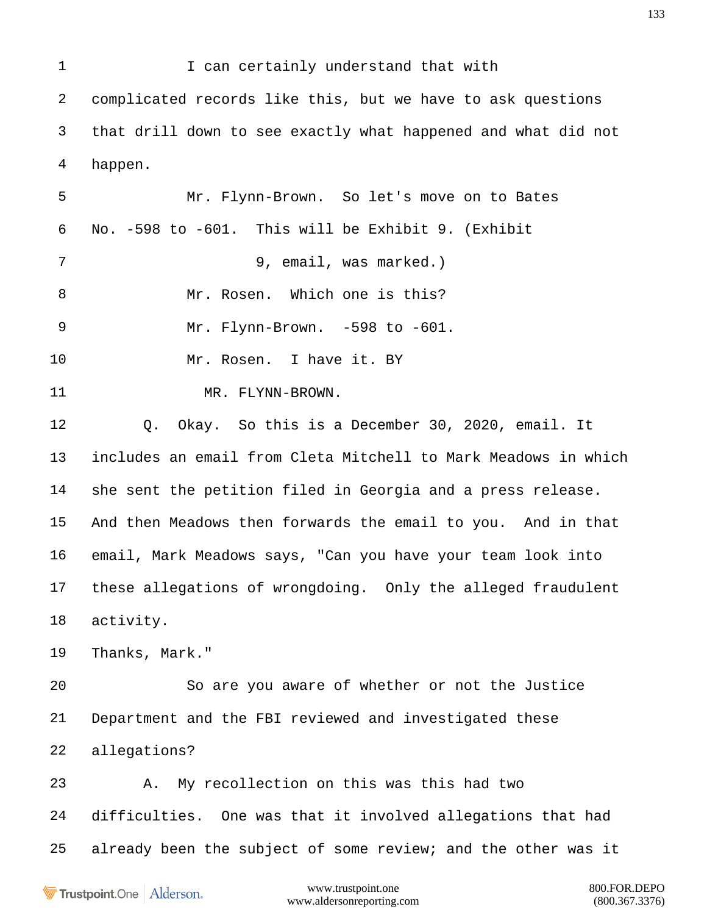1 I can certainly understand that with complicated records like this, but we have to ask questions that drill down to see exactly what happened and what did not happen. Mr. Flynn-Brown. So let's move on to Bates No. -598 to -601. This will be Exhibit 9. (Exhibit 9, email, was marked.) 8 Mr. Rosen. Which one is this? Mr. Flynn-Brown. -598 to -601. Mr. Rosen. I have it. BY 11 MR. FLYNN-BROWN. Q. Okay. So this is a December 30, 2020, email. It includes an email from Cleta Mitchell to Mark Meadows in which she sent the petition filed in Georgia and a press release. And then Meadows then forwards the email to you. And in that email, Mark Meadows says, "Can you have your team look into these allegations of wrongdoing. Only the alleged fraudulent activity. Thanks, Mark." So are you aware of whether or not the Justice Department and the FBI reviewed and investigated these allegations? A. My recollection on this was this had two difficulties. One was that it involved allegations that had already been the subject of some review; and the other was it

Trustpoint.One Alderson.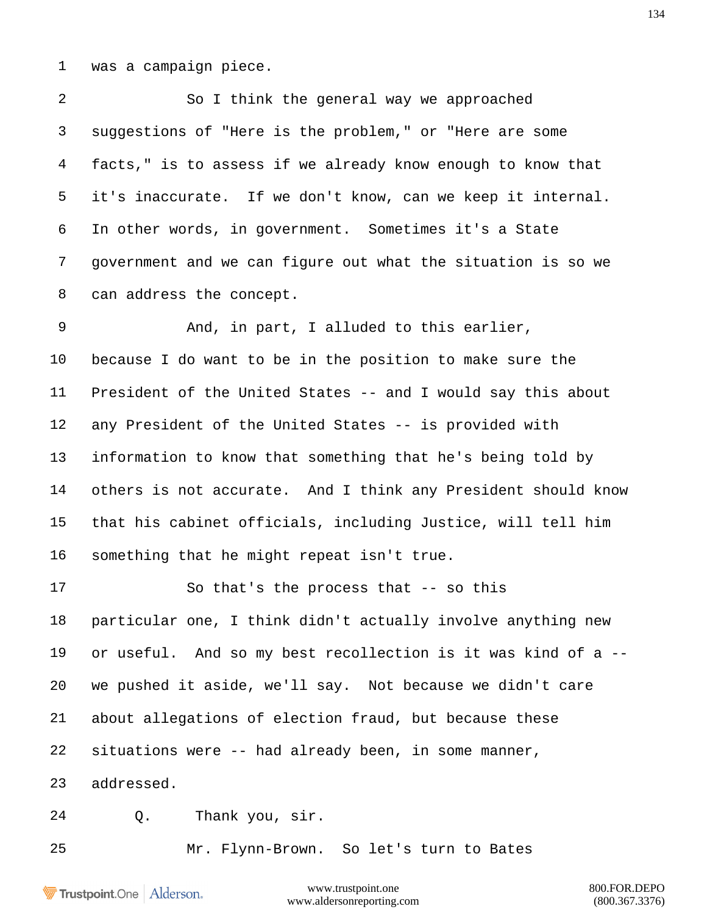was a campaign piece.

 So I think the general way we approached suggestions of "Here is the problem," or "Here are some facts," is to assess if we already know enough to know that it's inaccurate. If we don't know, can we keep it internal. In other words, in government. Sometimes it's a State government and we can figure out what the situation is so we can address the concept.

 And, in part, I alluded to this earlier, because I do want to be in the position to make sure the President of the United States -- and I would say this about any President of the United States -- is provided with information to know that something that he's being told by others is not accurate. And I think any President should know that his cabinet officials, including Justice, will tell him something that he might repeat isn't true.

 So that's the process that -- so this particular one, I think didn't actually involve anything new or useful. And so my best recollection is it was kind of a -- we pushed it aside, we'll say. Not because we didn't care about allegations of election fraud, but because these situations were -- had already been, in some manner, addressed.

Q. Thank you, sir.

Mr. Flynn-Brown. So let's turn to Bates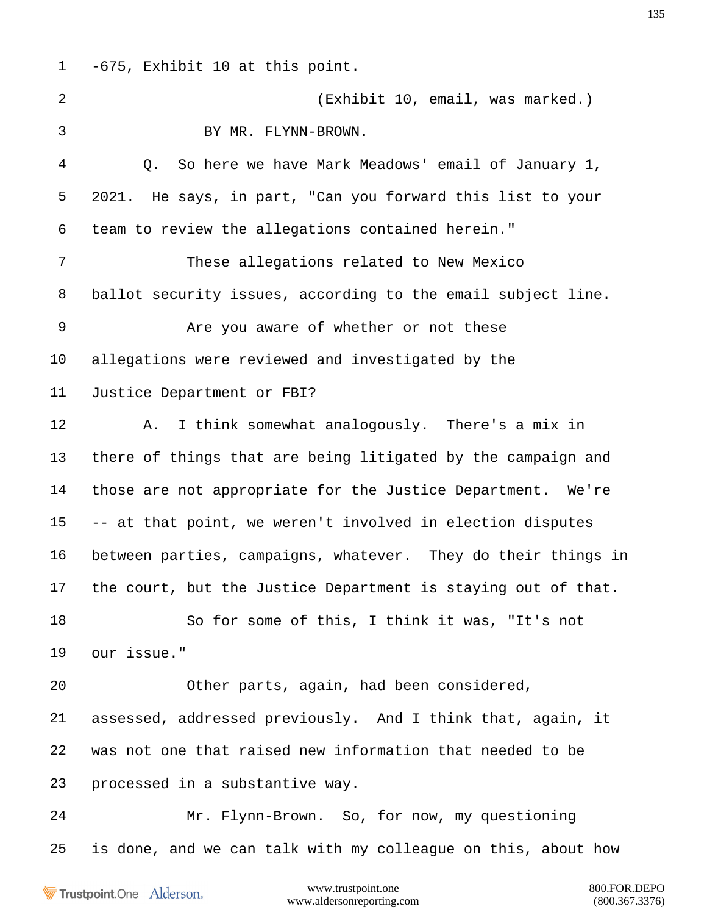-675, Exhibit 10 at this point. (Exhibit 10, email, was marked.) BY MR. FLYNN-BROWN. Q. So here we have Mark Meadows' email of January 1, 2021. He says, in part, "Can you forward this list to your team to review the allegations contained herein." These allegations related to New Mexico ballot security issues, according to the email subject line. Are you aware of whether or not these allegations were reviewed and investigated by the Justice Department or FBI? A. I think somewhat analogously. There's a mix in there of things that are being litigated by the campaign and those are not appropriate for the Justice Department. We're -- at that point, we weren't involved in election disputes between parties, campaigns, whatever. They do their things in the court, but the Justice Department is staying out of that. So for some of this, I think it was, "It's not our issue." Other parts, again, had been considered, assessed, addressed previously. And I think that, again, it was not one that raised new information that needed to be processed in a substantive way. Mr. Flynn-Brown. So, for now, my questioning is done, and we can talk with my colleague on this, about how

Trustpoint.One Alderson.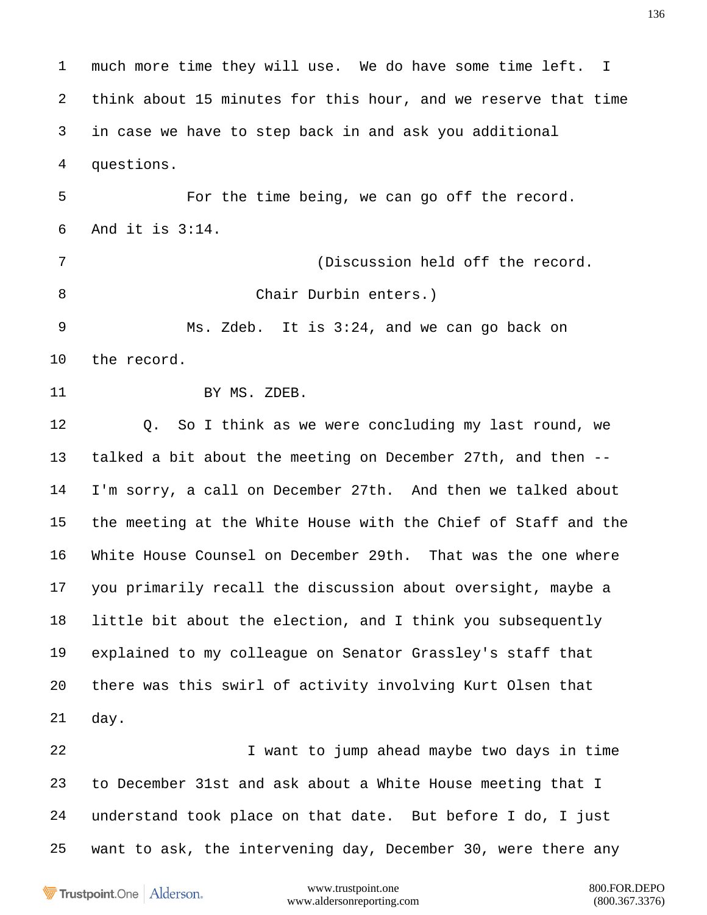much more time they will use. We do have some time left. I think about 15 minutes for this hour, and we reserve that time in case we have to step back in and ask you additional questions. For the time being, we can go off the record. And it is 3:14. (Discussion held off the record. 8 Chair Durbin enters.) Ms. Zdeb. It is 3:24, and we can go back on the record. 11 BY MS. ZDEB. Q. So I think as we were concluding my last round, we talked a bit about the meeting on December 27th, and then -- I'm sorry, a call on December 27th. And then we talked about the meeting at the White House with the Chief of Staff and the White House Counsel on December 29th. That was the one where you primarily recall the discussion about oversight, maybe a little bit about the election, and I think you subsequently explained to my colleague on Senator Grassley's staff that there was this swirl of activity involving Kurt Olsen that day. I want to jump ahead maybe two days in time to December 31st and ask about a White House meeting that I understand took place on that date. But before I do, I just want to ask, the intervening day, December 30, were there any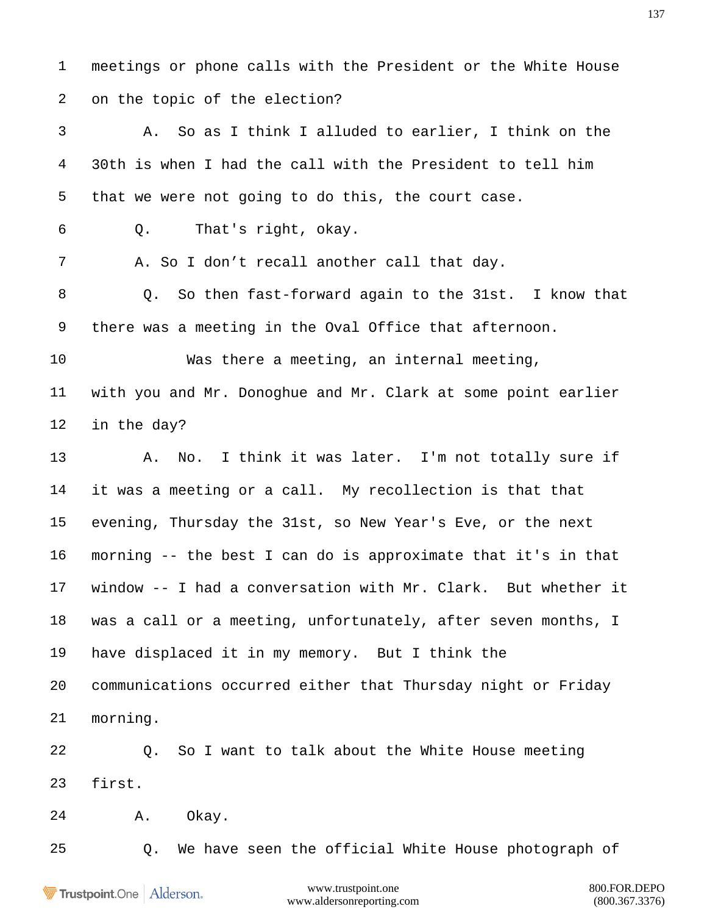meetings or phone calls with the President or the White House on the topic of the election?

 A. So as I think I alluded to earlier, I think on the 30th is when I had the call with the President to tell him that we were not going to do this, the court case.

Q. That's right, okay.

7 A. So I don't recall another call that day.

 Q. So then fast-forward again to the 31st. I know that there was a meeting in the Oval Office that afternoon.

 Was there a meeting, an internal meeting, with you and Mr. Donoghue and Mr. Clark at some point earlier in the day?

13 A. No. I think it was later. I'm not totally sure if it was a meeting or a call. My recollection is that that evening, Thursday the 31st, so New Year's Eve, or the next morning -- the best I can do is approximate that it's in that window -- I had a conversation with Mr. Clark. But whether it was a call or a meeting, unfortunately, after seven months, I have displaced it in my memory. But I think the communications occurred either that Thursday night or Friday morning.

 Q. So I want to talk about the White House meeting first.

A. Okay.

Q. We have seen the official White House photograph of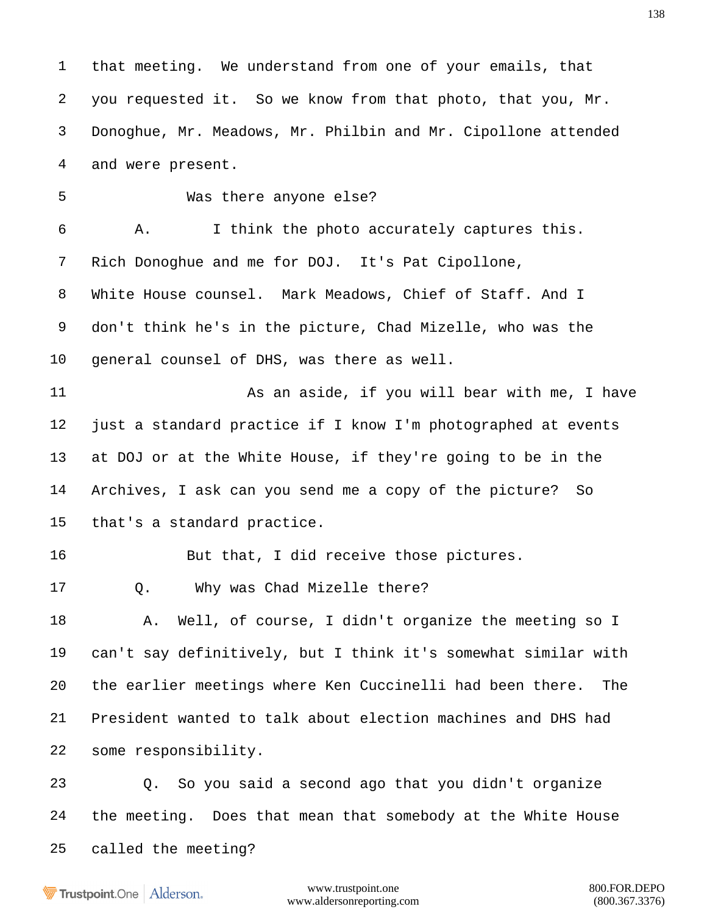that meeting. We understand from one of your emails, that you requested it. So we know from that photo, that you, Mr. Donoghue, Mr. Meadows, Mr. Philbin and Mr. Cipollone attended and were present. Was there anyone else? A. I think the photo accurately captures this. Rich Donoghue and me for DOJ. It's Pat Cipollone, White House counsel. Mark Meadows, Chief of Staff. And I don't think he's in the picture, Chad Mizelle, who was the general counsel of DHS, was there as well. **As an aside, if you will bear with me, I have**  just a standard practice if I know I'm photographed at events at DOJ or at the White House, if they're going to be in the Archives, I ask can you send me a copy of the picture? So that's a standard practice. But that, I did receive those pictures. 17 0. Why was Chad Mizelle there? A. Well, of course, I didn't organize the meeting so I can't say definitively, but I think it's somewhat similar with the earlier meetings where Ken Cuccinelli had been there. The President wanted to talk about election machines and DHS had some responsibility. Q. So you said a second ago that you didn't organize the meeting. Does that mean that somebody at the White House called the meeting?

Trustpoint.One Alderson.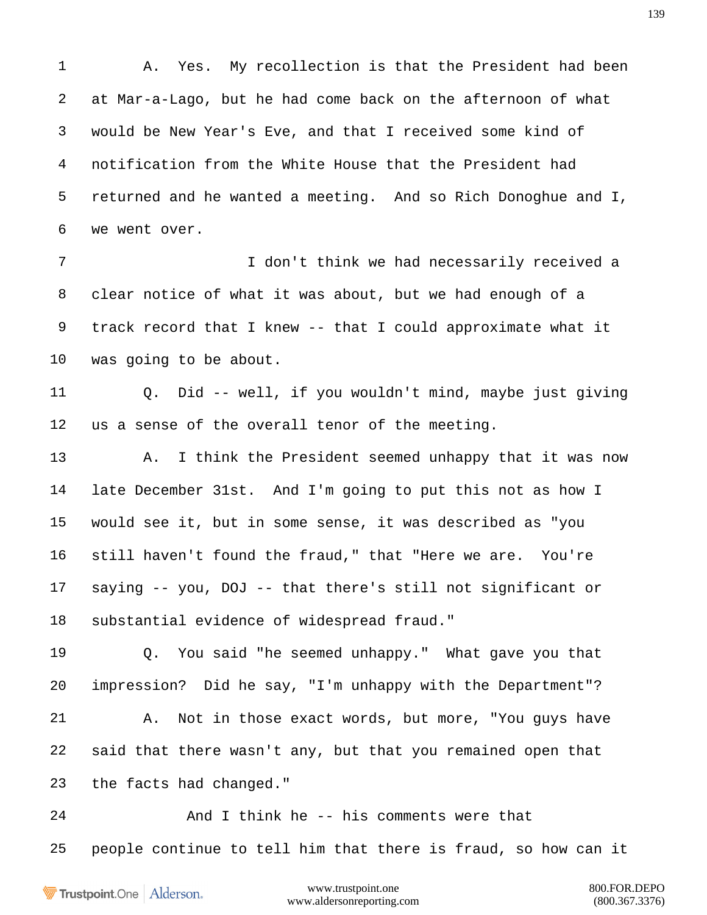A. Yes. My recollection is that the President had been at Mar-a-Lago, but he had come back on the afternoon of what would be New Year's Eve, and that I received some kind of notification from the White House that the President had returned and he wanted a meeting. And so Rich Donoghue and I, we went over.

 I don't think we had necessarily received a clear notice of what it was about, but we had enough of a track record that I knew -- that I could approximate what it was going to be about.

 Q. Did -- well, if you wouldn't mind, maybe just giving us a sense of the overall tenor of the meeting.

 A. I think the President seemed unhappy that it was now late December 31st. And I'm going to put this not as how I would see it, but in some sense, it was described as "you still haven't found the fraud," that "Here we are. You're saying -- you, DOJ -- that there's still not significant or substantial evidence of widespread fraud."

 Q. You said "he seemed unhappy." What gave you that impression? Did he say, "I'm unhappy with the Department"? A. Not in those exact words, but more, "You guys have said that there wasn't any, but that you remained open that

the facts had changed."

24 And I think he -- his comments were that people continue to tell him that there is fraud, so how can it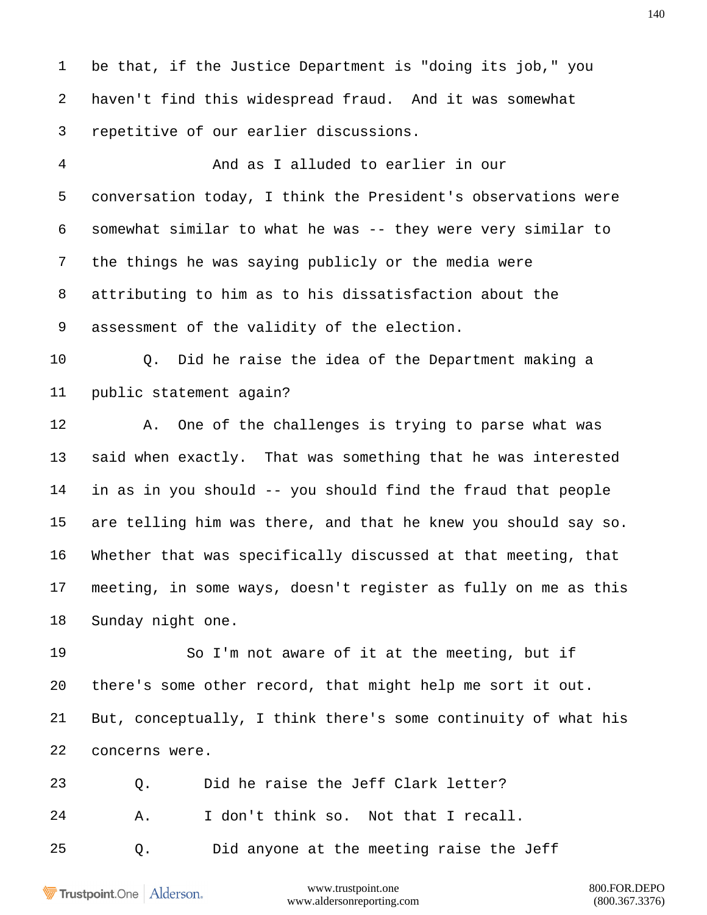be that, if the Justice Department is "doing its job," you haven't find this widespread fraud. And it was somewhat repetitive of our earlier discussions.

 And as I alluded to earlier in our conversation today, I think the President's observations were somewhat similar to what he was -- they were very similar to the things he was saying publicly or the media were attributing to him as to his dissatisfaction about the assessment of the validity of the election.

 Q. Did he raise the idea of the Department making a public statement again?

 A. One of the challenges is trying to parse what was said when exactly. That was something that he was interested in as in you should -- you should find the fraud that people are telling him was there, and that he knew you should say so. Whether that was specifically discussed at that meeting, that meeting, in some ways, doesn't register as fully on me as this Sunday night one.

 So I'm not aware of it at the meeting, but if there's some other record, that might help me sort it out. But, conceptually, I think there's some continuity of what his concerns were.

Q. Did he raise the Jeff Clark letter?

A. I don't think so. Not that I recall.

Q. Did anyone at the meeting raise the Jeff

Trustpoint.One Alderson.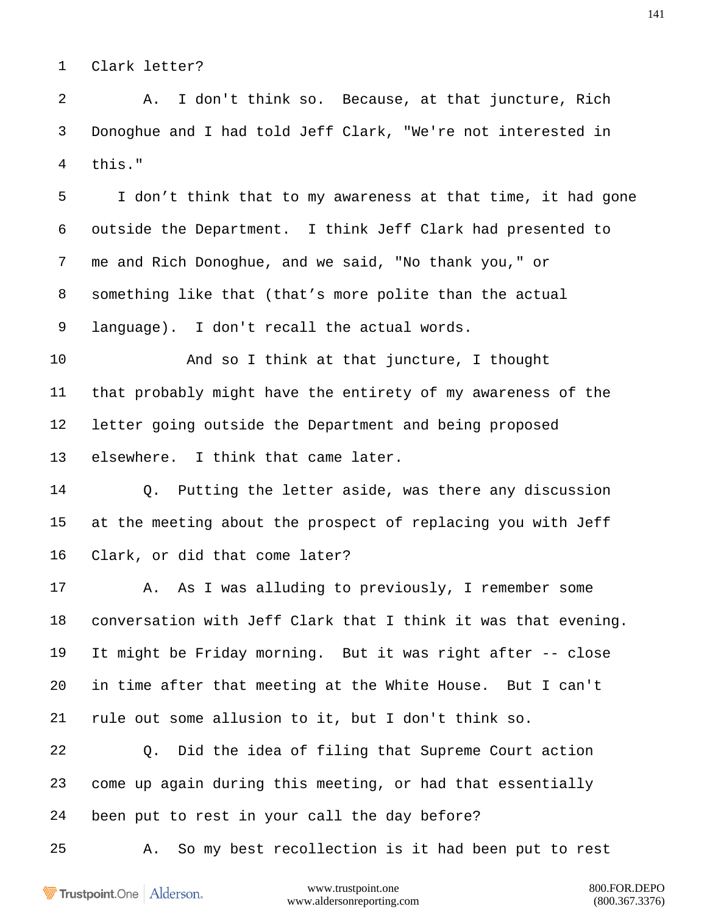Clark letter?

 A. I don't think so. Because, at that juncture, Rich Donoghue and I had told Jeff Clark, "We're not interested in this."

 I don't think that to my awareness at that time, it had gone outside the Department. I think Jeff Clark had presented to me and Rich Donoghue, and we said, "No thank you," or something like that (that's more polite than the actual language). I don't recall the actual words.

 And so I think at that juncture, I thought that probably might have the entirety of my awareness of the letter going outside the Department and being proposed elsewhere. I think that came later.

 Q. Putting the letter aside, was there any discussion at the meeting about the prospect of replacing you with Jeff Clark, or did that come later?

 A. As I was alluding to previously, I remember some conversation with Jeff Clark that I think it was that evening. It might be Friday morning. But it was right after -- close in time after that meeting at the White House. But I can't rule out some allusion to it, but I don't think so.

 Q. Did the idea of filing that Supreme Court action come up again during this meeting, or had that essentially been put to rest in your call the day before?

A. So my best recollection is it had been put to rest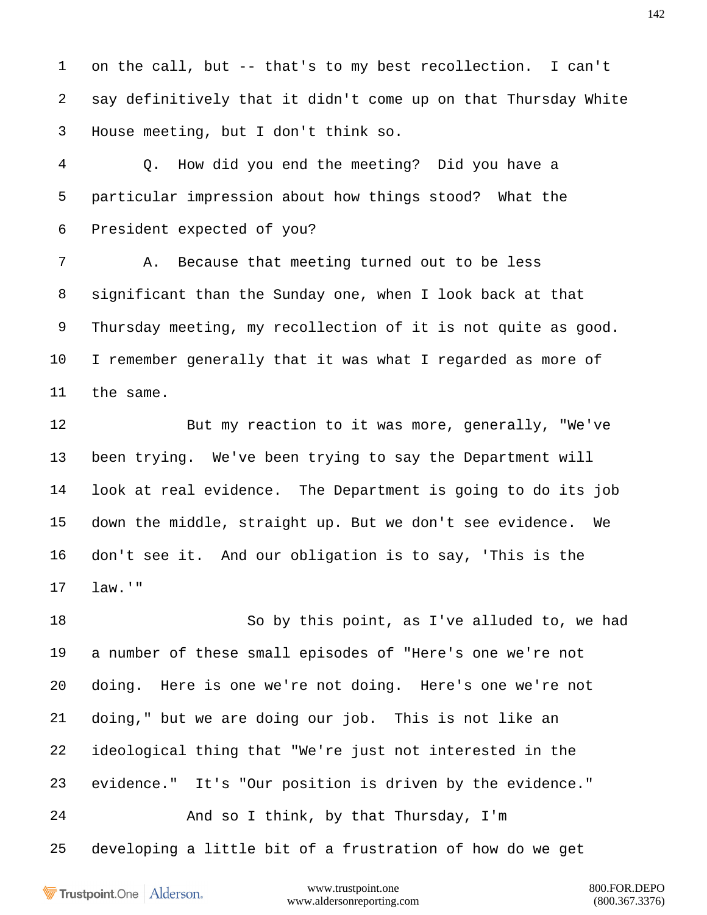on the call, but -- that's to my best recollection. I can't say definitively that it didn't come up on that Thursday White House meeting, but I don't think so.

 Q. How did you end the meeting? Did you have a particular impression about how things stood? What the President expected of you?

 A. Because that meeting turned out to be less significant than the Sunday one, when I look back at that Thursday meeting, my recollection of it is not quite as good. I remember generally that it was what I regarded as more of the same.

 But my reaction to it was more, generally, "We've been trying. We've been trying to say the Department will look at real evidence. The Department is going to do its job down the middle, straight up. But we don't see evidence. We don't see it. And our obligation is to say, 'This is the law.'"

 So by this point, as I've alluded to, we had a number of these small episodes of "Here's one we're not doing. Here is one we're not doing. Here's one we're not doing," but we are doing our job. This is not like an ideological thing that "We're just not interested in the evidence." It's "Our position is driven by the evidence." And so I think, by that Thursday, I'm developing a little bit of a frustration of how do we get

Trustpoint.One Alderson.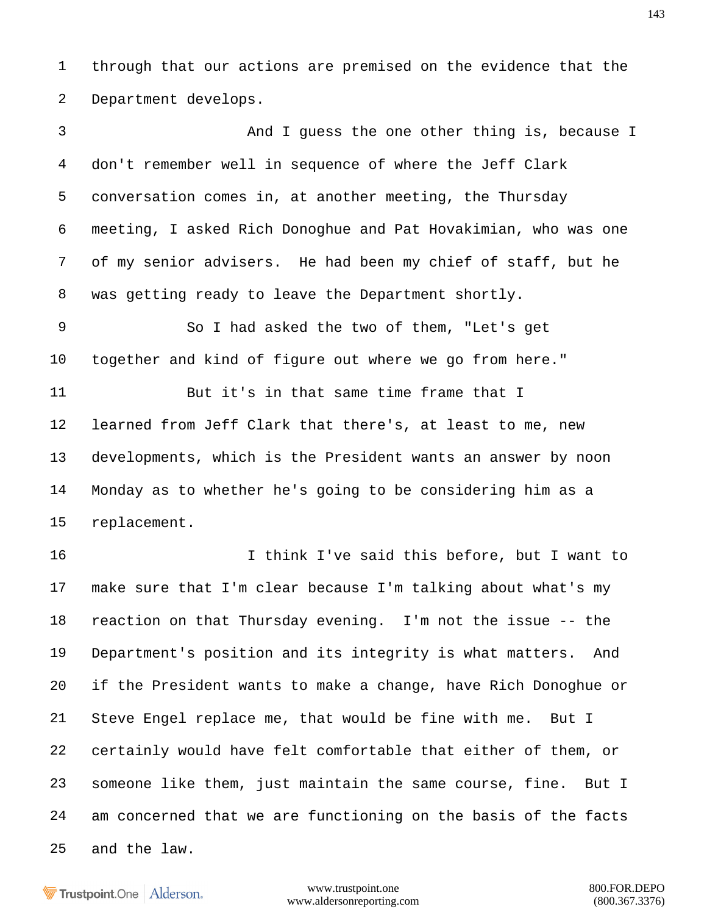through that our actions are premised on the evidence that the Department develops.

 And I guess the one other thing is, because I don't remember well in sequence of where the Jeff Clark conversation comes in, at another meeting, the Thursday meeting, I asked Rich Donoghue and Pat Hovakimian, who was one of my senior advisers. He had been my chief of staff, but he was getting ready to leave the Department shortly. So I had asked the two of them, "Let's get together and kind of figure out where we go from here." But it's in that same time frame that I learned from Jeff Clark that there's, at least to me, new developments, which is the President wants an answer by noon Monday as to whether he's going to be considering him as a replacement. I think I've said this before, but I want to make sure that I'm clear because I'm talking about what's my reaction on that Thursday evening. I'm not the issue -- the Department's position and its integrity is what matters. And if the President wants to make a change, have Rich Donoghue or Steve Engel replace me, that would be fine with me. But I certainly would have felt comfortable that either of them, or someone like them, just maintain the same course, fine. But I am concerned that we are functioning on the basis of the facts and the law.

Trustpoint.One Alderson.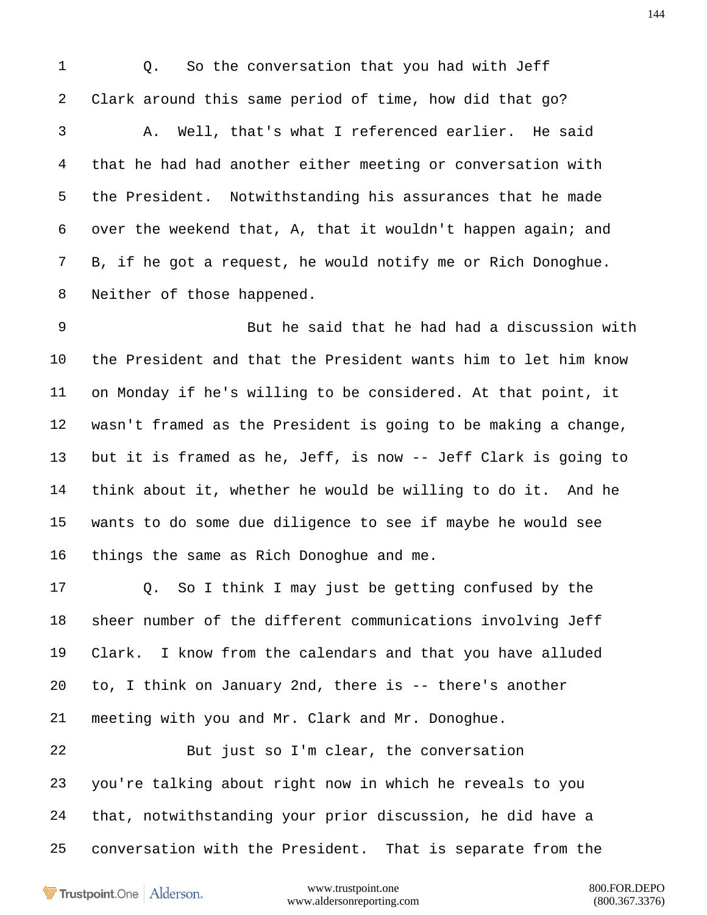1 0. So the conversation that you had with Jeff Clark around this same period of time, how did that go? A. Well, that's what I referenced earlier. He said that he had had another either meeting or conversation with the President. Notwithstanding his assurances that he made over the weekend that, A, that it wouldn't happen again; and B, if he got a request, he would notify me or Rich Donoghue. Neither of those happened.

 But he said that he had had a discussion with the President and that the President wants him to let him know on Monday if he's willing to be considered. At that point, it wasn't framed as the President is going to be making a change, but it is framed as he, Jeff, is now -- Jeff Clark is going to think about it, whether he would be willing to do it. And he wants to do some due diligence to see if maybe he would see things the same as Rich Donoghue and me.

 Q. So I think I may just be getting confused by the sheer number of the different communications involving Jeff Clark. I know from the calendars and that you have alluded to, I think on January 2nd, there is -- there's another meeting with you and Mr. Clark and Mr. Donoghue.

 But just so I'm clear, the conversation you're talking about right now in which he reveals to you that, notwithstanding your prior discussion, he did have a conversation with the President. That is separate from the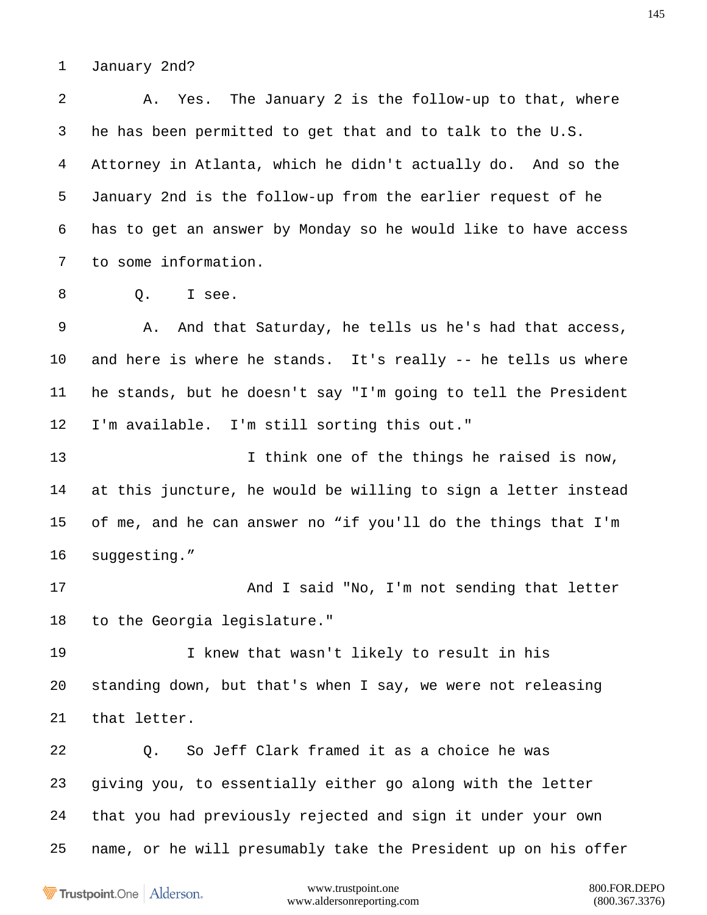January 2nd?

 A. Yes. The January 2 is the follow-up to that, where he has been permitted to get that and to talk to the U.S. Attorney in Atlanta, which he didn't actually do. And so the January 2nd is the follow-up from the earlier request of he has to get an answer by Monday so he would like to have access to some information. 8 0. I see. A. And that Saturday, he tells us he's had that access, and here is where he stands. It's really -- he tells us where he stands, but he doesn't say "I'm going to tell the President I'm available. I'm still sorting this out." 13 13 I think one of the things he raised is now,

 at this juncture, he would be willing to sign a letter instead of me, and he can answer no "if you'll do the things that I'm 16 suggesting."

17 And I said "No, I'm not sending that letter to the Georgia legislature."

 I knew that wasn't likely to result in his standing down, but that's when I say, we were not releasing that letter.

 Q. So Jeff Clark framed it as a choice he was giving you, to essentially either go along with the letter that you had previously rejected and sign it under your own name, or he will presumably take the President up on his offer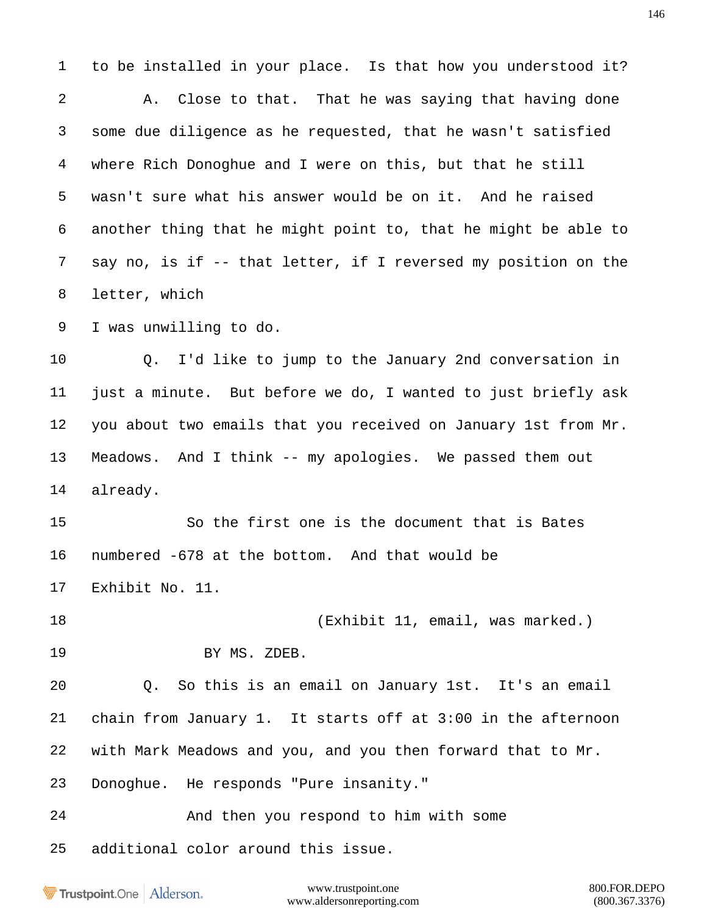to be installed in your place. Is that how you understood it? A. Close to that. That he was saying that having done some due diligence as he requested, that he wasn't satisfied where Rich Donoghue and I were on this, but that he still wasn't sure what his answer would be on it. And he raised another thing that he might point to, that he might be able to say no, is if -- that letter, if I reversed my position on the letter, which I was unwilling to do. Q. I'd like to jump to the January 2nd conversation in just a minute. But before we do, I wanted to just briefly ask you about two emails that you received on January 1st from Mr. Meadows. And I think -- my apologies. We passed them out already. So the first one is the document that is Bates numbered -678 at the bottom. And that would be Exhibit No. 11. 18 (Exhibit 11, email, was marked.) BY MS. ZDEB. Q. So this is an email on January 1st. It's an email chain from January 1. It starts off at 3:00 in the afternoon with Mark Meadows and you, and you then forward that to Mr. Donoghue. He responds "Pure insanity." And then you respond to him with some additional color around this issue.

Trustpoint.One Alderson.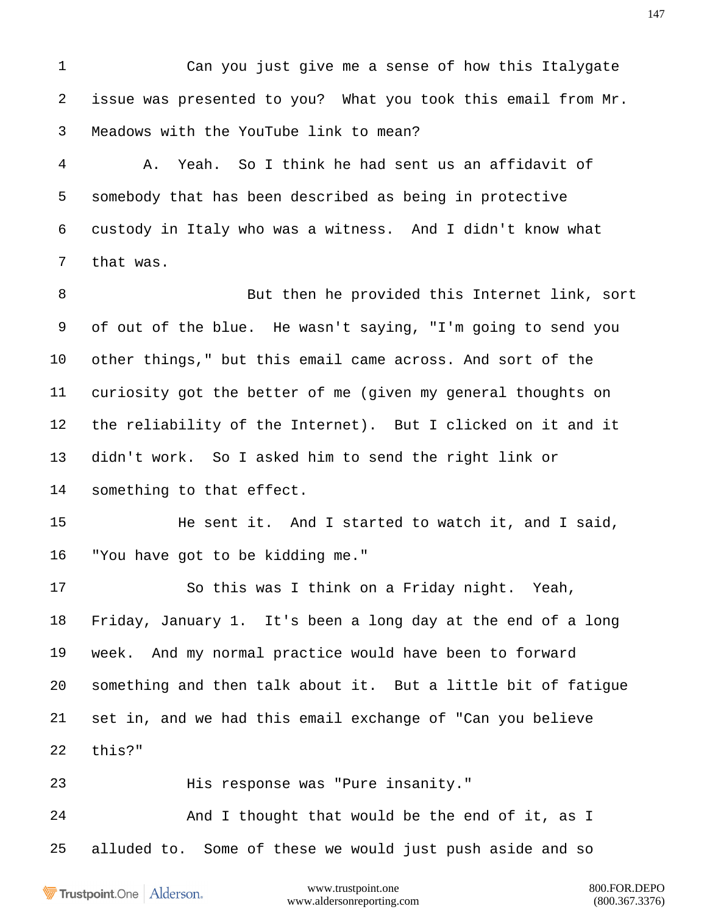Can you just give me a sense of how this Italygate issue was presented to you? What you took this email from Mr. Meadows with the YouTube link to mean?

 A. Yeah. So I think he had sent us an affidavit of somebody that has been described as being in protective custody in Italy who was a witness. And I didn't know what that was.

8 But then he provided this Internet link, sort of out of the blue. He wasn't saying, "I'm going to send you other things," but this email came across. And sort of the curiosity got the better of me (given my general thoughts on the reliability of the Internet). But I clicked on it and it didn't work. So I asked him to send the right link or something to that effect.

 He sent it. And I started to watch it, and I said, "You have got to be kidding me."

 So this was I think on a Friday night. Yeah, Friday, January 1. It's been a long day at the end of a long week. And my normal practice would have been to forward something and then talk about it. But a little bit of fatigue set in, and we had this email exchange of "Can you believe this?"

His response was "Pure insanity."

24 And I thought that would be the end of it, as I alluded to. Some of these we would just push aside and so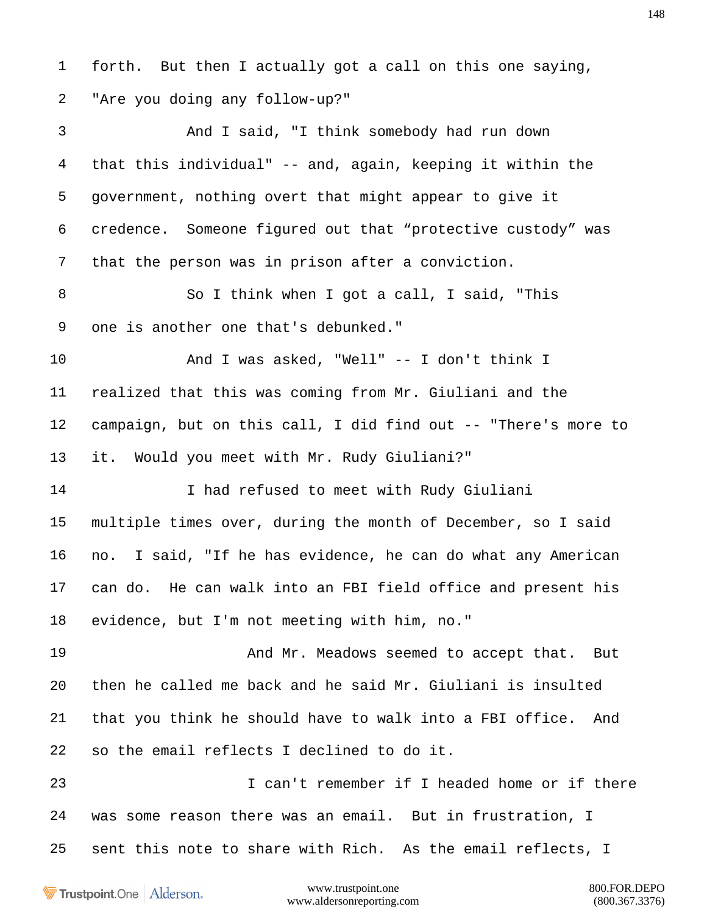forth. But then I actually got a call on this one saying, "Are you doing any follow-up?" And I said, "I think somebody had run down that this individual" -- and, again, keeping it within the government, nothing overt that might appear to give it credence. Someone figured out that "protective custody" was that the person was in prison after a conviction. So I think when I got a call, I said, "This one is another one that's debunked." And I was asked, "Well" -- I don't think I realized that this was coming from Mr. Giuliani and the campaign, but on this call, I did find out -- "There's more to it. Would you meet with Mr. Rudy Giuliani?" I had refused to meet with Rudy Giuliani multiple times over, during the month of December, so I said no. I said, "If he has evidence, he can do what any American can do. He can walk into an FBI field office and present his evidence, but I'm not meeting with him, no." 19 And Mr. Meadows seemed to accept that. But then he called me back and he said Mr. Giuliani is insulted that you think he should have to walk into a FBI office. And so the email reflects I declined to do it. I can't remember if I headed home or if there was some reason there was an email. But in frustration, I sent this note to share with Rich. As the email reflects, I

Trustpoint.One Alderson.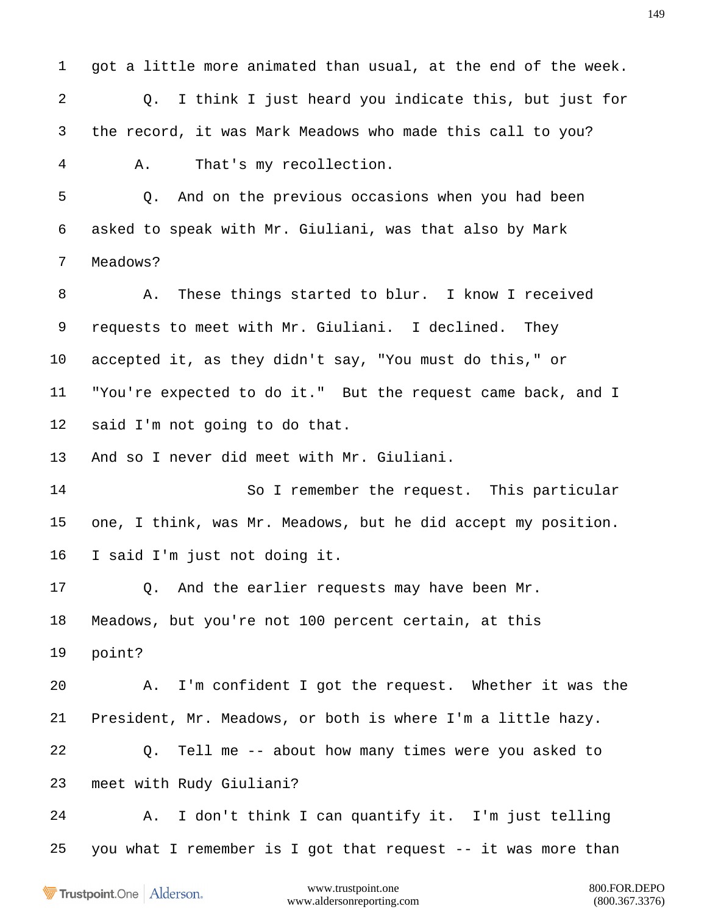got a little more animated than usual, at the end of the week. Q. I think I just heard you indicate this, but just for the record, it was Mark Meadows who made this call to you? A. That's my recollection.

 Q. And on the previous occasions when you had been asked to speak with Mr. Giuliani, was that also by Mark Meadows?

 A. These things started to blur. I know I received requests to meet with Mr. Giuliani. I declined. They accepted it, as they didn't say, "You must do this," or "You're expected to do it." But the request came back, and I said I'm not going to do that.

And so I never did meet with Mr. Giuliani.

 So I remember the request. This particular one, I think, was Mr. Meadows, but he did accept my position. I said I'm just not doing it.

 Q. And the earlier requests may have been Mr. Meadows, but you're not 100 percent certain, at this point?

 A. I'm confident I got the request. Whether it was the President, Mr. Meadows, or both is where I'm a little hazy.

 Q. Tell me -- about how many times were you asked to meet with Rudy Giuliani?

 A. I don't think I can quantify it. I'm just telling you what I remember is I got that request -- it was more than

Trustpoint.One Alderson.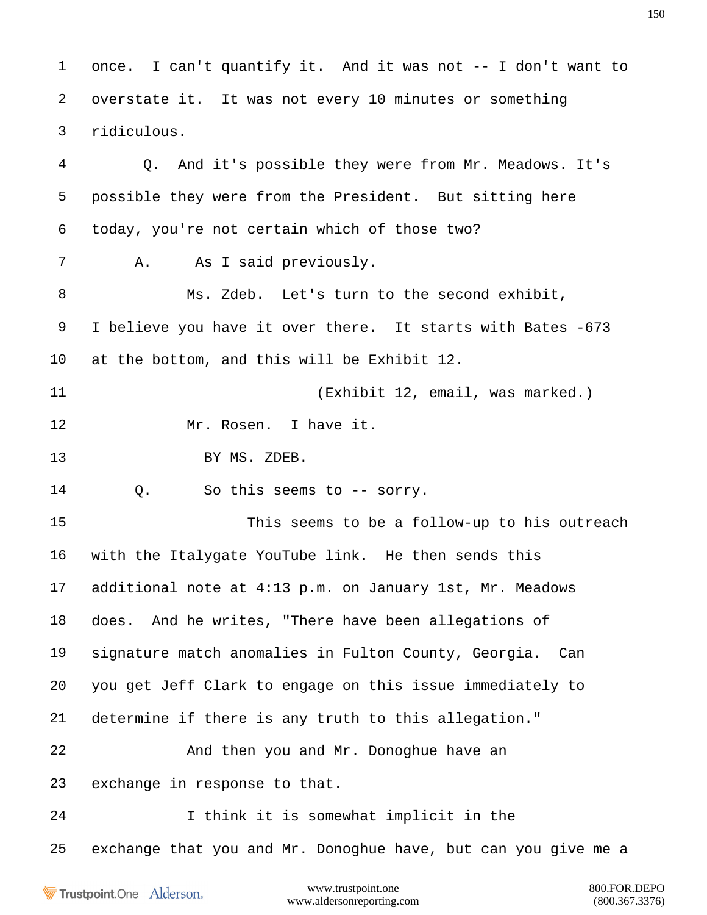www.trustpoint.one 800.FOR.DEPO once. I can't quantify it. And it was not -- I don't want to overstate it. It was not every 10 minutes or something ridiculous. Q. And it's possible they were from Mr. Meadows. It's possible they were from the President. But sitting here today, you're not certain which of those two? A. As I said previously. Ms. Zdeb. Let's turn to the second exhibit, I believe you have it over there. It starts with Bates -673 at the bottom, and this will be Exhibit 12. (Exhibit 12, email, was marked.) Mr. Rosen. I have it. 13 BY MS. ZDEB. Q. So this seems to -- sorry. This seems to be a follow-up to his outreach with the Italygate YouTube link. He then sends this additional note at 4:13 p.m. on January 1st, Mr. Meadows does. And he writes, "There have been allegations of signature match anomalies in Fulton County, Georgia. Can you get Jeff Clark to engage on this issue immediately to determine if there is any truth to this allegation." 22 And then you and Mr. Donoghue have an exchange in response to that. I think it is somewhat implicit in the exchange that you and Mr. Donoghue have, but can you give me a

Trustpoint.One Alderson.

www.aldersonreporting.com (800.367.3376)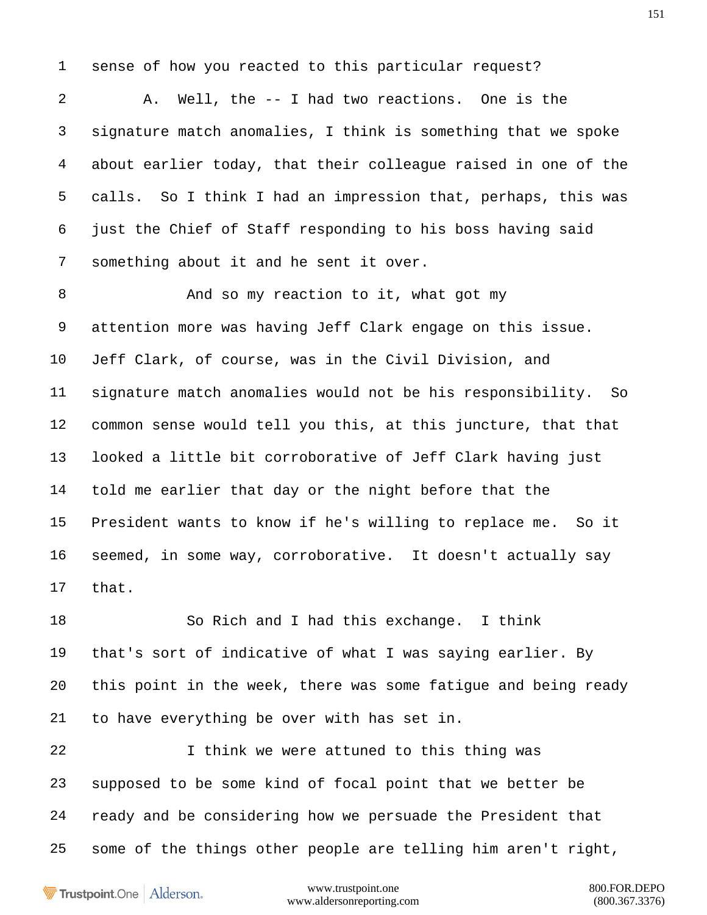sense of how you reacted to this particular request?

 A. Well, the -- I had two reactions. One is the signature match anomalies, I think is something that we spoke about earlier today, that their colleague raised in one of the calls. So I think I had an impression that, perhaps, this was just the Chief of Staff responding to his boss having said something about it and he sent it over.

 And so my reaction to it, what got my attention more was having Jeff Clark engage on this issue. Jeff Clark, of course, was in the Civil Division, and signature match anomalies would not be his responsibility. So common sense would tell you this, at this juncture, that that looked a little bit corroborative of Jeff Clark having just told me earlier that day or the night before that the President wants to know if he's willing to replace me. So it seemed, in some way, corroborative. It doesn't actually say that.

 So Rich and I had this exchange. I think that's sort of indicative of what I was saying earlier. By this point in the week, there was some fatigue and being ready to have everything be over with has set in.

 I think we were attuned to this thing was supposed to be some kind of focal point that we better be ready and be considering how we persuade the President that some of the things other people are telling him aren't right,

Trustpoint.One Alderson.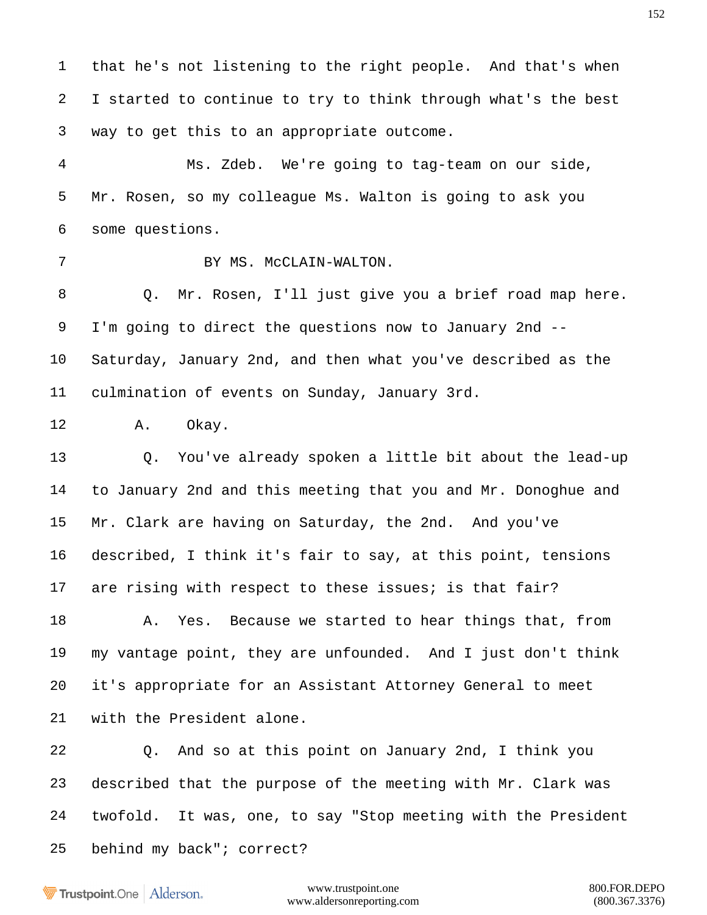that he's not listening to the right people. And that's when I started to continue to try to think through what's the best way to get this to an appropriate outcome.

 Ms. Zdeb. We're going to tag-team on our side, Mr. Rosen, so my colleague Ms. Walton is going to ask you some questions.

7 BY MS. McCLAIN-WALTON.

 Q. Mr. Rosen, I'll just give you a brief road map here. I'm going to direct the questions now to January 2nd -- Saturday, January 2nd, and then what you've described as the culmination of events on Sunday, January 3rd.

A. Okay.

 Q. You've already spoken a little bit about the lead-up to January 2nd and this meeting that you and Mr. Donoghue and Mr. Clark are having on Saturday, the 2nd. And you've described, I think it's fair to say, at this point, tensions 17 are rising with respect to these issues; is that fair?

 A. Yes. Because we started to hear things that, from my vantage point, they are unfounded. And I just don't think it's appropriate for an Assistant Attorney General to meet with the President alone.

 Q. And so at this point on January 2nd, I think you described that the purpose of the meeting with Mr. Clark was twofold. It was, one, to say "Stop meeting with the President behind my back"; correct?

Trustpoint.One Alderson.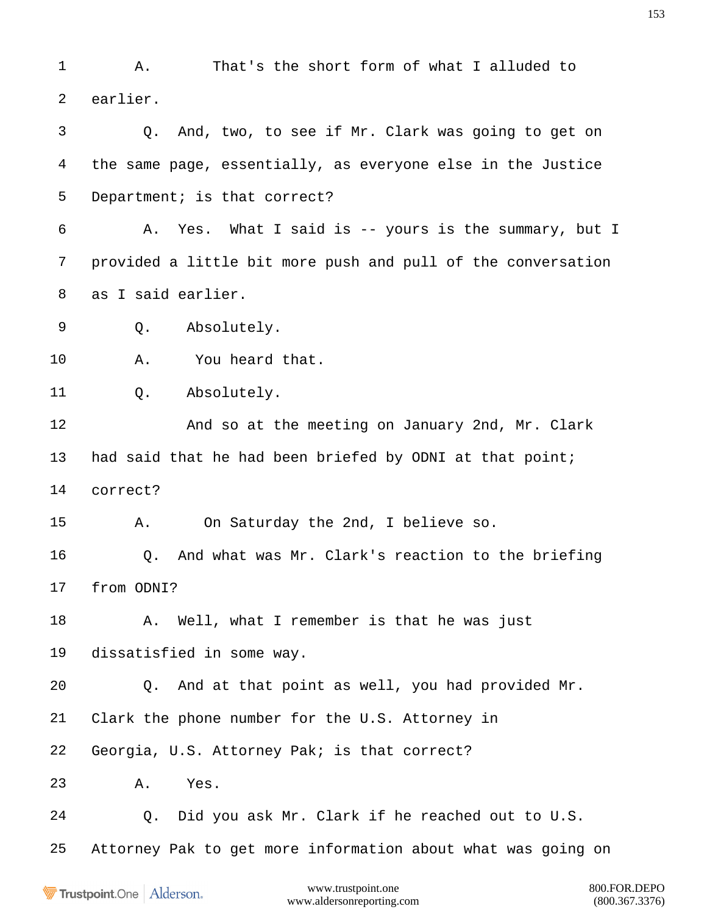A. That's the short form of what I alluded to earlier. Q. And, two, to see if Mr. Clark was going to get on the same page, essentially, as everyone else in the Justice 5 Department; is that correct? A. Yes. What I said is -- yours is the summary, but I provided a little bit more push and pull of the conversation as I said earlier. Q. Absolutely. A. You heard that. Q. Absolutely. 12 And so at the meeting on January 2nd, Mr. Clark had said that he had been briefed by ODNI at that point; correct? A. On Saturday the 2nd, I believe so. Q. And what was Mr. Clark's reaction to the briefing from ODNI? 18 A. Well, what I remember is that he was just dissatisfied in some way. Q. And at that point as well, you had provided Mr. Clark the phone number for the U.S. Attorney in Georgia, U.S. Attorney Pak; is that correct? A. Yes. Q. Did you ask Mr. Clark if he reached out to U.S. Attorney Pak to get more information about what was going on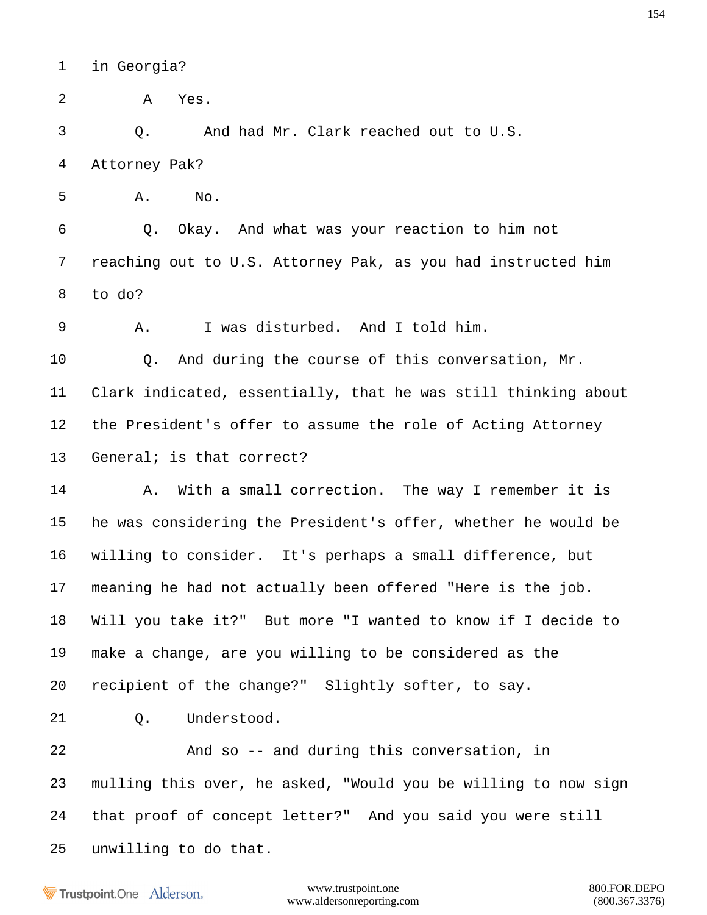in Georgia?

A Yes.

Q. And had Mr. Clark reached out to U.S.

Attorney Pak?

A. No.

 Q. Okay. And what was your reaction to him not reaching out to U.S. Attorney Pak, as you had instructed him to do?

A. I was disturbed. And I told him.

 Q. And during the course of this conversation, Mr. Clark indicated, essentially, that he was still thinking about the President's offer to assume the role of Acting Attorney General; is that correct?

14 A. With a small correction. The way I remember it is he was considering the President's offer, whether he would be willing to consider. It's perhaps a small difference, but meaning he had not actually been offered "Here is the job. Will you take it?" But more "I wanted to know if I decide to make a change, are you willing to be considered as the recipient of the change?" Slightly softer, to say.

Q. Understood.

 And so -- and during this conversation, in mulling this over, he asked, "Would you be willing to now sign that proof of concept letter?" And you said you were still unwilling to do that.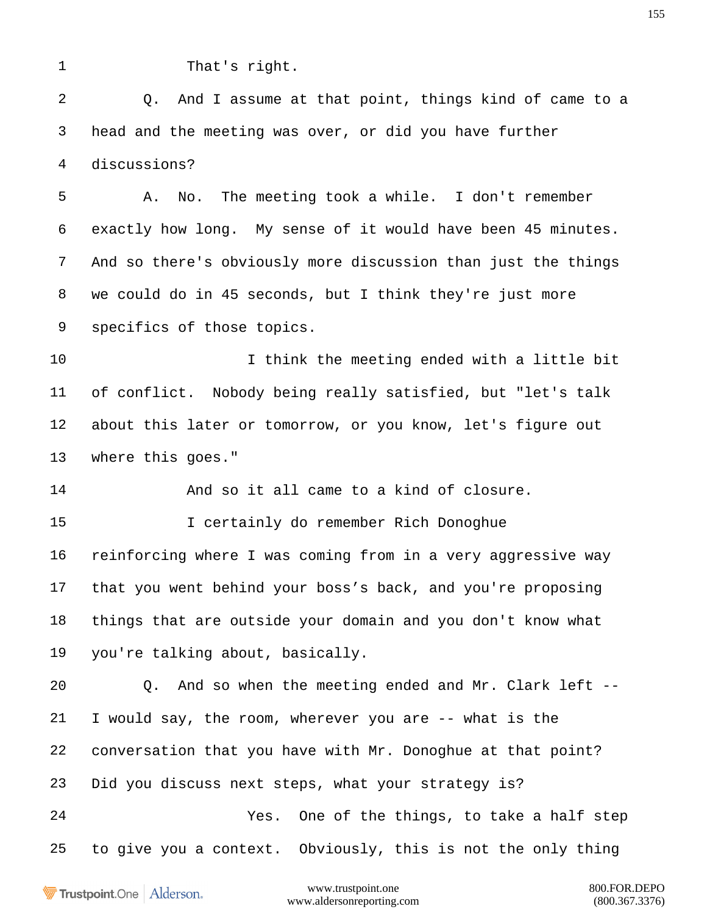| v |  |
|---|--|
|   |  |
|   |  |

That's right.

 Q. And I assume at that point, things kind of came to a head and the meeting was over, or did you have further discussions? A. No. The meeting took a while. I don't remember exactly how long. My sense of it would have been 45 minutes. And so there's obviously more discussion than just the things

 we could do in 45 seconds, but I think they're just more specifics of those topics.

 I think the meeting ended with a little bit of conflict. Nobody being really satisfied, but "let's talk about this later or tomorrow, or you know, let's figure out where this goes."

And so it all came to a kind of closure.

 I certainly do remember Rich Donoghue reinforcing where I was coming from in a very aggressive way that you went behind your boss's back, and you're proposing things that are outside your domain and you don't know what you're talking about, basically.

 Q. And so when the meeting ended and Mr. Clark left -- I would say, the room, wherever you are -- what is the conversation that you have with Mr. Donoghue at that point? Did you discuss next steps, what your strategy is? Yes. One of the things, to take a half step to give you a context. Obviously, this is not the only thing

Trustpoint.One Alderson.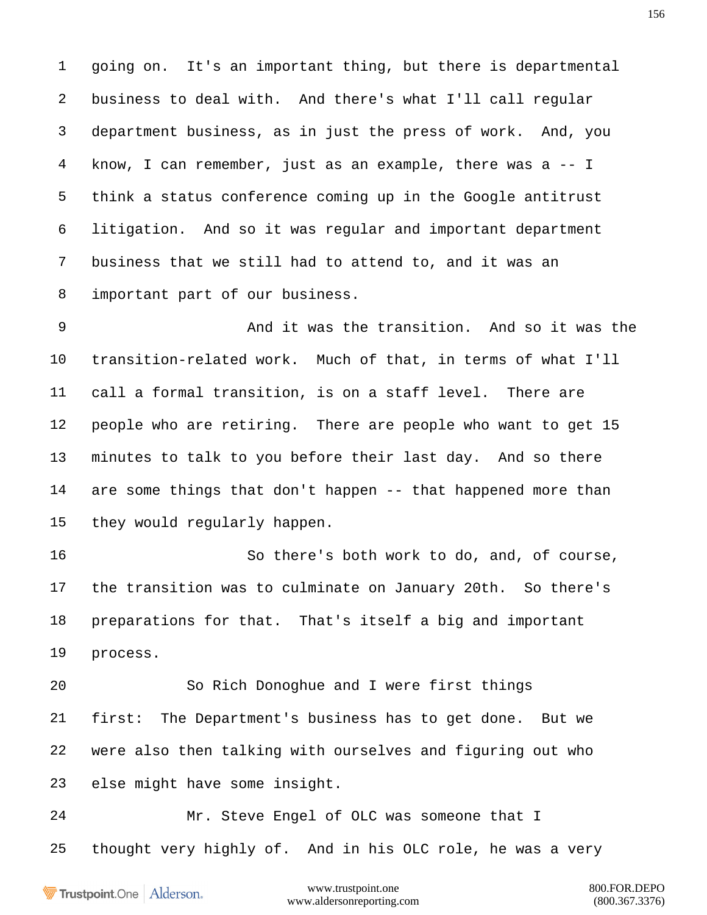going on. It's an important thing, but there is departmental business to deal with. And there's what I'll call regular department business, as in just the press of work. And, you know, I can remember, just as an example, there was a -- I think a status conference coming up in the Google antitrust litigation. And so it was regular and important department business that we still had to attend to, and it was an important part of our business.

 And it was the transition. And so it was the transition-related work. Much of that, in terms of what I'll call a formal transition, is on a staff level. There are people who are retiring. There are people who want to get 15 minutes to talk to you before their last day. And so there are some things that don't happen -- that happened more than they would regularly happen.

 So there's both work to do, and, of course, the transition was to culminate on January 20th. So there's preparations for that. That's itself a big and important process.

 So Rich Donoghue and I were first things first: The Department's business has to get done. But we were also then talking with ourselves and figuring out who else might have some insight.

 Mr. Steve Engel of OLC was someone that I thought very highly of. And in his OLC role, he was a very

Trustpoint.One Alderson.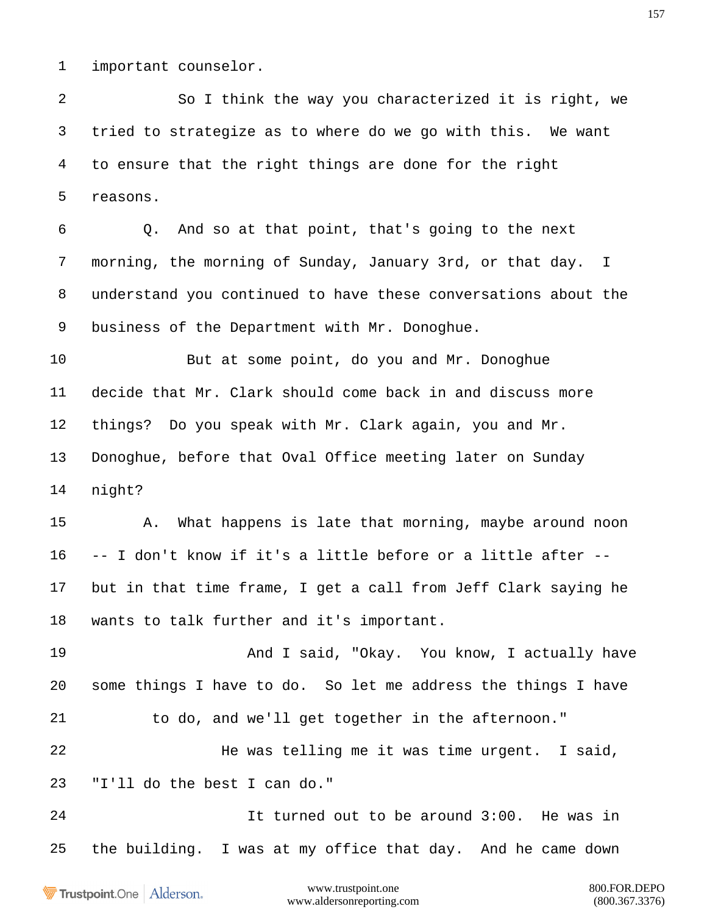important counselor.

 So I think the way you characterized it is right, we tried to strategize as to where do we go with this. We want to ensure that the right things are done for the right reasons.

 Q. And so at that point, that's going to the next morning, the morning of Sunday, January 3rd, or that day. I understand you continued to have these conversations about the business of the Department with Mr. Donoghue.

 But at some point, do you and Mr. Donoghue decide that Mr. Clark should come back in and discuss more things? Do you speak with Mr. Clark again, you and Mr. Donoghue, before that Oval Office meeting later on Sunday night?

 A. What happens is late that morning, maybe around noon -- I don't know if it's a little before or a little after -- but in that time frame, I get a call from Jeff Clark saying he wants to talk further and it's important.

19 And I said, "Okay. You know, I actually have some things I have to do. So let me address the things I have to do, and we'll get together in the afternoon."

 He was telling me it was time urgent. I said, "I'll do the best I can do."

 It turned out to be around 3:00. He was in the building. I was at my office that day. And he came down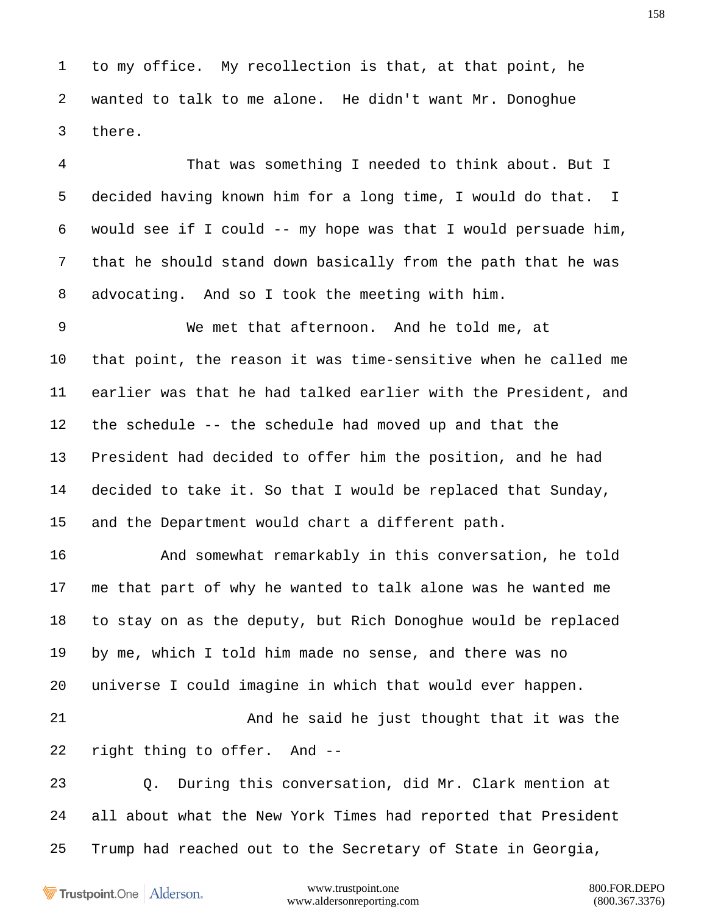to my office. My recollection is that, at that point, he wanted to talk to me alone. He didn't want Mr. Donoghue there.

 That was something I needed to think about. But I decided having known him for a long time, I would do that. I would see if I could -- my hope was that I would persuade him, that he should stand down basically from the path that he was advocating. And so I took the meeting with him.

 We met that afternoon. And he told me, at that point, the reason it was time-sensitive when he called me earlier was that he had talked earlier with the President, and the schedule -- the schedule had moved up and that the President had decided to offer him the position, and he had decided to take it. So that I would be replaced that Sunday, and the Department would chart a different path.

 And somewhat remarkably in this conversation, he told me that part of why he wanted to talk alone was he wanted me to stay on as the deputy, but Rich Donoghue would be replaced by me, which I told him made no sense, and there was no universe I could imagine in which that would ever happen.

 And he said he just thought that it was the right thing to offer. And --

 Q. During this conversation, did Mr. Clark mention at all about what the New York Times had reported that President Trump had reached out to the Secretary of State in Georgia,

Trustpoint.One Alderson.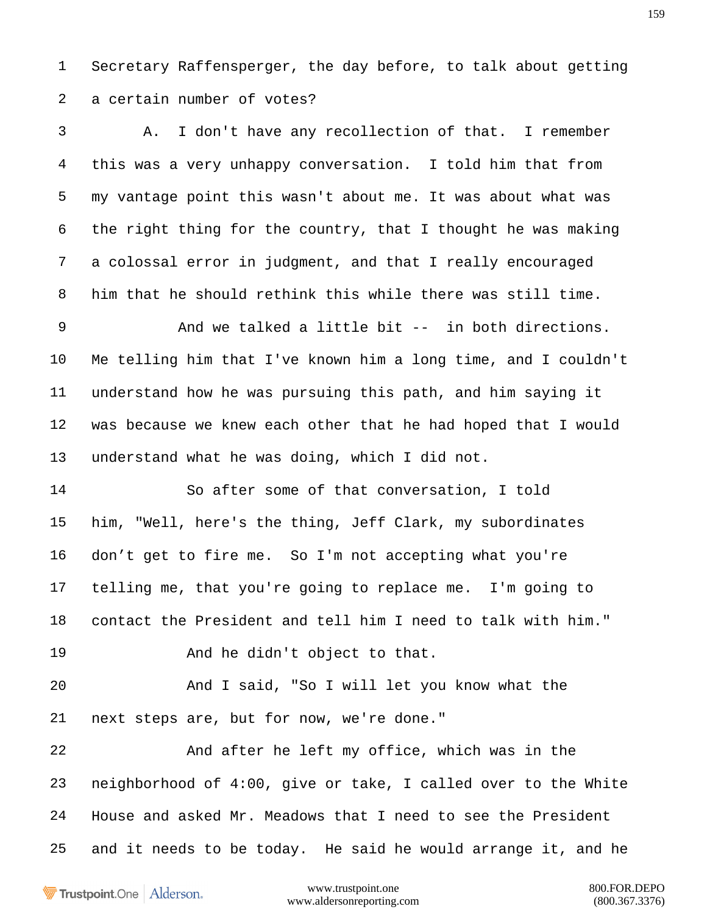Secretary Raffensperger, the day before, to talk about getting a certain number of votes?

 A. I don't have any recollection of that. I remember this was a very unhappy conversation. I told him that from my vantage point this wasn't about me. It was about what was the right thing for the country, that I thought he was making a colossal error in judgment, and that I really encouraged him that he should rethink this while there was still time. And we talked a little bit -- in both directions. Me telling him that I've known him a long time, and I couldn't understand how he was pursuing this path, and him saying it was because we knew each other that he had hoped that I would understand what he was doing, which I did not. So after some of that conversation, I told him, "Well, here's the thing, Jeff Clark, my subordinates don't get to fire me. So I'm not accepting what you're telling me, that you're going to replace me. I'm going to contact the President and tell him I need to talk with him." 19 And he didn't object to that. And I said, "So I will let you know what the next steps are, but for now, we're done." And after he left my office, which was in the neighborhood of 4:00, give or take, I called over to the White House and asked Mr. Meadows that I need to see the President and it needs to be today. He said he would arrange it, and he

Trustpoint.One Alderson.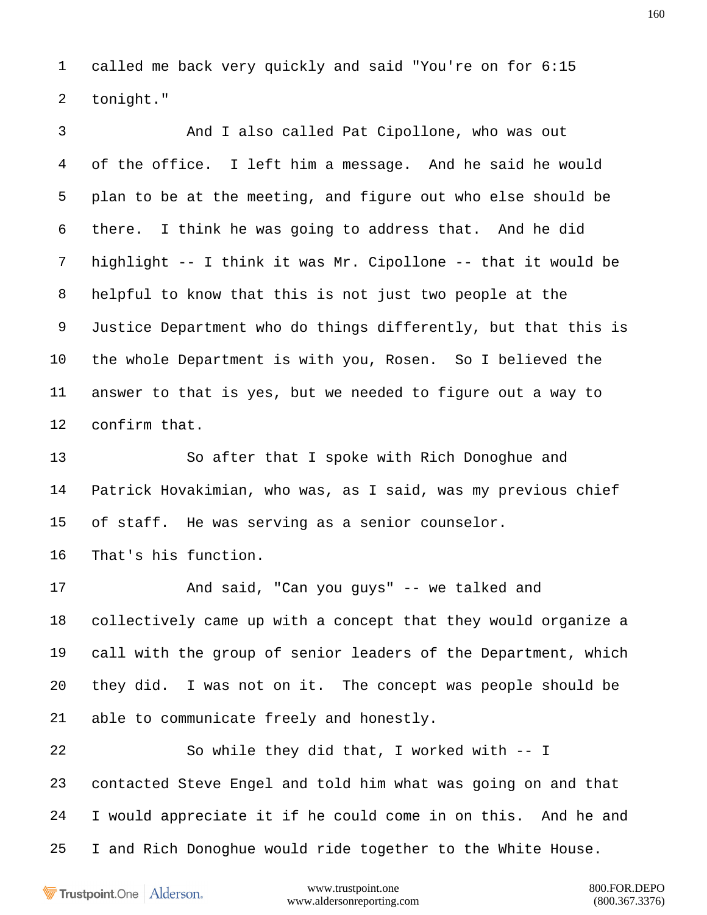called me back very quickly and said "You're on for 6:15 tonight."

 And I also called Pat Cipollone, who was out of the office. I left him a message. And he said he would plan to be at the meeting, and figure out who else should be there. I think he was going to address that. And he did highlight -- I think it was Mr. Cipollone -- that it would be helpful to know that this is not just two people at the Justice Department who do things differently, but that this is the whole Department is with you, Rosen. So I believed the answer to that is yes, but we needed to figure out a way to confirm that.

 So after that I spoke with Rich Donoghue and Patrick Hovakimian, who was, as I said, was my previous chief of staff. He was serving as a senior counselor.

That's his function.

 And said, "Can you guys" -- we talked and collectively came up with a concept that they would organize a call with the group of senior leaders of the Department, which they did. I was not on it. The concept was people should be able to communicate freely and honestly.

 So while they did that, I worked with -- I contacted Steve Engel and told him what was going on and that I would appreciate it if he could come in on this. And he and I and Rich Donoghue would ride together to the White House.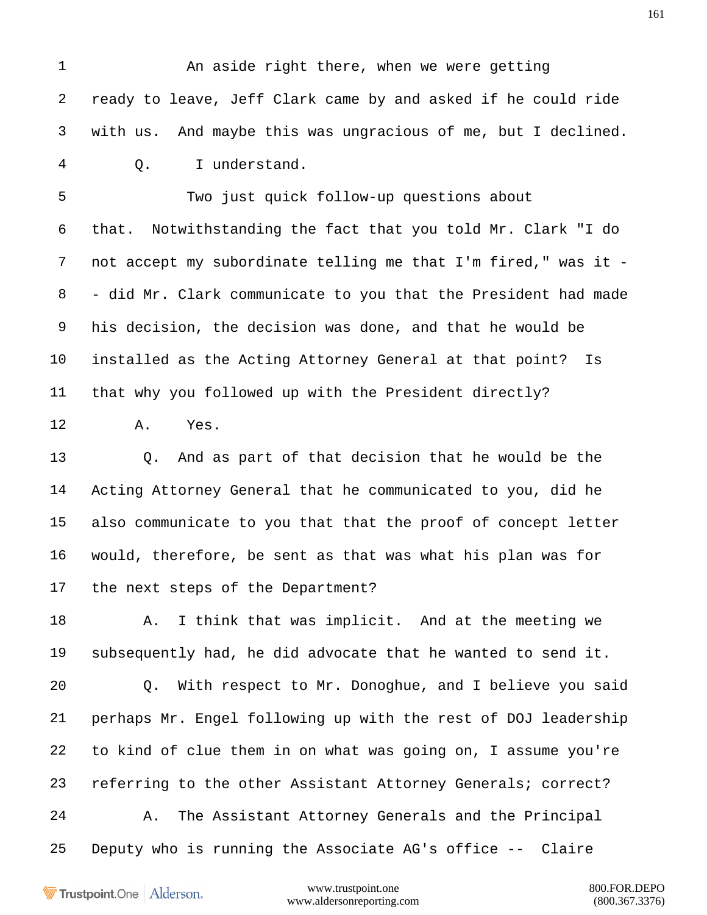1 An aside right there, when we were getting ready to leave, Jeff Clark came by and asked if he could ride with us. And maybe this was ungracious of me, but I declined. Q. I understand.

 Two just quick follow-up questions about that. Notwithstanding the fact that you told Mr. Clark "I do not accept my subordinate telling me that I'm fired," was it - - did Mr. Clark communicate to you that the President had made his decision, the decision was done, and that he would be installed as the Acting Attorney General at that point? Is that why you followed up with the President directly?

A. Yes.

 Q. And as part of that decision that he would be the Acting Attorney General that he communicated to you, did he also communicate to you that that the proof of concept letter would, therefore, be sent as that was what his plan was for the next steps of the Department?

18 A. I think that was implicit. And at the meeting we subsequently had, he did advocate that he wanted to send it.

 Q. With respect to Mr. Donoghue, and I believe you said perhaps Mr. Engel following up with the rest of DOJ leadership to kind of clue them in on what was going on, I assume you're referring to the other Assistant Attorney Generals; correct? A. The Assistant Attorney Generals and the Principal Deputy who is running the Associate AG's office -- Claire

Trustpoint.One Alderson.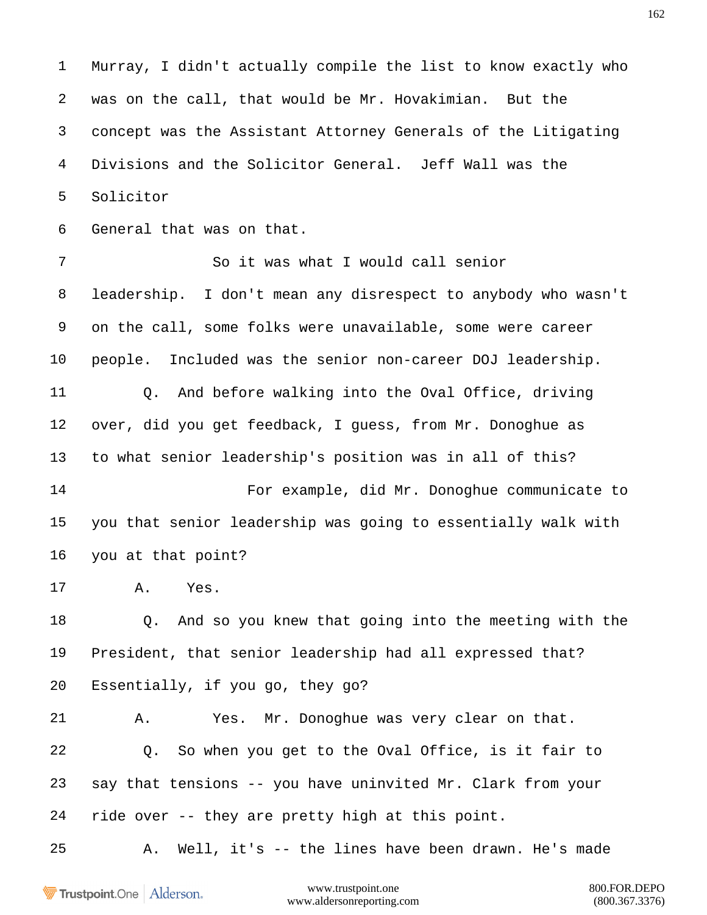Murray, I didn't actually compile the list to know exactly who was on the call, that would be Mr. Hovakimian. But the concept was the Assistant Attorney Generals of the Litigating Divisions and the Solicitor General. Jeff Wall was the Solicitor

General that was on that.

 leadership. I don't mean any disrespect to anybody who wasn't on the call, some folks were unavailable, some were career people. Included was the senior non-career DOJ leadership. Q. And before walking into the Oval Office, driving over, did you get feedback, I guess, from Mr. Donoghue as to what senior leadership's position was in all of this?

So it was what I would call senior

 For example, did Mr. Donoghue communicate to you that senior leadership was going to essentially walk with you at that point?

A. Yes.

 Q. And so you knew that going into the meeting with the President, that senior leadership had all expressed that? Essentially, if you go, they go?

 A. Yes. Mr. Donoghue was very clear on that. Q. So when you get to the Oval Office, is it fair to say that tensions -- you have uninvited Mr. Clark from your ride over -- they are pretty high at this point.

A. Well, it's -- the lines have been drawn. He's made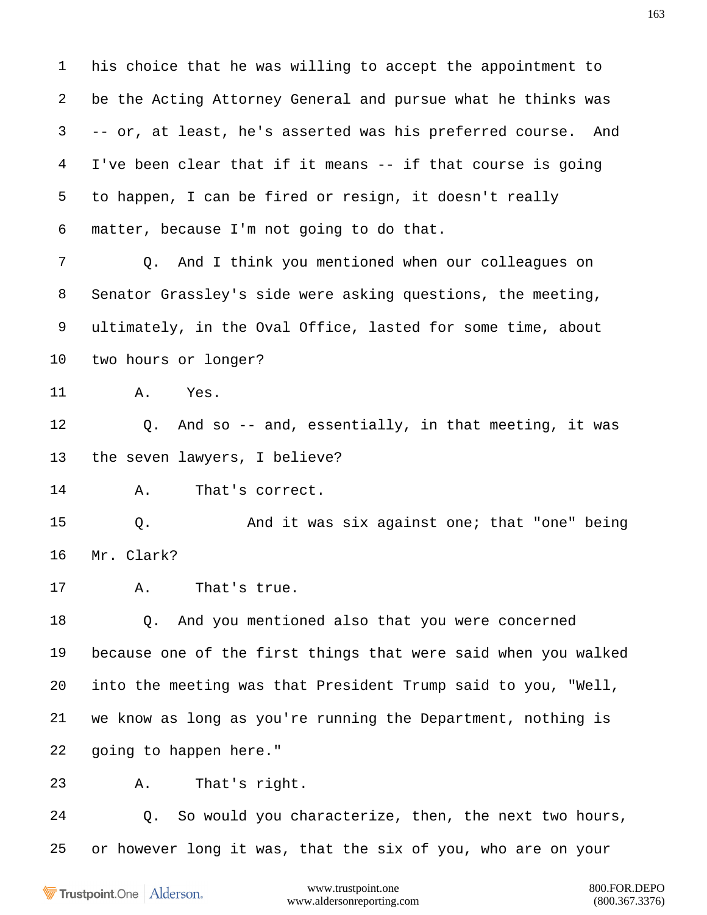his choice that he was willing to accept the appointment to be the Acting Attorney General and pursue what he thinks was -- or, at least, he's asserted was his preferred course. And I've been clear that if it means -- if that course is going to happen, I can be fired or resign, it doesn't really matter, because I'm not going to do that.

 Q. And I think you mentioned when our colleagues on Senator Grassley's side were asking questions, the meeting, ultimately, in the Oval Office, lasted for some time, about two hours or longer?

A. Yes.

 Q. And so -- and, essentially, in that meeting, it was the seven lawyers, I believe?

A. That's correct.

 Q. And it was six against one; that "one" being Mr. Clark?

A. That's true.

 Q. And you mentioned also that you were concerned because one of the first things that were said when you walked into the meeting was that President Trump said to you, "Well, we know as long as you're running the Department, nothing is going to happen here."

A. That's right.

 Q. So would you characterize, then, the next two hours, or however long it was, that the six of you, who are on your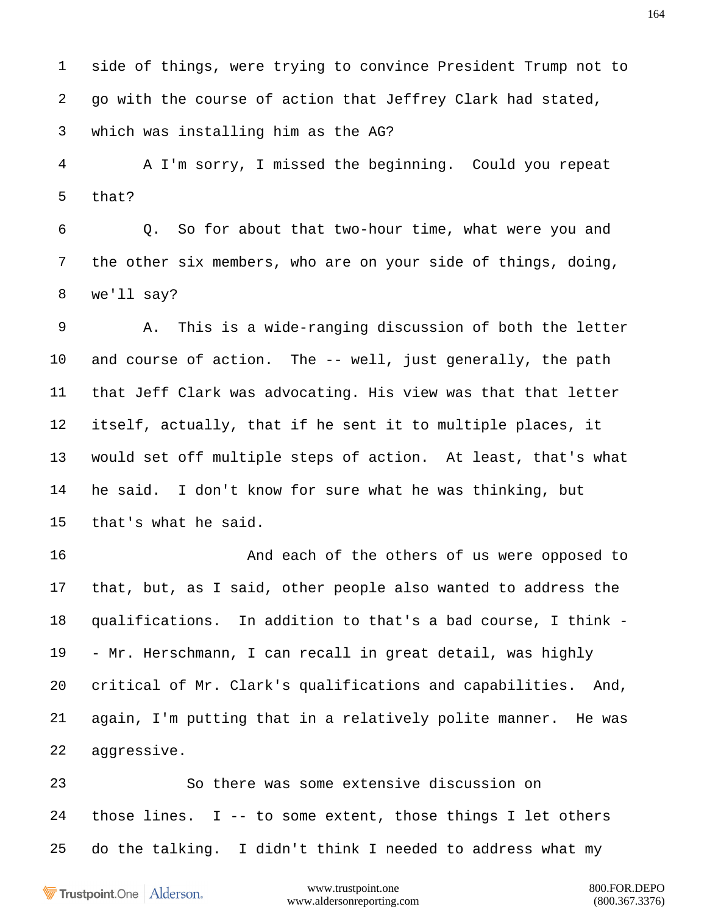side of things, were trying to convince President Trump not to go with the course of action that Jeffrey Clark had stated, which was installing him as the AG?

 A I'm sorry, I missed the beginning. Could you repeat that?

 Q. So for about that two-hour time, what were you and the other six members, who are on your side of things, doing, we'll say?

 A. This is a wide-ranging discussion of both the letter and course of action. The -- well, just generally, the path that Jeff Clark was advocating. His view was that that letter itself, actually, that if he sent it to multiple places, it would set off multiple steps of action. At least, that's what he said. I don't know for sure what he was thinking, but that's what he said.

16 And each of the others of us were opposed to that, but, as I said, other people also wanted to address the qualifications. In addition to that's a bad course, I think - - Mr. Herschmann, I can recall in great detail, was highly critical of Mr. Clark's qualifications and capabilities. And, again, I'm putting that in a relatively polite manner. He was aggressive.

 So there was some extensive discussion on those lines. I -- to some extent, those things I let others do the talking. I didn't think I needed to address what my

Trustpoint.One Alderson.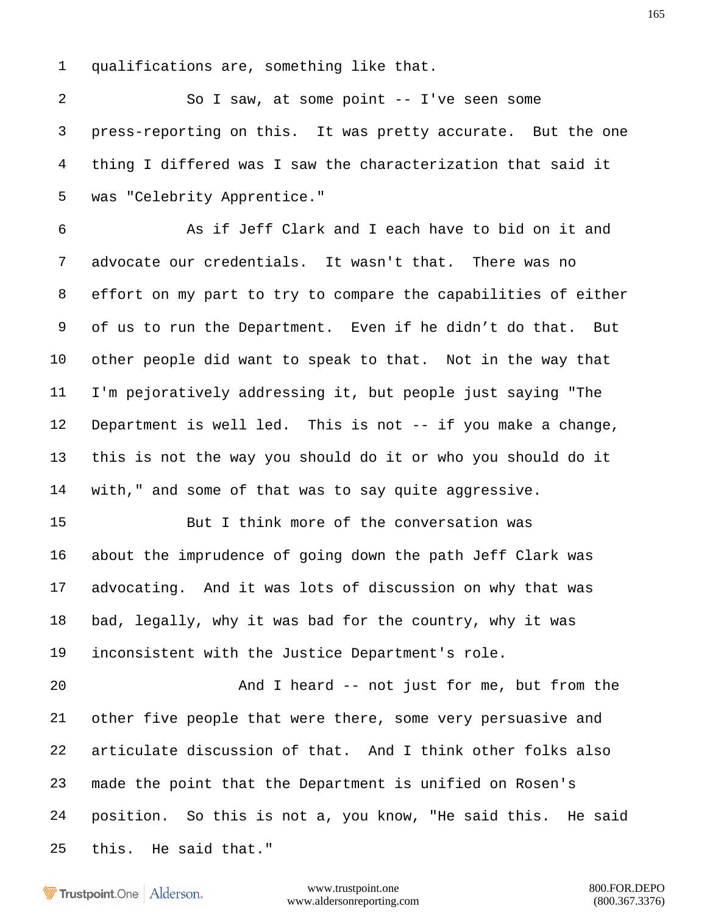qualifications are, something like that.

 So I saw, at some point -- I've seen some press-reporting on this. It was pretty accurate. But the one thing I differed was I saw the characterization that said it was "Celebrity Apprentice."

 As if Jeff Clark and I each have to bid on it and advocate our credentials. It wasn't that. There was no effort on my part to try to compare the capabilities of either of us to run the Department. Even if he didn't do that. But other people did want to speak to that. Not in the way that I'm pejoratively addressing it, but people just saying "The Department is well led. This is not -- if you make a change, this is not the way you should do it or who you should do it with," and some of that was to say quite aggressive.

 But I think more of the conversation was about the imprudence of going down the path Jeff Clark was advocating. And it was lots of discussion on why that was bad, legally, why it was bad for the country, why it was inconsistent with the Justice Department's role.

 And I heard -- not just for me, but from the other five people that were there, some very persuasive and articulate discussion of that. And I think other folks also made the point that the Department is unified on Rosen's position. So this is not a, you know, "He said this. He said this. He said that."

Trustpoint.One Alderson.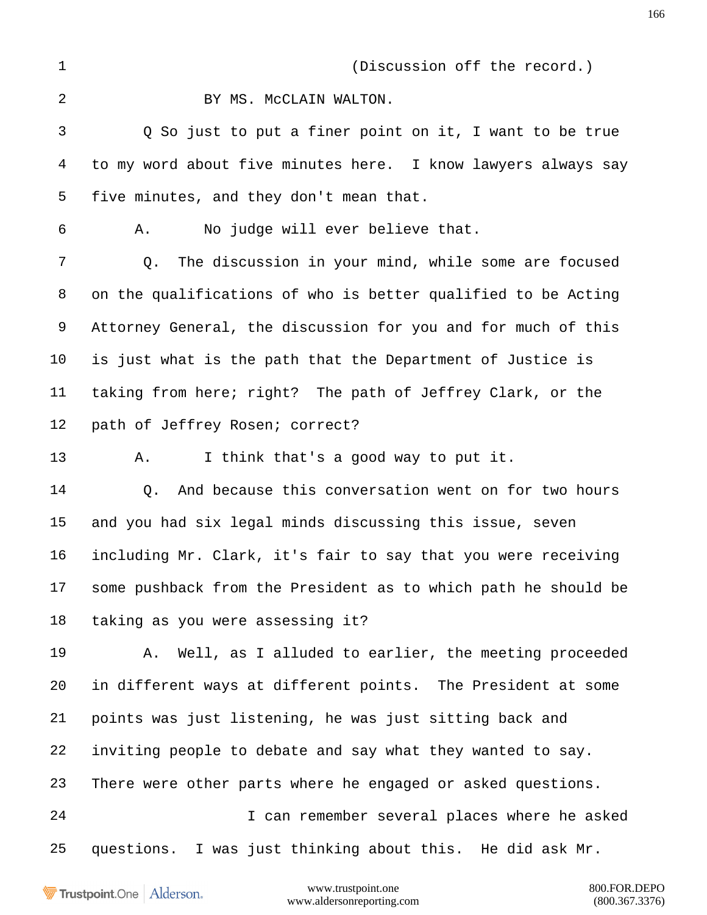(Discussion off the record.)

## 2 BY MS. McCLAIN WALTON.

 Q So just to put a finer point on it, I want to be true to my word about five minutes here. I know lawyers always say five minutes, and they don't mean that.

A. No judge will ever believe that.

 Q. The discussion in your mind, while some are focused on the qualifications of who is better qualified to be Acting Attorney General, the discussion for you and for much of this is just what is the path that the Department of Justice is taking from here; right? The path of Jeffrey Clark, or the path of Jeffrey Rosen; correct?

A. I think that's a good way to put it.

 Q. And because this conversation went on for two hours and you had six legal minds discussing this issue, seven including Mr. Clark, it's fair to say that you were receiving some pushback from the President as to which path he should be taking as you were assessing it?

 A. Well, as I alluded to earlier, the meeting proceeded in different ways at different points. The President at some points was just listening, he was just sitting back and inviting people to debate and say what they wanted to say. There were other parts where he engaged or asked questions. I can remember several places where he asked questions. I was just thinking about this. He did ask Mr.

Trustpoint.One Alderson.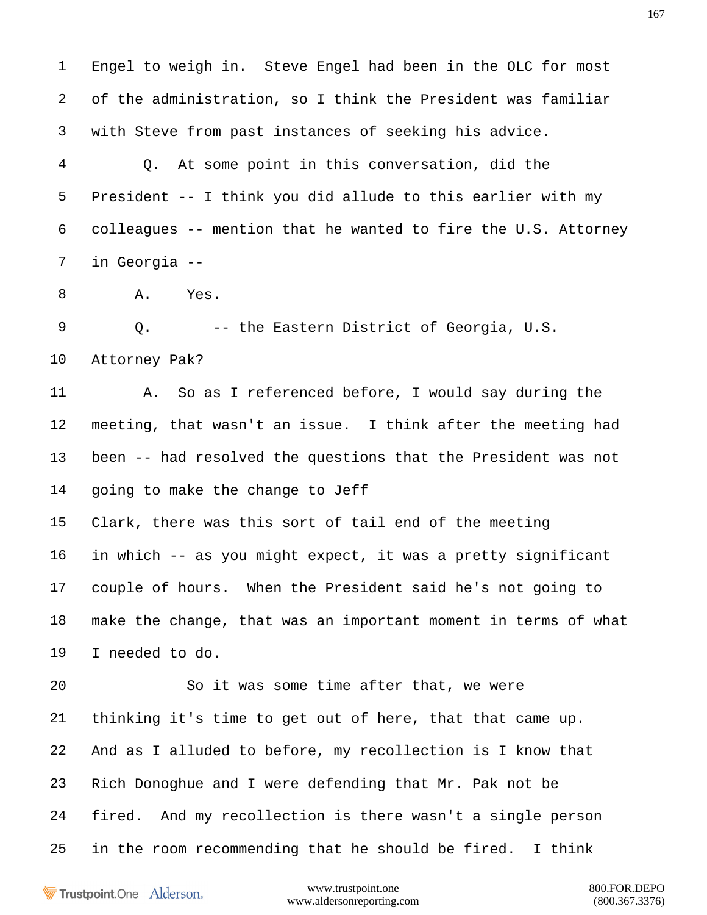Engel to weigh in. Steve Engel had been in the OLC for most of the administration, so I think the President was familiar with Steve from past instances of seeking his advice.

 Q. At some point in this conversation, did the President -- I think you did allude to this earlier with my colleagues -- mention that he wanted to fire the U.S. Attorney in Georgia --

A. Yes.

 Q. -- the Eastern District of Georgia, U.S. Attorney Pak?

 A. So as I referenced before, I would say during the meeting, that wasn't an issue. I think after the meeting had been -- had resolved the questions that the President was not going to make the change to Jeff

 Clark, there was this sort of tail end of the meeting in which -- as you might expect, it was a pretty significant couple of hours. When the President said he's not going to make the change, that was an important moment in terms of what I needed to do.

 So it was some time after that, we were thinking it's time to get out of here, that that came up. And as I alluded to before, my recollection is I know that Rich Donoghue and I were defending that Mr. Pak not be fired. And my recollection is there wasn't a single person in the room recommending that he should be fired. I think

Trustpoint.One Alderson.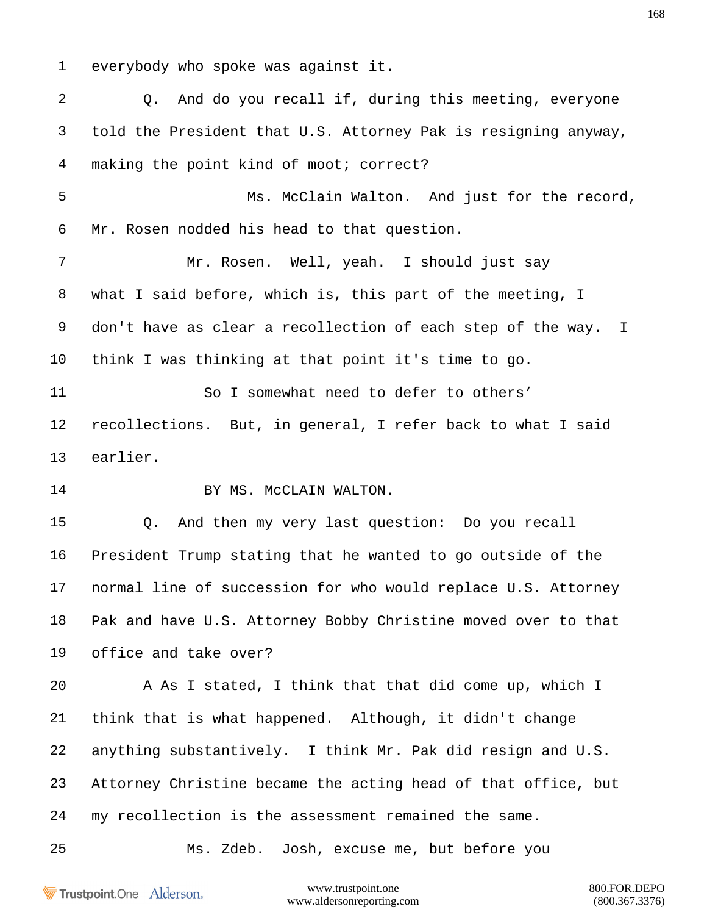everybody who spoke was against it.

 Q. And do you recall if, during this meeting, everyone told the President that U.S. Attorney Pak is resigning anyway, making the point kind of moot; correct? Ms. McClain Walton. And just for the record, Mr. Rosen nodded his head to that question. Mr. Rosen. Well, yeah. I should just say what I said before, which is, this part of the meeting, I don't have as clear a recollection of each step of the way. I think I was thinking at that point it's time to go. So I somewhat need to defer to others' recollections. But, in general, I refer back to what I said earlier. 14 BY MS. McCLAIN WALTON. Q. And then my very last question: Do you recall President Trump stating that he wanted to go outside of the normal line of succession for who would replace U.S. Attorney Pak and have U.S. Attorney Bobby Christine moved over to that office and take over? A As I stated, I think that that did come up, which I think that is what happened. Although, it didn't change anything substantively. I think Mr. Pak did resign and U.S. Attorney Christine became the acting head of that office, but my recollection is the assessment remained the same. Ms. Zdeb. Josh, excuse me, but before you

Trustpoint.One Alderson.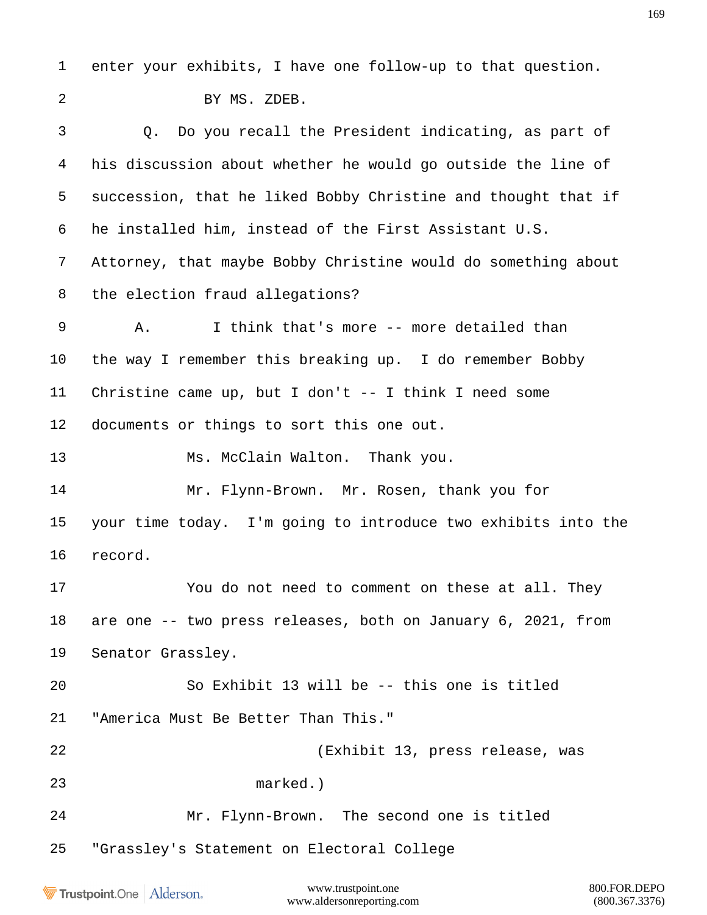enter your exhibits, I have one follow-up to that question. BY MS. ZDEB. Q. Do you recall the President indicating, as part of his discussion about whether he would go outside the line of succession, that he liked Bobby Christine and thought that if he installed him, instead of the First Assistant U.S. Attorney, that maybe Bobby Christine would do something about the election fraud allegations? A. I think that's more -- more detailed than the way I remember this breaking up. I do remember Bobby Christine came up, but I don't -- I think I need some documents or things to sort this one out. 13 Ms. McClain Walton. Thank you. Mr. Flynn-Brown. Mr. Rosen, thank you for your time today. I'm going to introduce two exhibits into the record. You do not need to comment on these at all. They are one -- two press releases, both on January 6, 2021, from Senator Grassley. So Exhibit 13 will be -- this one is titled "America Must Be Better Than This." (Exhibit 13, press release, was marked.) Mr. Flynn-Brown. The second one is titled "Grassley's Statement on Electoral College

Trustpoint.One Alderson.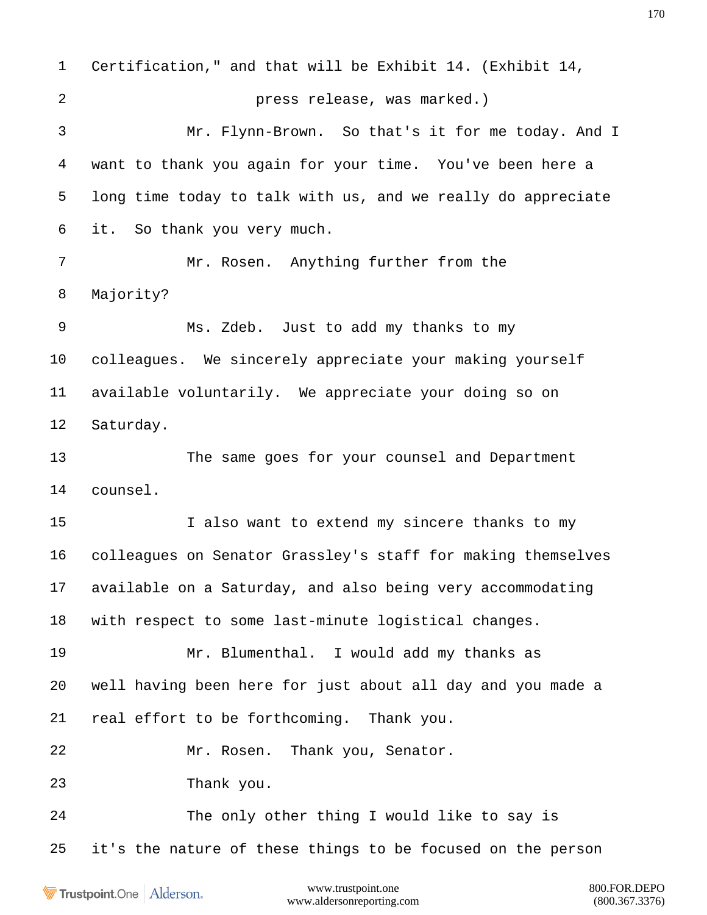Certification," and that will be Exhibit 14. (Exhibit 14, press release, was marked.) Mr. Flynn-Brown. So that's it for me today. And I want to thank you again for your time. You've been here a long time today to talk with us, and we really do appreciate it. So thank you very much. Mr. Rosen. Anything further from the Majority? Ms. Zdeb. Just to add my thanks to my colleagues. We sincerely appreciate your making yourself available voluntarily. We appreciate your doing so on Saturday. The same goes for your counsel and Department counsel. I also want to extend my sincere thanks to my colleagues on Senator Grassley's staff for making themselves available on a Saturday, and also being very accommodating with respect to some last-minute logistical changes. Mr. Blumenthal. I would add my thanks as well having been here for just about all day and you made a real effort to be forthcoming. Thank you. Mr. Rosen. Thank you, Senator. Thank you. The only other thing I would like to say is it's the nature of these things to be focused on the person

Trustpoint.One Alderson.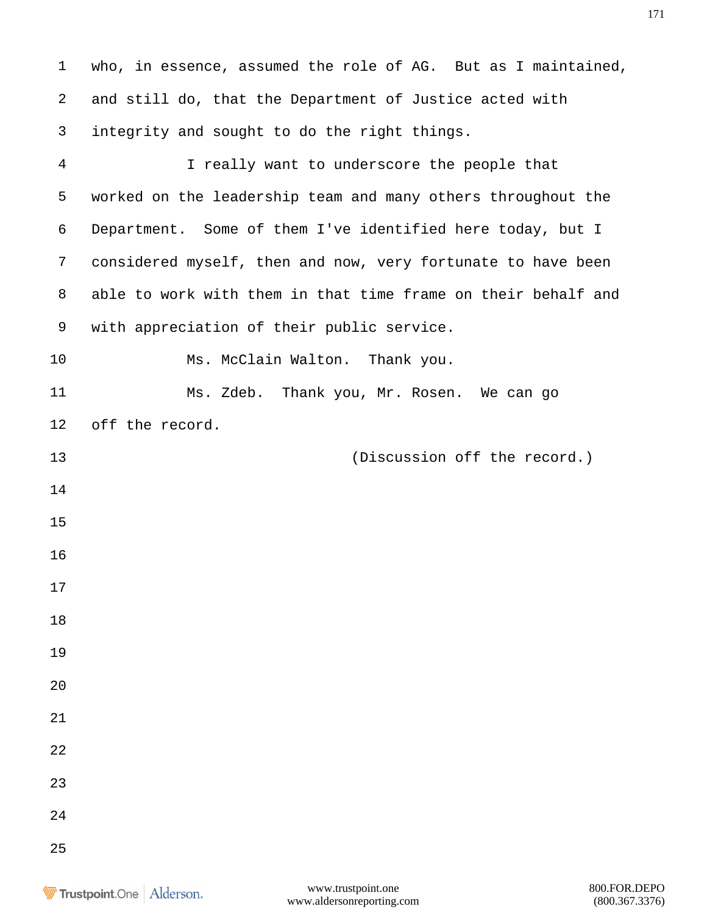who, in essence, assumed the role of AG. But as I maintained, and still do, that the Department of Justice acted with integrity and sought to do the right things. I really want to underscore the people that worked on the leadership team and many others throughout the Department. Some of them I've identified here today, but I considered myself, then and now, very fortunate to have been able to work with them in that time frame on their behalf and with appreciation of their public service. 10 Ms. McClain Walton. Thank you. Ms. Zdeb. Thank you, Mr. Rosen. We can go off the record. (Discussion off the record.)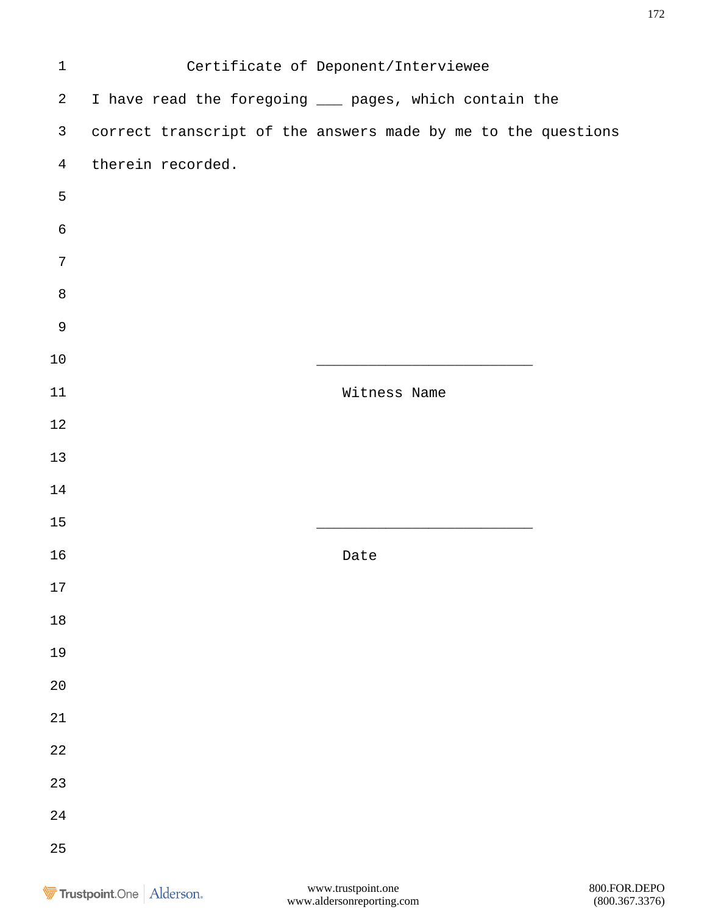| $\mathbf 1$    |                   | Certificate of Deponent/Interviewee                           |
|----------------|-------------------|---------------------------------------------------------------|
| $\overline{a}$ |                   | I have read the foregoing ___ pages, which contain the        |
| $\mathsf{3}$   |                   | correct transcript of the answers made by me to the questions |
| $\overline{4}$ | therein recorded. |                                                               |
| 5              |                   |                                                               |
| $\epsilon$     |                   |                                                               |
| 7              |                   |                                                               |
| $\,8\,$        |                   |                                                               |
| $\mathsf 9$    |                   |                                                               |
| $10$           |                   |                                                               |
| $11\,$         |                   | Witness Name                                                  |
| $12$           |                   |                                                               |
| 13             |                   |                                                               |
| 14             |                   |                                                               |
| 15             |                   |                                                               |
| 16             |                   | Date                                                          |
| $17\,$         |                   |                                                               |
| $1\,8$         |                   |                                                               |
| 19             |                   |                                                               |
| $20$           |                   |                                                               |
| $2\sqrt{1}$    |                   |                                                               |
| $2\sqrt{2}$    |                   |                                                               |
| 23             |                   |                                                               |
| $2\sqrt{4}$    |                   |                                                               |
| 25             |                   |                                                               |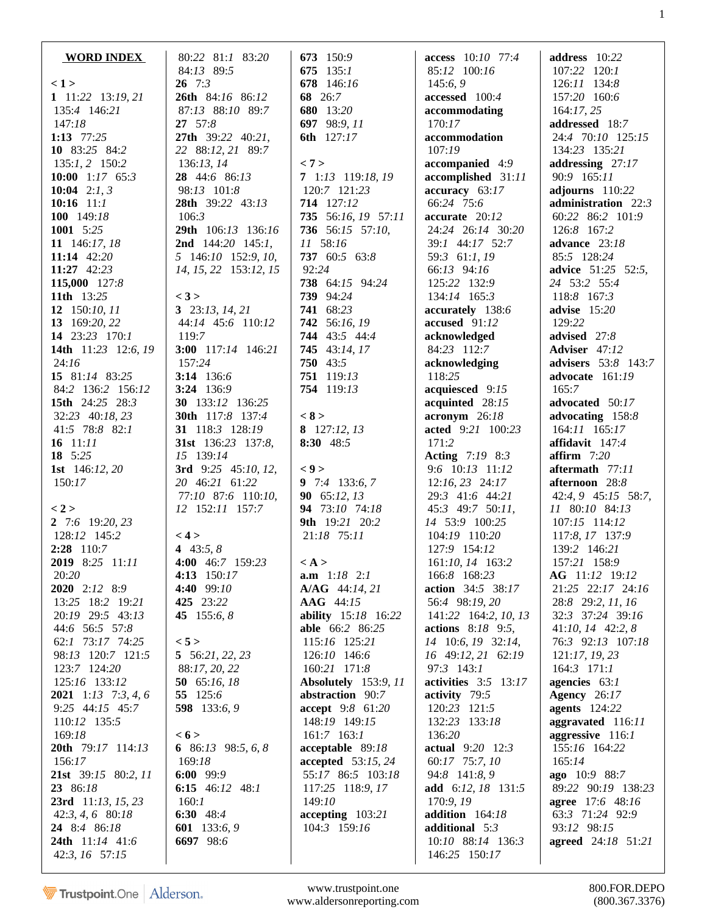| <b>WORD INDEX</b>            | 80:22 81:1 83:20                       | 673 150:9             | access 10:10 77:4                         | address 10:22                    |
|------------------------------|----------------------------------------|-----------------------|-------------------------------------------|----------------------------------|
|                              | 84:13 89:5                             | 675 135:1             | 85:12 100:16                              | 107:22 120:1                     |
| < 1>                         | $26 \t 7:3$                            | 678 146:16            | 145:6,9                                   | 126:11 134:8                     |
| 1 11:22 13:19, 21            | 26th 84:16 86:12                       | 68 26:7               | accessed 100:4                            | 157:20 160:6                     |
| 135:4 146:21                 | 87:13 88:10 89:7                       | 680 13:20             | accommodating                             | 164:17,25                        |
| 147:18                       | 27 57:8                                | 697 98:9, 11          | 170:17                                    | addressed 18:7                   |
| 1:13 $77:25$                 | 27th 39:22 40:21,                      | <b>6th</b> 127:17     | accommodation                             | 24:4 70:10 125:15                |
| 10 83:25 84:2                | 22 88:12, 21 89:7                      |                       | 107:19                                    | 134:23 135:21                    |
| $135:1, 2$ 150:2             | 136:13, 14                             | < 7 >                 | accompanied 4:9                           | addressing $27:17$               |
| 10:00 $1:17$ 65:3            | 28 44:6 86:13                          | 7 1:13 119:18, 19     | accomplished 31:11                        | 90:9 165:11                      |
| 10:04 2:1, 3                 | 98:13 101:8                            | 120:7 121:23          | accuracy 63:17                            | adjourns 110:22                  |
| 10:16 $11:1$                 | 28th 39:22 43:13                       | 714 127:12            | 66:24 75:6                                | administration 22:3              |
| 100 $149:18$                 | 106:3                                  | 735 56:16, 19 57:11   | accurate 20:12                            | 60:22 86:2 101:9                 |
| 1001 5:25                    | 29th 106:13 136:16                     | 736 56:15 57:10,      | 24:24 26:14 30:20                         | 126:8 167:2                      |
| 11 146:17, 18                | <b>2nd</b> $144:20$ $145:1$ ,          | 11 58:16              | 39:1 44:17 52:7                           | advance 23:18                    |
| 11:14 $42:20$                | 5 146:10 152:9, 10,                    | 737 60:5 63:8         | 59:3 61:1, 19                             | 85:5 128:24                      |
| 11:27 $42:23$                | 14, 15, 22 153:12, 15                  | 92:24                 | 66:13 94:16                               | <b>advice</b> 51:25 52:5,        |
| 115,000 127:8                |                                        | 738 64:15 94:24       | 125:22 132:9                              | 24 53:2 55:4                     |
| <b>11th</b> 13:25            | $<$ 3 $>$                              | 739 94:24             | 134:14 165:3                              | 118:8 167:3                      |
| 12 150:10, 11                | 3 $23:13, 14, 21$                      | 741 68:23             | accurately 138:6                          | advise $15:20$                   |
| 13 169:20, 22                | 44:14 45:6 110:12                      | 742 56:16, 19         | accused 91:12                             | 129:22                           |
| 14 23:23 170:1               | 119:7                                  | 744 43:5 44:4         | acknowledged                              | advised 27:8                     |
| 14th 11:23 12:6, 19          | 3:00 $117:14$ 146:21                   | 745 43:14, 17         | 84:23 112:7                               | Adviser 47:12                    |
| 24:16<br>15 81:14 83:25      | 157:24                                 | 750 43:5              | acknowledging                             | advisers 53:8 143:7              |
|                              | 3:14 $136:6$                           | <b>751</b> 119:13     | 118:25                                    | advocate 161:19                  |
| 84:2 136:2 156:12            | $3:24$ 136:9                           | 754 119:13            | acquiesced 9:15                           | 165:7                            |
| 15th 24:25 28:3              | <b>30</b> 133:12 136:25                |                       | acquinted 28:15                           | advocated 50:17                  |
| 32:23 40:18, 23              | <b>30th</b> 117:8 137:4                | < 8 >                 | $\textbf{acronym}$ 26:18                  | advocating 158:8                 |
| 41:5 78:8 82:1               | 31 118:3 128:19                        | 8 127:12, 13          | acted 9:21 100:23                         | 164:11 165:17                    |
| 16 $11:11$<br>18 $5:25$      | <b>31st</b> 136:23 137:8,<br>15 139:14 | 8:30 48:5             | 171:2                                     | affidavit $147:4$                |
| 1st $146:12,20$              | 3rd 9:25 45:10, 12,                    | $\langle 9 \rangle$   | <b>Acting</b> 7:19 8:3<br>9:6 10:13 11:12 | affirm $7:20$<br>aftermath 77:11 |
| 150:17                       | 20 46:21 61:22                         | 9 7:4 133:6, 7        | $12:16, 23$ $24:17$                       | afternoon 28:8                   |
|                              | 77:10 87:6 110:10,                     | 90 65:12, 13          | 29:3 41:6 44:21                           | 42:4, 9 45:15 58:7,              |
| < 2 >                        | 12 152:11 157:7                        | 94 73:10 74:18        | 45:3 49:7 50:11,                          | 11 80:10 84:13                   |
| 2 7:6 19:20, 23              |                                        | 9th 19:21 20:2        | 14 53:9 100:25                            | 107:15 114:12                    |
| 128:12 145:2                 | < 4 >                                  | 21:18 75:11           | 104:19 110:20                             | 117:8, 17 137:9                  |
| $2:28$ 110:7                 | 4 $43:5, 8$                            |                       | 127:9 154:12                              | 139:2 146:21                     |
| 2019 8:25 11:11              | 4:00 46:7 159:23                       | $\langle A \rangle$   | 161:10, 14 163:2                          | 157:21 158:9                     |
| 20:20                        | 4:13 150:17                            | <b>a.m</b> $1:18$ 2:1 | 166:8 168:23                              | <b>AG</b> 11:12 19:12            |
| 2020 2:12 8:9                | 4:40 99:10                             | A/AG 44:14, 21        | action 34:5 38:17                         | 21:25 22:17 24:16                |
| 13:25 18:2 19:21             | 425 23:22                              | AAG 44:15             | 56:4 98:19, 20                            | 28:8 29:2, 11, 16                |
| 20:19 29:5 43:13             | 45 $155:6, 8$                          | ability 15:18 16:22   | 141:22 164:2, 10, 13                      | 32:3 37:24 39:16                 |
| 44:6 56:5 57:8               |                                        | able 66:2 86:25       | actions 8:18 9:5,                         | $41:10, 14$ $42:2, 8$            |
| 62:1 73:17 74:25             | < 5 >                                  | 115:16 125:21         | 14 10:6, 19 32:14,                        | 76:3 92:13 107:18                |
| 98:13 120:7 121:5            | 5 $56:21, 22, 23$                      | 126:10 146:6          | 16 49:12, 21 62:19                        | 121:17, 19, 23                   |
| 123:7 124:20                 | 88:17, 20, 22                          | 160:21 171:8          | 97:3 143:1                                | $164:3$ 171:1                    |
| 125:16 133:12                | 50 $65:16, 18$                         | Absolutely 153:9, 11  | activities $3:5$ 13:17                    | agencies 63:1                    |
| <b>2021</b> 1:13 7:3, 4, 6   | 55 125:6                               | abstraction 90:7      | activity 79:5                             | <b>Agency</b> 26:17              |
| 9:25 44:15 45:7              | 598 133:6, 9                           | accept 9:8 61:20      | 120:23 121:5                              | <b>agents</b> 124:22             |
| 110:12 135:5                 |                                        | 148:19 149:15         | 132:23 133:18                             | aggravated 116:11                |
| 169:18                       | < 6 >                                  | $161:7$ $163:1$       | 136:20                                    | aggressive 116:1                 |
| 20th 79:17 114:13            | 6 86:13 98:5, 6, 8                     | acceptable 89:18      | actual 9:20 12:3                          | 155:16 164:22                    |
| 156:17                       | 169:18                                 | accepted 53:15, 24    | 60:17 75:7, 10                            | 165:14                           |
| <b>21st</b> $39:15$ 80:2, 11 | 6:00 99:9                              | 55:17 86:5 103:18     | 94:8 141:8, 9                             | ago 10:9 88:7                    |
| 23 86:18                     | 6:15 $46:12$ $48:1$                    | 117:25 118:9, 17      | add $6:12, 18$ 131:5                      | 89:22 90:19 138:23               |
| 23rd 11:13, 15, 23           | 160:1                                  | 149:10                | 170:9, 19                                 | <b>agree</b> 17:6 48:16          |
| $42:3, 4, 6$ 80:18           | 6:30 48:4                              | $accepting$ 103:21    | addition 164:18                           | 63:3 71:24 92:9                  |
| 24 8:4 86:18                 | 601 133:6, 9                           | 104:3 159:16          | additional 5:3                            | 93:12 98:15                      |
| 24th 11:14 41:6              | 6697 98:6                              |                       | 10:10 88:14 136:3                         | agreed 24:18 51:21               |
| 42:3, 16 57:15               |                                        |                       | 146:25 150:17                             |                                  |

1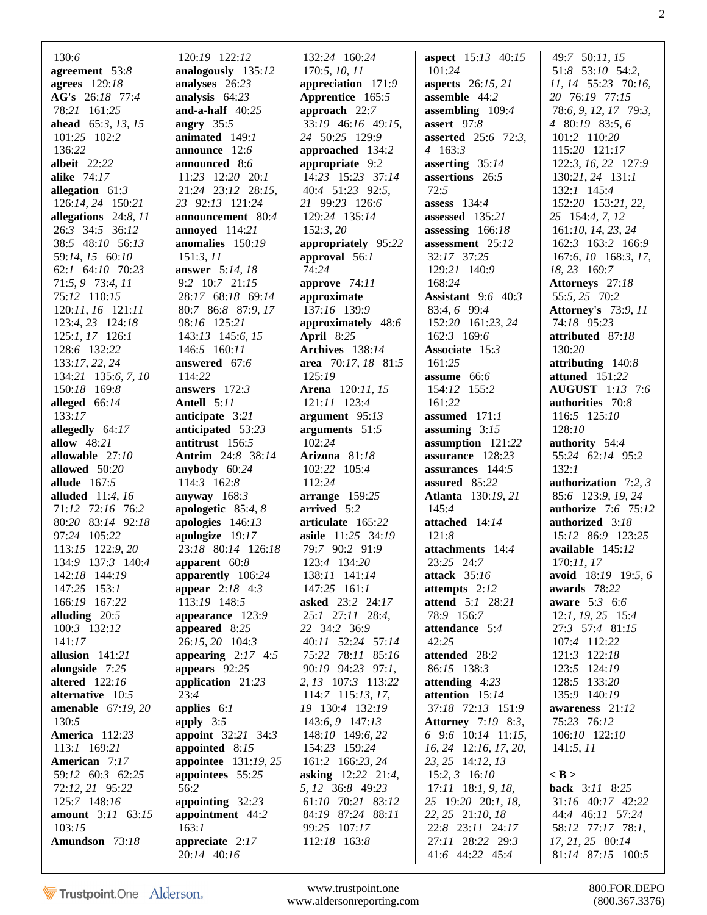| 130:6                                 | 120:19 122:12                       | 132:24 160:24                       | <b>aspect</b> 15:13 40:15      | 49:7 50:11, 15                 |
|---------------------------------------|-------------------------------------|-------------------------------------|--------------------------------|--------------------------------|
| agreement 53:8                        | analogously 135:12                  | 170:5, 10, 11                       | 101:24                         | 51:8 53:10 54:2,               |
| agrees 129:18                         | analyses 26:23                      | appreciation 171:9                  | <b>aspects</b> 26:15, 21       | 11, 14 55:23 70:16,            |
| AG's 26:18 77:4                       | analysis 64:23                      | Apprentice 165:5                    | assemble $44:2$                | 20 76:19 77:15                 |
| 78:21 161:25                          | and-a-half $40:25$                  | approach 22:7                       | assembling 109:4               | 78:6, 9, 12, 17 79:3,          |
| ahead 65:3, 13, 15                    | angry $35:5$                        | 33:19 46:16 49:15,                  | assert $97:8$                  | 4 80:19 83:5, 6                |
| 101:25 102:2                          | animated $149:1$                    | 24 50:25 129:9                      | <b>asserted</b> 25:6 72:3,     | 101:2 110:20                   |
| 136:22                                | announce $12:6$                     | approached 134:2                    | 4 163:3                        | 115:20 121:17                  |
| albeit $22:22$                        | announced 8:6                       | appropriate 9:2                     | asserting 35:14                | 122:3, 16, 22 127:9            |
| alike $74:17$                         | 11:23 12:20 20:1                    | 14:23 15:23 37:14                   | assertions 26:5                | $130:21, 24$ $131:1$           |
| allegation $61:3$                     | 21:24 23:12 28:15,                  | 40:4 51:23 92:5,                    | 72:5                           | 132:1 145:4                    |
| $126:14, 24$ $150:21$                 | 23 92:13 121:24                     | 21 99:23 126:6                      | assess $134:4$                 | 152:20 153:21, 22,             |
| allegations 24:8, 11                  | announcement 80:4                   | 129:24 135:14                       | assessed $135:21$              | 25 154:4, 7, 12                |
| 26:3 34:5 36:12                       | annoyed 114:21                      | 152:3,20                            | assessing 166:18               | 161:10, 14, 23, 24             |
| 38:5 48:10 56:13                      | anomalies 150:19                    | appropriately 95:22                 | assessment 25:12               | 162:3 163:2 166:9              |
| 59:14, 15 60:10                       | 151:3, 11                           | approval 56:1                       | 32:17 37:25                    | 167:6, 10 168:3, 17,           |
| 62:1 64:10 70:23                      | <b>answer</b> 5:14, 18              | 74:24                               | 129:21 140:9                   | 18, 23 169:7                   |
| 71:5, 9 73:4, 11                      | 9:2 10:7 21:15                      | approve $74:11$                     | 168:24                         | Attorneys 27:18                |
| 75:12 110:15                          | 28:17 68:18 69:14                   | approximate                         | <b>Assistant</b> 9:6 40:3      | 55:5, 25 70:2                  |
| $120:11, 16$ $121:11$                 | 80:7 86:8 87:9, 17                  | 137:16 139:9                        | 83:4, 6 99:4                   | <b>Attorney's</b> 73:9, 11     |
| $123:4, 23$ $124:18$                  | 98:16 125:21                        | approximately 48:6                  | 152:20 161:23, 24              | 74:18 95:23                    |
| $125:1, 17$ 126:1                     | $143:13$ $145:6$ , $15$             | <b>April</b> 8:25                   | 162:3 169:6                    | attributed 87:18               |
| 128:6 132:22                          | 146:5 160:11                        | Archives 138:14                     | Associate 15:3                 | 130:20                         |
| 133:17, 22, 24                        | answered 67:6                       | area 70:17, 18 81:5                 | 161:25                         | attributing $140:8$            |
| 134:21 135:6, 7, 10                   | 114:22                              | 125:19                              | assume 66:6                    | attuned 151:22                 |
| 150:18 169:8                          | answers $172:3$                     | <b>Arena</b> 120:11, 15             | 154:12 155:2                   | <b>AUGUST</b> 1:13 7:6         |
| alleged 66:14                         | <b>Antell</b> 5:11                  | 121:11 123:4                        | 161:22                         | authorities 70:8               |
| 133:17                                | anticipate 3:21                     | argument $95:13$                    | assumed $171:1$                | 116:5 125:10                   |
| allegedly 64:17                       | anticipated 53:23                   | arguments 51:5                      | assuming $3:15$                | 128:10                         |
| <b>allow</b> 48:21                    | antitrust 156:5                     | 102:24                              | assumption 121:22              | authority $54:4$               |
| allowable $27:10$                     | <b>Antrim</b> 24:8 38:14            | Arizona $81:18$                     | assurance 128:23               | 55:24 62:14 95:2               |
| allowed 50:20                         | anybody 60:24                       | 102:22 105:4                        | assurances $144:5$             | 132:1                          |
| allude $167:5$                        | 114:3 162:8                         | 112:24                              | assured 85:22                  | authorization $7:2,3$          |
| <b>alluded</b> $11:4, 16$             | anyway $168:3$                      | $arrange$ 159:25                    | <b>Atlanta</b> 130:19, 21      | 85:6 123:9, 19, 24             |
| 71:12 72:16 76:2                      | apologetic $85:4,8$                 | arrived 5:2                         | 145:4                          | authorize $7:6$ $75:12$        |
| 80:20 83:14 92:18                     | apologies $146:13$                  | articulate 165:22                   | attached 14:14                 | authorized 3:18                |
| 97:24 105:22                          | apologize $19:17$                   | aside 11:25 34:19<br>79:7 90:2 91:9 | 121:8                          | 15:12 86:9 123:25              |
| 113:15 122:9, 20<br>134:9 137:3 140:4 | 23:18 80:14 126:18<br>apparent 60:8 | 123:4 134:20                        | attachments 14:4<br>23:25 24:7 | available 145:12<br>170:11, 17 |
| 142:18 144:19                         | apparently 106:24                   | 138:11 141:14                       | attack $35:16$                 | avoid 18:19 19:5, 6            |
| 147:25 153:1                          | <b>appear</b> $2:18$ 4:3            | 147:25 161:1                        | attempts 2:12                  | awards 78:22                   |
| 166:19 167:22                         | 113:19 148:5                        | <b>asked</b> 23:2 24:17             | attend 5:1 28:21               | <b>aware</b> $5:3$ 6:6         |
| alluding $20:5$                       | appearance 123:9                    | 25:1 27:11 28:4,                    | 78:9 156:7                     | $12:1, 19, 25$ 15:4            |
| 100:3 132:12                          | appeared 8:25                       | 22 34:2 36:9                        | attendance 5:4                 | 27:3 57:4 81:15                |
| 141:17                                | 26:15, 20 104:3                     | 40:11 52:24 57:14                   | 42:25                          | 107:4 112:22                   |
| allusion $141:21$                     | appearing $2:17$ 4:5                | 75:22 78:11 85:16                   | attended 28:2                  | 121:3 122:18                   |
| alongside $7:25$                      | appears $92:25$                     | 90:19 94:23 97:1,                   | 86:15 138:3                    | 123:5 124:19                   |
| altered $122:16$                      | application 21:23                   | 2, 13 107:3 113:22                  | attending $4:23$               | 128:5 133:20                   |
| alternative $10:5$                    | 23:4                                | 114:7 115:13, 17,                   | attention 15:14                | 135:9 140:19                   |
| amenable $67:19,20$                   | applies $6:1$                       | 19 130:4 132:19                     | 37:18 72:13 151:9              | awareness 21:12                |
| 130:5                                 | apply $3:5$                         | 143:6, 9 147:13                     | <b>Attorney</b> 7:19 8:3,      | 75:23 76:12                    |
| <b>America</b> 112:23                 | <b>appoint</b> 32:21 34:3           | 148:10 149:6, 22                    | $6$ 9:6 10:14 11:15,           | 106:10 122:10                  |
| 113:1 169:21                          | appointed 8:15                      | 154:23 159:24                       | 16, 24 12:16, 17, 20,          | 141:5, 11                      |
| American 7:17                         | appointee 131:19, 25                | 161:2 166:23, 24                    | 23, 25 14:12, 13               |                                |
| 59:12 60:3 62:25                      | appointees 55:25                    | <b>asking</b> 12:22 21:4,           | $15:2, 3$ 16:10                | $<$ B $>$                      |
| 72:12, 21 95:22                       | 56:2                                | 5, 12 36:8 49:23                    | $17:11$ 18:1, 9, 18,           | back 3:11 8:25                 |
| 125:7 148:16                          | appointing $32:23$                  | 61:10 70:21 83:12                   | 25 19:20 20:1, 18,             | 31:16 40:17 42:22              |
| amount 3:11 63:15                     | appointment 44:2                    | 84:19 87:24 88:11                   | 22, 25 21:10, 18               | 44:4 46:11 57:24               |
| 103:15                                | 163:1                               | 99:25 107:17                        | 22:8 23:11 24:17               | 58:12 77:17 78:1,              |
| Amundson 73:18                        | appreciate $2:17$                   | 112:18 163:8                        | 27:11 28:22 29:3               | 17, 21, 25 80:14               |
|                                       | 20:14 40:16                         |                                     | 41:6 44:22 45:4                | 81:14 87:15 100:5              |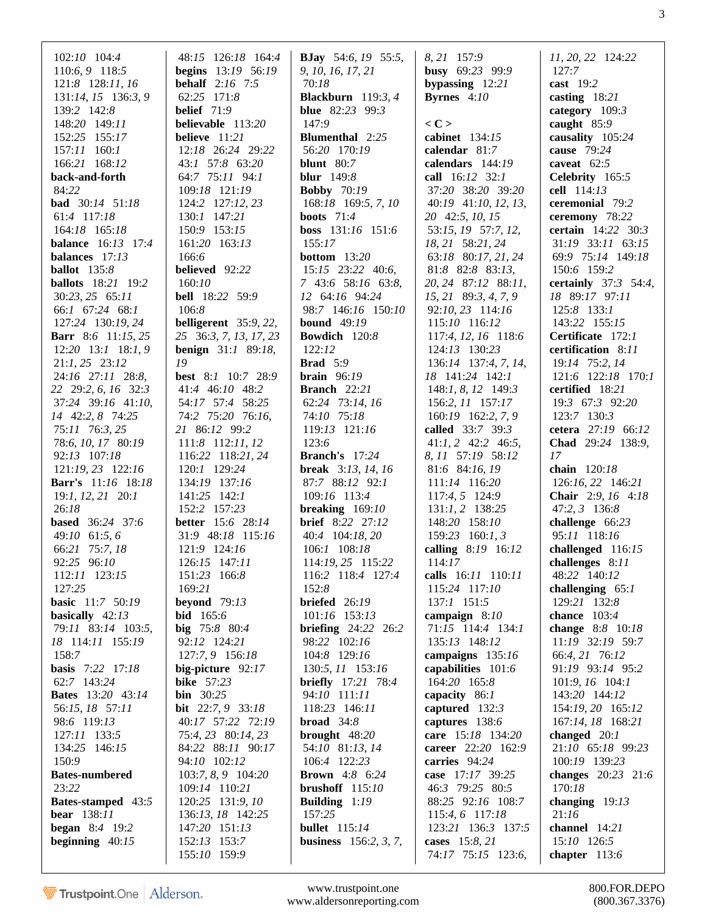| 102:10 104:4                  | 48:15 126:18 164:4            | <b>BJay</b> 54:6, 19 55:5,             | 8, 21 157:9                  | 11, 20, 22 124:22               |
|-------------------------------|-------------------------------|----------------------------------------|------------------------------|---------------------------------|
| 110:6, 9 118:5                | begins 13:19 56:19            | 9, 10, 16, 17, 21                      | busy 69:23 99:9              | 127:7                           |
| 121:8 128:11, 16              | <b>behalf</b> $2:16$ 7:5      | 70:18                                  | bypassing $12:21$            | cast $19:2$                     |
| 131:14, 15 136:3, 9           | 62:25 171:8                   | Blackburn $119:3, 4$                   | <b>Byrnes</b> $4:10$         | casting $18:21$                 |
| 139:2 142:8                   | belief $71:9$                 | <b>blue</b> 82:23 99:3                 |                              | category $109:3$                |
| 148:20 149:11                 | believable 113:20             | 147:9                                  | $\langle C \rangle$          | caught $85:9$                   |
| 152:25 155:17                 | believe $11:21$               | <b>Blumenthal</b> 2:25                 | cabinet 134:15               | causality 105:24                |
| 157:11 160:1                  | 12:18 26:24 29:22             | 56:20 170:19                           | calendar 81:7                | cause $79:24$                   |
| 166:21 168:12                 | 43:1 57:8 63:20               | <b>blunt</b> 80:7                      | calendars 144:19             | caveat $62:5$                   |
| back-and-forth                | 64:7 75:11 94:1               | <b>blur</b> 149:8                      | call 16:12 32:1              | Celebrity 165:5                 |
| 84:22                         | 109:18 121:19                 | <b>Bobby</b> 70:19                     | 37:20 38:20 39:20            | cell 114:13                     |
| bad 30:14 51:18               | 124:2 127:12, 23              | 168:18 169:5, 7, 10                    | 40:19 41:10, 12, 13,         | ceremonial 79:2                 |
| 61:4 117:18                   | 130:1 147:21                  | <b>boots</b> $71:4$                    | 20 42:5, 10, 15              | ceremony 78:22                  |
| 164:18 165:18                 | 150:9 153:15                  | boss 131:16 151:6                      | 53:15, 19 57:7, 12,          | certain 14:22 30:3              |
| <b>balance</b> 16:13 17:4     | 161:20 163:13                 | 155:17                                 | 18, 21 58:21, 24             | 31:19 33:11 63:15               |
| balances 17:13                | 166:6                         | <b>bottom</b> 13:20                    | 63:18 80:17, 21, 24          | 69:9 75:14 149:18               |
| <b>ballot</b> 135:8           | <b>believed</b> 92:22         | $15:15$ 23:22 40:6,                    | 81:8 82:8 83:13,             | 150:6 159:2                     |
| <b>ballots</b> 18:21 19:2     | 160:10                        | 7 43:6 58:16 63:8,                     | 20, 24 87:12 88:11,          | <b>certainly</b> $37:3$ 54:4,   |
| $30:23, 25$ 65:11             | <b>bell</b> 18:22 59:9        | 12 64:16 94:24                         | 15, 21 89:3, 4, 7, 9         | 18 89:17 97:11                  |
| 66:1 67:24 68:1               | 106:8                         | 98:7 146:16 150:10                     | 92:10, 23 114:16             | $125:8$ $133:1$                 |
| 127:24 130:19, 24             | belligerent 35:9, 22,         | <b>bound</b> 49:19                     | 115:10 116:12                | 143:22 155:15                   |
| <b>Barr</b> 8:6 11:15, 25     | 25 36:3, 7, 13, 17, 23        | Bowdich 120:8                          | 117:4, 12, 16 118:6          | Certificate 172:1               |
| $12:20$ $13:1$ $18:1,9$       | <b>benign</b> $31:1$ 89:18,   | 122:12                                 | 124:13 130:23                | certification 8:11              |
| $21:1, 25$ 23:12              | 19                            | <b>Brad</b> 5:9                        | 136:14 137:4, 7, 14,         | 19:14 75:2, 14                  |
| 24:16 27:11 28:8,             | best 8:1 10:7 28:9            | brain $96:19$                          | 18 141:24 142:1              | 121:6 122:18 170:1              |
| 22 29:2, 6, 16 32:3           | 41:4 46:10 48:2               | Branch 22:21                           | 148:1, 8, 12 149:3           | certified 18:21                 |
| 37:24 39:16 41:10,            | 54:17 57:4 58:25              | 62:24 73:14, 16                        | 156:2, 11 157:17             | 19:3 67:3 92:20                 |
| 14 42:2, 8 74:25              | 74:2 75:20 76:16,             | 74:10 75:18                            | 160:19 162:2, 7, 9           | 123:7 130:3                     |
| 75:11 76:3, 25                | 21 86:12 99:2                 | 119:13 121:16                          | called 33:7 39:3             | cetera 27:19 66:12              |
| 78:6, 10, 17 80:19            | 111:8 112:11, 12              | 123:6                                  | $41:1, 2$ $42:2$ $46:5$ ,    | Chad 29:24 138:9,               |
| 92:13 107:18                  | 116:22 118:21, 24             | Branch's 17:24                         | 8, 11 57:19 58:12            | 17                              |
| 121:19, 23 122:16             | 120:1 129:24                  | <b>break</b> $3:13, 14, 16$            | 81:6 84:16, 19               | chain 120:18                    |
| <b>Barr's</b> 11:16 18:18     | 134:19 137:16                 | 87:7 88:12 92:1                        | 111:14 116:20                | 126:16, 22 146:21               |
| $19:1, 12, 21$ $20:1$         | $141:25$ $142:1$              | 109:16 113:4                           | 117:4, 5 124:9               | Chair 2:9, 16 4:18              |
| 26:18                         | 152:2 157:23                  | breaking $169:10$                      | $131:1, 2$ 138:25            | 47:2, 3 136:8                   |
| <b>based</b> 36:24 37:6       | <b>better</b> 15:6 28:14      | <b>brief</b> 8:22 27:12                | 148:20 158:10                | challenge $66:23$               |
| 49:10 61:5, 6                 | 31:9 48:18 115:16             | 40:4 104:18, 20<br>106:1 108:18        | 159:23 160:1, 3              | 95:11 118:16                    |
| 66:21 75:7, 18<br>92:25 96:10 | 121:9 124:16                  |                                        | calling 8:19 16:12<br>114:17 | challenged 116:15               |
| 112:11 123:15                 | 126:15 147:11<br>151:23 166:8 | 114:19, 25 115:22<br>116:2 118:4 127:4 | calls 16:11 110:11           | challenges 8:11<br>48:22 140:12 |
| 127:25                        | 169:21                        | 152:8                                  | 115:24 117:10                | challenging $65:1$              |
| basic 11:7 50:19              | beyond $79:13$                | briefed $26:19$                        | 137:1 151:5                  | 129:21 132:8                    |
| basically $42:13$             | <b>bid</b> 165:6              | 101:16 153:13                          | campaign $8:10$              | chance $103:4$                  |
| 79:11 83:14 103:5,            | big 75:8 80:4                 | <b>briefing</b> $24:22$ $26:2$         | 71:15 114:4 134:1            | change 8:8 10:18                |
| 18 114:11 155:19              | 92:12 124:21                  | 98:22 102:16                           | 135:13 148:12                | 11:19 32:19 59:7                |
| 158:7                         | 127:7, 9 156:18               | 104:8 129:16                           | campaigns 135:16             | 66:4, 21 76:12                  |
| <b>basis</b> 7:22 17:18       | big-picture $92:17$           | 130:5, 11 153:16                       | capabilities 101:6           | 91:19 93:14 95:2                |
| 62:7 143:24                   | <b>bike</b> 57:23             | <b>briefly</b> 17:21 78:4              | 164:20 165:8                 | 101:9, 16 104:1                 |
| <b>Bates</b> 13:20 43:14      | <b>bin</b> $30:25$            | 94:10 111:11                           | capacity 86:1                | 143:20 144:12                   |
| 56:15, 18 57:11               | <b>bit</b> $22:7, 9$ 33:18    | 118:23 146:11                          | captured $132:3$             | 154:19, 20 165:12               |
| 98:6 119:13                   | 40:17 57:22 72:19             | <b>broad</b> $34:8$                    | captures 138:6               | 167:14, 18 168:21               |
| 127:11 133:5                  | 75:4, 23 80:14, 23            | brought $48:20$                        | care 15:18 134:20            | changed $20:1$                  |
| 134:25 146:15                 | 84:22 88:11 90:17             | 54:10 81:13, 14                        | career 22:20 162:9           | 21:10 65:18 99:23               |
| 150:9                         | 94:10 102:12                  | 106:4 122:23                           | carries 94:24                | 100:19 139:23                   |
| <b>Bates-numbered</b>         | 103:7, 8, 9 104:20            | <b>Brown</b> 4:8 6:24                  | case 17:17 39:25             | changes 20:23 21:6              |
| 23:22                         | 109:14 110:21                 | brushoff $115:10$                      | 46:3 79:25 80:5              | 170:18                          |
| <b>Bates-stamped</b> 43:5     | 120:25 131:9, 10              | <b>Building</b> $1:19$                 | 88:25 92:16 108:7            | changing $19:13$                |
| bear 138:11                   | 136:13, 18 142:25             | 157:25                                 | 115:4, 6 117:18              | 21:16                           |
| <b>began</b> 8:4 19:2         | 147:20 151:13                 | <b>bullet</b> 115:14                   | 123:21 136:3 137:5           | channel $14:21$                 |
| beginning $40:15$             | 152:13 153:7                  | <b>business</b> $156:2, 3, 7,$         | cases 15:8, 21               | 15:10 126:5                     |
|                               | 155:10 159:9                  |                                        | 74:17 75:15 123:6,           | chapter $113:6$                 |
|                               |                               |                                        |                              |                                 |

www.trustpoint.one 800.FOR.DEPO<br>w.aldersonreporting.com (800.367.3376) www.aldersonreporting.com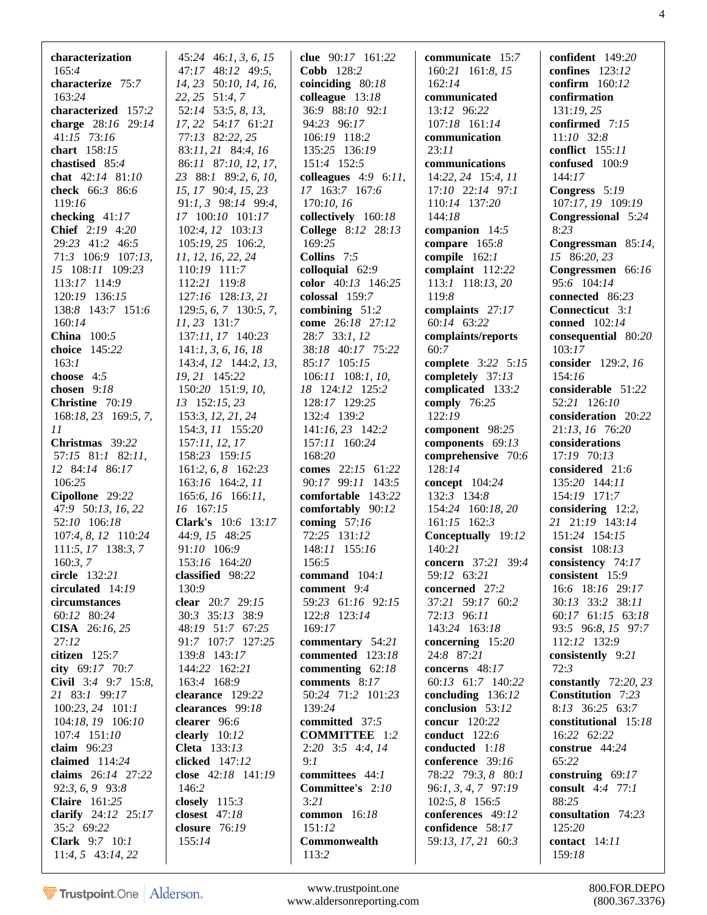| characterization<br>165:4          | $45:24$ 46:1, 3, 6, 15<br>47:17 48:12 49:5, | clue 90:17 161:22<br>Cobb 128:2                   | communicate 15:7<br>160:21 161:8, 15 | confident 149:20<br>confines $123:12$   |
|------------------------------------|---------------------------------------------|---------------------------------------------------|--------------------------------------|-----------------------------------------|
| characterize 75:7                  | 14, 23 50:10, 14, 16,                       | coinciding $80:18$                                | 162:14                               | confirm 160:12                          |
| 163:24                             | 22, 25 51:4, 7                              | colleague 13:18                                   | communicated                         | confirmation                            |
| characterized 157:2                | 52:14 53:5, 8, 13,                          | 36:9 88:10 92:1                                   | 13:12 96:22                          | 131:19,25                               |
| charge 28:16 29:14                 | 17, 22 54:17 61:21                          | 94:23 96:17                                       | 107:18 161:14                        | confirmed 7:15                          |
| 41:15 73:16                        | 77:13 82:22, 25                             | 106:19 118:2                                      | communication                        | $11:10$ 32:8                            |
| chart 158:15                       | 83:11, 21 84:4, 16                          | 135:25 136:19                                     | 23:11                                | conflict 155:11                         |
| chastised 85:4                     | 86:11 87:10, 12, 17,                        | 151:4 152:5                                       | communications                       | confused 100:9                          |
| chat 42:14 81:10                   | 23 88:1 89:2, 6, 10,                        | colleagues $4:9$ 6:11,                            | 14:22, 24 15:4, 11                   | 144:17                                  |
| check 66:3 86:6                    | 15, 17 90:4, 15, 23                         | 17 163:7 167:6                                    | $17:10$ $22:14$ $97:1$               | Congress 5:19                           |
| 119:16                             | $91:1, 3$ $98:14$ $99:4,$                   | 170:10, 16                                        | 110:14 137:20                        | 107:17, 19 109:19                       |
| checking $41:17$                   | 17 100:10 101:17                            | collectively 160:18                               | 144:18                               | Congressional 5:24                      |
| Chief 2:19 4:20<br>29:23 41:2 46:5 | 102:4, 12 103:13                            | College 8:12 28:13                                | companion 14:5                       | 8:23                                    |
| 71:3 106:9 107:13,                 | 105:19, 25 106:2,<br>11, 12, 16, 22, 24     | 169:25<br>Collins 7:5                             | compare 165:8<br>compile $162:1$     | Congressman 85:14,<br>15 86:20, 23      |
| 15 108:11 109:23                   | 110:19 111:7                                | colloquial 62:9                                   | complaint 112:22                     | Congressmen 66:16                       |
| 113:17 114:9                       | 112:21 119:8                                | color 40:13 146:25                                | 113:1 118:13, 20                     | 95:6 104:14                             |
| 120:19 136:15                      | 127:16 128:13, 21                           | colossal $159:7$                                  | 119:8                                | connected 86:23                         |
| 138:8 143:7 151:6                  | 129:5, 6, 7 130:5, 7,                       | combining $51:2$                                  | complaints 27:17                     | Connecticut 3:1                         |
| 160:14                             | 11, 23 131:7                                | come 26:18 27:12                                  | 60:14 63:22                          | conned 102:14                           |
| <b>China</b> 100:5                 | 137:11, 17 140:23                           | 28:7 33:1, 12                                     | complaints/reports                   | consequential 80:20                     |
| choice 145:22                      | 141:1, 3, 6, 16, 18                         | 38:18 40:17 75:22                                 | 60:7                                 | 103:17                                  |
| 163:1                              | 143:4, 12 144:2, 13,                        | 85:17 105:15                                      | complete 3:22 5:15                   | consider 129:2, 16                      |
| choose 4:5                         | 19, 21 145:22                               | $106:11$ $108:1$ , $10$ ,                         | completely 37:13                     | 154:16                                  |
| chosen 9:18                        | 150:20 151:9, 10,                           | 18 124:12 125:2                                   | complicated 133:2                    | considerable 51:22                      |
| Christine 70:19                    | 13 152:15, 23                               | 128:17 129:25                                     | comply $76:25$                       | 52:21 126:10                            |
| 168:18, 23 169:5, 7,               | 153:3, 12, 21, 24                           | 132:4 139:2                                       | 122:19                               | consideration 20:22                     |
| 11                                 | 154:3, 11 155:20                            | 141:16, 23 142:2                                  | component 98:25                      | 21:13, 16 76:20                         |
| Christmas 39:22                    | 157:11, 12, 17                              | 157:11 160:24                                     | components 69:13                     | considerations                          |
| 57:15 81:1 82:11,                  | 158:23 159:15                               | 168:20                                            | comprehensive 70:6                   | 17:19 70:13                             |
| 12 84:14 86:17                     | $161:2, 6, 8$ $162:23$                      | comes 22:15 61:22                                 | 128:14                               | considered 21:6                         |
| 106:25                             | 163:16 164:2, 11                            | 90:17 99:11 143:5                                 | concept 104:24                       | 135:20 144:11                           |
| Cipollone 29:22                    | 165:6, 16 166:11,                           | comfortable 143:22                                | 132:3 134:8                          | 154:19 171:7                            |
| 47:9 50:13, 16, 22<br>52:10 106:18 | 16 167:15<br>Clark's 10:6 13:17             | comfortably 90:12<br>coming $57:16$               | 154:24 160:18, 20<br>161:15 162:3    | considering $12:2$ ,<br>21 21:19 143:14 |
| 107:4, 8, 12 110:24                | 44:9, 15 48:25                              | 72:25 131:12                                      | Conceptually 19:12                   | 151:24 154:15                           |
| $111:5, 17$ 138:3, 7               | 91:10 106:9                                 | 148:11 155:16                                     | 140:21                               | consist 108:13                          |
| 160:3, 7                           | 153:16 164:20                               | 156:5                                             | <b>concern</b> 37:21 39:4            | consistency 74:17                       |
| circle 132:21                      | classified 98:22                            | command $104:1$                                   | 59:12 63:21                          | consistent 15:9                         |
| circulated 14:19                   | 130:9                                       | comment 9:4                                       | concerned 27:2                       | 16:6 18:16 29:17                        |
| circumstances                      | clear 20:7 29:15                            | 59:23 61:16 92:15                                 | 37:21 59:17 60:2                     | 30:13 33:2 38:11                        |
| 60:12 80:24                        | 30:3 35:13 38:9                             | 122:8 123:14                                      | 72:13 96:11                          | 60:17 61:15 63:18                       |
| <b>CISA</b> 26:16, 25              | 48:19 51:7 67:25                            | 169:17                                            | 143:24 163:18                        | 93:5 96:8, 15 97:7                      |
| 27:12                              | 91:7 107:7 127:25                           | commentary 54:21                                  | concerning $15:20$                   | 112:12 132:9                            |
| citizen 125:7                      | 139:8 143:17                                | commented 123:18                                  | 24:8 87:21                           | consistently 9:21                       |
| city 69:17 70:7                    | 144:22 162:21                               | commenting $62:18$                                | concerns 48:17                       | 72:3                                    |
| Civil 3:4 9:7 15:8,                | 163:4 168:9                                 | comments 8:17                                     | 60:13 61:7 140:22                    | constantly $72:20, 23$                  |
| 21 83:1 99:17                      | clearance 129:22                            | 50:24 71:2 101:23                                 | concluding $136:12$                  | Constitution 7:23                       |
| 100:23, 24 101:1                   | clearances 99:18                            | 139:24                                            | conclusion 53:12                     | 8:13 36:25 63:7                         |
| 104:18, 19 106:10                  | clearer 96:6                                | committed 37:5                                    | concur 120:22                        | constitutional 15:18                    |
| 107:4 151:10<br>claim $96:23$      | clearly $10:12$<br>Cleta 133:13             | <b>COMMITTEE</b> 1:2<br>$2:20$ $3:5$ $4:4$ , $14$ | conduct 122:6<br>conducted 1:18      | 16:22 62:22<br>construe 44:24           |
| claimed $114:24$                   | clicked 147:12                              | 9:1                                               | conference 39:16                     | 65:22                                   |
| claims 26:14 27:22                 | close $42:18$ $141:19$                      | committees 44:1                                   | 78:22 79:3, 8 80:1                   | construing $69:17$                      |
| 92:3, 6, 9 93:8                    | 146:2                                       | Committee's 2:10                                  | 96:1, 3, 4, 7 97:19                  | consult $4:4$ 77:1                      |
| <b>Claire</b> 161:25               | closely $115:3$                             | 3:21                                              | 102:5, 8 156:5                       | 88:25                                   |
| clarify 24:12 25:17                | closest $47:18$                             | common 16:18                                      | conferences 49:12                    | consultation 74:23                      |
| 35:2 69:22                         | closure $76:19$                             | 151:12                                            | confidence 58:17                     | 125:20                                  |
| <b>Clark</b> $9:7$ $10:1$          | 155:14                                      | Commonwealth                                      | 59:13, 17, 21 60:3                   | contact $14:11$                         |
| $11:4, 5$ 43:14, 22                |                                             | 113:2                                             |                                      | 159:18                                  |
|                                    |                                             |                                                   |                                      |                                         |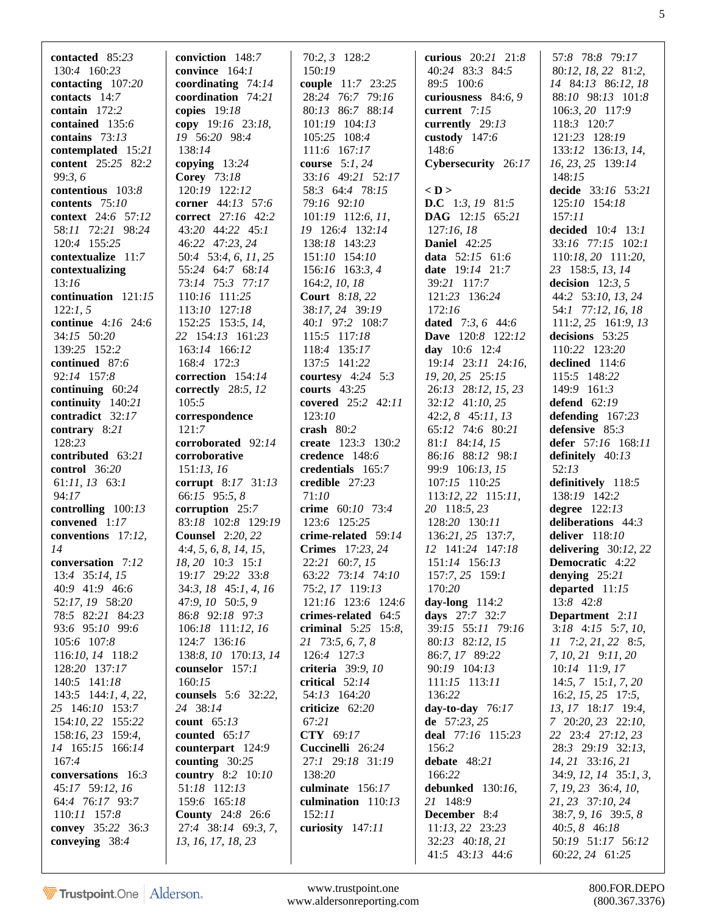| contacted $85:23$       | conviction 148:7           | 70:2, 3 128:2         | curious 20:21 21:8       | 57:8 78:8 79:17                  |
|-------------------------|----------------------------|-----------------------|--------------------------|----------------------------------|
| 130:4 160:23            | convince 164:1             | 150:19                | 40:24 83:3 84:5          | 80:12, 18, 22 81:2,              |
| contacting 107:20       | coordinating $74:14$       | couple 11:7 23:25     | 89:5 100:6               | 14 84:13 86:12, 18               |
| contacts $14:7$         | coordination 74:21         | 28:24 76:7 79:16      | curiousness $84:6, 9$    | 88:10 98:13 101:8                |
| contain $172:2$         | copies $19:18$             | 80:13 86:7 88:14      | current $7:15$           | 106:3, 20 117:9                  |
| contained 135:6         | copy $19:16$ 23:18,        | 101:19 104:13         | currently $29:13$        | 118:3 120:7                      |
| contains $73:13$        | 19 56:20 98:4              | 105:25 108:4          | custody 147:6            | 121:23 128:19                    |
| contemplated 15:21      | 138:14                     | 111:6 167:17          | 148:6                    | 133:12 136:13, 14,               |
| content 25:25 82:2      | copying $13:24$            | course $5:1, 24$      | Cybersecurity 26:17      | 16, 23, 25 139:14                |
| 99:3,6                  | <b>Corey</b> 73:18         | 33:16 49:21 52:17     |                          | 148:15                           |
| contentious 103:8       | 120:19 122:12              | 58:3 64:4 78:15       | $<$ D $>$                | decide 33:16 53:21               |
| contents 75:10          | corner 44:13 57:6          | 79:16 92:10           | <b>D.C</b> 1:3, 19 81:5  | 125:10 154:18                    |
| context 24:6 57:12      | correct 27:16 42:2         | 101:19 112:6, 11,     | DAG 12:15 65:21          | 157:11                           |
| 58:11 72:21 98:24       | 43:20 44:22 45:1           | 19 126:4 132:14       | 127:16,18                | decided 10:4 13:1                |
| 120:4 155:25            | 46:22 47:23, 24            | 138:18 143:23         | <b>Daniel</b> 42:25      | 33:16 77:15 102:1                |
| contextualize 11:7      | 50:4 53:4, 6, 11, 25       | 151:10 154:10         | data $52:15$ 61:6        | 110:18, 20 111:20,               |
| contextualizing         | 55:24 64:7 68:14           | 156:16 163:3, 4       | date 19:14 21:7          | 23 158:5, 13, 14                 |
| 13:16                   | 73:14 75:3 77:17           | 164:2, 10, 18         | 39:21 117:7              | decision $12:3, 5$               |
| continuation 121:15     | 110:16 111:25              | <b>Court</b> 8:18, 22 | 121:23 136:24            | 44:2 53:10, 13, 24               |
| 122:1, 5                | 113:10 127:18              | 38:17, 24 39:19       | 172:16                   | 54:1 77:12, 16, 18               |
| continue 4:16 24:6      | 152:25 153:5, 14,          | 40:1 97:2 108:7       | dated $7:3, 6$ 44:6      | 111:2, 25 161:9, 13              |
| 34:15 50:20             | 22 154:13 161:23           | 115:5 117:18          | <b>Dave</b> 120:8 122:12 | decisions 53:25                  |
| 139:25 152:2            | 163:14 166:12              | 118:4 135:17          | day 10:6 12:4            | 110:22 123:20                    |
| continued 87:6          | 168:4 172:3                | 137:5 141:22          | 19:14 23:11 24:16,       | declined $114:6$                 |
| 92:14 157:8             | correction 154:14          | courtesy $4:24$ 5:3   | 19, 20, 25 25:15         | 115:5 148:22                     |
| continuing $60:24$      | correctly 28:5, 12         | courts $43:25$        | 26:13 28:12, 15, 23      | 149:9 161:3                      |
| continuity 140:21       | 105:5                      | covered 25:2 42:11    | 32:12 41:10, 25          | defend $62:19$                   |
| contradict 32:17        | correspondence             | 123:10                | $42:2, 8$ $45:11, 13$    | defending 167:23                 |
| contrary 8:21           | 121:7                      | crash $80:2$          | 65:12 74:6 80:21         | defensive $85:3$                 |
| 128:23                  | corroborated 92:14         | create 123:3 130:2    | 81:1 84:14, 15           | defer $57:16$ $168:11$           |
| contributed 63:21       | corroborative              | credence 148:6        | 86:16 88:12 98:1         | definitely $40:13$               |
| control $36:20$         | 151:13, 16                 | credentials 165:7     | 99:9 106:13, 15          | 52:13                            |
| $61:11, 13$ $63:1$      | corrupt 8:17 31:13         | credible 27:23        | 107:15 110:25            | definitively 118:5               |
| 94:17                   | 66:15 95:5, 8              | 71:10                 | 113:12, 22 115:11,       | 138:19 142:2                     |
| controlling $100:13$    | corruption 25:7            | crime 60:10 73:4      | 20 118:5, 23             | degree $122:13$                  |
| convened 1:17           | 83:18 102:8 129:19         | 123:6 125:25          | 128:20 130:11            | deliberations 44:3               |
| conventions 17:12,      | <b>Counsel</b> 2:20, 22    | crime-related 59:14   | 136:21, 25 137:7,        | deliver $118:10$                 |
| 14                      | 4:4, 5, 6, 8, 14, 15,      | Crimes 17:23, 24      | 12 141:24 147:18         | delivering $30:12,22$            |
| conversation 7:12       | 18, 20 10:3 15:1           | 22:21 60:7, 15        | 151:14 156:13            | Democratic 4:22                  |
| 13:4 35:14, 15          | 19:17 29:22 33:8           | 63:22 73:14 74:10     | 157:7, 25 159:1          | denying $25:21$                  |
| 40:9 41:9 46:6          | 34:3, 18 45:1, 4, 16       | 75:2, 17 119:13       | 170:20                   | departed $11:15$                 |
| 52:17, 19 58:20         | 47:9, 10 50:5, 9           | 121:16 123:6 124:6    | day-long $114:2$         | 13:8 42:8                        |
| 78:5 82:21 84:23        | 86:8 92:18 97:3            | crimes-related 64:5   | days 27:7 32:7           | Department 2:11                  |
| 93:6 95:10 99:6         | 106:18 111:12, 16          | criminal $5:25$ 15:8, | 39:15 55:11 79:16        | $3:18$ 4:15 5:7, 10,             |
| 105:6 107:8             | 124:7 136:16               | 21 73:5, 6, 7, 8      | 80:13 82:12, 15          | $11$ 7:2, 21, 22 8:5,            |
| 116:10, 14 118:2        | 138:8, 10 170:13, 14       | 126:4 127:3           | 86:7, 17 89:22           | 7, 10, 21 9:11, 20               |
| 128:20 137:17           | counselor 157:1            | criteria 39:9, 10     | 90:19 104:13             | 10:14 11:9, 17                   |
| 140:5 141:18            | 160:15                     | critical 52:14        | 111:15 113:11            | $14:5, 7$ 15:1, 7, 20            |
| $143:5$ $144:1, 4, 22,$ | <b>counsels</b> 5:6 32:22, | 54:13 164:20          | 136:22                   | $16:2, 15, 25$ 17:5,             |
| 25 146:10 153:7         | 24 38:14                   | criticize $62:20$     | day-to-day $76:17$       | 13, 17 18:17 19:4,               |
| 154:10, 22 155:22       | count $65:13$              | 67:21                 | de $57:23, 25$           | 7 20:20, 23 22:10,               |
| 158:16, 23 159:4,       | counted $65:17$            | CTY 69:17             | deal 77:16 115:23        | 22 23:4 27:12, 23                |
| 14 165:15 166:14        | counterpart 124:9          | Cuccinelli 26:24      | 156:2                    | 28:3 29:19 32:13,                |
| 167:4                   | counting $30:25$           | 27:1 29:18 31:19      | debate $48:21$           | 14, 21 33:16, 21                 |
| conversations 16:3      | <b>country</b> 8:2 10:10   | 138:20                | 166:22                   | $34:9$ , $12$ , $14$ $35:1$ , 3, |
| 45:17 59:12, 16         | 51:18 112:13               | culminate 156:17      | debunked 130:16,         | 7, 19, 23 36:4, 10,              |
| 64:4 76:17 93:7         | 159:6 165:18               | culmination $110:13$  | 21 148:9                 | 21, 23 37:10, 24                 |
| 110:11 157:8            | <b>County</b> 24:8 26:6    | 152:11                | <b>December</b> 8:4      | 38:7, 9, 16 39:5, 8              |
| convey 35:22 36:3       | 27:4 38:14 69:3, 7,        | curiosity 147:11      | $11:13, 22$ 23:23        | 40:5, 8 46:18                    |
| conveying 38:4          | 13, 16, 17, 18, 23         |                       | 32:23 40:18, 21          | 50:19 51:17 56:12                |
|                         |                            |                       | $41:5$ $43:13$ $44:6$    | 60:22, 24 61:25                  |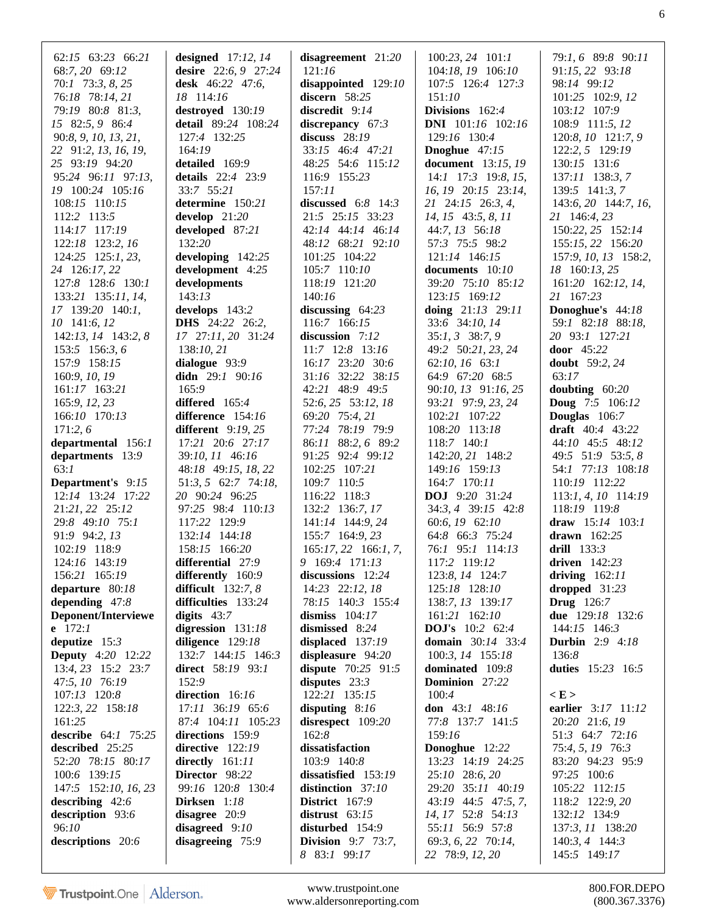| $62:15$ $63:23$ $66:21$<br>68:7, 20 69:12<br>$70:1$ $73:3, 8, 25$<br>76:18 78:14, 21<br>79:19 80:8 81:3,<br>15 82:5, 9 86:4<br>90:8, 9, 10, 13, 21,<br>22 91:2, 13, 16, 19,<br>25 93:19 94:20<br>95:24 96:11 97:13,<br>19 100:24 105:16<br>108:15 110:15<br>112:2 113:5<br>114:17 117:19<br>122:18 123:2, 16 | designed $17:12, 14$<br>desire 22:6, 9 27:24<br>desk 46:22 47:6,<br>18 114:16<br>destroyed 130:19<br>detail 89:24 108:24<br>127:4 132:25<br>164:19<br>detailed 169:9<br>details 22:4 23:9<br>33:7 55:21<br>determine 150:21<br>develop $21:20$<br>developed 87:21<br>132:20 | disagreement $21:20$<br>121:16<br>disappointed 129:10<br>discern 58:25<br>discredit $9:14$<br>discrepancy $67:3$<br>discuss $28:19$<br>33:15 46:4 47:21<br>48:25 54:6 115:12<br>116:9 155:23<br>157:11<br>discussed $6:8$ 14:3<br>21:5 25:15 33:23<br>42:14 44:14 46:14<br>48:12 68:21 92:10 | $100:23, 24$ $101:1$<br>104:18, 19 106:10<br>107:5 126:4 127:3<br>151:10<br>Divisions $162:4$<br><b>DNI</b> $101:16$ $102:16$<br>129:16 130:4<br><b>Dnoghue</b> $47:15$<br>document 13:15, 19<br>$14:1$ 17:3 19:8, 15,<br>16, 19 20:15 23:14,<br>21 24:15 26:3, 4,<br>14, 15 43:5, 8, 11<br>44:7, 13 56:18<br>57:3 75:5 98:2 | 79:1, 6 89:8 90:11<br>91:15, 22 93:18<br>98:14 99:12<br>101:25 102:9, 12<br>103:12 107:9<br>108:9 111:5, 12<br>120:8, 10 121:7, 9<br>122:2, 5 129:19<br>130:15 131:6<br>137:11 138:3, 7<br>$139:5$ $141:3,7$<br>$143:6, 20$ 144:7, 16,<br>21 146:4, 23<br>150:22, 25 152:14<br>155:15, 22 156:20 |
|--------------------------------------------------------------------------------------------------------------------------------------------------------------------------------------------------------------------------------------------------------------------------------------------------------------|-----------------------------------------------------------------------------------------------------------------------------------------------------------------------------------------------------------------------------------------------------------------------------|----------------------------------------------------------------------------------------------------------------------------------------------------------------------------------------------------------------------------------------------------------------------------------------------|------------------------------------------------------------------------------------------------------------------------------------------------------------------------------------------------------------------------------------------------------------------------------------------------------------------------------|--------------------------------------------------------------------------------------------------------------------------------------------------------------------------------------------------------------------------------------------------------------------------------------------------|
| 124:25 125:1, 23,                                                                                                                                                                                                                                                                                            | developing 142:25                                                                                                                                                                                                                                                           | 101:25 104:22                                                                                                                                                                                                                                                                                | 121:14 146:15                                                                                                                                                                                                                                                                                                                | 157:9, 10, 13 158:2,                                                                                                                                                                                                                                                                             |
| 24 126:17, 22<br>127:8 128:6 130:1                                                                                                                                                                                                                                                                           | development 4:25<br>developments                                                                                                                                                                                                                                            | 105:7 110:10<br>118:19 121:20                                                                                                                                                                                                                                                                | documents 10:10<br>39:20 75:10 85:12                                                                                                                                                                                                                                                                                         | 18 160:13, 25<br>161:20 162:12, 14,                                                                                                                                                                                                                                                              |
| 133:21 135:11, 14,                                                                                                                                                                                                                                                                                           | 143:13                                                                                                                                                                                                                                                                      | 140:16                                                                                                                                                                                                                                                                                       | 123:15 169:12                                                                                                                                                                                                                                                                                                                | 21 167:23                                                                                                                                                                                                                                                                                        |
| 17 139:20 140:1,                                                                                                                                                                                                                                                                                             | develops 143:2                                                                                                                                                                                                                                                              | discussing $64:23$                                                                                                                                                                                                                                                                           | doing $21:13$ 29:11                                                                                                                                                                                                                                                                                                          | Donoghue's 44:18                                                                                                                                                                                                                                                                                 |
| 10 141:6, 12<br>142:13, 14 143:2, 8                                                                                                                                                                                                                                                                          | <b>DHS</b> 24:22 26:2,<br>17 27:11, 20 31:24                                                                                                                                                                                                                                | 116:7 166:15<br>discussion 7:12                                                                                                                                                                                                                                                              | 33:6 34:10, 14<br>$35:1, 3$ $38:7, 9$                                                                                                                                                                                                                                                                                        | 59:1 82:18 88:18,<br>20 93:1 127:21                                                                                                                                                                                                                                                              |
| 153:5 156:3, 6                                                                                                                                                                                                                                                                                               | 138:10, 21                                                                                                                                                                                                                                                                  | 11:7 12:8 13:16                                                                                                                                                                                                                                                                              | 49:2 50:21, 23, 24                                                                                                                                                                                                                                                                                                           | door 45:22                                                                                                                                                                                                                                                                                       |
| 157:9 158:15                                                                                                                                                                                                                                                                                                 | dialogue 93:9                                                                                                                                                                                                                                                               | 16:17 23:20 30:6                                                                                                                                                                                                                                                                             | 62:10, 16 63:1                                                                                                                                                                                                                                                                                                               | <b>doubt</b> 59:2, 24                                                                                                                                                                                                                                                                            |
| 160:9, 10, 19                                                                                                                                                                                                                                                                                                | didn $29:1$ $90:16$                                                                                                                                                                                                                                                         | 31:16 32:22 38:15                                                                                                                                                                                                                                                                            | 64:9 67:20 68:5                                                                                                                                                                                                                                                                                                              | 63:17                                                                                                                                                                                                                                                                                            |
| 161:17 163:21                                                                                                                                                                                                                                                                                                | 165:9                                                                                                                                                                                                                                                                       | 42:21 48:9 49:5                                                                                                                                                                                                                                                                              | 90:10, 13 91:16, 25                                                                                                                                                                                                                                                                                                          | doubting $60:20$                                                                                                                                                                                                                                                                                 |
| 165:9, 12, 23                                                                                                                                                                                                                                                                                                | differed 165:4                                                                                                                                                                                                                                                              | 52:6, 25 53:12, 18                                                                                                                                                                                                                                                                           | 93:21 97:9, 23, 24                                                                                                                                                                                                                                                                                                           | <b>Doug</b> $7:5$ 106:12                                                                                                                                                                                                                                                                         |
| 166:10 170:13                                                                                                                                                                                                                                                                                                | difference $154:16$                                                                                                                                                                                                                                                         | 69:20 75:4, 21                                                                                                                                                                                                                                                                               | 102:21 107:22                                                                                                                                                                                                                                                                                                                | <b>Douglas</b> 106:7                                                                                                                                                                                                                                                                             |
| 171:2,6                                                                                                                                                                                                                                                                                                      | different 9:19, 25                                                                                                                                                                                                                                                          | 77:24 78:19 79:9                                                                                                                                                                                                                                                                             | 108:20 113:18                                                                                                                                                                                                                                                                                                                | draft 40:4 43:22                                                                                                                                                                                                                                                                                 |
| departmental 156:1                                                                                                                                                                                                                                                                                           | 17:21 20:6 27:17                                                                                                                                                                                                                                                            | 86:11 88:2, 6 89:2                                                                                                                                                                                                                                                                           | $118:7$ $140:1$                                                                                                                                                                                                                                                                                                              | 44:10 45:5 48:12                                                                                                                                                                                                                                                                                 |
| departments 13:9                                                                                                                                                                                                                                                                                             | 39:10, 11 46:16                                                                                                                                                                                                                                                             | 91:25 92:4 99:12                                                                                                                                                                                                                                                                             | 142:20, 21 148:2                                                                                                                                                                                                                                                                                                             | 49:5 51:9 53:5, 8                                                                                                                                                                                                                                                                                |
| 63:1<br><b>Department's</b> 9:15                                                                                                                                                                                                                                                                             | 48:18 49:15, 18, 22<br>51:3, 5 62:7 74:18,                                                                                                                                                                                                                                  | 102:25 107:21<br>109:7 110:5                                                                                                                                                                                                                                                                 | 149:16 159:13<br>164:7 170:11                                                                                                                                                                                                                                                                                                | 54:1 77:13 108:18<br>110:19 112:22                                                                                                                                                                                                                                                               |
| 12:14 13:24 17:22                                                                                                                                                                                                                                                                                            | 20 90:24 96:25                                                                                                                                                                                                                                                              | 116:22 118:3                                                                                                                                                                                                                                                                                 | DOJ 9:20 31:24                                                                                                                                                                                                                                                                                                               | 113:1, 4, 10 114:19                                                                                                                                                                                                                                                                              |
| 21:21, 22 25:12                                                                                                                                                                                                                                                                                              | 97:25 98:4 110:13                                                                                                                                                                                                                                                           | 132:2 136:7, 17                                                                                                                                                                                                                                                                              | 34:3, 4 39:15 42:8                                                                                                                                                                                                                                                                                                           | 118:19 119:8                                                                                                                                                                                                                                                                                     |
| 29:8 49:10 75:1                                                                                                                                                                                                                                                                                              | 117:22 129:9                                                                                                                                                                                                                                                                | 141:14 144:9, 24                                                                                                                                                                                                                                                                             | 60:6, 19 62:10                                                                                                                                                                                                                                                                                                               | draw $15:14$ $103:1$                                                                                                                                                                                                                                                                             |
| 91:9 94:2, 13                                                                                                                                                                                                                                                                                                | 132:14 144:18                                                                                                                                                                                                                                                               | 155:7 164:9, 23                                                                                                                                                                                                                                                                              | 64:8 66:3 75:24                                                                                                                                                                                                                                                                                                              | drawn $162:25$                                                                                                                                                                                                                                                                                   |
| 102:19 118:9                                                                                                                                                                                                                                                                                                 | 158:15 166:20                                                                                                                                                                                                                                                               | $165:17, 22$ 166:1, 7,                                                                                                                                                                                                                                                                       | 76:1 95:1 114:13                                                                                                                                                                                                                                                                                                             | drill $133:3$                                                                                                                                                                                                                                                                                    |
| 124:16 143:19                                                                                                                                                                                                                                                                                                | differential 27:9                                                                                                                                                                                                                                                           | 9 169:4 171:13                                                                                                                                                                                                                                                                               | 117:2 119:12                                                                                                                                                                                                                                                                                                                 | driven $142:23$                                                                                                                                                                                                                                                                                  |
| 156:21 165:19                                                                                                                                                                                                                                                                                                | differently 160:9                                                                                                                                                                                                                                                           | discussions 12:24                                                                                                                                                                                                                                                                            | 123:8, 14 124:7                                                                                                                                                                                                                                                                                                              | driving $162:11$                                                                                                                                                                                                                                                                                 |
| departure 80:18                                                                                                                                                                                                                                                                                              | difficult $132:7, 8$                                                                                                                                                                                                                                                        | 14:23 22:12, 18                                                                                                                                                                                                                                                                              | 125:18 128:10                                                                                                                                                                                                                                                                                                                | dropped $31:23$                                                                                                                                                                                                                                                                                  |
| depending $47:8$                                                                                                                                                                                                                                                                                             | difficulties 133:24                                                                                                                                                                                                                                                         | 78:15 140:3 155:4                                                                                                                                                                                                                                                                            | 138:7, 13 139:17                                                                                                                                                                                                                                                                                                             | <b>Drug</b> 126:7                                                                                                                                                                                                                                                                                |
| Deponent/Interviewe                                                                                                                                                                                                                                                                                          | digits $43:7$                                                                                                                                                                                                                                                               | dismiss $104:17$                                                                                                                                                                                                                                                                             | 161:21 162:10                                                                                                                                                                                                                                                                                                                | due 129:18 132:6                                                                                                                                                                                                                                                                                 |
| e $172:1$                                                                                                                                                                                                                                                                                                    | digression 131:18                                                                                                                                                                                                                                                           | dismissed 8:24                                                                                                                                                                                                                                                                               | <b>DOJ's</b> 10:2 62:4                                                                                                                                                                                                                                                                                                       | 144:15 146:3                                                                                                                                                                                                                                                                                     |
| deputize $15:3$                                                                                                                                                                                                                                                                                              | diligence $129:18$                                                                                                                                                                                                                                                          | displaced 137:19                                                                                                                                                                                                                                                                             | <b>domain</b> 30:14 33:4                                                                                                                                                                                                                                                                                                     | <b>Durbin</b> 2:9 4:18                                                                                                                                                                                                                                                                           |
| <b>Deputy</b> 4:20 12:22                                                                                                                                                                                                                                                                                     | 132:7 144:15 146:3                                                                                                                                                                                                                                                          | displeasure 94:20                                                                                                                                                                                                                                                                            | 100:3, 14 155:18                                                                                                                                                                                                                                                                                                             | 136:8                                                                                                                                                                                                                                                                                            |
| 13:4, 23 15:2 23:7<br>47:5, 10 76:19                                                                                                                                                                                                                                                                         | direct 58:19 93:1<br>152:9                                                                                                                                                                                                                                                  | dispute $70:25$ 91:5<br>disputes $23:3$                                                                                                                                                                                                                                                      | dominated 109:8<br>Dominion 27:22                                                                                                                                                                                                                                                                                            | duties 15:23 16:5                                                                                                                                                                                                                                                                                |
| 107:13 120:8                                                                                                                                                                                                                                                                                                 | direction 16:16                                                                                                                                                                                                                                                             | 122:21 135:15                                                                                                                                                                                                                                                                                | 100:4                                                                                                                                                                                                                                                                                                                        | E >                                                                                                                                                                                                                                                                                              |
| 122:3, 22 158:18                                                                                                                                                                                                                                                                                             | 17:11 36:19 65:6                                                                                                                                                                                                                                                            | disputing $8:16$                                                                                                                                                                                                                                                                             | don $43:1$ $48:16$                                                                                                                                                                                                                                                                                                           | earlier 3:17 11:12                                                                                                                                                                                                                                                                               |
| 161:25                                                                                                                                                                                                                                                                                                       | 87:4 104:11 105:23                                                                                                                                                                                                                                                          | disrespect 109:20                                                                                                                                                                                                                                                                            | 77:8 137:7 141:5                                                                                                                                                                                                                                                                                                             | 20:20 21:6, 19                                                                                                                                                                                                                                                                                   |
| describe 64:1 75:25                                                                                                                                                                                                                                                                                          | directions 159:9                                                                                                                                                                                                                                                            | 162:8                                                                                                                                                                                                                                                                                        | 159:16                                                                                                                                                                                                                                                                                                                       | 51:3 64:7 72:16                                                                                                                                                                                                                                                                                  |
| described 25:25                                                                                                                                                                                                                                                                                              | directive 122:19                                                                                                                                                                                                                                                            | dissatisfaction                                                                                                                                                                                                                                                                              | Donoghue 12:22                                                                                                                                                                                                                                                                                                               | 75:4, 5, 19 76:3                                                                                                                                                                                                                                                                                 |
| 52:20 78:15 80:17                                                                                                                                                                                                                                                                                            | directly $161:11$                                                                                                                                                                                                                                                           | 103:9 140:8                                                                                                                                                                                                                                                                                  | 13:23 14:19 24:25                                                                                                                                                                                                                                                                                                            | 83:20 94:23 95:9                                                                                                                                                                                                                                                                                 |
| 100:6 139:15                                                                                                                                                                                                                                                                                                 | Director 98:22                                                                                                                                                                                                                                                              | dissatisfied 153:19                                                                                                                                                                                                                                                                          | 25:10 28:6, 20                                                                                                                                                                                                                                                                                                               | 97:25 100:6                                                                                                                                                                                                                                                                                      |
| 147:5 152:10, 16, 23                                                                                                                                                                                                                                                                                         | 99:16 120:8 130:4                                                                                                                                                                                                                                                           | distinction 37:10                                                                                                                                                                                                                                                                            | 29:20 35:11 40:19                                                                                                                                                                                                                                                                                                            | 105:22 112:15                                                                                                                                                                                                                                                                                    |
| describing $42:6$                                                                                                                                                                                                                                                                                            | Dirksen 1:18                                                                                                                                                                                                                                                                | District 167:9                                                                                                                                                                                                                                                                               | 43:19 44:5 47:5, 7,                                                                                                                                                                                                                                                                                                          | 118:2 122:9, 20                                                                                                                                                                                                                                                                                  |
| description 93:6                                                                                                                                                                                                                                                                                             | disagree 20:9                                                                                                                                                                                                                                                               | distrust $63:15$                                                                                                                                                                                                                                                                             | 14, 17 52:8 54:13                                                                                                                                                                                                                                                                                                            | 132:12 134:9                                                                                                                                                                                                                                                                                     |
| 96:10                                                                                                                                                                                                                                                                                                        | disagreed $9:10$                                                                                                                                                                                                                                                            | disturbed 154:9                                                                                                                                                                                                                                                                              | 55:11 56:9 57:8                                                                                                                                                                                                                                                                                                              | 137:3, 11 138:20                                                                                                                                                                                                                                                                                 |
| descriptions 20:6                                                                                                                                                                                                                                                                                            | disagreeing 75:9                                                                                                                                                                                                                                                            | <b>Division</b> 9:7 73:7,<br>8 83:1 99:17                                                                                                                                                                                                                                                    | 69:3, 6, 22 70:14,<br>22 78:9, 12, 20                                                                                                                                                                                                                                                                                        | 140:3, 4 144:3<br>145:5 149:17                                                                                                                                                                                                                                                                   |

www.trustpoint.one 800.FOR.DEPO<br>w.aldersonreporting.com (800.367.3376) www.aldersonreporting.com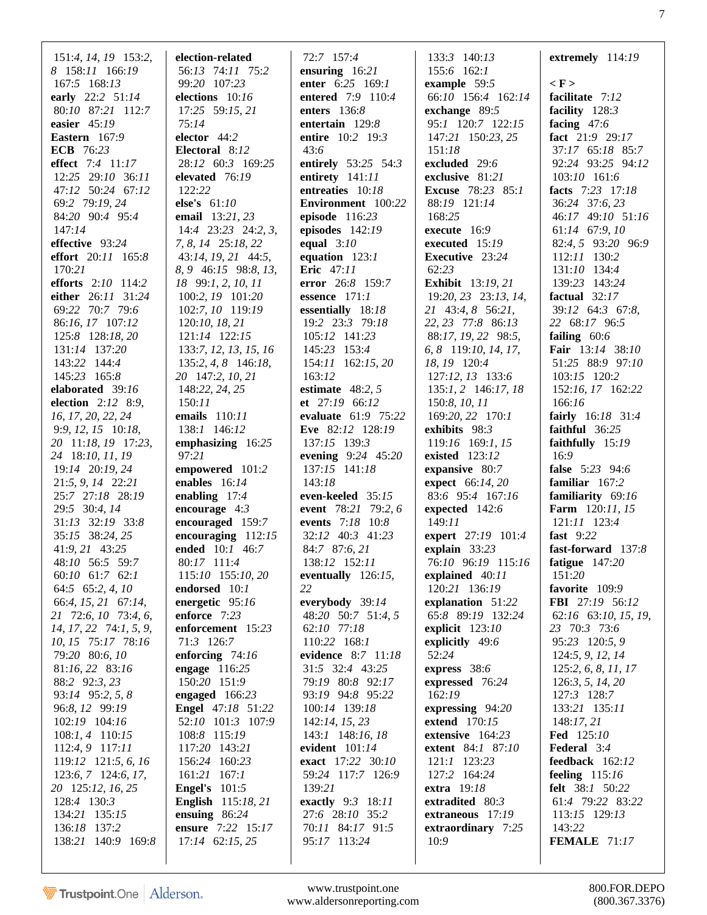| 151:4, 14, 19 153:2,<br>8 158:11 166:19<br>167:5 168:13<br>early 22:2 51:14 | election-related<br>56:13 74:11 75:2<br>99:20 107:23<br>elections 10:16 | 72:7 157:4<br>ensuring $16:21$<br>enter 6:25 169:1<br>entered 7:9 110:4 | 133:3 140:13<br>155:6 162:1<br>example 59:5<br>66:10 156:4 162:14 | extremely $114:19$<br>$\langle F \rangle$<br>facilitate 7:12 |
|-----------------------------------------------------------------------------|-------------------------------------------------------------------------|-------------------------------------------------------------------------|-------------------------------------------------------------------|--------------------------------------------------------------|
| 80:10 87:21 112:7                                                           | 17:25 59:15, 21                                                         | enters $136:8$                                                          | exchange 89:5                                                     | facility $128:3$                                             |
| easier $45:19$                                                              | 75:14                                                                   | entertain $129:8$                                                       | 95:1 120:7 122:15                                                 | facing $47:6$                                                |
| Eastern 167:9                                                               | elector $44:2$                                                          | entire 10:2 19:3                                                        | 147:21 150:23, 25                                                 | fact 21:9 29:17                                              |
| <b>ECB</b> 76:23                                                            | Electoral 8:12                                                          | 43:6                                                                    | 151:18                                                            | 37:17 65:18 85:7                                             |
| effect 7:4 11:17                                                            | 28:12 60:3 169:25                                                       | entirely 53:25 54:3                                                     | excluded 29:6                                                     | 92:24 93:25 94:12                                            |
| 12:25 29:10 36:11                                                           | elevated 76:19                                                          | entirety $141:11$                                                       | exclusive 81:21                                                   | 103:10 161:6                                                 |
| 47:12 50:24 67:12                                                           | 122:22                                                                  | entreaties 10:18                                                        | <b>Excuse</b> 78:23 85:1                                          | facts 7:23 17:18                                             |
| 69:2 79:19, 24                                                              | else's $61:10$                                                          | Environment 100:22                                                      | 88:19 121:14                                                      | 36:24 37:6, 23                                               |
| 84:20 90:4 95:4                                                             | email 13:21, 23                                                         | episode $116:23$                                                        | 168:25                                                            | 46:17 49:10 51:16                                            |
| 147:14                                                                      | $14:4$ $23:23$ $24:2, 3$                                                | episodes $142:19$                                                       | execute $16:9$                                                    | 61:14 67:9, 10                                               |
| effective 93:24                                                             | 7, 8, 14 25:18, 22                                                      | equal $3:10$                                                            | executed $15:19$                                                  | 82:4, 5 93:20 96:9                                           |
| <b>effort</b> $20:11$ $165:8$                                               | 43:14, 19, 21 44:5,                                                     | equation $123:1$                                                        | Executive 23:24                                                   | 112:11 130:2                                                 |
| 170:21                                                                      | 8, 9 46:15 98:8, 13,                                                    | <b>Eric</b> 47:11                                                       | 62:23                                                             | 131:10 134:4                                                 |
| efforts $2:10$ 114:2<br>either 26:11 31:24                                  | 18 99:1, 2, 10, 11                                                      | error 26:8 159:7<br>essence $171:1$                                     | <b>Exhibit</b> 13:19, 21<br>19:20, 23 23:13, 14,                  | 139:23 143:24<br>factual $32:17$                             |
| 69:22 70:7 79:6                                                             | 100:2, 19 101:20<br>102:7, 10 119:19                                    | essentially 18:18                                                       | 21 43:4, 8 56:21,                                                 | 39:12 64:3 67:8,                                             |
| 86:16, 17 107:12                                                            |                                                                         | 19:2 23:3 79:18                                                         | 22, 23 77:8 86:13                                                 | 22 68:17 96:5                                                |
| 125:8 128:18, 20                                                            | 120:10, 18, 21<br>121:14 122:15                                         | 105:12 141:23                                                           | 88:17, 19, 22 98:5,                                               | failing $60:6$                                               |
| 131:14 137:20                                                               | 133:7, 12, 13, 15, 16                                                   | 145:23 153:4                                                            | 6, 8 119:10, 14, 17,                                              | Fair 13:14 38:10                                             |
| 143:22 144:4                                                                | $135:2, 4, 8$ 146:18,                                                   | 154:11 162:15, 20                                                       | 18, 19 120:4                                                      | 51:25 88:9 97:10                                             |
| 145:23 165:8                                                                | 20 147:2, 10, 21                                                        | 163:12                                                                  | 127:12, 13 133:6                                                  | 103:15 120:2                                                 |
| elaborated 39:16                                                            | 148:22, 24, 25                                                          | estimate $48:2, 5$                                                      | $135:1, 2$ 146:17, 18                                             | 152:16, 17 162:22                                            |
| election 2:12 8:9,                                                          | 150:11                                                                  | et $27:19$ 66:12                                                        | 150:8, 10, 11                                                     | 166:16                                                       |
| 16, 17, 20, 22, 24                                                          | emails 110:11                                                           | evaluate 61:9 75:22                                                     | 169:20, 22 170:1                                                  | fairly 16:18 31:4                                            |
| 9:9, 12, 15 10:18,                                                          | 138:1 146:12                                                            | Eve 82:12 128:19                                                        | exhibits $98:3$                                                   | faithful $36:25$                                             |
| 20 11:18, 19 17:23,                                                         | emphasizing $16:25$                                                     | 137:15 139:3                                                            | 119:16 169:1, 15                                                  | faithfully 15:19                                             |
| 24 18:10, 11, 19                                                            | 97:21                                                                   | evening 9:24 45:20                                                      | existed $123:12$                                                  | 16:9                                                         |
| 19:14 20:19, 24                                                             | empowered 101:2                                                         | 137:15 141:18                                                           | expansive 80:7                                                    | false 5:23 94:6                                              |
| $21:5, 9, 14$ $22:21$                                                       | enables $16:14$                                                         | 143:18                                                                  | <b>expect</b> $66:14, 20$                                         | familiar $167:2$                                             |
| 25:7 27:18 28:19                                                            | enabling $17:4$                                                         | even-keeled 35:15                                                       | 83:6 95:4 167:16                                                  | familiarity 69:16                                            |
| 29:5 30:4, 14                                                               | encourage $4:3$                                                         | event 78:21 79:2, 6                                                     | expected 142:6                                                    | Farm 120:11, 15                                              |
| 31:13 32:19 33:8                                                            | encouraged 159:7                                                        | events 7:18 10:8                                                        | 149:11                                                            | 121:11 123:4                                                 |
| 35:15 38:24, 25                                                             | encouraging $112:15$                                                    | 32:12 40:3 41:23                                                        | expert 27:19 101:4                                                | fast $9:22$                                                  |
| 41:9, 21 43:25                                                              | ended $10:1$ 46:7                                                       | 84:7 87:6, 21                                                           | explain $33:23$                                                   | fast-forward 137:8                                           |
| 48:10 56:5 59:7                                                             | 80:17 111:4                                                             | 138:12 152:11                                                           | 76:10 96:19 115:16                                                | fatigue $147:20$                                             |
| 60:10 61:7 62:1                                                             | 115:10 155:10, 20                                                       | eventually $126:15$ ,                                                   | explained 40:11                                                   | 151:20                                                       |
| 64:5 65:2, 4, 10                                                            | endorsed 10:1                                                           | 22                                                                      | 120:21 136:19                                                     | favorite 109:9                                               |
| 66:4, 15, 21 67:14,<br>21 72:6, 10 73:4, 6,                                 | energetic 95:16<br>enforce 7:23                                         | everybody $39:14$<br>48:20 50:7 51:4, 5                                 | explanation 51:22<br>65:8 89:19 132:24                            | <b>FBI</b> 27:19 56:12<br>62:16 63:10, 15, 19,               |
| $14, 17, 22$ $74:1, 5, 9$ ,                                                 | enforcement 15:23                                                       | 62:10 77:18                                                             | explicit $123:10$                                                 | 23 70:3 73:6                                                 |
| 10, 15 75:17 78:16                                                          | 71:3 126:7                                                              | 110:22 168:1                                                            | explicitly 49:6                                                   | 95:23 120:5, 9                                               |
| 79:20 80:6, 10                                                              | enforcing $74:16$                                                       | evidence 8:7 11:18                                                      | 52:24                                                             | 124:5, 9, 12, 14                                             |
| 81:16, 22 83:16                                                             | engage $116:25$                                                         | 31:5 32:4 43:25                                                         | express $38:6$                                                    | 125:2, 6, 8, 11, 17                                          |
| 88:2 92:3, 23                                                               | 150:20 151:9                                                            | 79:19 80:8 92:17                                                        | expressed 76:24                                                   | 126:3, 5, 14, 20                                             |
| 93:14 95:2, 5, 8                                                            | engaged $166:23$                                                        | 93:19 94:8 95:22                                                        | 162:19                                                            | 127:3 128:7                                                  |
| 96:8, 12 99:19                                                              | <b>Engel</b> 47:18 51:22                                                | 100:14 139:18                                                           | expressing 94:20                                                  | 133:21 135:11                                                |
| 102:19 104:16                                                               | 52:10 101:3 107:9                                                       | 142:14, 15, 23                                                          | extend 170:15                                                     | 148:17,21                                                    |
| $108:1, 4$ 110:15                                                           | 108:8 115:19                                                            | 143:1 148:16, 18                                                        | extensive 164:23                                                  | <b>Fed</b> 125:10                                            |
| $112:4,9$ 117:11                                                            | 117:20 143:21                                                           | evident $101:14$                                                        | extent 84:1 87:10                                                 | Federal 3:4                                                  |
| 119:12 121:5, 6, 16                                                         | 156:24 160:23                                                           | exact 17:22 30:10                                                       | 121:1 123:23                                                      | feedback 162:12                                              |
| $123:6, 7$ 124:6, 17,                                                       | 161:21 167:1                                                            | 59:24 117:7 126:9                                                       | 127:2 164:24                                                      | feeling 115:16                                               |
| 20 125:12, 16, 25                                                           | <b>Engel's</b> 101:5                                                    | 139:21                                                                  | extra $19:18$                                                     | <b>felt</b> 38:1 50:22                                       |
| 128:4 130:3                                                                 | <b>English</b> 115:18, 21                                               | exactly 9:3 18:11                                                       | extradited 80:3                                                   | 61:4 79:22 83:22                                             |
| 134:21 135:15                                                               | ensuing $86:24$                                                         | 27:6 28:10 35:2                                                         | extraneous 17:19                                                  | 113:15 129:13                                                |
| 136:18 137:2<br>138:21 140:9 169:8                                          | ensure 7:22 15:17<br>$17:14$ 62:15, 25                                  | 70:11 84:17 91:5<br>95:17 113:24                                        | extraordinary 7:25<br>10:9                                        | 143:22<br>FEMALE 71:17                                       |
|                                                                             |                                                                         |                                                                         |                                                                   |                                                              |
|                                                                             |                                                                         |                                                                         |                                                                   |                                                              |

www.trustpoint.one 800.FOR.DEPO<br>w.aldersonreporting.com (800.367.3376) www.aldersonreporting.com (800.367.3376)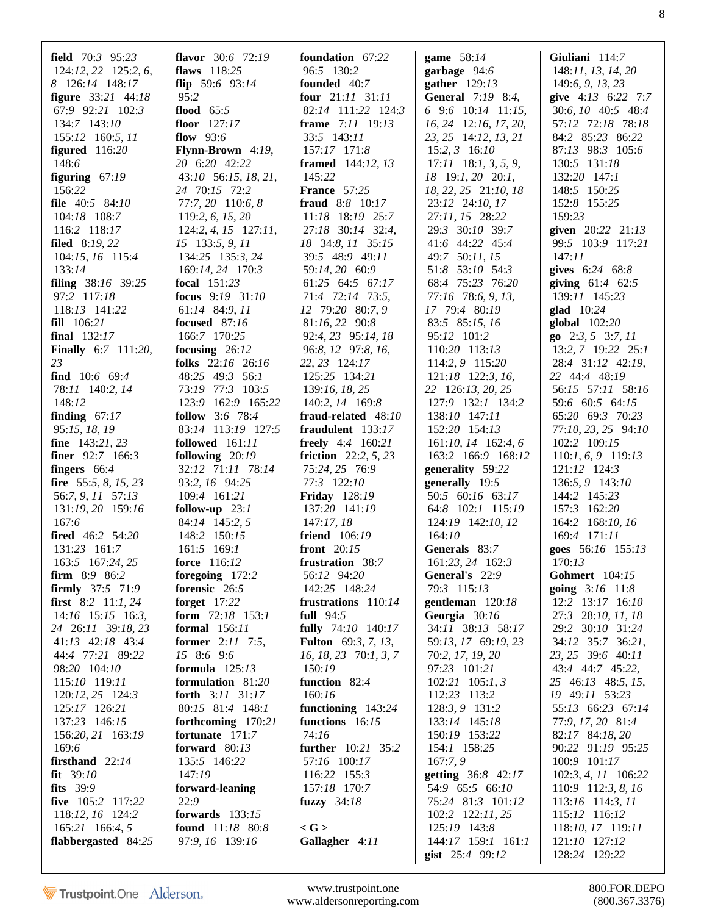| <b>field</b> $70:3$ $95:23$ | flavor $30:6$ 72:19      | foundation 67:22              | game $58:14$             | Giuliani 114:7                |
|-----------------------------|--------------------------|-------------------------------|--------------------------|-------------------------------|
| 124:12, 22 125:2, 6,        | flaws $118:25$           | 96:5 130:2                    | garbage 94:6             | 148:11, 13, 14, 20            |
| 8 126:14 148:17             | flip $59:6$ $93:14$      | founded 40:7                  | gather $129:13$          | 149:6, 9, 13, 23              |
| <b>figure</b> 33:21 44:18   | 95:2                     | <b>four</b> $21:11$ $31:11$   | <b>General</b> 7:19 8:4, | give 4:13 6:22 7:7            |
| 67:9 92:21 102:3            | flood $65:5$             | 82:14 111:22 124:3            | 6 9:6 10:14 11:15,       | 30:6, 10 40:5 48:4            |
| 134:7 143:10                | floor $127:17$           | frame 7:11 19:13              | $16, 24$ 12:16, 17, 20,  | 57:12 72:18 78:18             |
| 155:12 160:5, 11            | flow $93:6$              | 33:5 143:11                   | 23, 25 14:12, 13, 21     | 84:2 85:23 86:22              |
| figured $116:20$            | Flynn-Brown 4:19,        | 157:17 171:8                  | $15:2, 3$ 16:10          | 87:13 98:3 105:6              |
| 148:6                       | 20 6:20 42:22            | <b>framed</b> 144:12, 13      | $17:11$ 18:1, 3, 5, 9,   | 130:5 131:18                  |
| figuring $67:19$            | 43:10 56:15, 18, 21,     | 145:22                        | $18$ 19:1, 20 20:1,      | 132:20 147:1                  |
| 156:22                      | 24 70:15 72:2            | <b>France</b> 57:25           | 18, 22, 25 21:10, 18     | 148:5 150:25                  |
| file 40:5 84:10             | 77:7, 20 110:6, 8        | fraud 8:8 10:17               | 23:12 24:10, 17          | 152:8 155:25                  |
| 104:18 108:7                | 119:2, 6, 15, 20         | 11:18 18:19 25:7              | 27:11, 15 28:22          | 159:23                        |
| 116:2 118:17                | $124:2, 4, 15$ $127:11,$ | 27:18 30:14 32:4,             | 29:3 30:10 39:7          | given 20:22 21:13             |
| <b>filed</b> $8:19,22$      | 15 133:5, 9, 11          | 18 34:8, 11 35:15             | 41:6 44:22 45:4          | 99:5 103:9 117:21             |
| 104:15, 16 115:4            | 134:25 135:3, 24         | 39:5 48:9 49:11               | 49:7 50:11, 15           | 147:11                        |
| 133:14                      | 169:14, 24 170:3         | 59:14, 20 60:9                | 51:8 53:10 54:3          | gives 6:24 68:8               |
| <b>filing</b> $38:16$ 39:25 | focal $151:23$           | 61:25 64:5 67:17              | 68:4 75:23 76:20         | giving $61:4$ $62:5$          |
| 97:2 117:18                 | focus 9:19 31:10         | 71:4 72:14 73:5,              | 77:16 78:6, 9, 13,       |                               |
| 118:13 141:22               |                          | 12 79:20 80:7, 9              |                          | 139:11 145:23                 |
|                             | 61:14 84:9, 11           |                               | 17 79:4 80:19            | glad $10:24$                  |
| <b>fill</b> $106:21$        | <b>focused</b> 87:16     | 81:16, 22 90:8                | 83:5 85:15, 16           | global 102:20                 |
| final $132:17$              | 166:7 170:25             | 92:4, 23 95:14, 18            | 95:12 101:2              | $\mathbf{g_0}$ 2:3, 5 3:7, 11 |
| Finally 6:7 111:20,         | focusing $26:12$         | 96:8, 12 97:8, 16,            | 110:20 113:13            | 13:2, 7 19:22 25:1            |
| 23                          | folks 22:16 26:16        | 22, 23 124:17                 | 114:2, 9 115:20          | 28:4 31:12 42:19,             |
| find $10:6$ 69:4            | 48:25 49:3 56:1          | 125:25 134:21                 | $121:18$ 122:3, 16,      | 22 44:4 48:19                 |
| 78:11 140:2, 14             | 73:19 77:3 103:5         | 139:16, 18, 25                | 22 126:13, 20, 25        | 56:15 57:11 58:16             |
| 148:12                      | 123:9 162:9 165:22       | 140:2, 14 169:8               | 127:9 132:1 134:2        | 59:6 60:5 64:15               |
| finding $67:17$             | <b>follow</b> 3:6 78:4   | fraud-related 48:10           | 138:10 147:11            | 65:20 69:3 70:23              |
| 95:15, 18, 19               | 83:14 113:19 127:5       | fraudulent 133:17             | 152:20 154:13            | 77:10, 23, 25 94:10           |
| <b>fine</b> $143:21,23$     | followed 161:11          | <b>freely</b> 4:4 160:21      | $161:10, 14$ $162:4, 6$  | 102:2 109:15                  |
| <b>finer</b> $92:7$ 166:3   | following $20:19$        | <b>friction</b> 22:2, 5, 23   | 163:2 166:9 168:12       | $110:1, 6, 9$ 119:13          |
| fingers 66:4                | 32:12 71:11 78:14        | 75:24, 25 76:9                | generality 59:22         | 121:12 124:3                  |
| fire $55:5, 8, 15, 23$      | 93:2, 16 94:25           | 77:3 122:10                   | generally 19:5           | 136:5, 9 143:10               |
| 56:7, 9, 11 57:13           | 109:4 161:21             | <b>Friday</b> 128:19          | 50:5 60:16 63:17         | 144:2 145:23                  |
| 131:19, 20 159:16           | follow-up $23:1$         | 137:20 141:19                 | 64:8 102:1 115:19        | 157:3 162:20                  |
| 167:6                       | 84:14 145:2, 5           | 147:17,18                     | 124:19 142:10, 12        | 164:2 168:10, 16              |
| <b>fired</b> 46:2 54:20     | 148:2 150:15             | <b>friend</b> 106:19          | 164:10                   | 169:4 171:11                  |
| 131:23 161:7                | 161:5 169:1              | front $20:15$                 | Generals 83:7            | goes 56:16 155:13             |
| 163:5 167:24, 25            | force 116:12             | frustration 38:7              | 161:23, 24 162:3         | 170:13                        |
| firm 8:9 86:2               | foregoing $172:2$        | 56:12 94:20                   | General's 22:9           | <b>Gohmert</b> 104:15         |
| <b>firmly</b> 37:5 71:9     | forensic 26:5            | 142:25 148:24                 | 79:3 115:13              | going 3:16 11:8               |
| <b>first</b> 8:2 11:1, 24   | forget $17:22$           | frustrations 110:14           | gentleman 120:18         | 12:2 13:17 16:10              |
| 14:16 15:15 16:3,           | form 72:18 153:1         | full $94:5$                   | Georgia 30:16            | 27:3 28:10, 11, 18            |
| 24 26:11 39:18, 23          | <b>formal</b> 156:11     | fully 74:10 140:17            | 34:11 38:13 58:17        | 29:2 30:10 31:24              |
| 41:13 42:18 43:4            | <b>former</b> 2:11 7:5,  | <b>Fulton</b> 69:3, 7, 13,    | 59:13, 17 69:19, 23      | 34:12 35:7 36:21,             |
| 44:4 77:21 89:22            | 15 8:6 9:6               | $16, 18, 23 \quad 70:1, 3, 7$ | 70:2, 17, 19, 20         | 23, 25 39:6 40:11             |
| 98:20 104:10                | formula $125:13$         | 150:19                        | 97:23 101:21             | 43:4 44:7 45:22,              |
| 115:10 119:11               | formulation 81:20        | function 82:4                 | $102:21$ 105:1, 3        | 25 46:13 48:5, 15,            |
| 120:12, 25 124:3            | forth 3:11 31:17         | 160:16                        | 112:23 113:2             | 19 49:11 53:23                |
| 125:17 126:21               | 80:15 81:4 148:1         | functioning $143:24$          | 128:3, 9 131:2           | 55:13 66:23 67:14             |
| 137:23 146:15               | forthcoming 170:21       | functions 16:15               | 133:14 145:18            | 77:9, 17, 20 81:4             |
| 156:20, 21 163:19           | fortunate 171:7          | 74:16                         | 150:19 153:22            | 82:17 84:18, 20               |
| 169:6                       | forward $80:13$          | further 10:21 35:2            | 154:1 158:25             | 90:22 91:19 95:25             |
| firsthand $22:14$           | 135:5 146:22             | 57:16 100:17                  | 167:7,9                  | 100:9 101:17                  |
| fit $39:10$                 | 147:19                   |                               |                          |                               |
|                             |                          | 116:22 155:3                  | getting 36:8 42:17       | $102:3, 4, 11$ $106:22$       |
| <b>fits</b> 39:9            | forward-leaning          | 157:18 170:7                  | 54:9 65:5 66:10          | $110:9$ 112:3, 8, 16          |
| five 105:2 117:22           | 22:9                     | fuzzy $34:18$                 | 75:24 81:3 101:12        | $113:16$ 114:3, 11            |
| 118:12, 16 124:2            | forwards $133:15$        |                               | 102:2 122:11, 25         | 115:12 116:12                 |
| 165:21 166:4, 5             | found 11:18 80:8         | $<$ G $>$                     | 125:19 143:8             | 118:10, 17 119:11             |
| flabbergasted 84:25         | 97:9, 16 139:16          | Gallagher 4:11                | 144:17 159:1 161:1       | 121:10 127:12                 |
|                             |                          |                               | gist 25:4 99:12          | 128:24 129:22                 |

www.trustpoint.one 800.FOR.DEPO<br>w.aldersonreporting.com (800.367.3376) www.aldersonreporting.com (800.367.3376)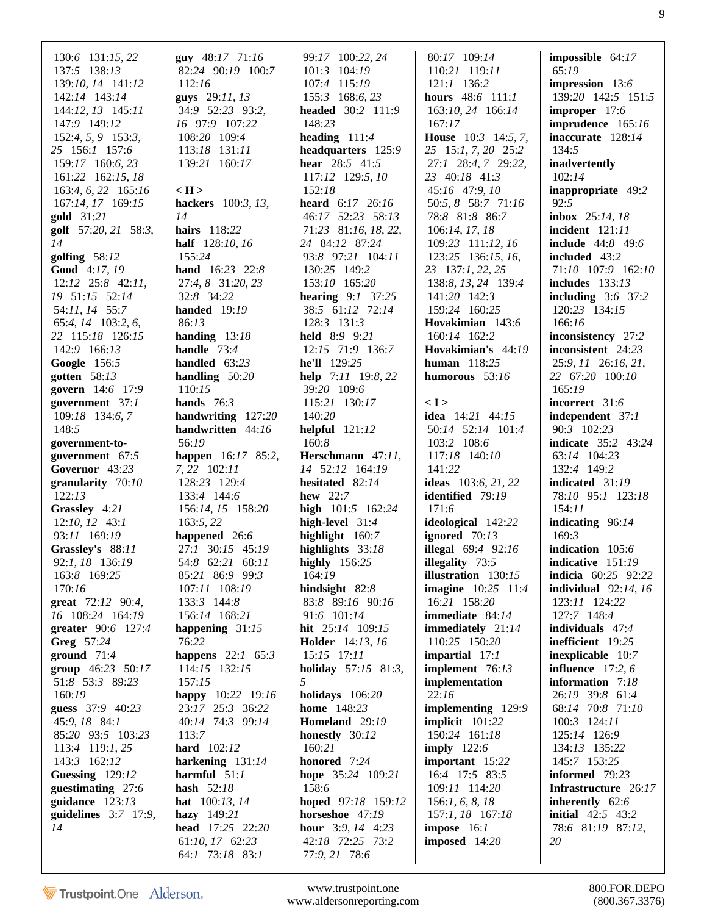| 130:6 131:15, 22<br>137:5 138:13<br>139:10, 14 141:12<br>142:14 143:14<br>$144:12$ , $13$ $145:11$<br>147:9 149:12<br>152:4, 5, 9 153:3,<br>25 156:1 157:6<br>159:17 160:6, 23<br>161:22 162:15, 18<br>163:4, 6, 22 165:16<br>167:14, 17 169:15<br><b>gold</b> 31:21<br>golf 57:20, 21 58:3,<br>14<br>golfing $58:12$<br>Good 4:17, 19<br>$12:12$ $25:8$ $42:11$ ,<br>19 51:15 52:14<br>54:11, 14 55:7<br>65:4, 14 103:2, 6,<br>22 115:18 126:15<br>142:9 166:13<br>Google 156:5<br>gotten 58:13<br>govern 14:6 17:9<br>government 37:1<br>109:18 134:6, 7<br>148:5<br>government-to-<br>government 67:5<br>Governor 43:23<br>granularity $70:10$<br>122:13<br>Grassley 4:21<br>$12:10, 12$ 43:1<br>93:11 169:19<br>Grassley's 88:11<br>92:1, 18 136:19<br>163:8 169:25<br>170:16 | <b>guy</b> $48:17$ $71:16$<br>82:24 90:19 100:7<br>112:16<br>guys 29:11, 13<br>34:9 52:23 93:2,<br>16 97:9 107:22<br>108:20 109:4<br>113:18 131:11<br>139:21 160:17<br>$\langle H \rangle$<br>hackers 100:3, 13,<br>14<br>hairs 118:22<br>half 128:10, 16<br>155:24<br>hand 16:23 22:8<br>27:4, 8 31:20, 23<br>32:8 34:22<br><b>handed</b> 19:19<br>86:13<br>handing $13:18$<br>handle $73:4$<br>handled $63:23$<br>handling $50:20$<br>110:15<br>hands $76:3$<br>handwriting 127:20<br>handwritten 44:16<br>56:19<br><b>happen</b> 16:17 85:2,<br>7, 22 102:11<br>128:23 129:4<br>133:4 144:6<br>156:14, 15 158:20<br>163:5, 22<br>happened 26:6<br>27:1 30:15 45:19<br>54:8 62:21 68:11<br>85:21 86:9 99:3<br>107:11 108:19 | 99:17 100:22, 24<br>101:3 104:19<br>107:4 115:19<br>155:3 168:6, 23<br>headed 30:2 111:9<br>148:23<br>heading $111:4$<br>headquarters 125:9<br>hear 28:5 41:5<br>117:12 129:5, 10<br>152:18<br><b>heard</b> $6:17$ $26:16$<br>46:17 52:23 58:13<br>71:23 81:16, 18, 22,<br>24 84:12 87:24<br>93:8 97:21 104:11<br>130:25 149:2<br>153:10 165:20<br><b>hearing</b> $9:1$ 37:25<br>38:5 61:12 72:14<br>128:3 131:3<br><b>held</b> 8:9 9:21<br>12:15 71:9 136:7<br>he'll 129:25<br>help 7:11 19:8, 22<br>39:20 109:6<br>115:21 130:17<br>140:20<br>helpful $121:12$<br>160:8<br>Herschmann 47:11,<br>14 52:12 164:19<br>hesitated 82:14<br>hew $22:7$<br>high 101:5 162:24<br>high-level 31:4<br>highlight 160:7<br>highlights $33:18$<br>highly $156:25$<br>164:19<br>hindsight 82:8 | 80:17 109:14<br>110:21 119:11<br>$121:1$ $136:2$<br>hours 48:6 111:1<br>163:10, 24 166:14<br>167:17<br><b>House</b> $10:3$ 14:5, 7,<br>25 15:1, 7, 20 25:2<br>27:1 28:4, 7 29:22,<br>23 40:18 41:3<br>45:16 47:9, 10<br>50:5, 8 58:7 71:16<br>78:8 81:8 86:7<br>106:14, 17, 18<br>109:23 111:12, 16<br>123:25 136:15, 16,<br>23 137:1, 22, 25<br>138:8, 13, 24 139:4<br>141:20 142:3<br>159:24 160:25<br>Hovakimian 143:6<br>160:14 162:2<br>Hovakimian's 44:19<br>human 118:25<br>humorous $53:16$<br>< I ><br><b>idea</b> 14:21 44:15<br>50:14 52:14 101:4<br>103:2 108:6<br>117:18 140:10<br>141:22<br>ideas $103:6, 21, 22$<br><b>identified</b> 79:19<br>171:6<br>ideological 142:22<br>ignored $70:13$<br><b>illegal</b> $69:4$ $92:16$<br>illegality 73:5<br><b>illustration</b> $130:15$<br><b>imagine</b> 10:25 11:4 | impossible $64:17$<br>65:19<br>impression 13:6<br>139:20 142:5 151:5<br>improper 17:6<br>imprudence 165:16<br>inaccurate 128:14<br>134:5<br>inadvertently<br>102:14<br>inappropriate 49:2<br>92:5<br>inbox $25:14, 18$<br>incident 121:11<br><b>include</b> $44:8$ $49:6$<br><b>included</b> 43:2<br>71:10 107:9 162:10<br>includes $133:13$<br>including $3:6$ 37:2<br>120:23 134:15<br>166:16<br>inconsistency 27:2<br>inconsistent 24:23<br>25:9, 11 26:16, 21,<br>22 67:20 100:10<br>165:19<br>incorrect 31:6<br>independent 37:1<br>90:3 102:23<br><b>indicate</b> 35:2 43:24<br>63:14 104:23<br>132:4 149:2<br>indicated 31:19<br>78:10 95:1 123:18<br>154:11<br>indicating 96:14<br>169:3<br>indication 105:6<br>indicative 151:19<br><b>indicia</b> $60:25$ $92:22$<br>individual $92:14, 16$ |
|-----------------------------------------------------------------------------------------------------------------------------------------------------------------------------------------------------------------------------------------------------------------------------------------------------------------------------------------------------------------------------------------------------------------------------------------------------------------------------------------------------------------------------------------------------------------------------------------------------------------------------------------------------------------------------------------------------------------------------------------------------------------------------------|-------------------------------------------------------------------------------------------------------------------------------------------------------------------------------------------------------------------------------------------------------------------------------------------------------------------------------------------------------------------------------------------------------------------------------------------------------------------------------------------------------------------------------------------------------------------------------------------------------------------------------------------------------------------------------------------------------------------------------|------------------------------------------------------------------------------------------------------------------------------------------------------------------------------------------------------------------------------------------------------------------------------------------------------------------------------------------------------------------------------------------------------------------------------------------------------------------------------------------------------------------------------------------------------------------------------------------------------------------------------------------------------------------------------------------------------------------------------------------------------------------------------------|-------------------------------------------------------------------------------------------------------------------------------------------------------------------------------------------------------------------------------------------------------------------------------------------------------------------------------------------------------------------------------------------------------------------------------------------------------------------------------------------------------------------------------------------------------------------------------------------------------------------------------------------------------------------------------------------------------------------------------------------------------------------------------------------------------------------------------|-------------------------------------------------------------------------------------------------------------------------------------------------------------------------------------------------------------------------------------------------------------------------------------------------------------------------------------------------------------------------------------------------------------------------------------------------------------------------------------------------------------------------------------------------------------------------------------------------------------------------------------------------------------------------------------------------------------------------------------------------------------------------------------------------------|
|                                                                                                                                                                                                                                                                                                                                                                                                                                                                                                                                                                                                                                                                                                                                                                                   |                                                                                                                                                                                                                                                                                                                                                                                                                                                                                                                                                                                                                                                                                                                               |                                                                                                                                                                                                                                                                                                                                                                                                                                                                                                                                                                                                                                                                                                                                                                                    |                                                                                                                                                                                                                                                                                                                                                                                                                                                                                                                                                                                                                                                                                                                                                                                                                               |                                                                                                                                                                                                                                                                                                                                                                                                                                                                                                                                                                                                                                                                                                                                                                                                       |
|                                                                                                                                                                                                                                                                                                                                                                                                                                                                                                                                                                                                                                                                                                                                                                                   |                                                                                                                                                                                                                                                                                                                                                                                                                                                                                                                                                                                                                                                                                                                               |                                                                                                                                                                                                                                                                                                                                                                                                                                                                                                                                                                                                                                                                                                                                                                                    |                                                                                                                                                                                                                                                                                                                                                                                                                                                                                                                                                                                                                                                                                                                                                                                                                               |                                                                                                                                                                                                                                                                                                                                                                                                                                                                                                                                                                                                                                                                                                                                                                                                       |
|                                                                                                                                                                                                                                                                                                                                                                                                                                                                                                                                                                                                                                                                                                                                                                                   |                                                                                                                                                                                                                                                                                                                                                                                                                                                                                                                                                                                                                                                                                                                               |                                                                                                                                                                                                                                                                                                                                                                                                                                                                                                                                                                                                                                                                                                                                                                                    |                                                                                                                                                                                                                                                                                                                                                                                                                                                                                                                                                                                                                                                                                                                                                                                                                               |                                                                                                                                                                                                                                                                                                                                                                                                                                                                                                                                                                                                                                                                                                                                                                                                       |
|                                                                                                                                                                                                                                                                                                                                                                                                                                                                                                                                                                                                                                                                                                                                                                                   |                                                                                                                                                                                                                                                                                                                                                                                                                                                                                                                                                                                                                                                                                                                               |                                                                                                                                                                                                                                                                                                                                                                                                                                                                                                                                                                                                                                                                                                                                                                                    |                                                                                                                                                                                                                                                                                                                                                                                                                                                                                                                                                                                                                                                                                                                                                                                                                               |                                                                                                                                                                                                                                                                                                                                                                                                                                                                                                                                                                                                                                                                                                                                                                                                       |
|                                                                                                                                                                                                                                                                                                                                                                                                                                                                                                                                                                                                                                                                                                                                                                                   |                                                                                                                                                                                                                                                                                                                                                                                                                                                                                                                                                                                                                                                                                                                               |                                                                                                                                                                                                                                                                                                                                                                                                                                                                                                                                                                                                                                                                                                                                                                                    |                                                                                                                                                                                                                                                                                                                                                                                                                                                                                                                                                                                                                                                                                                                                                                                                                               |                                                                                                                                                                                                                                                                                                                                                                                                                                                                                                                                                                                                                                                                                                                                                                                                       |
|                                                                                                                                                                                                                                                                                                                                                                                                                                                                                                                                                                                                                                                                                                                                                                                   |                                                                                                                                                                                                                                                                                                                                                                                                                                                                                                                                                                                                                                                                                                                               |                                                                                                                                                                                                                                                                                                                                                                                                                                                                                                                                                                                                                                                                                                                                                                                    |                                                                                                                                                                                                                                                                                                                                                                                                                                                                                                                                                                                                                                                                                                                                                                                                                               |                                                                                                                                                                                                                                                                                                                                                                                                                                                                                                                                                                                                                                                                                                                                                                                                       |
|                                                                                                                                                                                                                                                                                                                                                                                                                                                                                                                                                                                                                                                                                                                                                                                   |                                                                                                                                                                                                                                                                                                                                                                                                                                                                                                                                                                                                                                                                                                                               |                                                                                                                                                                                                                                                                                                                                                                                                                                                                                                                                                                                                                                                                                                                                                                                    |                                                                                                                                                                                                                                                                                                                                                                                                                                                                                                                                                                                                                                                                                                                                                                                                                               |                                                                                                                                                                                                                                                                                                                                                                                                                                                                                                                                                                                                                                                                                                                                                                                                       |
|                                                                                                                                                                                                                                                                                                                                                                                                                                                                                                                                                                                                                                                                                                                                                                                   |                                                                                                                                                                                                                                                                                                                                                                                                                                                                                                                                                                                                                                                                                                                               |                                                                                                                                                                                                                                                                                                                                                                                                                                                                                                                                                                                                                                                                                                                                                                                    |                                                                                                                                                                                                                                                                                                                                                                                                                                                                                                                                                                                                                                                                                                                                                                                                                               |                                                                                                                                                                                                                                                                                                                                                                                                                                                                                                                                                                                                                                                                                                                                                                                                       |
|                                                                                                                                                                                                                                                                                                                                                                                                                                                                                                                                                                                                                                                                                                                                                                                   |                                                                                                                                                                                                                                                                                                                                                                                                                                                                                                                                                                                                                                                                                                                               |                                                                                                                                                                                                                                                                                                                                                                                                                                                                                                                                                                                                                                                                                                                                                                                    |                                                                                                                                                                                                                                                                                                                                                                                                                                                                                                                                                                                                                                                                                                                                                                                                                               |                                                                                                                                                                                                                                                                                                                                                                                                                                                                                                                                                                                                                                                                                                                                                                                                       |
|                                                                                                                                                                                                                                                                                                                                                                                                                                                                                                                                                                                                                                                                                                                                                                                   |                                                                                                                                                                                                                                                                                                                                                                                                                                                                                                                                                                                                                                                                                                                               |                                                                                                                                                                                                                                                                                                                                                                                                                                                                                                                                                                                                                                                                                                                                                                                    |                                                                                                                                                                                                                                                                                                                                                                                                                                                                                                                                                                                                                                                                                                                                                                                                                               |                                                                                                                                                                                                                                                                                                                                                                                                                                                                                                                                                                                                                                                                                                                                                                                                       |
|                                                                                                                                                                                                                                                                                                                                                                                                                                                                                                                                                                                                                                                                                                                                                                                   |                                                                                                                                                                                                                                                                                                                                                                                                                                                                                                                                                                                                                                                                                                                               |                                                                                                                                                                                                                                                                                                                                                                                                                                                                                                                                                                                                                                                                                                                                                                                    |                                                                                                                                                                                                                                                                                                                                                                                                                                                                                                                                                                                                                                                                                                                                                                                                                               |                                                                                                                                                                                                                                                                                                                                                                                                                                                                                                                                                                                                                                                                                                                                                                                                       |
|                                                                                                                                                                                                                                                                                                                                                                                                                                                                                                                                                                                                                                                                                                                                                                                   |                                                                                                                                                                                                                                                                                                                                                                                                                                                                                                                                                                                                                                                                                                                               |                                                                                                                                                                                                                                                                                                                                                                                                                                                                                                                                                                                                                                                                                                                                                                                    |                                                                                                                                                                                                                                                                                                                                                                                                                                                                                                                                                                                                                                                                                                                                                                                                                               |                                                                                                                                                                                                                                                                                                                                                                                                                                                                                                                                                                                                                                                                                                                                                                                                       |
|                                                                                                                                                                                                                                                                                                                                                                                                                                                                                                                                                                                                                                                                                                                                                                                   |                                                                                                                                                                                                                                                                                                                                                                                                                                                                                                                                                                                                                                                                                                                               |                                                                                                                                                                                                                                                                                                                                                                                                                                                                                                                                                                                                                                                                                                                                                                                    |                                                                                                                                                                                                                                                                                                                                                                                                                                                                                                                                                                                                                                                                                                                                                                                                                               |                                                                                                                                                                                                                                                                                                                                                                                                                                                                                                                                                                                                                                                                                                                                                                                                       |
|                                                                                                                                                                                                                                                                                                                                                                                                                                                                                                                                                                                                                                                                                                                                                                                   |                                                                                                                                                                                                                                                                                                                                                                                                                                                                                                                                                                                                                                                                                                                               |                                                                                                                                                                                                                                                                                                                                                                                                                                                                                                                                                                                                                                                                                                                                                                                    |                                                                                                                                                                                                                                                                                                                                                                                                                                                                                                                                                                                                                                                                                                                                                                                                                               |                                                                                                                                                                                                                                                                                                                                                                                                                                                                                                                                                                                                                                                                                                                                                                                                       |
|                                                                                                                                                                                                                                                                                                                                                                                                                                                                                                                                                                                                                                                                                                                                                                                   |                                                                                                                                                                                                                                                                                                                                                                                                                                                                                                                                                                                                                                                                                                                               |                                                                                                                                                                                                                                                                                                                                                                                                                                                                                                                                                                                                                                                                                                                                                                                    |                                                                                                                                                                                                                                                                                                                                                                                                                                                                                                                                                                                                                                                                                                                                                                                                                               |                                                                                                                                                                                                                                                                                                                                                                                                                                                                                                                                                                                                                                                                                                                                                                                                       |
|                                                                                                                                                                                                                                                                                                                                                                                                                                                                                                                                                                                                                                                                                                                                                                                   |                                                                                                                                                                                                                                                                                                                                                                                                                                                                                                                                                                                                                                                                                                                               |                                                                                                                                                                                                                                                                                                                                                                                                                                                                                                                                                                                                                                                                                                                                                                                    |                                                                                                                                                                                                                                                                                                                                                                                                                                                                                                                                                                                                                                                                                                                                                                                                                               |                                                                                                                                                                                                                                                                                                                                                                                                                                                                                                                                                                                                                                                                                                                                                                                                       |
|                                                                                                                                                                                                                                                                                                                                                                                                                                                                                                                                                                                                                                                                                                                                                                                   |                                                                                                                                                                                                                                                                                                                                                                                                                                                                                                                                                                                                                                                                                                                               |                                                                                                                                                                                                                                                                                                                                                                                                                                                                                                                                                                                                                                                                                                                                                                                    |                                                                                                                                                                                                                                                                                                                                                                                                                                                                                                                                                                                                                                                                                                                                                                                                                               |                                                                                                                                                                                                                                                                                                                                                                                                                                                                                                                                                                                                                                                                                                                                                                                                       |
|                                                                                                                                                                                                                                                                                                                                                                                                                                                                                                                                                                                                                                                                                                                                                                                   |                                                                                                                                                                                                                                                                                                                                                                                                                                                                                                                                                                                                                                                                                                                               |                                                                                                                                                                                                                                                                                                                                                                                                                                                                                                                                                                                                                                                                                                                                                                                    |                                                                                                                                                                                                                                                                                                                                                                                                                                                                                                                                                                                                                                                                                                                                                                                                                               |                                                                                                                                                                                                                                                                                                                                                                                                                                                                                                                                                                                                                                                                                                                                                                                                       |
|                                                                                                                                                                                                                                                                                                                                                                                                                                                                                                                                                                                                                                                                                                                                                                                   |                                                                                                                                                                                                                                                                                                                                                                                                                                                                                                                                                                                                                                                                                                                               |                                                                                                                                                                                                                                                                                                                                                                                                                                                                                                                                                                                                                                                                                                                                                                                    |                                                                                                                                                                                                                                                                                                                                                                                                                                                                                                                                                                                                                                                                                                                                                                                                                               |                                                                                                                                                                                                                                                                                                                                                                                                                                                                                                                                                                                                                                                                                                                                                                                                       |
|                                                                                                                                                                                                                                                                                                                                                                                                                                                                                                                                                                                                                                                                                                                                                                                   |                                                                                                                                                                                                                                                                                                                                                                                                                                                                                                                                                                                                                                                                                                                               |                                                                                                                                                                                                                                                                                                                                                                                                                                                                                                                                                                                                                                                                                                                                                                                    |                                                                                                                                                                                                                                                                                                                                                                                                                                                                                                                                                                                                                                                                                                                                                                                                                               |                                                                                                                                                                                                                                                                                                                                                                                                                                                                                                                                                                                                                                                                                                                                                                                                       |
|                                                                                                                                                                                                                                                                                                                                                                                                                                                                                                                                                                                                                                                                                                                                                                                   |                                                                                                                                                                                                                                                                                                                                                                                                                                                                                                                                                                                                                                                                                                                               |                                                                                                                                                                                                                                                                                                                                                                                                                                                                                                                                                                                                                                                                                                                                                                                    |                                                                                                                                                                                                                                                                                                                                                                                                                                                                                                                                                                                                                                                                                                                                                                                                                               |                                                                                                                                                                                                                                                                                                                                                                                                                                                                                                                                                                                                                                                                                                                                                                                                       |
| great 72:12 90:4,                                                                                                                                                                                                                                                                                                                                                                                                                                                                                                                                                                                                                                                                                                                                                                 | 133:3 144:8                                                                                                                                                                                                                                                                                                                                                                                                                                                                                                                                                                                                                                                                                                                   | 83:8 89:16 90:16                                                                                                                                                                                                                                                                                                                                                                                                                                                                                                                                                                                                                                                                                                                                                                   | 16:21 158:20                                                                                                                                                                                                                                                                                                                                                                                                                                                                                                                                                                                                                                                                                                                                                                                                                  | 123:11 124:22                                                                                                                                                                                                                                                                                                                                                                                                                                                                                                                                                                                                                                                                                                                                                                                         |
| 16 108:24 164:19                                                                                                                                                                                                                                                                                                                                                                                                                                                                                                                                                                                                                                                                                                                                                                  | 156:14 168:21                                                                                                                                                                                                                                                                                                                                                                                                                                                                                                                                                                                                                                                                                                                 | 91:6 101:14                                                                                                                                                                                                                                                                                                                                                                                                                                                                                                                                                                                                                                                                                                                                                                        | immediate 84:14                                                                                                                                                                                                                                                                                                                                                                                                                                                                                                                                                                                                                                                                                                                                                                                                               | 127:7 148:4                                                                                                                                                                                                                                                                                                                                                                                                                                                                                                                                                                                                                                                                                                                                                                                           |
| <b>greater</b> $90:6$ 127:4                                                                                                                                                                                                                                                                                                                                                                                                                                                                                                                                                                                                                                                                                                                                                       | happening $31:15$                                                                                                                                                                                                                                                                                                                                                                                                                                                                                                                                                                                                                                                                                                             | <b>hit</b> $25:14$ 109:15                                                                                                                                                                                                                                                                                                                                                                                                                                                                                                                                                                                                                                                                                                                                                          | immediately 21:14                                                                                                                                                                                                                                                                                                                                                                                                                                                                                                                                                                                                                                                                                                                                                                                                             | individuals $47:4$                                                                                                                                                                                                                                                                                                                                                                                                                                                                                                                                                                                                                                                                                                                                                                                    |
| Greg 57:24                                                                                                                                                                                                                                                                                                                                                                                                                                                                                                                                                                                                                                                                                                                                                                        | 76:22                                                                                                                                                                                                                                                                                                                                                                                                                                                                                                                                                                                                                                                                                                                         | <b>Holder</b> 14:13, 16                                                                                                                                                                                                                                                                                                                                                                                                                                                                                                                                                                                                                                                                                                                                                            | 110:25 150:20                                                                                                                                                                                                                                                                                                                                                                                                                                                                                                                                                                                                                                                                                                                                                                                                                 | inefficient 19:25                                                                                                                                                                                                                                                                                                                                                                                                                                                                                                                                                                                                                                                                                                                                                                                     |
| ground $71:4$                                                                                                                                                                                                                                                                                                                                                                                                                                                                                                                                                                                                                                                                                                                                                                     | happens $22:1$ 65:3                                                                                                                                                                                                                                                                                                                                                                                                                                                                                                                                                                                                                                                                                                           | 15:15 17:11                                                                                                                                                                                                                                                                                                                                                                                                                                                                                                                                                                                                                                                                                                                                                                        | impartial $17:1$                                                                                                                                                                                                                                                                                                                                                                                                                                                                                                                                                                                                                                                                                                                                                                                                              | inexplicable 10:7                                                                                                                                                                                                                                                                                                                                                                                                                                                                                                                                                                                                                                                                                                                                                                                     |
| group $46:23$ 50:17                                                                                                                                                                                                                                                                                                                                                                                                                                                                                                                                                                                                                                                                                                                                                               | 114:15 132:15                                                                                                                                                                                                                                                                                                                                                                                                                                                                                                                                                                                                                                                                                                                 | <b>holiday</b> $57:15$ 81:3,                                                                                                                                                                                                                                                                                                                                                                                                                                                                                                                                                                                                                                                                                                                                                       | implement 76:13                                                                                                                                                                                                                                                                                                                                                                                                                                                                                                                                                                                                                                                                                                                                                                                                               | <b>influence</b> $17:2, 6$                                                                                                                                                                                                                                                                                                                                                                                                                                                                                                                                                                                                                                                                                                                                                                            |
| 51:8 53:3 89:23<br>160:19                                                                                                                                                                                                                                                                                                                                                                                                                                                                                                                                                                                                                                                                                                                                                         | 157:15<br>happy $10:22$ 19:16                                                                                                                                                                                                                                                                                                                                                                                                                                                                                                                                                                                                                                                                                                 | 5<br>holidays $106:20$                                                                                                                                                                                                                                                                                                                                                                                                                                                                                                                                                                                                                                                                                                                                                             | implementation<br>22:16                                                                                                                                                                                                                                                                                                                                                                                                                                                                                                                                                                                                                                                                                                                                                                                                       | information $7:18$<br>26:19 39:8 61:4                                                                                                                                                                                                                                                                                                                                                                                                                                                                                                                                                                                                                                                                                                                                                                 |
| guess 37:9 40:23                                                                                                                                                                                                                                                                                                                                                                                                                                                                                                                                                                                                                                                                                                                                                                  | 23:17 25:3 36:22                                                                                                                                                                                                                                                                                                                                                                                                                                                                                                                                                                                                                                                                                                              | <b>home</b> 148:23                                                                                                                                                                                                                                                                                                                                                                                                                                                                                                                                                                                                                                                                                                                                                                 | implementing 129:9                                                                                                                                                                                                                                                                                                                                                                                                                                                                                                                                                                                                                                                                                                                                                                                                            | 68:14 70:8 71:10                                                                                                                                                                                                                                                                                                                                                                                                                                                                                                                                                                                                                                                                                                                                                                                      |
| 45:9, 18 84:1                                                                                                                                                                                                                                                                                                                                                                                                                                                                                                                                                                                                                                                                                                                                                                     | 40:14 74:3 99:14                                                                                                                                                                                                                                                                                                                                                                                                                                                                                                                                                                                                                                                                                                              | Homeland 29:19                                                                                                                                                                                                                                                                                                                                                                                                                                                                                                                                                                                                                                                                                                                                                                     | implicit 101:22                                                                                                                                                                                                                                                                                                                                                                                                                                                                                                                                                                                                                                                                                                                                                                                                               | 100:3 124:11                                                                                                                                                                                                                                                                                                                                                                                                                                                                                                                                                                                                                                                                                                                                                                                          |
| 85:20 93:5 103:23                                                                                                                                                                                                                                                                                                                                                                                                                                                                                                                                                                                                                                                                                                                                                                 | 113:7                                                                                                                                                                                                                                                                                                                                                                                                                                                                                                                                                                                                                                                                                                                         | honestly 30:12                                                                                                                                                                                                                                                                                                                                                                                                                                                                                                                                                                                                                                                                                                                                                                     | 150:24 161:18                                                                                                                                                                                                                                                                                                                                                                                                                                                                                                                                                                                                                                                                                                                                                                                                                 | 125:14 126:9                                                                                                                                                                                                                                                                                                                                                                                                                                                                                                                                                                                                                                                                                                                                                                                          |
| 113:4 119:1, 25                                                                                                                                                                                                                                                                                                                                                                                                                                                                                                                                                                                                                                                                                                                                                                   | hard 102:12                                                                                                                                                                                                                                                                                                                                                                                                                                                                                                                                                                                                                                                                                                                   | 160:21                                                                                                                                                                                                                                                                                                                                                                                                                                                                                                                                                                                                                                                                                                                                                                             | imply $122:6$                                                                                                                                                                                                                                                                                                                                                                                                                                                                                                                                                                                                                                                                                                                                                                                                                 | 134:13 135:22                                                                                                                                                                                                                                                                                                                                                                                                                                                                                                                                                                                                                                                                                                                                                                                         |
| 143:3 162:12                                                                                                                                                                                                                                                                                                                                                                                                                                                                                                                                                                                                                                                                                                                                                                      | harkening 131:14                                                                                                                                                                                                                                                                                                                                                                                                                                                                                                                                                                                                                                                                                                              | honored 7:24                                                                                                                                                                                                                                                                                                                                                                                                                                                                                                                                                                                                                                                                                                                                                                       | important 15:22                                                                                                                                                                                                                                                                                                                                                                                                                                                                                                                                                                                                                                                                                                                                                                                                               | 145:7 153:25                                                                                                                                                                                                                                                                                                                                                                                                                                                                                                                                                                                                                                                                                                                                                                                          |
| <b>Guessing</b> 129:12                                                                                                                                                                                                                                                                                                                                                                                                                                                                                                                                                                                                                                                                                                                                                            | harmful $51:1$                                                                                                                                                                                                                                                                                                                                                                                                                                                                                                                                                                                                                                                                                                                | hope 35:24 109:21                                                                                                                                                                                                                                                                                                                                                                                                                                                                                                                                                                                                                                                                                                                                                                  | 16:4 17:5 83:5                                                                                                                                                                                                                                                                                                                                                                                                                                                                                                                                                                                                                                                                                                                                                                                                                | informed 79:23                                                                                                                                                                                                                                                                                                                                                                                                                                                                                                                                                                                                                                                                                                                                                                                        |
| guestimating 27:6                                                                                                                                                                                                                                                                                                                                                                                                                                                                                                                                                                                                                                                                                                                                                                 | hash $52:18$                                                                                                                                                                                                                                                                                                                                                                                                                                                                                                                                                                                                                                                                                                                  | 158:6                                                                                                                                                                                                                                                                                                                                                                                                                                                                                                                                                                                                                                                                                                                                                                              | 109:11 114:20                                                                                                                                                                                                                                                                                                                                                                                                                                                                                                                                                                                                                                                                                                                                                                                                                 | Infrastructure 26:17                                                                                                                                                                                                                                                                                                                                                                                                                                                                                                                                                                                                                                                                                                                                                                                  |
| guidance 123:13                                                                                                                                                                                                                                                                                                                                                                                                                                                                                                                                                                                                                                                                                                                                                                   | <b>hat</b> $100:13, 14$                                                                                                                                                                                                                                                                                                                                                                                                                                                                                                                                                                                                                                                                                                       | hoped 97:18 159:12                                                                                                                                                                                                                                                                                                                                                                                                                                                                                                                                                                                                                                                                                                                                                                 | 156:1, 6, 8, 18                                                                                                                                                                                                                                                                                                                                                                                                                                                                                                                                                                                                                                                                                                                                                                                                               | inherently 62:6                                                                                                                                                                                                                                                                                                                                                                                                                                                                                                                                                                                                                                                                                                                                                                                       |
| guidelines $3:7$ 17:9,                                                                                                                                                                                                                                                                                                                                                                                                                                                                                                                                                                                                                                                                                                                                                            |                                                                                                                                                                                                                                                                                                                                                                                                                                                                                                                                                                                                                                                                                                                               |                                                                                                                                                                                                                                                                                                                                                                                                                                                                                                                                                                                                                                                                                                                                                                                    |                                                                                                                                                                                                                                                                                                                                                                                                                                                                                                                                                                                                                                                                                                                                                                                                                               |                                                                                                                                                                                                                                                                                                                                                                                                                                                                                                                                                                                                                                                                                                                                                                                                       |
|                                                                                                                                                                                                                                                                                                                                                                                                                                                                                                                                                                                                                                                                                                                                                                                   | hazy $149:21$                                                                                                                                                                                                                                                                                                                                                                                                                                                                                                                                                                                                                                                                                                                 | horseshoe $47:19$                                                                                                                                                                                                                                                                                                                                                                                                                                                                                                                                                                                                                                                                                                                                                                  | 157:1, 18 167:18                                                                                                                                                                                                                                                                                                                                                                                                                                                                                                                                                                                                                                                                                                                                                                                                              | <b>initial</b> $42:5$ $43:2$                                                                                                                                                                                                                                                                                                                                                                                                                                                                                                                                                                                                                                                                                                                                                                          |
| 14                                                                                                                                                                                                                                                                                                                                                                                                                                                                                                                                                                                                                                                                                                                                                                                | head 17:25 22:20                                                                                                                                                                                                                                                                                                                                                                                                                                                                                                                                                                                                                                                                                                              | <b>hour</b> 3:9, 14 4:23                                                                                                                                                                                                                                                                                                                                                                                                                                                                                                                                                                                                                                                                                                                                                           | impose $16:1$                                                                                                                                                                                                                                                                                                                                                                                                                                                                                                                                                                                                                                                                                                                                                                                                                 | 78:6 81:19 87:12,                                                                                                                                                                                                                                                                                                                                                                                                                                                                                                                                                                                                                                                                                                                                                                                     |
|                                                                                                                                                                                                                                                                                                                                                                                                                                                                                                                                                                                                                                                                                                                                                                                   | 61:10, 17 62:23<br>64:1 73:18 83:1                                                                                                                                                                                                                                                                                                                                                                                                                                                                                                                                                                                                                                                                                            | 42:18 72:25 73:2<br>77:9, 21 78:6                                                                                                                                                                                                                                                                                                                                                                                                                                                                                                                                                                                                                                                                                                                                                  | imposed $14:20$                                                                                                                                                                                                                                                                                                                                                                                                                                                                                                                                                                                                                                                                                                                                                                                                               | 20                                                                                                                                                                                                                                                                                                                                                                                                                                                                                                                                                                                                                                                                                                                                                                                                    |

www.trustpoint.one 800.FOR.DEPO<br>w.aldersonreporting.com (800.367.3376) www.aldersonreporting.com (800.367.3376)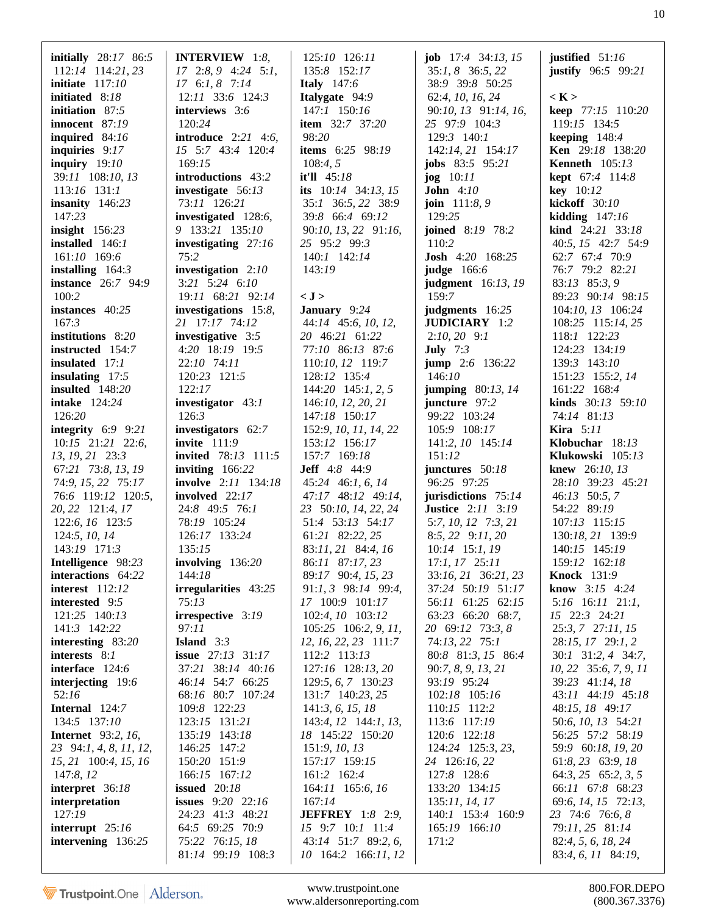| initially $28:17$ 86:5    | <b>INTERVIEW</b> 1:8,        | 125:10 126:11               | <b>job</b> $17:4$ $34:13$ , $15$ | justified $51:16$            |
|---------------------------|------------------------------|-----------------------------|----------------------------------|------------------------------|
| $112:14$ 114:21, 23       | $17$ 2:8, 9 4:24 5:1,        | 135:8 152:17                | 35:1, 8 36:5, 22                 | justify $96:5$ $99:21$       |
| initiate $117:10$         | $17 \t6:1, 8 \t7:14$         | <b>Italy</b> 147:6          | 38:9 39:8 50:25                  |                              |
| <b>initiated</b> 8:18     | 12:11 33:6 124:3             | Italygate 94:9              | 62:4, 10, 16, 24                 | $\langle K \rangle$          |
| initiation 87:5           | interviews 3:6               | 147:1 150:16                | 90:10, 13 91:14, 16,             | keep 77:15 110:20            |
| innocent 87:19            | 120:24                       | <b>item</b> 32:7 37:20      | 25 97:9 104:3                    | 119:15 134:5                 |
| inquired 84:16            | <b>introduce</b> $2:21$ 4:6, | 98:20                       | 129:3 140:1                      | keeping $148:4$              |
| inquiries $9:17$          | 15 5:7 43:4 120:4            | <b>items</b> $6:25$ $98:19$ | 142:14, 21 154:17                | Ken 29:18 138:20             |
| inquiry $19:10$           | 169:15                       | 108:4, 5                    | <b>jobs</b> $83:5$ $95:21$       | <b>Kenneth</b> 105:13        |
| 39:11 108:10, 13          | introductions 43:2           | it'll 45:18                 | $\log 10:11$                     | <b>kept</b> 67:4 114:8       |
| 113:16 131:1              | investigate 56:13            | its $10:14$ 34:13, 15       | John $4:10$                      | $key$ 10:12                  |
| insanity $146:23$         | 73:11 126:21                 | 35:1 36:5, 22 38:9          | <b>join</b> $111:8,9$            | kickoff 30:10                |
| 147:23                    | investigated 128:6,          | 39:8 66:4 69:12             | 129:25                           |                              |
|                           |                              |                             |                                  | kidding $147:16$             |
| insight $156:23$          | 9 133:21 135:10              | 90:10, 13, 22 91:16,        | joined 8:19 78:2                 | <b>kind</b> $24:21$ $33:18$  |
| installed 146:1           | investigating 27:16          | 25 95:2 99:3                | 110:2                            | 40:5, 15 42:7 54:9           |
| 161:10 169:6              | 75:2                         | 140:1 142:14                | <b>Josh</b> 4:20 168:25          | 62:7 67:4 70:9               |
| installing $164:3$        | investigation $2:10$         | 143:19                      | judge $166:6$                    | 76:7 79:2 82:21              |
| <b>instance</b> 26:7 94:9 | 3:21 5:24 6:10               |                             | <b>judgment</b> 16:13, 19        | 83:13 85:3, 9                |
| 100:2                     | 19:11 68:21 92:14            | < J >                       | 159:7                            | 89:23 90:14 98:15            |
| instances 40:25           | investigations 15:8,         | January 9:24                | judgments 16:25                  | 104:10, 13 106:24            |
| 167:3                     | 21 17:17 74:12               | 44:14 45:6, 10, 12,         | <b>JUDICIARY</b> 1:2             | 108:25 115:14, 25            |
| institutions 8:20         | investigative 3:5            | 20 46:21 61:22              | $2:10,20$ 9:1                    | 118:1 122:23                 |
| instructed 154:7          | 4:20 18:19 19:5              | 77:10 86:13 87:6            | <b>July</b> $7:3$                | 124:23 134:19                |
| insulated 17:1            | 22:10 74:11                  | 110:10, 12 119:7            | jump 2:6 136:22                  | 139:3 143:10                 |
| insulating $17:5$         | 120:23 121:5                 | 128:12 135:4                | 146:10                           | 151:23 155:2, 14             |
|                           |                              |                             |                                  |                              |
| <b>insulted</b> 148:20    | 122:17                       | $144:20$ $145:1, 2, 5$      | jumping $80:13$ , 14             | 161:22 168:4                 |
| <b>intake</b> 124:24      | investigator 43:1            | 146:10, 12, 20, 21          | juncture 97:2                    | <b>kinds</b> $30:13$ $59:10$ |
| 126:20                    | 126:3                        | 147:18 150:17               | 99:22 103:24                     | 74:14 81:13                  |
| integrity $6:9$ 9:21      | investigators 62:7           | 152:9, 10, 11, 14, 22       | 105:9 108:17                     | <b>Kira</b> $5:11$           |
| $10:15$ $21:21$ $22:6$ ,  | invite $111:9$               | 153:12 156:17               | 141:2, 10 145:14                 | Klobuchar $18:13$            |
| 13, 19, 21 23:3           | <b>invited</b> 78:13 111:5   | 157:7 169:18                | 151:12                           | Klukowski 105:13             |
| 67:21 73:8, 13, 19        | inviting $166:22$            | <b>Jeff</b> $4:8$ $44:9$    | junctures $50:18$                | knew 26:10, 13               |
| 74:9, 15, 22 75:17        | <b>involve</b> 2:11 134:18   | $45:24$ 46:1, 6, 14         | 96:25 97:25                      | 28:10 39:23 45:21            |
| 76:6 119:12 120:5,        | involved $22:17$             | 47:17 48:12 49:14,          | jurisdictions $75:14$            | 46:13 50:5, 7                |
| 20, 22 121:4, 17          | 24:8 49:5 76:1               | 23 50:10, 14, 22, 24        | <b>Justice</b> 2:11 3:19         | 54:22 89:19                  |
| 122:6, 16 123:5           | 78:19 105:24                 | 51:4 53:13 54:17            | $5:7, 10, 12$ $7:3, 21$          | 107:13 115:15                |
| 124:5, 10, 14             | 126:17 133:24                | 61:21 82:22, 25             | $8:5, 22$ $9:11, 20$             | 130:18, 21 139:9             |
| 143:19 171:3              | 135:15                       | 83:11, 21 84:4, 16          | $10:14$ 15:1, 19                 | 140:15 145:19                |
| Intelligence 98:23        | involving $136:20$           | 86:11 87:17, 23             | $17:1, 17$ $25:11$               | 159:12 162:18                |
| interactions 64:22        | 144:18                       | 89:17 90:4, 15, 23          | 33:16, 21 36:21, 23              | <b>Knock</b> 131:9           |
|                           |                              |                             |                                  | <b>know</b> $3:15$ 4:24      |
| <b>interest</b> 112:12    | irregularities 43:25         | $91:1, 3$ $98:14$ $99:4,$   | 37:24 50:19 51:17                |                              |
| interested 9:5            | 75:13                        | 17 100:9 101:17             | 56:11 61:25 62:15                | 5:16 16:11 21:1,             |
| 121:25 140:13             | irrespective 3:19            | 102:4, 10 103:12            | 63:23 66:20 68:7,                | 15 22:3 24:21                |
| 141:3 142:22              | 97:11                        | $105:25$ 106:2, 9, 11,      | 20 69:12 73:3, 8                 | 25:3, 7 27:11, 15            |
| interesting $83:20$       | <b>Island</b> $3:3$          | 12, 16, 22, 23 111:7        | 74:13, 22 75:1                   | 28:15, 17 29:1, 2            |
| interests 8:1             | <b>issue</b> 27:13 31:17     | 112:2 113:13                | 80:8 81:3, 15 86:4               | 30:1 31:2, 4 34:7,           |
| interface 124:6           | 37:21 38:14 40:16            | 127:16 128:13, 20           | 90:7, 8, 9, 13, 21               | 10, 22 35:6, 7, 9, 11        |
| interjecting 19:6         | 46:14 54:7 66:25             | 129:5, 6, 7 130:23          | 93:19 95:24                      | 39:23 41:14, 18              |
| 52:16                     | 68:16 80:7 107:24            | 131:7 140:23, 25            | 102:18 105:16                    | 43:11 44:19 45:18            |
| Internal 124:7            | 109:8 122:23                 | 141:3, 6, 15, 18            | 110:15 112:2                     | 48:15, 18 49:17              |
| 134:5 137:10              | 123:15 131:21                | 143:4, 12 144:1, 13,        | 113:6 117:19                     | 50:6, 10, 13 54:21           |
| <b>Internet</b> 93:2, 16, | 135:19 143:18                | 18 145:22 150:20            | 120:6 122:18                     | 56:25 57:2 58:19             |
| 23 94:1, 4, 8, 11, 12,    | 146:25 147:2                 | 151:9, 10, 13               | 124:24 125:3, 23,                | 59:9 60:18, 19, 20           |
| 15, 21 100:4, 15, 16      | 150:20 151:9                 | 157:17 159:15               | 24 126:16, 22                    | 61:8, 23 63:9, 18            |
| 147:8, 12                 | 166:15 167:12                | 161:2 162:4                 | 127:8 128:6                      | $64:3, 25$ $65:2, 3, 5$      |
| interpret 36:18           | issued $20:18$               | 164:11 165:6, 16            | 133:20 134:15                    | 66:11 67:8 68:23             |
| interpretation            | <b>issues</b> 9:20 22:16     | 167:14                      | 135:11, 14, 17                   | 69:6, 14, 15 72:13,          |
|                           |                              |                             |                                  |                              |
| 127:19                    | 24:23 41:3 48:21             | <b>JEFFREY</b> 1:8 2:9,     | 140:1 153:4 160:9                | 23 74:6 76:6, 8              |
| interrupt $25:16$         | 64:5 69:25 70:9              | 15 9:7 10:1 11:4            | 165:19 166:10                    | 79:11, 25 81:14              |
| intervening 136:25        | 75:22 76:15, 18              | 43:14 51:7 89:2, 6,         | 171:2                            | 82:4, 5, 6, 18, 24           |
|                           | 81:14 99:19 108:3            | 10 164:2 166:11, 12         |                                  | 83:4, 6, 11 84:19,           |

www.trustpoint.one 800.FOR.DEPO<br>ww.aldersonreporting.com (800.367.3376) www.aldersonreporting.com (800.367.3376)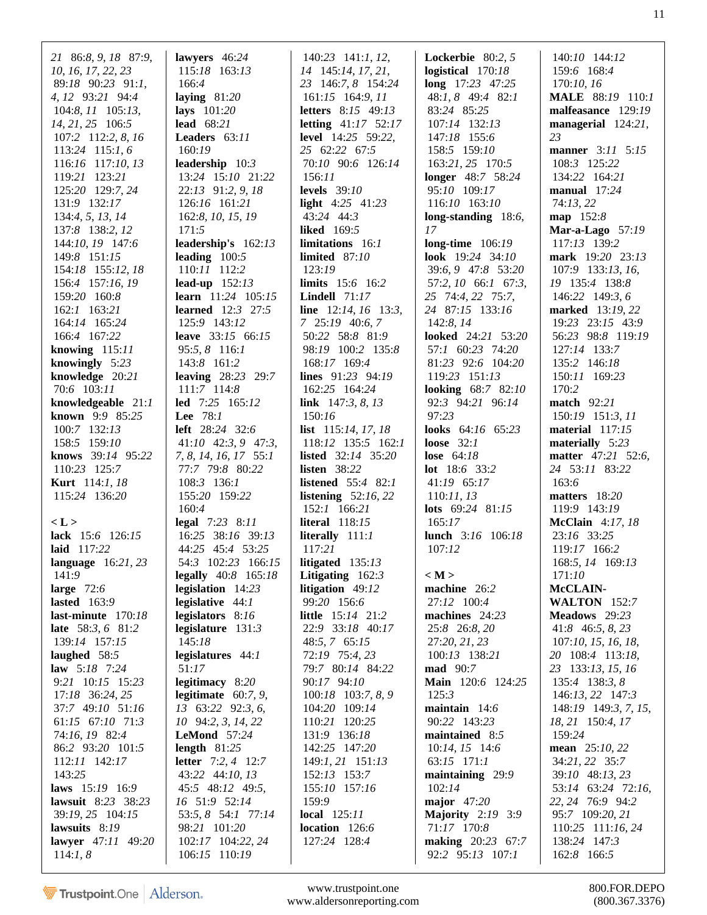|                        | lawyers 46:24                |                               |                          | 140:10 144:12              |
|------------------------|------------------------------|-------------------------------|--------------------------|----------------------------|
| 21 86:8, 9, 18 87:9,   | 115:18 163:13                | 140:23 141:1, 12,             | <b>Lockerbie</b> 80:2, 5 |                            |
| 10, 16, 17, 22, 23     |                              | 14 145:14, 17, 21,            | logistical $170:18$      | 159:6 168:4                |
| 89:18 90:23 91:1,      | 166:4                        | 23 146:7, 8 154:24            | long 17:23 47:25         | 170:10, 16                 |
| 4, 12 93:21 94:4       | laying $81:20$               | $161:15$ $164:9, 11$          | 48:1, 8 49:4 82:1        | <b>MALE</b> 88:19 110:1    |
| 104:8, 11 105:13,      | lays $101:20$                | <b>letters</b> 8:15 49:13     | 83:24 85:25              | malfeasance 129:19         |
| 14, 21, 25 106:5       | lead 68:21                   | letting $41:17$ 52:17         | 107:14 132:13            | managerial 124:21,         |
| 107:2 112:2, 8, 16     | Leaders 63:11                | <b>level</b> 14:25 59:22,     | 147:18 155:6             | 23                         |
| 113:24 115:1, 6        | 160:19                       | 25 62:22 67:5                 | 158:5 159:10             | manner 3:11 5:15           |
| 116:16 117:10, 13      | leadership $10:3$            | 70:10 90:6 126:14             | 163:21, 25 170:5         | 108:3 125:22               |
| 119:21 123:21          | 13:24 15:10 21:22            | 156:11                        | <b>longer</b> 48:7 58:24 | 134:22 164:21              |
| 125:20 129:7, 24       | 22:13 91:2, 9, 18            | <b>levels</b> 39:10           | 95:10 109:17             | manual $17:24$             |
| 131:9 132:17           | 126:16 161:21                | light $4:25$ $41:23$          | 116:10 163:10            | 74:13,22                   |
| 134:4, 5, 13, 14       | 162:8, 10, 15, 19            | 43:24 44:3                    | long-standing 18:6,      | map 152:8                  |
| 137:8 138:2, 12        | 171:5                        | <b>liked</b> 169:5            | 17                       | <b>Mar-a-Lago</b> 57:19    |
| 144:10, 19 147:6       | leadership's 162:13          | limitations 16:1              | long-time $106:19$       | 117:13 139:2               |
| 149:8 151:15           | leading $100:5$              | limited $87:10$               | look $19:24$ 34:10       | mark 19:20 23:13           |
| 154:18 155:12, 18      | 110:11 112:2                 | 123:19                        | 39:6, 9 47:8 53:20       | 107:9 133:13, 16,          |
| 156:4 157:16, 19       | lead-up $152:13$             | limits 15:6 16:2              | 57:2, 10 66:1 67:3,      | 19 135:4 138:8             |
| 159:20 160:8           | <b>learn</b> 11:24 105:15    | <b>Lindell</b> $71:17$        | 25 74:4, 22 75:7,        | 146:22 149:3, 6            |
| $162:1$ $163:21$       | <b>learned</b> $12:3$ $27:5$ | line $12:14, 16$ 13:3,        | 24 87:15 133:16          | marked 13:19, 22           |
| 164:14 165:24          | 125:9 143:12                 | 7 25:19 40:6, 7               | 142:8, 14                | 19:23 23:15 43:9           |
| 166:4 167:22           | leave 33:15 66:15            | 50:22 58:8 81:9               | looked 24:21 53:20       | 56:23 98:8 119:19          |
|                        |                              |                               |                          |                            |
| knowing $115:11$       | 95:5, 8 116:1                | 98:19 100:2 135:8             | 57:1 60:23 74:20         | 127:14 133:7               |
| knowingly $5:23$       | 143:8 161:2                  | 168:17 169:4                  | 81:23 92:6 104:20        | 135:2 146:18               |
| knowledge 20:21        | <b>leaving</b> 28:23 29:7    | lines 91:23 94:19             | 119:23 151:13            | 150:11 169:23              |
| 70:6 103:11            | 111:7 114:8                  | 162:25 164:24                 | looking 68:7 82:10       | 170:2                      |
| knowledgeable 21:1     | led 7:25 165:12              | link $147:3, 8, 13$           | 92:3 94:21 96:14         | <b>match</b> 92:21         |
| known 9:9 85:25        | Lee 78:1                     | 150:16                        | 97:23                    | 150:19 151:3, 11           |
| 100:7 132:13           | <b>left</b> 28:24 32:6       | list 115:14, 17, 18           | looks 64:16 65:23        | material $117:15$          |
| 158:5 159:10           | $41:10$ $42:3, 9$ $47:3$ ,   | 118:12 135:5 162:1            | loose $32:1$             | materially $5:23$          |
| knows 39:14 95:22      | 7, 8, 14, 16, 17 55:1        | <b>listed</b> $32:14$ $35:20$ | lose $64:18$             | matter 47:21 52:6,         |
| 110:23 125:7           | 77:7 79:8 80:22              | listen $38:22$                | <b>lot</b> $18:6$ 33:2   | 24 53:11 83:22             |
| <b>Kurt</b> 114:1, 18  | 108:3 136:1                  | <b>listened</b> 55:4 82:1     | 41:19 65:17              | 163:6                      |
| 115:24 136:20          | 155:20 159:22                | listening $52:16,22$          | 110:11, 13               | matters $18:20$            |
|                        | 160:4                        | 152:1 166:21                  | lots $69:24$ $81:15$     | 119:9 143:19               |
| < L >                  | legal $7:23$ 8:11            | <b>literal</b> 118:15         | 165:17                   | <b>McClain</b> 4:17, 18    |
| lack 15:6 126:15       | 16:25 38:16 39:13            | literally $111:1$             | lunch 3:16 106:18        | 23:16 33:25                |
| laid 117:22            | 44:25 45:4 53:25             | 117:21                        | 107:12                   | 119:17 166:2               |
| language $16:21, 23$   | 54:3 102:23 166:15           | litigated $135:13$            |                          | 168:5, 14 169:13           |
| 141:9                  | <b>legally</b> 40:8 165:18   | Litigating $162:3$            | $\langle M \rangle$      | 171:10                     |
| large $72:6$           | legislation 14:23            | litigation 49:12              | machine 26:2             | McCLAIN-                   |
| lasted $163:9$         | legislative $44:1$           | 99:20 156:6                   | 27:12 100:4              | <b>WALTON</b> 152:7        |
| last-minute $170:18$   | legislators 8:16             | little 15:14 21:2             | machines $24:23$         | Meadows 29:23              |
| late 58:3, 6 81:2      | legislature $131:3$          | 22:9 33:18 40:17              | 25:8 26:8, 20            | $41:8$ 46:5, 8, 23         |
| 139:14 157:15          | 145:18                       | $48:5, 7$ 65:15               | 27:20, 21, 23            | 107:10, 15, 16, 18,        |
| laughed 58:5           | legislatures 44:1            | 72:19 75:4, 23                | 100:13 138:21            | 20 108:4 113:18,           |
| <b>law</b> $5:18$ 7:24 | 51:17                        | 79:7 80:14 84:22              | <b>mad</b> 90:7          | 23 133:13, 15, 16          |
| 9:21 10:15 15:23       | legitimacy 8:20              | 90:17 94:10                   | Main 120:6 124:25        | 135:4 138:3, 8             |
| 17:18 36:24, 25        | legitimate $60:7, 9$ ,       | 100:18 103:7, 8, 9            | 125:3                    | 146:13, 22 147:3           |
| 37:7 49:10 51:16       | 13 63:22 92:3, 6,            | 104:20 109:14                 | maintain 14:6            | 148:19 149:3, 7, 15,       |
| 61:15 67:10 71:3       |                              | 110:21 120:25                 | 90:22 143:23             |                            |
|                        | 10 94:2, 3, 14, 22           |                               |                          | 18, 21 150:4, 17<br>159:24 |
| 74:16, 19 82:4         | <b>LeMond</b> 57:24          | 131:9 136:18                  | maintained $8:5$         |                            |
| 86:2 93:20 101:5       | length $81:25$               | 142:25 147:20                 | $10:14, 15$ 14:6         | <b>mean</b> $25:10, 22$    |
| 112:11 142:17          | <b>letter</b> $7:2, 4$ 12:7  | 149:1, 21 151:13              | 63:15 171:1              | 34:21, 22 35:7             |
| 143:25                 | 43:22 44:10, 13              | 152:13 153:7                  | maintaining 29:9         | 39:10 48:13, 23            |
| laws 15:19 16:9        | 45:5 48:12 49:5,             | 155:10 157:16                 | 102:14                   | 53:14 63:24 72:16,         |
| lawsuit 8:23 38:23     | 16 51:9 52:14                | 159:9                         | major $47:20$            | 22, 24 76:9 94:2           |
| 39:19, 25 104:15       | 53:5, 8 54:1 77:14           | local $125:11$                | <b>Majority</b> 2:19 3:9 | 95:7 109:20, 21            |
| lawsuits 8:19          | 98:21 101:20                 | location 126:6                | 71:17 170:8              | 110:25 111:16, 24          |
| lawyer $47:11$ $49:20$ | 102:17 104:22, 24            | 127:24 128:4                  | <b>making</b> 20:23 67:7 | 138:24 147:3               |
| 114:1, 8               | 106:15 110:19                |                               | 92:2 95:13 107:1         | 162:8 166:5                |

www.trustpoint.one www.aldersonreporting.com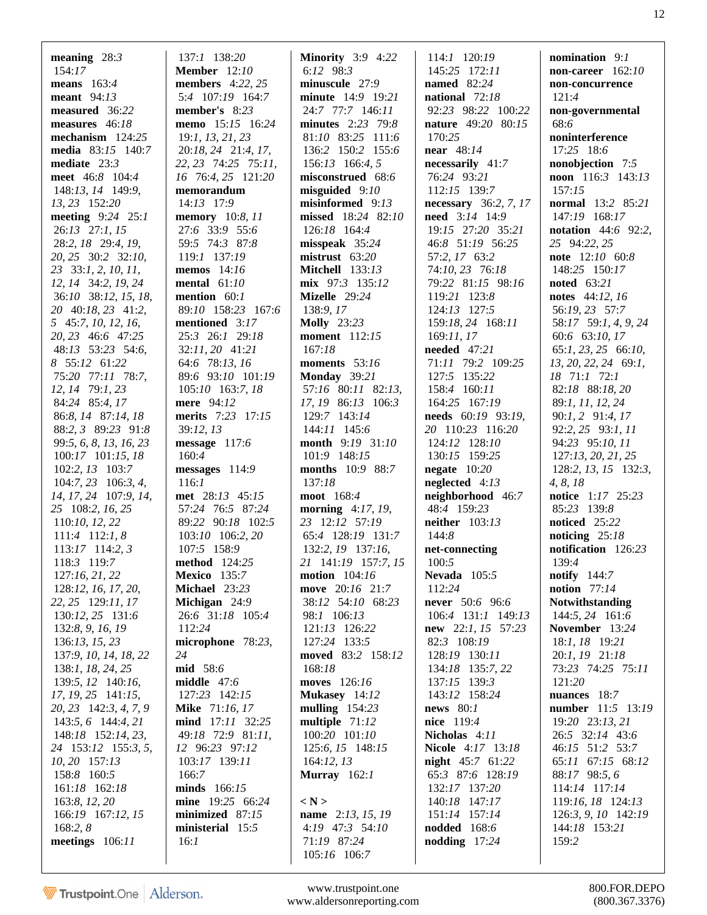| meaning $28:3$                                     | 137:1 138:20                               | <b>Minority</b> 3:9 4:22               | 114:1 120:19                        | nomination $9:1$                   |
|----------------------------------------------------|--------------------------------------------|----------------------------------------|-------------------------------------|------------------------------------|
| 154:17                                             | <b>Member</b> 12:10                        | 6:12 $98:3$                            | 145:25 172:11                       | non-career $162:10$                |
| means $163:4$                                      | <b>members</b> 4:22, 25                    | minuscule 27:9                         | <b>named</b> 82:24                  | non-concurrence                    |
| meant $94:13$                                      | 5:4 107:19 164:7                           | minute 14:9 19:21                      | national $72:18$                    | 121:4                              |
| measured 36:22                                     | member's $8:23$                            | 24:7 77:7 146:11                       | 92:23 98:22 100:22                  | non-governmental                   |
| measures 46:18<br>mechanism 124:25                 | memo 15:15 16:24                           | minutes 2:23 79:8                      | <b>nature</b> 49:20 80:15<br>170:25 | 68:6                               |
| <b>media</b> 83:15 140:7                           | 19:1, 13, 21, 23                           | 81:10 83:25 111:6<br>136:2 150:2 155:6 | near 48:14                          | noninterference<br>17:25 18:6      |
| mediate $23:3$                                     | 20:18, 24 21:4, 17,<br>22, 23 74:25 75:11, | 156:13 166:4, 5                        | necessarily 41:7                    | nonobjection 7:5                   |
| meet 46:8 104:4                                    | 16 76:4, 25 121:20                         | misconstrued 68:6                      | 76:24 93:21                         | noon 116:3 143:13                  |
| 148:13, 14 149:9,                                  | memorandum                                 | $misguided$ 9:10                       | 112:15 139:7                        | 157:15                             |
| 13, 23 152:20                                      | 14:13 17:9                                 | misinformed 9:13                       | <b>necessary</b> 36:2, 7, 17        | normal 13:2 85:21                  |
| meeting $9:24$ 25:1                                | <b>memory</b> 10:8, 11                     | missed 18:24 82:10                     | need 3:14 14:9                      | 147:19 168:17                      |
| 26:13 27:1, 15                                     | 27:6 33:9 55:6                             | 126:18 164:4                           | 19:15 27:20 35:21                   | <b>notation</b> $44:6$ 92:2,       |
| 28:2, 18 29:4, 19,                                 | 59:5 74:3 87:8                             | $misspeak$ 35:24                       | 46:8 51:19 56:25                    | 25 94:22, 25                       |
| 20, 25 30:2 32:10,                                 | 119:1 137:19                               | $mistrust$ 63:20                       | 57:2, 17 63:2                       | note 12:10 60:8                    |
| 23 33:1, 2, 10, 11,                                | memos $14:16$                              | <b>Mitchell</b> 133:13                 | 74:10, 23 76:18                     | 148:25 150:17                      |
| 12, 14 34:2, 19, 24                                | mental $61:10$                             | $mix$ 97:3 135:12                      | 79:22 81:15 98:16                   | <b>noted</b> 63:21                 |
| 36:10 38:12, 15, 18,                               | mention $60:1$                             | Mizelle 29:24                          | 119:21 123:8                        | notes 44:12, 16                    |
| 20 40:18, 23 41:2,                                 | 89:10 158:23 167:6                         | 138:9, 17                              | 124:13 127:5                        | 56:19, 23 57:7                     |
| 5 45:7, 10, 12, 16,                                | mentioned 3:17                             | <b>Molly</b> 23:23                     | 159:18, 24 168:11                   | 58:17 59:1, 4, 9, 24               |
| 20, 23 46:6 47:25                                  | 25:3 26:1 29:18                            | <b>moment</b> 112:15                   | 169:11, 17                          | 60:6 63:10, 17                     |
| 48:13 53:23 54:6,                                  | 32:11, 20 41:21                            | 167:18                                 | needed 47:21                        | $65:1, 23, 25$ $66:10,$            |
| 8 55:12 61:22                                      | 64:6 78:13, 16                             | moments 53:16                          | 71:11 79:2 109:25                   | 13, 20, 22, 24 69:1,               |
| 75:20 77:11 78:7,                                  | 89:6 93:10 101:19                          | Monday $39:21$                         | 127:5 135:22                        | 18 71:1 72:1                       |
| 12, 14 79:1, 23                                    | 105:10 163:7, 18                           | 57:16 80:11 82:13,                     | 158:4 160:11                        | 82:18 88:18, 20                    |
| 84:24 85:4, 17                                     | mere 94:12                                 | 17, 19 86:13 106:3                     | 164:25 167:19                       | 89:1, 11, 12, 24                   |
| 86:8, 14 87:14, 18                                 | merits 7:23 17:15                          | 129:7 143:14                           | needs 60:19 93:19,                  | $90:1, 2$ $91:4, 17$               |
| 88:2, 3 89:23 91:8                                 | 39:12, 13                                  | 144:11 145:6                           | 20 110:23 116:20                    | 92:2, 25 93:1, 11                  |
| 99:5, 6, 8, 13, 16, 23                             | message $117:6$                            | month 9:19 31:10                       | 124:12 128:10                       | 94:23 95:10, 11                    |
| 100:17 101:15, 18                                  | 160:4                                      | 101:9 148:15                           | 130:15 159:25                       | 127:13, 20, 21, 25                 |
| $102:2, 13$ $103:7$<br>$104:7, 23 \quad 106:3, 4,$ | $messages$ 114:9<br>116:1                  | months 10:9 88:7<br>137:18             | negate $10:20$<br>neglected $4:13$  | 128:2, 13, 15 132:3,               |
| 14, 17, 24 107:9, 14,                              | met 28:13 45:15                            | moot 168:4                             | neighborhood 46:7                   | 4, 8, 18<br>notice 1:17 25:23      |
| 25 108:2, 16, 25                                   | 57:24 76:5 87:24                           | morning $4:17, 19$ ,                   | 48:4 159:23                         | 85:23 139:8                        |
| 110:10, 12, 22                                     | 89:22 90:18 102:5                          | 23 12:12 57:19                         | neither $103:13$                    | noticed 25:22                      |
| $111:4$ 112:1, 8                                   | 103:10 106:2, 20                           | 65:4 128:19 131:7                      | 144:8                               | noticing $25:18$                   |
| $113:17$ 114:2, 3                                  | 107:5 158:9                                | 132:2, 19 137:16,                      | net-connecting                      | notification 126:23                |
| 118:3 119:7                                        | method 124:25                              | 21 141:19 157:7, 15                    | 100:5                               | 139:4                              |
| 127:16, 21, 22                                     | <b>Mexico</b> 135:7                        | motion $104:16$                        | Nevada $105:5$                      | notify $144:7$                     |
| 128:12, 16, 17, 20,                                | Michael 23:23                              | move 20:16 21:7                        | 112:24                              | notion $77:14$                     |
| 22, 25 129:11, 17                                  | Michigan 24:9                              | 38:12 54:10 68:23                      | never 50:6 96:6                     | Notwithstanding                    |
| 130:12, 25 131:6                                   | 26:6 31:18 105:4                           | 98:1 106:13                            | 106:4 131:1 149:13                  | 144:5, 24 161:6                    |
| 132:8, 9, 16, 19                                   | 112:24                                     | 121:13 126:22                          | <b>new</b> 22:1, 15 57:23           | November 13:24                     |
| 136:13, 15, 23                                     | microphone 78:23,                          | 127:24 133:5                           | 82:3 108:19                         | 18:1, 18 19:21                     |
| 137:9, 10, 14, 18, 22                              | 24                                         | moved 83:2 158:12                      | 128:19 130:11                       | 20:1, 19 21:18                     |
| 138:1, 18, 24, 25                                  | mid 58:6                                   | 168:18                                 | 134:18 135:7, 22                    | 73:23 74:25 75:11                  |
| 139:5, 12 140:16,                                  | middle $47:6$                              | moves 126:16                           | 137:15 139:3                        | 121:20                             |
| 17, 19, 25 141:15,                                 | 127:23 142:15                              | Mukasey 14:12                          | 143:12 158:24                       | nuances 18:7                       |
| 20, 23 142:3, 4, 7, 9                              | <b>Mike</b> 71:16, 17                      | mulling $154:23$                       | news $80:1$                         | number 11:5 13:19                  |
| $143:5, 6$ 144:4, 21                               | mind 17:11 32:25                           | multiple $71:12$                       | nice 119:4                          | 19:20 23:13, 21                    |
| 148:18 152:14, 23,<br>24 153:12 155:3, 5,          | 49:18 72:9 81:11,<br>12 96:23 97:12        | 100:20 101:10<br>125:6, 15 148:15      | Nicholas 4:11<br>Nicole 4:17 13:18  | 26:5 32:14 43:6<br>46:15 51:2 53:7 |
| 10, 20 157:13                                      | 103:17 139:11                              | 164:12, 13                             | <b>night</b> $45:7$ 61:22           | 65:11 67:15 68:12                  |
| 158:8 160:5                                        | 166:7                                      | Murray $162:1$                         | 65:3 87:6 128:19                    | 88:17 98:5, 6                      |
| 161:18 162:18                                      | minds 166:15                               |                                        | 132:17 137:20                       | 114:14 117:14                      |
| 163:8, 12, 20                                      | mine 19:25 66:24                           | $\langle N \rangle$                    | 140:18 147:17                       | 119:16, 18 124:13                  |
| 166:19 167:12, 15                                  | minimized 87:15                            | <b>name</b> 2:13, 15, 19               | 151:14 157:14                       | 126:3, 9, 10 142:19                |
| 168:2, 8                                           | ministerial 15:5                           | 4:19 47:3 54:10                        | <b>nodded</b> 168:6                 | 144:18 153:21                      |
| meetings $106:11$                                  | 16:1                                       | 71:19 87:24                            | nodding $17:24$                     | 159:2                              |
|                                                    |                                            | 105:16 106:7                           |                                     |                                    |
|                                                    |                                            |                                        |                                     |                                    |

www.trustpoint.one 800.FOR.DEPO<br>w.aldersonreporting.com (800.367.3376) www.aldersonreporting.com (800.367.3376)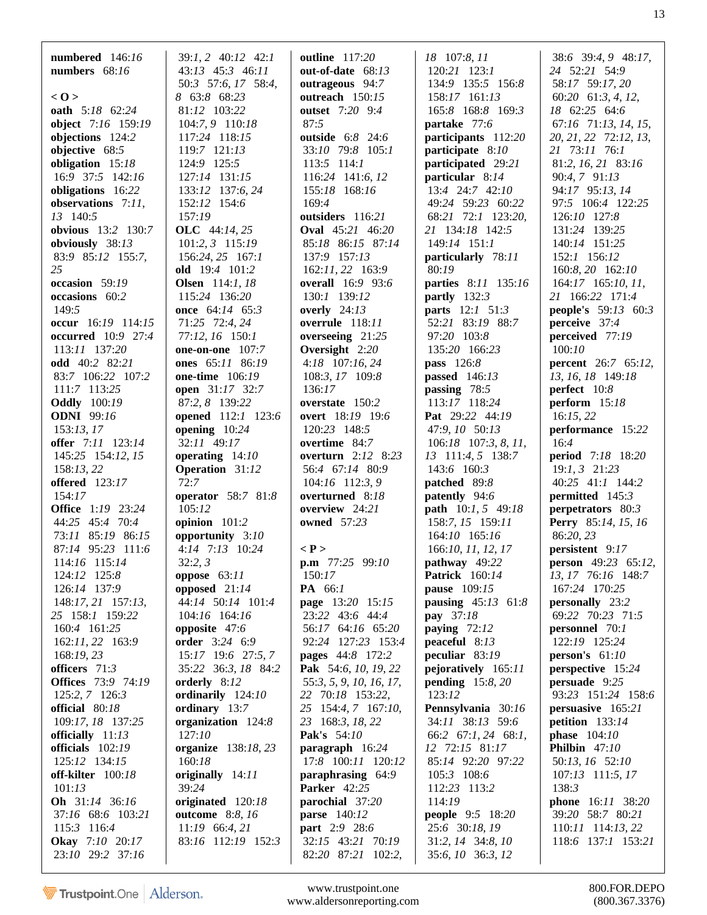| numbered $146:16$                    | 39:1, 2 40:12 42:1                          | <b>outline</b> 117:20                  | 18 107:8, 11                                | 38:6 39:4, 9 48:17,                 |
|--------------------------------------|---------------------------------------------|----------------------------------------|---------------------------------------------|-------------------------------------|
| numbers $68:16$                      | 43:13 45:3 46:11                            | out-of-date $68:13$                    | 120:21 123:1                                | 24 52:21 54:9                       |
|                                      | 50:3 57:6, 17 58:4,                         | outrageous 94:7                        | 134:9 135:5 156:8                           | 58:17 59:17, 20                     |
| 0>                                   | 8 63:8 68:23                                | outreach 150:15                        | 158:17 161:13                               | 60:20 61:3, 4, 12,                  |
| <b>oath</b> 5:18 62:24               | 81:12 103:22                                | outset 7:20 9:4                        | 165:8 168:8 169:3                           | 18 62:25 64:6                       |
| object 7:16 159:19                   | 104:7, 9 110:18                             | 87:5                                   | partake 77:6                                | 67:16 71:13, 14, 15,                |
| objections 124:2                     | 117:24 118:15                               | outside 6:8 24:6                       | participants 112:20                         | 20, 21, 22, 72:12, 13,              |
| objective 68:5                       | 119:7 121:13                                | 33:10 79:8 105:1                       | participate 8:10                            | 21 73:11 76:1                       |
| obligation 15:18<br>16:9 37:5 142:16 | 124:9 125:5<br>127:14 131:15                | 113:5 114:1<br>116:24 141:6, 12        | participated 29:21<br>particular 8:14       | 81:2, 16, 21 83:16<br>90:4, 7 91:13 |
| obligations 16:22                    | 133:12 137:6, 24                            | 155:18 168:16                          | 13:4 24:7 42:10                             | 94:17 95:13, 14                     |
| observations 7:11,                   | 152:12 154:6                                | 169:4                                  | 49:24 59:23 60:22                           | 97:5 106:4 122:25                   |
| 13 140:5                             | 157:19                                      | outsiders 116:21                       | 68:21 72:1 123:20,                          | 126:10 127:8                        |
| obvious 13:2 130:7                   | <b>OLC</b> 44:14, 25                        | <b>Oval</b> 45:21 46:20                | 21 134:18 142:5                             | 131:24 139:25                       |
| obviously 38:13                      | $101:2, 3$ 115:19                           | 85:18 86:15 87:14                      | 149:14 151:1                                | 140:14 151:25                       |
| 83:9 85:12 155:7,                    | 156:24, 25 167:1                            | 137:9 157:13                           | particularly 78:11                          | 152:1 156:12                        |
| 25                                   | old 19:4 101:2                              | 162:11, 22 163:9                       | 80:19                                       | 160:8, 20 162:10                    |
| occasion 59:19                       | <b>Olsen</b> $114:1, 18$                    | <b>overall</b> 16:9 93:6               | parties 8:11 135:16                         | $164:17$ $165:10, 11$ ,             |
| occasions 60:2                       | 115:24 136:20                               | 130:1 139:12                           | partly $132:3$                              | 21 166:22 171:4                     |
| 149:5                                | once 64:14 65:3                             | overly $24:13$                         | parts 12:1 51:3                             | people's 59:13 60:3                 |
| occur $16:19$ $114:15$               | 71:25 72:4, 24                              | overrule 118:11                        | 52:21 83:19 88:7                            | perceive $37:4$                     |
| <b>occurred</b> 10:9 27:4            | 77:12, 16 150:1                             | overseeing 21:25                       | 97:20 103:8                                 | perceived 77:19                     |
| 113:11 137:20                        | one-on-one $107:7$                          | Oversight 2:20                         | 135:20 166:23                               | 100:10                              |
| <b>odd</b> 40:2 82:21                | ones 65:11 86:19                            | $4:18$ 107:16, 24                      | pass 126:8                                  | <b>percent</b> 26:7 65:12,          |
| 83:7 106:22 107:2                    | one-time $106:19$                           | 108:3, 17 109:8                        | passed 146:13                               | 13, 16, 18 149:18                   |
| 111:7 113:25                         | <b>open</b> 31:17 32:7                      | 136:17                                 | passing $78:5$                              | perfect 10:8                        |
| <b>Oddly</b> 100:19                  | 87:2, 8 139:22                              | overstate 150:2                        | 113:17 118:24                               | perform $15:18$                     |
| <b>ODNI</b> 99:16                    | opened 112:1 123:6                          | <b>overt</b> 18:19 19:6                | <b>Pat</b> 29:22 44:19                      | 16:15,22                            |
| 153:13,17<br>offer 7:11 123:14       | opening $10:24$<br>32:11 49:17              | 120:23 148:5<br>overtime 84:7          | 47:9, 10 50:13                              | performance 15:22<br>16:4           |
| 145:25 154:12, 15                    | operating $14:10$                           | overturn 2:12 8:23                     | $106:18$ 107:3, 8, 11,<br>13 111:4, 5 138:7 | <b>period</b> 7:18 18:20            |
| 158:13, 22                           | <b>Operation</b> 31:12                      | 56:4 67:14 80:9                        | 143:6 160:3                                 | $19:1, 3$ 21:23                     |
| <b>offered</b> 123:17                | 72:7                                        | 104:16 112:3, 9                        | patched 89:8                                | 40:25 41:1 144:2                    |
| 154:17                               | operator 58:7 81:8                          | overturned 8:18                        | <b>patently</b> 94:6                        | permitted 145:3                     |
| <b>Office</b> 1:19 23:24             | 105:12                                      | overview $24:21$                       | <b>path</b> $10:1, 5$ 49:18                 | perpetrators 80:3                   |
| 44:25 45:4 70:4                      | opinion 101:2                               | <b>owned</b> 57:23                     | 158:7, 15 159:11                            | <b>Perry</b> 85:14, 15, 16          |
| 73:11 85:19 86:15                    | opportunity 3:10                            |                                        | $164:10$ $165:16$                           | 86:20, 23                           |
| 87:14 95:23 111:6                    | 4:14 7:13 10:24                             | $\langle P \rangle$                    | 166:10, 11, 12, 17                          | persistent 9:17                     |
| 114:16 115:14                        | 32:2,3                                      | p.m 77:25 99:10                        | pathway 49:22                               | <b>person</b> 49:23 65:12,          |
| 124:12 125:8                         | oppose $63:11$                              | 150:17                                 | <b>Patrick</b> 160:14                       | 13, 17 76:16 148:7                  |
| 126:14 137:9                         | opposed $21:14$                             | PA 66:1                                | <b>pause</b> 109:15                         | 167:24 170:25                       |
| 148:17, 21 157:13,                   | 44:14 50:14 101:4                           | page 13:20 15:15                       | <b>pausing</b> $45:13 \quad 61:8$           | personally 23:2                     |
| 25 158:1 159:22                      | 104:16 164:16                               | 23:22 43:6 44:4                        | pay 37:18                                   | 69:22 70:23 71:5                    |
| 160:4 161:25                         | opposite 47:6                               | 56:17 64:16 65:20                      | paying $72:12$                              | personnel 70:1                      |
| 162:11, 22 163:9<br>168:19, 23       | <b>order</b> 3:24 6:9<br>15:17 19:6 27:5, 7 | 92:24 127:23 153:4<br>pages 44:8 172:2 | peaceful 8:13<br>peculiar 83:19             | 122:19 125:24<br>person's $61:10$   |
| officers 71:3                        | 35:22 36:3, 18 84:2                         | Pak 54:6, 10, 19, 22                   | pejoratively 165:11                         | perspective 15:24                   |
| <b>Offices</b> 73:9 74:19            | orderly 8:12                                | 55:3, 5, 9, 10, 16, 17,                | pending $15:8,20$                           | persuade 9:25                       |
| 125:2, 7 126:3                       | ordinarily 124:10                           | 22 70:18 153:22,                       | 123:12                                      | 93:23 151:24 158:6                  |
| official 80:18                       | ordinary 13:7                               | 25 154:4, 7 167:10,                    | Pennsylvania 30:16                          | persuasive 165:21                   |
| 109:17, 18 137:25                    | organization 124:8                          | 23 168:3, 18, 22                       | 34:11 38:13 59:6                            | petition $133:14$                   |
| officially 11:13                     | 127:10                                      | Pak's 54:10                            | 66:2 67:1, 24 68:1,                         | <b>phase</b> $104:10$               |
| officials $102:19$                   | organize 138:18, 23                         | paragraph 16:24                        | 12 72:15 81:17                              | Philbin $47:10$                     |
| 125:12 134:15                        | 160:18                                      | 17:8 100:11 120:12                     | 85:14 92:20 97:22                           | 50:13, 16 52:10                     |
| off-kilter $100:18$                  | originally 14:11                            | paraphrasing 64:9                      | 105:3 108:6                                 | $107:13$ 111:5, 17                  |
| 101:13                               | 39:24                                       | <b>Parker</b> 42:25                    | 112:23 113:2                                | 138:3                               |
| Oh 31:14 36:16                       | originated 120:18                           | parochial 37:20                        | 114:19                                      | phone 16:11 38:20                   |
| 37:16 68:6 103:21                    | <b>outcome</b> 8:8, 16                      | <b>parse</b> 140:12                    | <b>people</b> 9:5 18:20                     | 39:20 58:7 80:21                    |
| 115:3 116:4                          | $11:19$ 66:4, 21                            | part 2:9 28:6                          | 25:6 30:18, 19                              | 110:11 114:13, 22                   |
| <b>Okay</b> 7:10 20:17               | 83:16 112:19 152:3                          | 32:15 43:21 70:19                      | 31:2, 14 34:8, 10                           | 118:6 137:1 153:21                  |
| 23:10 29:2 37:16                     |                                             | 82:20 87:21 102:2,                     | 35:6, 10 36:3, 12                           |                                     |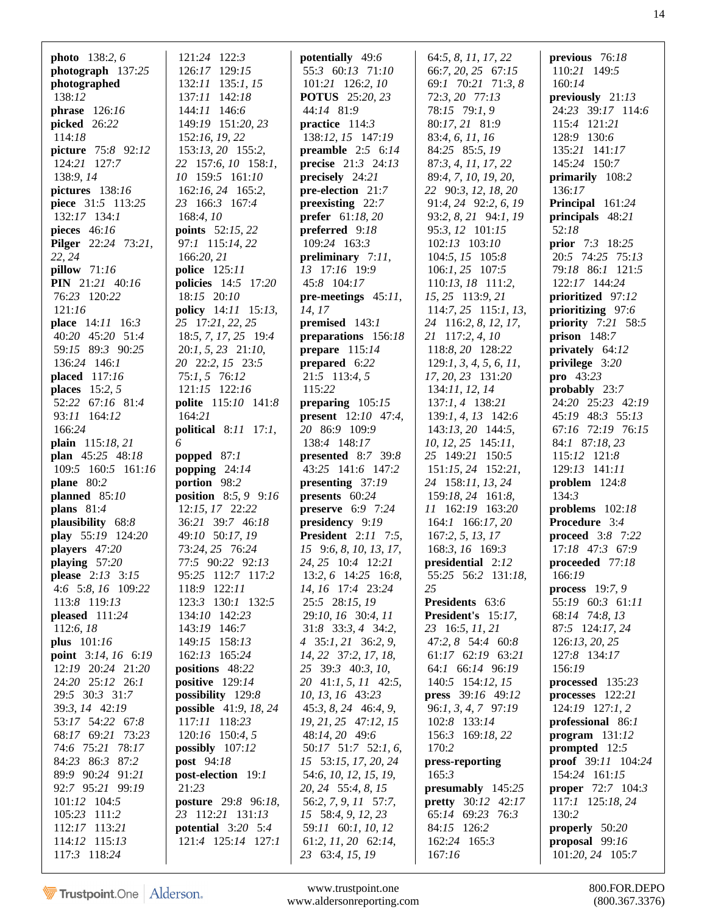| <b>photo</b> $138:2, 6$    | 121:24 122:3                 | potentially 49:6                       | 64:5, 8, 11, 17, 22       | previous $76:18$                     |
|----------------------------|------------------------------|----------------------------------------|---------------------------|--------------------------------------|
| photograph 137:25          | 126:17 129:15                | 55:3 60:13 71:10                       | 66:7, 20, 25 67:15        | 110:21 149:5                         |
| photographed               | 132:11 135:1, 15             | $101:21$ 126:2, 10                     | 69:1 70:21 71:3, 8        | 160:14                               |
| 138:12                     | 137:11 142:18                | <b>POTUS</b> 25:20, 23                 | 72:3, 20 77:13            | previously 21:13                     |
| phrase $126:16$            | 144:11 146:6                 | 44:14 81:9                             | 78:15 79:1, 9             | 24:23 39:17 114:6                    |
| picked 26:22               | 149:19 151:20, 23            | practice $114:3$                       | 80:17, 21 81:9            | 115:4 121:21                         |
| 114:18                     | 152:16, 19, 22               | 138:12, 15 147:19                      | 83:4, 6, 11, 16           | 128:9 130:6                          |
| picture 75:8 92:12         | 153:13, 20 155:2,            | preamble $2:5$ 6:14                    | 84:25 85:5, 19            | 135:21 141:17                        |
| 124:21 127:7               | 22 157:6, 10 158:1,          | <b>precise</b> $21:3$ $24:13$          | 87:3, 4, 11, 17, 22       | 145:24 150:7                         |
| 138:9, 14                  | 10 159:5 161:10              | precisely 24:21                        | 89:4, 7, 10, 19, 20,      | primarily 108:2                      |
| pictures 138:16            | 162:16, 24 165:2,            | pre-election 21:7                      | 22 90:3, 12, 18, 20       | 136:17                               |
| piece 31:5 113:25          | 23 166:3 167:4               | preexisting 22:7                       | 91:4, 24 92:2, 6, 19      | Principal 161:24                     |
| 132:17 134:1               | 168:4, 10                    | <b>prefer</b> $61:18,20$               | 93:2, 8, 21 94:1, 19      | principals 48:21                     |
| pieces $46:16$             | <b>points</b> 52:15, 22      | preferred 9:18                         | 95:3, 12 101:15           | 52:18                                |
| <b>Pilger</b> 22:24 73:21, | 97:1 115:14, 22              | 109:24 163:3                           | 102:13 103:10             | <b>prior</b> 7:3 18:25               |
| 22, 24                     | 166:20, 21                   | preliminary 7:11,                      | 104:5, 15 105:8           | 20:5 74:25 75:13                     |
| <b>pillow</b> 71:16        | <b>police</b> 125:11         | 13 17:16 19:9                          | $106:1, 25$ 107:5         | 79:18 86:1 121:5                     |
| <b>PIN</b> 21:21 40:16     | <b>policies</b> 14:5 17:20   | 45:8 104:17                            | 110:13, 18 111:2,         | 122:17 144:24                        |
| 76:23 120:22               | 18:15 20:10                  | pre-meetings $45:11$ ,                 | 15, 25 113:9, 21          | prioritized 97:12                    |
| 121:16                     | policy 14:11 15:13,          | 14, 17                                 | $114:7, 25$ 115:1, 13,    | prioritizing 97:6                    |
| <b>place</b> 14:11 16:3    | 25 17:21, 22, 25             | premised 143:1                         | 24 116:2, 8, 12, 17,      | <b>priority</b> 7:21 58:5            |
| 40:20 45:20 51:4           | 18:5, 7, 17, 25 19:4         | preparations 156:18                    | 21 117:2, 4, 10           | prison $148:7$                       |
| 59:15 89:3 90:25           | $20:1, 5, 23$ $21:10,$       | prepare $115:14$                       | 118:8, 20 128:22          | privately 64:12                      |
| 136:24 146:1               | 20 22:2, 15 23:5             | prepared 6:22                          | 129:1, 3, 4, 5, 6, 11,    | privilege $3:20$                     |
| placed 117:16              | 75:1, 5 76:12                | 21:5 113:4, 5                          | 17, 20, 23 131:20         | <b>pro</b> $43:23$                   |
| places $15:2, 5$           | 121:15 122:16                | 115:22                                 | 134:11, 12, 14            | probably 23:7                        |
| 52:22 67:16 81:4           | polite 115:10 141:8          | preparing $105:15$                     | $137:1, 4$ 138:21         | 24:20 25:23 42:19                    |
| 93:11 164:12               | 164:21                       | <b>present</b> $12:10$ 47:4,           | $139:1, 4, 13$ $142:6$    | 45:19 48:3 55:13                     |
| 166:24                     | <b>political</b> 8:11 17:1,  | 20 86:9 109:9                          | 143:13, 20 144:5,         | 67:16 72:19 76:15                    |
| plain 115:18, 21           | 6                            | 138:4 148:17                           | $10, 12, 25$ 145:11,      | 84:1 87:18, 23                       |
| plan 45:25 48:18           | popped $87:1$                | presented $8:7$ 39:8                   | 25 149:21 150:5           | 115:12 121:8                         |
| 109:5 160:5 161:16         | popping $24:14$              | 43:25 141:6 147:2                      | $151:15, 24$ $152:21,$    | 129:13 141:11                        |
| plane 80:2                 | portion 98:2                 | presenting 37:19                       | 24 158:11, 13, 24         | problem $124:8$                      |
| planned $85:10$            | <b>position</b> 8:5, 9 9:16  | presents 60:24                         | 159:18, 24 161:8,         | 134:3                                |
| plans $81:4$               | 12:15, 17 22:22              | preserve $6:9$ 7:24                    | 11 162:19 163:20          | problems 102:18                      |
| plausibility 68:8          | 36:21 39:7 46:18             | presidency 9:19                        | 164:1 166:17, 20          | Procedure 3:4                        |
| play 55:19 124:20          | 49:10 50:17, 19              | <b>President</b> 2:11 7:5,             | 167:2, 5, 13, 17          | <b>proceed</b> 3:8 7:22              |
| players 47:20              | 73:24, 25 76:24              | 15 9:6, 8, 10, 13, 17,                 | 168:3, 16 169:3           | 17:18 47:3 67:9                      |
| playing 57:20              | 77:5 90:22 92:13             | 24, 25 10:4 12:21                      | presidential 2:12         | proceeded $77:18$                    |
| please 2:13 3:15           | 95:25 112:7 117:2            | 13:2, 6 14:25 16:8,                    | 55:25 56:2 131:18,        | 166:19                               |
| 4:6 5:8, 16 109:22         | 118:9 122:11                 | 14, 16 17:4 23:24                      | 25                        | process $19:7,9$                     |
| 113:8 119:13               | 123:3 130:1 132:5            | 25:5 28:15, 19                         | Presidents 63:6           | 55:19 60:3 61:11                     |
| pleased $111:24$           | 134:10 142:23                | 29:10, 16 30:4, 11                     | President's 15:17,        | 68:14 74:8, 13                       |
| 112:6, 18                  | 143:19 146:7                 | 31:8 33:3, 4 34:2,                     | 23 16:5, 11, 21           | 87:5 124:17, 24                      |
| plus 101:16                | 149:15 158:13                | 4 35:1, 21 36:2, 9,                    | 47:2, 8 54:4 60:8         | 126:13, 20, 25                       |
| point 3:14, 16 6:19        | 162:13 165:24                | 14, 22 37:2, 17, 18,                   | 61:17 62:19 63:21         | 127:8 134:17                         |
| 12:19 20:24 21:20          | positions 48:22              | 25 39:3 40:3, 10,                      | 64:1 66:14 96:19          | 156:19                               |
| 24:20 25:12 26:1           | positive $129:14$            | 20 41:1, 5, 11 42:5,                   | 140:5 154:12, 15          | processed $135:23$                   |
| 29:5 30:3 31:7             | possibility 129:8            | 10, 13, 16 43:23                       | press 39:16 49:12         | processes $122:21$                   |
| 39:3, 14 42:19             | <b>possible</b> 41:9, 18, 24 | 45:3, 8, 24 46:4, 9,                   | $96:1, 3, 4, 7$ $97:19$   | $124:19$ $127:1, 2$                  |
| 53:17 54:22 67:8           | 117:11 118:23                | 19, 21, 25 47:12, 15                   | 102:8 133:14              | professional 86:1                    |
| 68:17 69:21 73:23          | $120:16$ 150:4, 5            | 48:14, 20 49:6                         | 156:3 169:18, 22          | $program$ 131:12                     |
| 74:6 75:21 78:17           | possibly $107:12$            | 50:17 51:7 52:1, 6,                    | 170:2                     | prompted $12:5$                      |
| 84:23 86:3 87:2            | post 94:18                   | 15 53:15, 17, 20, 24                   | press-reporting           | <b>proof</b> $39:11$ $104:24$        |
| 89:9 90:24 91:21           | post-election 19:1           | 54:6, 10, 12, 15, 19,                  | 165:3                     | 154:24 161:15                        |
| 92:7 95:21 99:19           | 21:23                        | 20, 24 55:4, 8, 15                     | presumably 145:25         | <b>proper</b> 72:7 104:3             |
| 101:12 104:5               | posture 29:8 96:18,          | 56:2, 7, 9, 11 57:7,                   | <b>pretty</b> 30:12 42:17 | 117:1 125:18, 24                     |
| 105:23 111:2               | 23 112:21 131:13             | 15 58:4, 9, 12, 23                     | 65:14 69:23 76:3          | 130:2                                |
| 112:17 113:21              | potential $3:20$ 5:4         | 59:11 60:1, 10, 12                     | 84:15 126:2               | properly 50:20                       |
| 114:12 115:13              |                              |                                        |                           |                                      |
| 117:3 118:24               | 121:4 125:14 127:1           | 61:2, 11, 20 62:14,<br>23 63:4, 15, 19 | 162:24 165:3<br>167:16    | proposal $99:16$<br>101:20, 24 105:7 |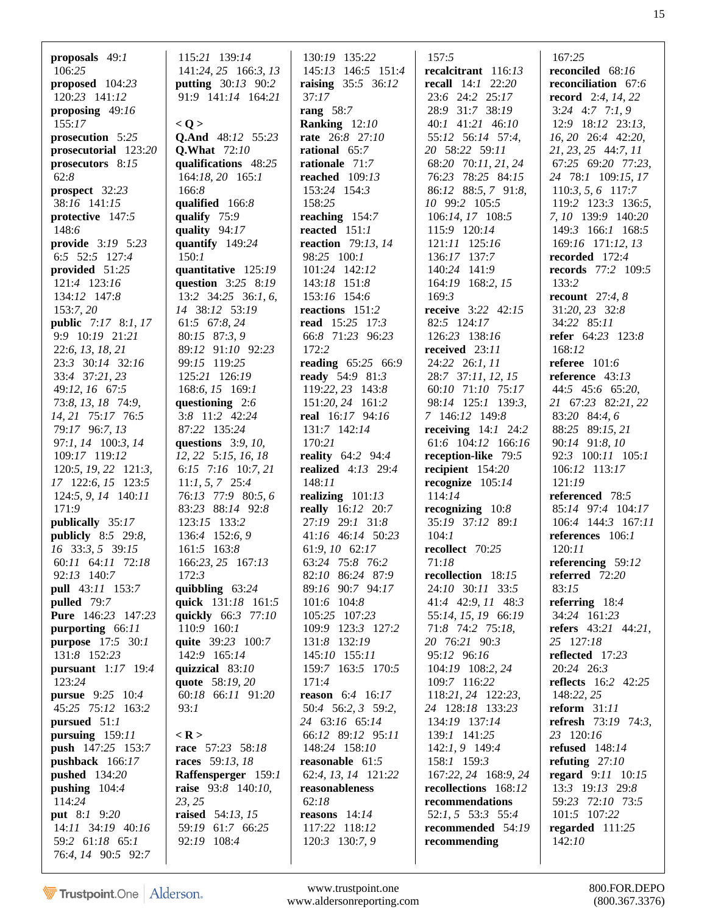| proposals $49:1$<br>106:25<br>proposed $104:23$<br>120:23 141:12<br>proposing $49:16$<br>155:17<br>prosecution 5:25<br>prosecutorial 123:20<br>prosecutors 8:15<br>62:8<br>prospect 32:23<br>38:16 141:15<br>protective 147:5<br>148:6<br><b>provide</b> 3:19 5:23<br>6:5 52:5 127:4<br>provided 51:25<br>121:4 123:16<br>134:12 147:8<br>153:7, 20<br><b>public</b> 7:17 8:1, 17<br>9:9 10:19 21:21<br>22:6, 13, 18, 21<br>23:3 30:14 32:16<br>33:4 37:21, 23<br>49:12, 16 67:5<br>73:8, 13, 18 74:9,<br>14, 21 75:17 76:5<br>79:17 96:7, 13<br>97:1, 14 100:3, 14<br>109:17 119:12<br>$120:5$ , $19$ , $22$ $121:3$ ,<br>17 122:6, 15 123:5<br>124:5, 9, 14 140:11<br>171:9<br>publically 35:17<br><b>publicly</b> 8:5 29:8,<br>16 33:3, 5 39:15<br>60:11 64:11 72:18<br>92:13 140:7<br>pull 43:11 153:7<br>pulled 79:7<br><b>Pure</b> 146:23 147:23<br>purporting 66:11<br><b>purpose</b> 17:5 30:1<br>131:8 152:23<br><b>pursuant</b> 1:17 19:4<br>123:24 | 115:21 139:14<br>141:24, 25 166:3, 13<br><b>putting</b> $30:13$ 90:2<br>91:9 141:14 164:21<br>< Q ><br>Q.And 48:12 55:23<br><b>Q.What</b> 72:10<br>qualifications 48:25<br>164:18, 20 165:1<br>166:8<br>qualified 166:8<br>qualify $75:9$<br>quality $94:17$<br>quantify $149:24$<br>150:1<br>quantitative 125:19<br>question 3:25 8:19<br>13:2 $34:25$ 36:1, 6,<br>14 38:12 53:19<br>61:5 67:8, 24<br>80:15 87:3, 9<br>89:12 91:10 92:23<br>99:15 119:25<br>125:21 126:19<br>168:6, 15 169:1<br>questioning $2:6$<br>3:8 11:2 42:24<br>87:22 135:24<br>questions $3:9, 10,$<br>$12, 22$ 5:15, 16, 18<br>6:15 7:16 10:7, 21<br>$11:1, 5, 7$ 25:4<br>76:13 77:9 80:5,6<br>83:23 88:14 92:8<br>123:15 133:2<br>136:4 152:6, 9<br>161:5 163:8<br>166:23, 25 167:13<br>172:3<br>quibbling $63:24$<br>quick 131:18 161:5<br>quickly 66:3 77:10<br>110:9 160:1<br>quite 39:23 100:7<br>142:9 165:14<br>quizzical $83:10$<br>quote 58:19, 20 | 130:19 135:22<br>145:13 146:5 151:4<br><b>raising</b> 35:5 36:12<br>37:17<br>rang $58:7$<br>Ranking 12:10<br>rate 26:8 27:10<br>rational $65:7$<br>rationale 71:7<br>reached $109:13$<br>153:24 154:3<br>158:25<br>reaching $154:7$<br>reacted $151:1$<br><b>reaction</b> 79:13, 14<br>98:25 100:1<br>101:24 142:12<br>143:18 151:8<br>153:16 154:6<br>reactions 151:2<br>read $15:25$ 17:3<br>66:8 71:23 96:23<br>172:2<br><b>reading</b> 65:25 66:9<br>ready 54:9 81:3<br>119:22, 23 143:8<br>151:20, 24 161:2<br>real 16:17 94:16<br>131:7 142:14<br>170:21<br>reality 64:2 94:4<br>realized $4:13$ 29:4<br>148:11<br>realizing $101:13$<br><b>really</b> 16:12 20:7<br>27:19 29:1 31:8<br>41:16 46:14 50:23<br>61:9, 10 62:17<br>63:24 75:8 76:2<br>82:10 86:24 87:9<br>89:16 90:7 94:17<br>101:6 104:8<br>105:25 107:23<br>109:9 123:3 127:2<br>131:8 132:19<br>145:10 155:11<br>159:7 163:5 170:5<br>171:4 | 157:5<br>recalcitrant 116:13<br><b>recall</b> $14:1$ $22:20$<br>23:6 24:2 25:17<br>28:9 31:7 38:19<br>40:1 41:21 46:10<br>55:12 56:14 57:4,<br>20 58:22 59:11<br>68:20 70:11, 21, 24<br>76:23 78:25 84:15<br>86:12 88:5, 7 91:8,<br>10 99:2 105:5<br>106:14, 17 108:5<br>115:9 120:14<br>121:11 125:16<br>136:17 137:7<br>140:24 141:9<br>164:19 168:2, 15<br>169:3<br><b>receive</b> 3:22 42:15<br>82:5 124:17<br>126:23 138:16<br>received 23:11<br>24:22 26:1, 11<br>28:7 37:11, 12, 15<br>60:10 71:10 75:17<br>98:14 125:1 139:3,<br>7 146:12 149:8<br>receiving $14:1$ 24:2<br>61:6 104:12 166:16<br>reception-like 79:5<br>recipient 154:20<br>recognize $105:14$<br>114:14<br>recognizing $10:8$<br>35:19 37:12 89:1<br>104:1<br>recollect 70:25<br>71:18<br>recollection 18:15<br>24:10 30:11 33:5<br>41:4 42:9, 11 48:3<br>55:14, 15, 19 66:19<br>71:8 74:2 75:18,<br>20 76:21 90:3<br>95:12 96:16<br>104:19 108:2, 24<br>109:7 116:22 | 167:25<br>reconciled 68:16<br>reconciliation 67:6<br><b>record</b> 2:4, 14, 22<br>$3:24$ 4:7 7:1, 9<br>12:9 18:12 23:13,<br>16, 20 26:4 42:20,<br>21, 23, 25 44:7, 11<br>67:25 69:20 77:23,<br>24 78:1 109:15, 17<br>$110:3, 5, 6$ 117:7<br>$119:2$ $123:3$ $136:5$ ,<br>7, 10 139:9 140:20<br>149:3 166:1 168:5<br>169:16 171:12, 13<br>recorded 172:4<br><b>records</b> 77:2 109:5<br>133:2<br>recount $27:4, 8$<br>31:20, 23 32:8<br>34:22 85:11<br>refer 64:23 123:8<br>168:12<br>referee $101:6$<br>reference $43:13$<br>44:5 45:6 65:20,<br>21 67:23 82:21, 22<br>83:20 84:4, 6<br>88:25 89:15, 21<br>90:14 91:8, 10<br>92:3 100:11 105:1<br>106:12 113:17<br>121:19<br>referenced 78:5<br>85:14 97:4 104:17<br>106:4 144:3 167:11<br>references 106:1<br>120:11<br>referencing 59:12<br>referred 72:20<br>83:15<br>referring $18:4$<br>34:24 161:23<br><b>refers</b> 43:21 44:21,<br>25 127:18<br>reflected 17:23<br>20:24 26:3<br><b>reflects</b> 16:2 42:25 |
|---------------------------------------------------------------------------------------------------------------------------------------------------------------------------------------------------------------------------------------------------------------------------------------------------------------------------------------------------------------------------------------------------------------------------------------------------------------------------------------------------------------------------------------------------------------------------------------------------------------------------------------------------------------------------------------------------------------------------------------------------------------------------------------------------------------------------------------------------------------------------------------------------------------------------------------------------------------|---------------------------------------------------------------------------------------------------------------------------------------------------------------------------------------------------------------------------------------------------------------------------------------------------------------------------------------------------------------------------------------------------------------------------------------------------------------------------------------------------------------------------------------------------------------------------------------------------------------------------------------------------------------------------------------------------------------------------------------------------------------------------------------------------------------------------------------------------------------------------------------------------------------------------------------|------------------------------------------------------------------------------------------------------------------------------------------------------------------------------------------------------------------------------------------------------------------------------------------------------------------------------------------------------------------------------------------------------------------------------------------------------------------------------------------------------------------------------------------------------------------------------------------------------------------------------------------------------------------------------------------------------------------------------------------------------------------------------------------------------------------------------------------------------------------------------------------------------------------|-------------------------------------------------------------------------------------------------------------------------------------------------------------------------------------------------------------------------------------------------------------------------------------------------------------------------------------------------------------------------------------------------------------------------------------------------------------------------------------------------------------------------------------------------------------------------------------------------------------------------------------------------------------------------------------------------------------------------------------------------------------------------------------------------------------------------------------------------------------------------------------------------------------------------------------------------|----------------------------------------------------------------------------------------------------------------------------------------------------------------------------------------------------------------------------------------------------------------------------------------------------------------------------------------------------------------------------------------------------------------------------------------------------------------------------------------------------------------------------------------------------------------------------------------------------------------------------------------------------------------------------------------------------------------------------------------------------------------------------------------------------------------------------------------------------------------------------------------------------------------------------------------------------------------------|
| pursue 9:25 10:4<br>45:25 75:12 163:2<br>pursued 51:1<br>pursuing 159:11<br>push 147:25 153:7<br>pushback 166:17<br><b>pushed</b> 134:20<br>pushing $104:4$<br>114:24<br><b>put</b> 8:1 9:20                                                                                                                                                                                                                                                                                                                                                                                                                                                                                                                                                                                                                                                                                                                                                                  | 60:18 66:11 91:20<br>93:1<br>$<$ R $>$<br>race 57:23 58:18<br>races 59:13, 18<br>Raffensperger 159:1<br><b>raise</b> 93:8 140:10,<br>23, 25<br>raised 54:13, 15                                                                                                                                                                                                                                                                                                                                                                                                                                                                                                                                                                                                                                                                                                                                                                       | <b>reason</b> $6:4$ 16:17<br>50:4 56:2, 3 59:2,<br>24 63:16 65:14<br>66:12 89:12 95:11<br>148:24 158:10<br>reasonable $61:5$<br>62:4, 13, 14 121:22<br>reasonableness<br>62:18<br>reasons $14:14$                                                                                                                                                                                                                                                                                                                                                                                                                                                                                                                                                                                                                                                                                                                | 118:21, 24 122:23,<br>24 128:18 133:23<br>134:19 137:14<br>139:1 141:25<br>142:1, 9 149:4<br>158:1 159:3<br>167:22, 24 168:9, 24<br>recollections 168:12<br>recommendations<br>52:1, 5 53:3 55:4                                                                                                                                                                                                                                                                                                                                                                                                                                                                                                                                                                                                                                                                                                                                                | 148:22, 25<br>reform $31:11$<br><b>refresh</b> 73:19 74:3,<br>23 120:16<br><b>refused</b> 148:14<br>refuting $27:10$<br>regard 9:11 10:15<br>13:3 19:13 29:8<br>59:23 72:10 73:5<br>101:5 107:22                                                                                                                                                                                                                                                                                                                                                                                                                                                                                                                                                                                                                                                                                                                                                                     |
| 14:11 34:19 40:16<br>59:2 61:18 65:1<br>76:4, 14 90:5 92:7                                                                                                                                                                                                                                                                                                                                                                                                                                                                                                                                                                                                                                                                                                                                                                                                                                                                                                    | 59:19 61:7 66:25<br>92:19 108:4                                                                                                                                                                                                                                                                                                                                                                                                                                                                                                                                                                                                                                                                                                                                                                                                                                                                                                       | 117:22 118:12<br>120:3 130:7, 9                                                                                                                                                                                                                                                                                                                                                                                                                                                                                                                                                                                                                                                                                                                                                                                                                                                                                  | recommended 54:19<br>recommending                                                                                                                                                                                                                                                                                                                                                                                                                                                                                                                                                                                                                                                                                                                                                                                                                                                                                                               | regarded 111:25<br>142:10                                                                                                                                                                                                                                                                                                                                                                                                                                                                                                                                                                                                                                                                                                                                                                                                                                                                                                                                            |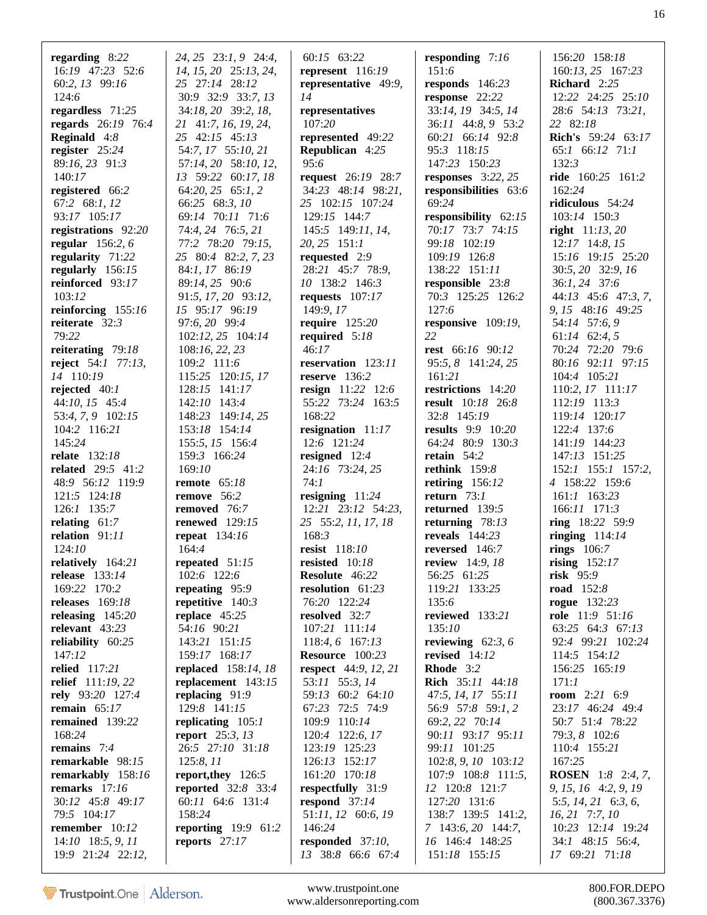| regarding $8:22$         | $24, 25$ $23:1, 9$ $24:4$ , | 60:15 63:22                 |                          | 156:20 158:18              |
|--------------------------|-----------------------------|-----------------------------|--------------------------|----------------------------|
|                          |                             |                             | responding $7:16$        |                            |
| 16:19 47:23 52:6         | 14, 15, 20 25:13, 24,       | represent 116:19            | 151:6                    | 160:13, 25 167:23          |
| 60:2, 13 99:16           | 25 27:14 28:12              | representative 49:9,        | responds $146:23$        | Richard 2:25               |
| 124:6                    | 30:9 32:9 33:7, 13          | 14                          | response 22:22           | 12:22 24:25 25:10          |
| regardless $71:25$       | 34:18, 20 39:2, 18,         | representatives             | 33:14, 19 34:5, 14       | 28:6 54:13 73:21,          |
| regards 26:19 76:4       | 21 41:7, 16, 19, 24,        | 107:20                      | 36:11 44:8, 9 53:2       | 22 82:18                   |
| <b>Reginald</b> $4:8$    | 25 42:15 45:13              | represented 49:22           | 60:21 66:14 92:8         | <b>Rich's</b> 59:24 63:17  |
| register 25:24           | 54:7, 17 55:10, 21          | <b>Republican</b> 4:25      | 95:3 118:15              | 65:1 66:12 71:1            |
| 89:16, 23 91:3           | 57:14, 20 58:10, 12,        | 95:6                        | 147:23 150:23            | 132:3                      |
| 140:17                   | 13 59:22 60:17, 18          | request 26:19 28:7          | responses $3:22, 25$     | ride 160:25 161:2          |
| registered 66:2          | 64:20, 25 65:1, 2           | 34:23 48:14 98:21,          | responsibilities 63:6    | 162:24                     |
| 67:2 68:1, 12            | 66:25 68:3, 10              | 25 102:15 107:24            | 69:24                    | ridiculous $54:24$         |
| 93:17 105:17             | 69:14 70:11 71:6            | 129:15 144:7                | responsibility $62:15$   | 103:14 150:3               |
| registrations 92:20      | 74:4, 24 76:5, 21           | 145:5 149:11, 14,           | 70:17 73:7 74:15         | <b>right</b> $11:13,20$    |
| regular $156:2, 6$       | 77:2 78:20 79:15,           | $20, 25$ 151:1              | 99:18 102:19             | $12:17$ 14:8, 15           |
| regularity 71:22         | 25 80:4 82:2, 7, 23         | requested $2:9$             | 109:19 126:8             | 15:16 19:15 25:20          |
| regularly 156:15         | 84:1, 17 86:19              | 28:21 45:7 78:9,            | 138:22 151:11            | 30:5, 20 32:9, 16          |
|                          |                             | 10 138:2 146:3              |                          |                            |
| reinforced 93:17         | 89:14, 25 90:6              |                             | responsible 23:8         | 36:1, 24 37:6              |
| 103:12                   | 91:5, 17, 20 93:12,         | requests $107:17$           | 70:3 125:25 126:2        | $44:13$ $45:6$ $47:3, 7$ , |
| reinforcing $155:16$     | 15 95:17 96:19              | 149:9, 17                   | 127:6                    | 9, 15 48:16 49:25          |
| reiterate $32:3$         | 97:6, 20 99:4               | require $125:20$            | responsive $109:19$ ,    | 54:14 57:6, 9              |
| 79:22                    | 102:12, 25 104:14           | required $5:18$             | 22                       | $61:14$ $62:4,5$           |
| reiterating 79:18        | 108:16, 22, 23              | 46:17                       | rest 66:16 90:12         | 70:24 72:20 79:6           |
| reject $54:1$ 77:13,     | 109:2 111:6                 | reservation 123:11          | 95:5, 8 141:24, 25       | 80:16 92:11 97:15          |
| 14 110:19                | 115:25 120:15, 17           | reserve $136:2$             | 161:21                   | 104:4 105:21               |
| rejected $40:1$          | 128:15 141:17               | <b>resign</b> 11:22 12:6    | restrictions 14:20       | 110:2, 17 111:17           |
| $44:10, 15$ 45:4         | 142:10 143:4                | 55:22 73:24 163:5           | result 10:18 26:8        | 112:19 113:3               |
| 53:4, 7, 9 102:15        | 148:23 149:14, 25           | 168:22                      | 32:8 145:19              | 119:14 120:17              |
| 104:2 116:21             | 153:18 154:14               | resignation 11:17           | <b>results</b> 9:9 10:20 | 122:4 137:6                |
| 145:24                   | 155:5, 15 156:4             | 12:6 121:24                 | 64:24 80:9 130:3         | 141:19 144:23              |
| <b>relate</b> 132:18     | 159:3 166:24                | resigned $12:4$             | retain $54:2$            | 147:13 151:25              |
| <b>related</b> 29:5 41:2 | 169:10                      | 24:16 73:24, 25             | rethink $159:8$          | 152:1 155:1 157:2,         |
| 48:9 56:12 119:9         | remote $65:18$              | 74:1                        | retiring $156:12$        | 4 158:22 159:6             |
| 121:5 124:18             | remove 56:2                 | resigning $11:24$           | return $73:1$            | 161:1 163:23               |
| 126:1 135:7              | removed 76:7                | 12:21 23:12 54:23,          | returned 139:5           | 166:11 171:3               |
| relating $61:7$          | <b>renewed</b> 129:15       | 25 55:2, 11, 17, 18         | returning $78:13$        | ring 18:22 59:9            |
| relation 91:11           | repeat 134:16               | 168:3                       | reveals $144:23$         | ringing $114:14$           |
| 124:10                   | 164:4                       | resist 118:10               | reversed 146:7           | rings $106:7$              |
|                          |                             |                             |                          |                            |
| relatively 164:21        | repeated 51:15              | resisted 10:18              | <b>review</b> 14:9, 18   | rising $152:17$            |
| release 133:14           | 102:6 122:6                 | <b>Resolute</b> 46:22       | 56:25 61:25              | $risk$ 95:9                |
| 169:22 170:2             | repeating 95:9              | resolution 61:23            | 119:21 133:25            | road $152:8$               |
| releases $169:18$        | repetitive $140:3$          | 76:20 122:24                | 135:6                    | <b>rogue</b> 132:23        |
| releasing $145:20$       | replace $45:25$             | resolved 32:7               | reviewed 133:21          | <b>role</b> 11:9 51:16     |
| relevant 43:23           | 54:16 90:21                 | 107:21 111:14               | 135:10                   | 63:25 64:3 67:13           |
| reliability $60:25$      | 143:21 151:15               | 118:4, 6 167:13             | reviewing $62:3, 6$      | 92:4 99:21 102:24          |
| 147:12                   | 159:17 168:17               | Resource 100:23             | revised $14:12$          | 114:5 154:12               |
| relied 117:21            | <b>replaced</b> 158:14, 18  | <b>respect</b> 44:9, 12, 21 | Rhode 3:2                | 156:25 165:19              |
| relief 111:19, 22        | replacement $143:15$        | 53:11 55:3, 14              | Rich 35:11 44:18         | 171:1                      |
| rely 93:20 127:4         | replacing $91:9$            | 59:13 60:2 64:10            | 47:5, 14, 17 55:11       | <b>room</b> $2:21$ 6:9     |
| remain $65:17$           | 129:8 141:15                | 67:23 72:5 74:9             | 56:9 57:8 59:1, 2        | 23:17 46:24 49:4           |
| remained 139:22          | replicating $105:1$         | 109:9 110:14                | 69:2, 22 70:14           | 50:7 51:4 78:22            |
| 168:24                   | <b>report</b> $25:3, 13$    | 120:4 122:6, 17             | 90:11 93:17 95:11        | 79:3, 8 102:6              |
| remains $7:4$            | 26:5 27:10 31:18            | 123:19 125:23               | 99:11 101:25             | 110:4 155:21               |
| remarkable 98:15         | 125:8, 11                   | 126:13 152:17               | 102:8, 9, 10 103:12      | 167:25                     |
| remarkably 158:16        | report, they 126:5          | 161:20 170:18               | 107:9 108:8 111:5,       | <b>ROSEN</b> 1:8 2:4, 7,   |
| remarks $17:16$          | <b>reported</b> 32:8 33:4   | respectfully 31:9           | 12 120:8 121:7           | 9, 15, 16 4:2, 9, 19       |
| 30:12 45:8 49:17         | 60:11 64:6 131:4            | respond $37:14$             | 127:20 131:6             | 5:5, $14$ , $21$ 6:3, 6,   |
| 79:5 104:17              | 158:24                      | 51:11, 12 60:6, 19          | 138:7 139:5 141:2,       | $16, 21$ 7:7, $10$         |
| remember $10:12$         | <b>reporting</b> 19:9 61:2  | 146:24                      | 7 143:6, 20 144:7,       | 10:23 12:14 19:24          |
| $14:10$ 18:5, 9, 11      | reports $27:17$             | responded 37:10,            | 16 146:4 148:25          | 34:1 48:15 56:4,           |
| 19:9 21:24 22:12,        |                             | 13 38:8 66:6 67:4           | 151:18 155:15            | 17 69:21 71:18             |

www.trustpoint.one 800.FOR.DEPO<br>w.aldersonreporting.com (800.367.3376) www.aldersonreporting.com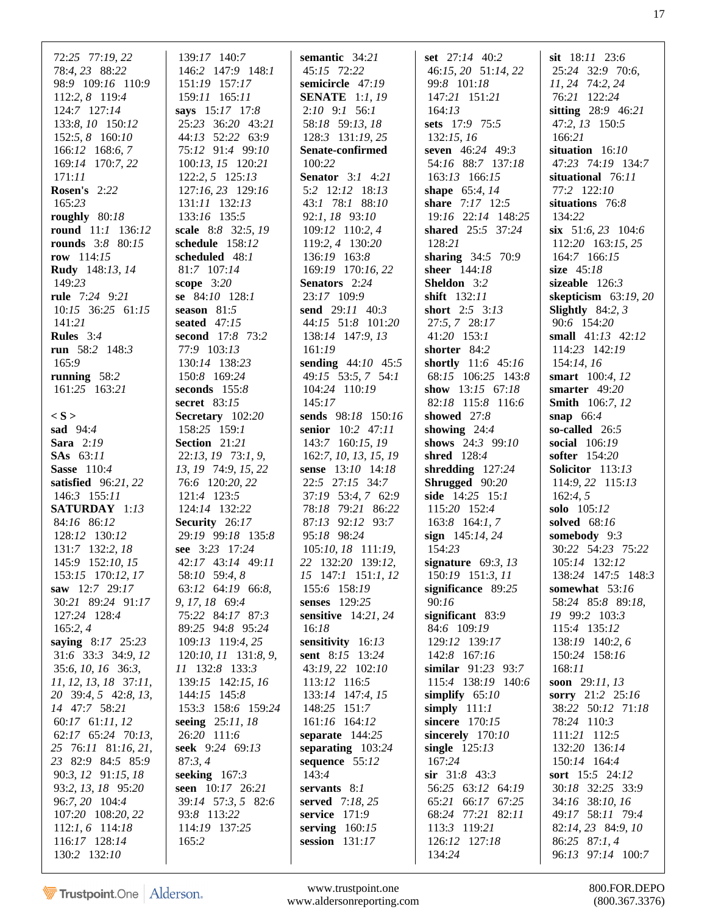| 72:25 77:19, 22<br>78:4, 23 88:22            | 139:17 140:7<br>146:2 147:9 148:1   | semantic $34:21$<br>45:15 72:22            | set $27:14$ 40:2<br>46:15, 20 51:14, 22  | sit $18:11$ $23:6$<br>25:24 32:9 70:6,    |
|----------------------------------------------|-------------------------------------|--------------------------------------------|------------------------------------------|-------------------------------------------|
| 98:9 109:16 110:9                            | 151:19 157:17                       | semicircle 47:19                           | 99:8 101:18                              | 11, 24 74:2, 24                           |
| 112:2, 8 119:4<br>124:7 127:14               | 159:11 165:11<br>says 15:17 17:8    | <b>SENATE</b> 1:1, 19<br>$2:10$ 9:1 56:1   | 147:21 151:21<br>164:13                  | 76:21 122:24<br>sitting 28:9 46:21        |
| 133:8, 10 150:12                             | 25:23 36:20 43:21                   | 58:18 59:13, 18                            | sets 17:9 75:5                           | 47:2, 13 150:5                            |
| 152:5, 8 160:10                              | 44:13 52:22 63:9                    | 128:3 131:19, 25                           | 132:15, 16                               | 166:21                                    |
| 166:12 168:6, 7                              | 75:12 91:4 99:10                    | Senate-confirmed                           | seven 46:24 49:3                         | situation 16:10                           |
| 169:14 170:7, 22                             | 100:13, 15 120:21                   | 100:22                                     | 54:16 88:7 137:18                        | 47:23 74:19 134:7                         |
| 171:11<br><b>Rosen's</b> 2:22                | 122:2, 5 125:13                     | <b>Senator</b> 3:1 4:21<br>5:2 12:12 18:13 | 163:13 166:15                            | situational 76:11<br>77:2 122:10          |
| 165:23                                       | 127:16, 23 129:16<br>131:11 132:13  | 43:1 78:1 88:10                            | shape 65:4, 14<br>share 7:17 12:5        | situations 76:8                           |
| roughly $80:18$                              | 133:16 135:5                        | 92:1, 18 93:10                             | 19:16 22:14 148:25                       | 134:22                                    |
| round 11:1 136:12                            | scale 8:8 32:5, 19                  | 109:12 110:2, 4                            | shared 25:5 37:24                        | six $51:6, 23$ 104:6                      |
| <b>rounds</b> 3:8 80:15                      | schedule 158:12                     | 119:2, 4 130:20                            | 128:21                                   | $112:20$ 163:15, 25                       |
| row $114:15$                                 | scheduled $48:1$                    | 136:19 163:8                               | sharing 34:5 70:9                        | 164:7 166:15                              |
| Rudy 148:13, 14                              | 81:7 107:14                         | 169:19 170:16, 22                          | sheer 144:18                             | size $45:18$                              |
| 149:23<br>rule 7:24 9:21                     | scope $3:20$<br>se 84:10 128:1      | Senators 2:24<br>23:17 109:9               | <b>Sheldon</b> 3:2<br>shift 132:11       | sizeable $126:3$<br>skepticism $63:19,20$ |
| 10:15 36:25 61:15                            | season $81:5$                       | send 29:11 40:3                            | <b>short</b> $2:5$ $3:13$                | Slightly $84:2, 3$                        |
| 141:21                                       | seated 47:15                        | 44:15 51:8 101:20                          | 27:5, 7 28:17                            | 90:6 154:20                               |
| <b>Rules</b> $3:4$                           | second 17:8 73:2                    | 138:14 147:9, 13                           | 41:20 153:1                              | small 41:13 42:12                         |
| run 58:2 148:3                               | 77:9 103:13                         | 161:19                                     | shorter 84:2                             | 114:23 142:19                             |
| 165:9                                        | 130:14 138:23                       | sending 44:10 45:5                         | shortly 11:6 45:16                       | 154:14, 16                                |
| running $58:2$                               | 150:8 169:24                        | 49:15 53:5, 7 54:1                         | 68:15 106:25 143:8                       | smart 100:4, 12                           |
| 161:25 163:21                                | seconds $155:8$<br>secret 83:15     | 104:24 110:19<br>145:17                    | show 13:15 67:18<br>82:18 115:8 116:6    | smarter $49:20$<br><b>Smith</b> 106:7, 12 |
| $\langle S \rangle$                          | Secretary 102:20                    | sends 98:18 150:16                         | showed 27:8                              | snap $66:4$                               |
| <b>sad</b> 94:4                              | 158:25 159:1                        | senior 10:2 47:11                          | showing $24:4$                           | so-called $26:5$                          |
| Sara 2:19                                    | Section 21:21                       | 143:7 160:15, 19                           | shows $24:3$ 99:10                       | <b>social</b> 106:19                      |
| <b>SAs</b> 63:11                             | 22:13, 19 73:1, 9,                  | 162:7, 10, 13, 15, 19                      | shred 128:4                              | softer 154:20                             |
| <b>Sasse</b> 110:4                           | 13, 19 74:9, 15, 22                 | sense 13:10 14:18                          | shredding $127:24$                       | Solicitor 113:13                          |
| satisfied $96:21,22$<br>146:3 155:11         | 76:6 120:20, 22<br>121:4 123:5      | 22:5 27:15 34:7<br>37:19 53:4, 7 62:9      | Shrugged 90:20<br>side $14:25$ 15:1      | 114:9, 22 115:13<br>162:4, 5              |
| SATURDAY 1:13                                | 124:14 132:22                       | 78:18 79:21 86:22                          | 115:20 152:4                             | solo 105:12                               |
| 84:16 86:12                                  | Security 26:17                      | 87:13 92:12 93:7                           | $163:8$ 164:1, 7                         | solved 68:16                              |
| 128:12 130:12                                | 29:19 99:18 135:8                   | 95:18 98:24                                | sign $145:14, 24$                        | somebody 9:3                              |
| 131:7 132:2, 18                              | see 3:23 17:24                      | 105:10, 18 111:19,                         | 154:23                                   | 30:22 54:23 75:22                         |
| 145:9 152:10, 15                             | 42:17 43:14 49:11                   | 22 132:20 139:12,                          | signature $69:3, 13$                     | 105:14 132:12                             |
| 153:15 170:12, 17<br>saw 12:7 29:17          | 58:10 59:4, 8<br>63:12 64:19 66:8,  | 15 147:1 151:1, 12<br>155:6 158:19         | 150:19 151:3, 11<br>significance 89:25   | 138:24 147:5 148:3<br>somewhat 53:16      |
| 30:21 89:24 91:17                            | 9, 17, 18 69:4                      | senses 129:25                              | 90:16                                    | 58:24 85:8 89:18,                         |
| 127:24 128:4                                 | 75:22 84:17 87:3                    | sensitive $14:21, 24$                      | significant 83:9                         | 19 99:2 103:3                             |
| 165:2, 4                                     | 89:25 94:8 95:24                    | 16:18                                      | 84:6 109:19                              | 115:4 135:12                              |
| saying 8:17 25:23                            | 109:13 119:4, 25                    | sensitivity 16:13                          | 129:12 139:17                            | 138:19 140:2, 6                           |
| 31:6 33:3 34:9, 12                           | 120:10, 11 131:8, 9,                | <b>sent</b> 8:15 13:24                     | 142:8 167:16                             | 150:24 158:16<br>168:11                   |
| 35:6, 10, 16 36:3,<br>11, 12, 13, 18, 37:11, | 11 132:8 133:3<br>139:15 142:15, 16 | 43:19, 22 102:10<br>113:12 116:5           | similar 91:23 93:7<br>115:4 138:19 140:6 | soon $29:11, 13$                          |
| 20 39:4, 5 42:8, 13,                         | 144:15 145:8                        | 133:14 147:4, 15                           | simplify $65:10$                         | sorry 21:2 25:16                          |
| 14 47:7 58:21                                | 153:3 158:6 159:24                  | 148:25 151:7                               | simply $111:1$                           | 38:22 50:12 71:18                         |
| 60:17 61:11, 12                              | seeing 25:11, 18                    | 161:16 164:12                              | sincere 170:15                           | 78:24 110:3                               |
| 62:17 65:24 70:13,                           | 26:20 111:6                         | separate $144:25$                          | sincerely 170:10                         | 111:21 112:5                              |
| 25 76:11 81:16, 21,<br>23 82:9 84:5 85:9     | seek 9:24 69:13<br>87:3,4           | separating 103:24<br>sequence 55:12        | single $125:13$<br>167:24                | 132:20 136:14<br>150:14 164:4             |
| 90:3, 12 91:15, 18                           | seeking $167:3$                     | 143:4                                      | $\sin$ 31:8 43:3                         | sort 15:5 24:12                           |
| 93:2, 13, 18 95:20                           | seen 10:17 26:21                    | servants $8:1$                             | 56:25 63:12 64:19                        | 30:18 32:25 33:9                          |
| 96:7, 20 104:4                               | 39:14 57:3, 5 82:6                  | served $7:18, 25$                          | 65:21 66:17 67:25                        | 34:16 38:10, 16                           |
| 107:20 108:20, 22                            | 93:8 113:22                         | service $171:9$                            | 68:24 77:21 82:11                        | 49:17 58:11 79:4                          |
| $112:1, 6$ 114:18                            | 114:19 137:25                       | serving $160:15$                           | 113:3 119:21                             | 82:14, 23 84:9, 10                        |
| 116:17 128:14                                | 165:2                               | session $131:17$                           | 126:12 127:18                            | 86:25 87:1, 4                             |
| 130:2 132:10                                 |                                     |                                            | 134:24                                   | 96:13 97:14 100:7                         |

www.trustpoint.one www.aldersonreporting.com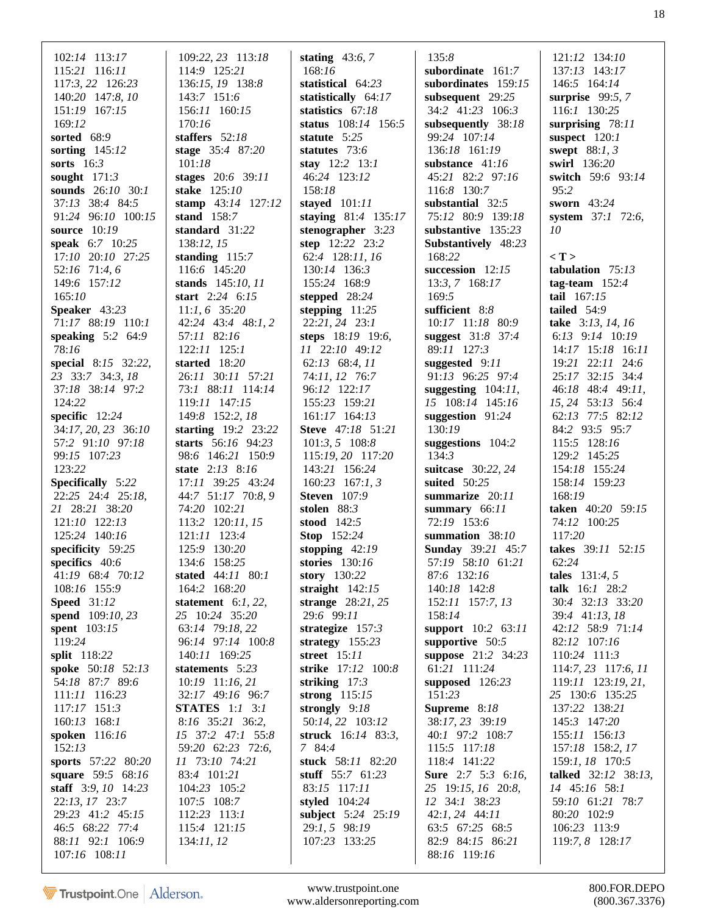| 102:14 113:17                                                                                                                                                                             | 109:22, 23 113:18                                                                                                                                       | stating $43:6, 7$                                                                                                                                                 | 135:8                                                                                                                                                                                       | 121:12 134:10                                                                                                                                                             |
|-------------------------------------------------------------------------------------------------------------------------------------------------------------------------------------------|---------------------------------------------------------------------------------------------------------------------------------------------------------|-------------------------------------------------------------------------------------------------------------------------------------------------------------------|---------------------------------------------------------------------------------------------------------------------------------------------------------------------------------------------|---------------------------------------------------------------------------------------------------------------------------------------------------------------------------|
| 115:21 116:11                                                                                                                                                                             | 114:9 125:21                                                                                                                                            | 168:16                                                                                                                                                            | subordinate 161:7                                                                                                                                                                           | 137:13 143:17                                                                                                                                                             |
| 117:3, 22 126:23                                                                                                                                                                          | 136:15, 19 138:8                                                                                                                                        | statistical 64:23                                                                                                                                                 | subordinates 159:15                                                                                                                                                                         | 146:5 164:14                                                                                                                                                              |
| 140:20 147:8, 10                                                                                                                                                                          | 143:7 151:6                                                                                                                                             | statistically 64:17                                                                                                                                               | subsequent 29:25                                                                                                                                                                            | surprise 99:5, 7                                                                                                                                                          |
| 151:19 167:15                                                                                                                                                                             | 156:11 160:15                                                                                                                                           | statistics 67:18                                                                                                                                                  | 34:2 41:23 106:3                                                                                                                                                                            | 116:1 130:25                                                                                                                                                              |
| 169:12                                                                                                                                                                                    | 170:16                                                                                                                                                  | status 108:14 156:5                                                                                                                                               | subsequently 38:18                                                                                                                                                                          | surprising 78:11                                                                                                                                                          |
| sorted 68:9                                                                                                                                                                               | staffers $52:18$                                                                                                                                        | statute 5:25                                                                                                                                                      | 99:24 107:14                                                                                                                                                                                | suspect $120:1$                                                                                                                                                           |
| sorting $145:12$                                                                                                                                                                          | stage 35:4 87:20                                                                                                                                        | statutes $73:6$                                                                                                                                                   | 136:18 161:19                                                                                                                                                                               | swept $88:1, 3$                                                                                                                                                           |
| sorts $16:3$                                                                                                                                                                              | 101:18                                                                                                                                                  | stay $12:2$ 13:1                                                                                                                                                  | substance $41:16$                                                                                                                                                                           | swirl 136:20                                                                                                                                                              |
| sought $171:3$                                                                                                                                                                            | stages 20:6 39:11                                                                                                                                       | 46:24 123:12                                                                                                                                                      | 45:21 82:2 97:16                                                                                                                                                                            | switch 59:6 93:14                                                                                                                                                         |
| sounds 26:10 30:1                                                                                                                                                                         | stake 125:10                                                                                                                                            | 158:18                                                                                                                                                            | 116:8 130:7                                                                                                                                                                                 | 95:2                                                                                                                                                                      |
| 37:13 38:4 84:5                                                                                                                                                                           | stamp 43:14 127:12                                                                                                                                      | stayed 101:11                                                                                                                                                     | substantial 32:5                                                                                                                                                                            | sworn $43:24$                                                                                                                                                             |
| 91:24 96:10 100:15<br>source $10:19$<br>speak 6:7 10:25<br>17:10 20:10 27:25<br>52:16 71:4, 6<br>149:6 157:12<br>165:10                                                                   | stand $158:7$<br>standard 31:22<br>138:12, 15<br>standing $115:7$<br>116:6 145:20<br>stands 145:10, 11<br>start $2:24$ 6:15                             | staying 81:4 135:17<br>stenographer $3:23$<br>step 12:22 23:2<br>62:4 128:11, 16<br>130:14 136:3<br>155:24 168:9<br>stepped 28:24                                 | 75:12 80:9 139:18<br>substantive $135:23$<br>Substantively 48:23<br>168:22<br>succession $12:15$<br>$13:3, 7$ 168:17<br>169:5                                                               | system 37:1 72:6,<br>10<br>$\langle T \rangle$<br>tabulation $75:13$<br>tag-team $152:4$<br>tail $167:15$                                                                 |
| Speaker 43:23                                                                                                                                                                             | $11:1, 6$ 35:20                                                                                                                                         | stepping $11:25$                                                                                                                                                  | sufficient 8:8                                                                                                                                                                              | tailed $54:9$                                                                                                                                                             |
| 71:17 88:19 110:1                                                                                                                                                                         | 42:24 43:4 48:1, 2                                                                                                                                      | 22:21, 24 23:1                                                                                                                                                    | 10:17 11:18 80:9                                                                                                                                                                            | take $3:13, 14, 16$                                                                                                                                                       |
| speaking $5:2$ 64:9                                                                                                                                                                       | 57:11 82:16                                                                                                                                             | steps 18:19 19:6,                                                                                                                                                 | suggest 31:8 37:4                                                                                                                                                                           | 6:13 9:14 10:19                                                                                                                                                           |
| 78:16                                                                                                                                                                                     | $122:11$ $125:1$                                                                                                                                        | 11 22:10 49:12                                                                                                                                                    | 89:11 127:3                                                                                                                                                                                 | 14:17 15:18 16:11                                                                                                                                                         |
| special 8:15 32:22,                                                                                                                                                                       | started $18:20$                                                                                                                                         | 62:13 68:4, 11                                                                                                                                                    | suggested $9:11$                                                                                                                                                                            | $19:21$ $22:11$ $24:6$                                                                                                                                                    |
| 23 33:7 34:3, 18                                                                                                                                                                          | 26:11 30:11 57:21                                                                                                                                       | 74:11, 12 76:7                                                                                                                                                    | 91:13 96:25 97:4                                                                                                                                                                            | 25:17 32:15 34:4                                                                                                                                                          |
| 37:18 38:14 97:2                                                                                                                                                                          | 73:1 88:11 114:14                                                                                                                                       | 96:12 122:17                                                                                                                                                      | suggesting $104:11$ ,                                                                                                                                                                       | 46:18 48:4 49:11,                                                                                                                                                         |
| 124:22                                                                                                                                                                                    | 119:11 147:15                                                                                                                                           | 155:23 159:21                                                                                                                                                     | 15 108:14 145:16                                                                                                                                                                            | 15, 24 53:13 56:4                                                                                                                                                         |
| specific 12:24                                                                                                                                                                            | 149:8 152:2, 18                                                                                                                                         | $161:17$ $164:13$                                                                                                                                                 | suggestion $91:24$                                                                                                                                                                          | 62:13 77:5 82:12                                                                                                                                                          |
| 34:17, 20, 23 36:10                                                                                                                                                                       | starting $19:2$ 23:22                                                                                                                                   | <b>Steve</b> 47:18 51:21                                                                                                                                          | 130:19                                                                                                                                                                                      | 84:2 93:5 95:7                                                                                                                                                            |
| 57:2 91:10 97:18                                                                                                                                                                          | starts 56:16 94:23                                                                                                                                      | $101:3, 5$ 108:8                                                                                                                                                  | suggestions 104:2                                                                                                                                                                           | 115:5 128:16                                                                                                                                                              |
| 99:15 107:23                                                                                                                                                                              | 98:6 146:21 150:9                                                                                                                                       | 115:19, 20 117:20                                                                                                                                                 | 134:3                                                                                                                                                                                       | 129:2 145:25                                                                                                                                                              |
| 123:22                                                                                                                                                                                    | state 2:13 8:16                                                                                                                                         | 143:21 156:24                                                                                                                                                     | suitcase 30:22, 24                                                                                                                                                                          | 154:18 155:24                                                                                                                                                             |
| <b>Specifically</b> 5:22                                                                                                                                                                  | 17:11 39:25 43:24                                                                                                                                       | $160:23$ 167:1, 3                                                                                                                                                 | suited 50:25                                                                                                                                                                                | 158:14 159:23                                                                                                                                                             |
| 22:25 24:4 25:18,                                                                                                                                                                         | 44:7 51:17 70:8, 9                                                                                                                                      | <b>Steven</b> 107:9                                                                                                                                               | summarize $20:11$                                                                                                                                                                           | 168:19                                                                                                                                                                    |
| 21 28:21 38:20                                                                                                                                                                            | 74:20 102:21                                                                                                                                            | stolen $88:3$                                                                                                                                                     | summary $66:11$                                                                                                                                                                             | taken 40:20 59:15                                                                                                                                                         |
| 121:10 122:13                                                                                                                                                                             | 113:2 120:11, 15                                                                                                                                        | stood $142:5$                                                                                                                                                     | 72:19 153:6                                                                                                                                                                                 | 74:12 100:25                                                                                                                                                              |
| 125:24 140:16                                                                                                                                                                             | $121:11$ $123:4$                                                                                                                                        | <b>Stop</b> 152:24                                                                                                                                                | summation 38:10                                                                                                                                                                             | 117:20                                                                                                                                                                    |
| specificity 59:25                                                                                                                                                                         | 125:9 130:20                                                                                                                                            | stopping $42:19$                                                                                                                                                  | <b>Sunday</b> 39:21 45:7                                                                                                                                                                    | takes 39:11 52:15                                                                                                                                                         |
| specifics $40:6$                                                                                                                                                                          | 134:6 158:25                                                                                                                                            | stories 130:16                                                                                                                                                    | 57:19 58:10 61:21                                                                                                                                                                           | 62:24                                                                                                                                                                     |
| 41:19 68:4 70:12                                                                                                                                                                          | stated 44:11 80:1                                                                                                                                       | story $130:22$                                                                                                                                                    | 87:6 132:16                                                                                                                                                                                 | <b>tales</b> $131:4, 5$                                                                                                                                                   |
| 108:16 155:9                                                                                                                                                                              | 164:2 168:20                                                                                                                                            | straight $142:15$                                                                                                                                                 | 140:18 142:8                                                                                                                                                                                | talk 16:1 28:2                                                                                                                                                            |
| <b>Speed</b> 31:12                                                                                                                                                                        | statement $6:1, 22$ ,                                                                                                                                   | strange $28:21, 25$                                                                                                                                               | 152:11 157:7, 13                                                                                                                                                                            | 30:4 32:13 33:20                                                                                                                                                          |
| spend 109:10, 23                                                                                                                                                                          | 25 10:24 35:20                                                                                                                                          | 29:6 99:11                                                                                                                                                        | 158:14                                                                                                                                                                                      | 39:4 41:13, 18                                                                                                                                                            |
| spent 103:15                                                                                                                                                                              | 63:14 79:18, 22                                                                                                                                         | strategize $157:3$                                                                                                                                                | support 10:2 63:11                                                                                                                                                                          | 42:12 58:9 71:14                                                                                                                                                          |
| 119:24                                                                                                                                                                                    | 96:14 97:14 100:8                                                                                                                                       | strategy $155:23$                                                                                                                                                 | supportive $50:5$                                                                                                                                                                           | 82:12 107:16                                                                                                                                                              |
| split 118:22                                                                                                                                                                              | 140:11 169:25                                                                                                                                           | <b>street</b> 15:11                                                                                                                                               | suppose 21:2 34:23                                                                                                                                                                          | 110:24 111:3                                                                                                                                                              |
| spoke 50:18 52:13                                                                                                                                                                         | statements 5:23                                                                                                                                         | strike 17:12 100:8                                                                                                                                                | 61:21 111:24                                                                                                                                                                                | 114:7, 23 117:6, 11                                                                                                                                                       |
| 54:18 87:7 89:6                                                                                                                                                                           | 10:19 11:16, 21                                                                                                                                         | striking $17:3$                                                                                                                                                   | supposed $126:23$                                                                                                                                                                           | $119:11$ $123:19, 21$ ,                                                                                                                                                   |
| 111:11 116:23                                                                                                                                                                             | 32:17 49:16 96:7                                                                                                                                        | strong $115:15$                                                                                                                                                   | 151:23                                                                                                                                                                                      | 25 130:6 135:25                                                                                                                                                           |
| 117:17 151:3                                                                                                                                                                              | <b>STATES</b> 1:1 3:1                                                                                                                                   | strongly $9:18$                                                                                                                                                   | Supreme 8:18                                                                                                                                                                                | 137:22 138:21                                                                                                                                                             |
| 160:13 168:1                                                                                                                                                                              | 8:16 35:21 36:2,                                                                                                                                        | 50:14, 22 103:12                                                                                                                                                  | 38:17, 23 39:19                                                                                                                                                                             | 145:3 147:20                                                                                                                                                              |
| spoken 116:16<br>152:13<br>sports 57:22 80:20<br>square 59:5 68:16<br>staff $3:9, 10$ 14:23<br>22:13, 17 23:7<br>29:23 41:2 45:15<br>46:5 68:22 77:4<br>88:11 92:1 106:9<br>107:16 108:11 | 15 37:2 47:1 55:8<br>59:20 62:23 72:6,<br>11 73:10 74:21<br>83:4 101:21<br>104:23 105:2<br>107:5 108:7<br>$112:23$ $113:1$<br>115:4 121:15<br>134:11,12 | struck $16:14$ 83:3,<br>784:4<br>stuck 58:11 82:20<br>stuff 55:7 61:23<br>83:15 117:11<br>styled 104:24<br>subject 5:24 25:19<br>$29:1, 5$ 98:19<br>107:23 133:25 | $40:1$ 97:2 108:7<br>115:5 117:18<br>118:4 141:22<br>Sure 2:7 5:3 6:16,<br>25 19:15, 16 20:8,<br>12 34:1 38:23<br>$42:1, 24$ $44:11$<br>63:5 67:25 68:5<br>82:9 84:15 86:21<br>88:16 119:16 | 155:11 156:13<br>157:18 158:2, 17<br>159:1, 18 170:5<br><b>talked</b> 32:12 38:13,<br>14 45:16 58:1<br>59:10 61:21 78:7<br>80:20 102:9<br>106:23 113:9<br>119:7, 8 128:17 |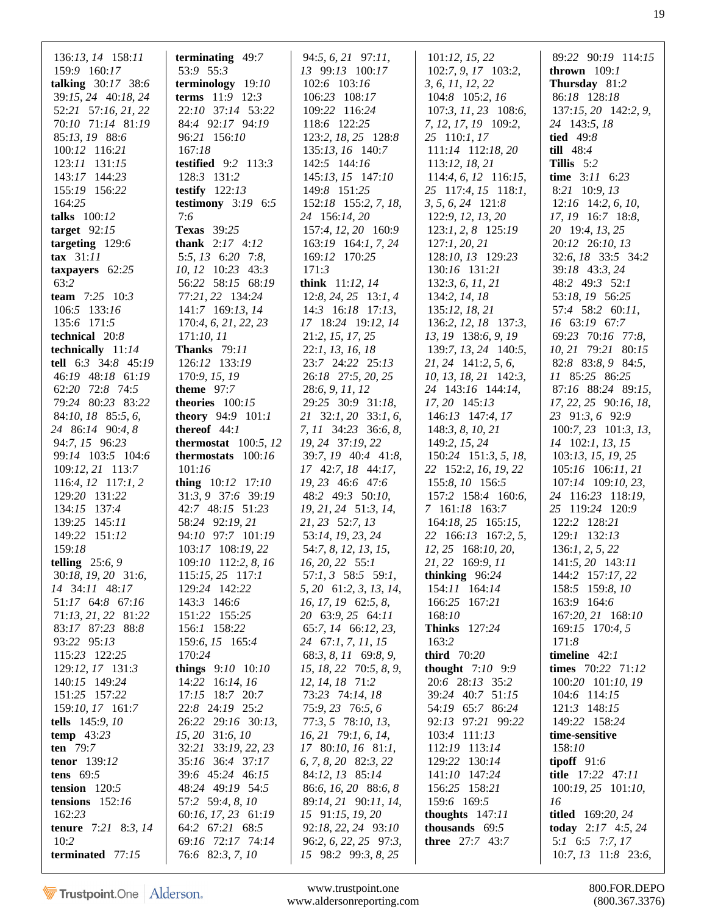| 136:13, 14 158:11              | terminating 49:7                           | 94:5, 6, 21 97:11,                        | 101:12, 15, 22                              | 89:22 90:19 114:15                       |
|--------------------------------|--------------------------------------------|-------------------------------------------|---------------------------------------------|------------------------------------------|
| 159:9 160:17                   | 53:9 55:3                                  | 13 99:13 100:17                           | 102:7, 9, 17 103:2,                         | thrown $109:1$                           |
| talking 30:17 38:6             | terminology 19:10                          | 102:6 103:16                              | 3, 6, 11, 12, 22                            | Thursday 81:2                            |
| 39:15, 24 40:18, 24            | <b>terms</b> $11:9$ $12:3$                 | 106:23 108:17                             | 104:8 105:2, 16                             | 86:18 128:18                             |
| 52:21 57:16, 21, 22            | 22:10 37:14 53:22                          | 109:22 116:24                             | 107:3, 11, 23 108:6,                        | 137:15, 20 142:2, 9,                     |
| 70:10 71:14 81:19              | 84:4 92:17 94:19                           | 118:6 122:25                              | 7, 12, 17, 19 109:2,                        | 24 143:5, 18                             |
| 85:13, 19 88:6                 | 96:21 156:10                               | 123:2, 18, 25 128:8                       | 25 110:1, 17                                | tied $49:8$                              |
| 100:12 116:21                  | 167:18                                     | 135:13, 16 140:7                          | 111:14 112:18, 20                           | till $48:4$                              |
| 123:11 131:15                  | testified 9:2 113:3                        | 142:5 144:16                              | 113:12, 18, 21                              | Tillis $5:2$                             |
| 143:17 144:23                  | 128:3 131:2                                | 145:13, 15 147:10                         | 114:4, 6, 12 116:15,                        | time 3:11 6:23                           |
| 155:19 156:22                  | testify $122:13$                           | 149:8 151:25                              | 25 117:4, 15 118:1,                         | 8:21 10:9, 13                            |
| 164:25                         | testimony $3:19$ 6:5                       | 152:18 155:2, 7, 18,                      | $3, 5, 6, 24$ 121:8                         | $12:16$ 14:2, 6, 10,                     |
| talks 100:12                   | 7:6                                        | 24 156:14, 20                             | 122:9, 12, 13, 20                           | 17, 19 16:7 18:8,                        |
| target $92:15$                 | <b>Texas</b> 39:25                         | 157:4, 12, 20 160:9                       | 123:1, 2, 8 125:19                          | 20 19:4, 13, 25                          |
| targeting 129:6                | <b>thank</b> $2:17$ $4:12$                 | $163:19$ $164:1, 7, 24$                   | 127:1, 20, 21                               | 20:12 26:10, 13                          |
| tax $31:11$                    | 5:5, 13 6:20 7:8,                          | 169:12 170:25                             | 128:10, 13 129:23                           | 32:6, 18 33:5 34:2                       |
| taxpayers $62:25$              | 10, 12 10:23 43:3                          | 171:3                                     | 130:16 131:21                               | 39:18 43:3, 24                           |
| 63:2                           |                                            | think 11:12, 14                           |                                             |                                          |
| team 7:25 10:3                 | 56:22 58:15 68:19<br>77:21, 22 134:24      | $12:8, 24, 25$ 13:1, 4                    | 132:3, 6, 11, 21<br>134:2, 14, 18           | 48:2 49:3 52:1<br>53:18, 19 56:25        |
| 106:5 133:16                   | 141:7 169:13, 14                           | $14:3$ 16:18 17:13,                       |                                             | 57:4 58:2 60:11,                         |
|                                |                                            |                                           | 135:12, 18, 21                              | 16 63:19 67:7                            |
| 135:6 171:5<br>technical 20:8  | 170:4, 6, 21, 22, 23<br>171:10, 11         | 17 18:24 19:12, 14                        | 136:2, 12, 18 137:3,<br>13, 19 138:6, 9, 19 | 69:23 70:16 77:8,                        |
|                                | <b>Thanks</b> 79:11                        | 21:2, 15, 17, 25                          |                                             |                                          |
| technically 11:14              |                                            | 22:1, 13, 16, 18                          | 139:7, 13, 24 140:5,                        | 10, 21 79:21 80:15<br>82:8 83:8, 9 84:5, |
| tell 6:3 34:8 45:19            | 126:12 133:19                              | 23:7 24:22 25:13                          | $21, 24$ 141:2, 5, 6,                       | 11 85:25 86:25                           |
| 46:19 48:18 61:19              | 170:9, 15, 19                              | 26:18 27:5, 20, 25                        | 10, 13, 18, 21 142:3,                       |                                          |
| 62:20 72:8 74:5                | theme $97:7$                               | 28:6, 9, 11, 12                           | 24 143:16 144:14,                           | 87:16 88:24 89:15,                       |
| 79:24 80:23 83:22              | theories $100:15$                          | 29:25 30:9 31:18,                         | 17, 20 145:13                               | 17, 22, 25 90:16, 18,                    |
| 84:10, 18 85:5, 6,             | theory 94:9 101:1                          | 21 32:1, 20 33:1, 6,                      | 146:13 147:4, 17                            | 23 91:3, 6 92:9                          |
| 24 86:14 90:4, 8               | thereof $44:1$                             | 7, 11 34:23 36:6, 8,                      | 148:3, 8, 10, 21                            | 100:7, 23 101:3, 13,                     |
| 94:7, 15 96:23                 | thermostat $100:5, 12$                     | 19, 24 37:19, 22                          | 149:2, 15, 24                               | 14 102:1, 13, 15                         |
| 99:14 103:5 104:6              | thermostats 100:16<br>101:16               | 39:7, 19 40:4 41:8,                       | 150:24 151:3, 5, 18,                        | 103:13, 15, 19, 25                       |
| 109:12, 21 113:7               |                                            | 17 42:7, 18 44:17,                        | 22 152:2, 16, 19, 22                        | $105:16$ $106:11,21$                     |
| $116:4, 12$ 117:1, 2           | thing $10:12$ 17:10                        | 19, 23 46:6 47:6<br>48:2 49:3 50:10,      | 155:8, 10 156:5                             | 107:14 109:10, 23,                       |
| 129:20 131:22                  | 31:3, 9 37:6 39:19                         |                                           | 157:2 158:4 160:6,                          | 24 116:23 118:19,                        |
| 134:15 137:4                   | 42:7 48:15 51:23                           | 19, 21, 24 51:3, 14,                      | 7 161:18 163:7                              | 25 119:24 120:9                          |
| 139:25 145:11<br>149:22 151:12 | 58:24 92:19, 21<br>94:10 97:7 101:19       | 21, 23 52:7, 13                           | $164:18, 25$ $165:15,$                      | 122:2 128:21<br>129:1 132:13             |
| 159:18                         | 103:17 108:19, 22                          | 53:14, 19, 23, 24                         | 22 166:13 167:2, 5,                         |                                          |
| telling $25:6,9$               |                                            | 54:7, 8, 12, 13, 15,                      | 12, 25 168:10, 20,<br>21, 22 169:9, 11      | 136:1, 2, 5, 22                          |
| 30:18, 19, 20 31:6,            | $109:10$ 112:2, 8, 16<br>$115:15,25$ 117:1 | $16, 20, 22$ 55:1<br>$57:1, 3$ 58:5 59:1, | thinking $96:24$                            | 141:5, 20 143:11<br>144:2 157:17, 22     |
| 14 34:11 48:17                 | 129:24 142:22                              | 5, 20 61:2, 3, 13, 14,                    | 154:11 164:14                               | 158:5 159:8, 10                          |
| 51:17 64:8 67:16               |                                            | 16, 17, 19 62:5, 8,                       |                                             | 163:9 164:6                              |
| 71:13, 21, 22 81:22            | 143:3 146:6<br>151:22 155:25               | 20 63:9, 25 64:11                         | 166:25 167:21<br>168:10                     | 167:20, 21 168:10                        |
| 83:17 87:23 88:8               | 156:1 158:22                               | 65:7, 14 66:12, 23,                       | <b>Thinks</b> 127:24                        | 169:15 170:4, 5                          |
| 93:22 95:13                    | 159:6, 15 165:4                            | 24 67:1, 7, 11, 15                        | 163:2                                       | 171:8                                    |
| 115:23 122:25                  | 170:24                                     | 68:3, 8, 11 69:8, 9,                      | third 70:20                                 | timeline $42:1$                          |
| 129:12, 17 131:3               | things $9:10$ $10:10$                      | 15, 18, 22 70:5, 8, 9,                    | thought $7:10$ 9:9                          | times 70:22 71:12                        |
| 140:15 149:24                  | 14:22 16:14, 16                            | 12, 14, 18 71:2                           | 20:6 28:13 35:2                             | 100:20 101:10, 19                        |
| 151:25 157:22                  | 17:15 18:7 20:7                            | 73:23 74:14, 18                           | 39:24 40:7 51:15                            | 104:6 114:15                             |
| 159:10, 17 161:7               | 22:8 24:19 25:2                            | 75:9, 23 76:5, 6                          | 54:19 65:7 86:24                            | 121:3 148:15                             |
| tells $145:9, 10$              | 26:22 29:16 30:13,                         | 77:3, 5 78:10, 13,                        | 92:13 97:21 99:22                           | 149:22 158:24                            |
| temp $43:23$                   | 15, 20 31:6, 10                            | 16, 21 79:1, 6, 14,                       | 103:4 111:13                                | time-sensitive                           |
| ten $79:7$                     | 32:21 33:19, 22, 23                        | 17 80:10, 16 81:1,                        | 112:19 113:14                               | 158:10                                   |
| tenor 139:12                   | 35:16 36:4 37:17                           | 6, 7, 8, 20 82:3, 22                      | 129:22 130:14                               | tipoff $91:6$                            |
| tens $69:5$                    | 39:6 45:24 46:15                           | 84:12, 13 85:14                           | 141:10 147:24                               | title 17:22 47:11                        |
| tension $120:5$                | 48:24 49:19 54:5                           | 86:6, 16, 20 88:6, 8                      | 156:25 158:21                               | $100:19, 25$ $101:10,$                   |
| tensions $152:16$              | 57:2 59:4, 8, 10                           | 89:14, 21 90:11, 14,                      | 159:6 169:5                                 | 16                                       |
| 162:23                         | 60:16, 17, 23 61:19                        | 15 91:15, 19, 20                          | thoughts $147:11$                           | <b>titled</b> 169:20, 24                 |
| <b>tenure</b> $7:21$ 8:3, 14   | 64:2 67:21 68:5                            | 92:18, 22, 24 93:10                       | thousands $69:5$                            | today $2:17$ 4:5, 24                     |
| 10:2                           | 69:16 72:17 74:14                          | 96:2, 6, 22, 25 97:3,                     | <b>three</b> 27:7 43:7                      | 5:1 6:5 7:7, 17                          |
| terminated 77:15               | 76:6 82:3, 7, 10                           | 15 98:2 99:3, 8, 25                       |                                             | $10:7, 13$ 11:8 23:6,                    |
|                                |                                            |                                           |                                             |                                          |

www.trustpoint.one 800.FOR.DEPO<br>w.aldersonreporting.com (800.367.3376) www.aldersonreporting.com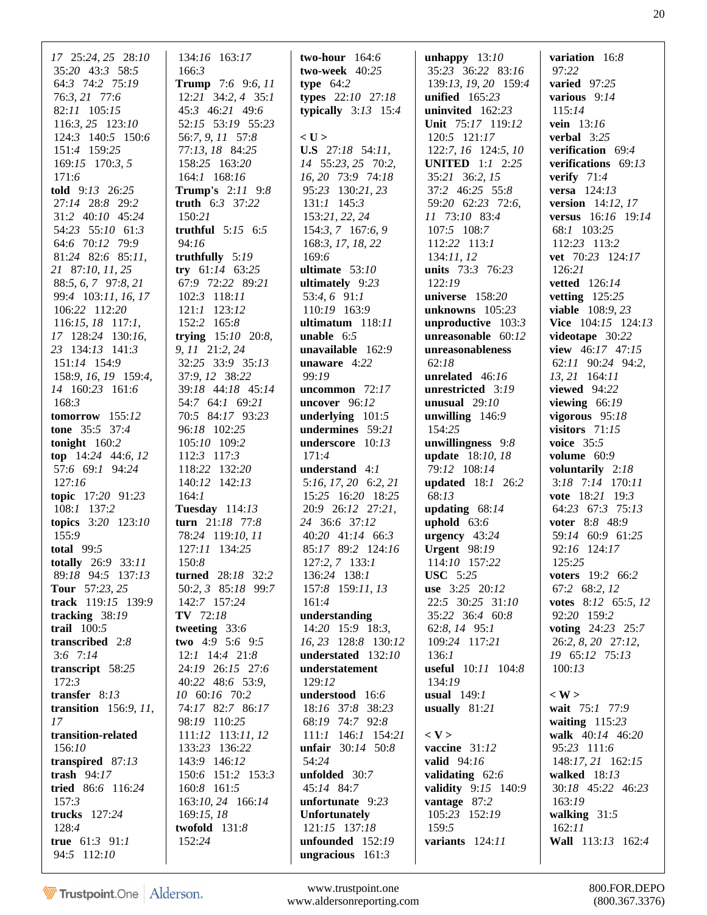| 17 25:24, 25 28:10       | 134:16 163:17            | two-hour $164:6$         | unhappy $13:10$        | variation 16:8          |
|--------------------------|--------------------------|--------------------------|------------------------|-------------------------|
| 35:20 43:3 58:5          | 166:3                    | two-week $40:25$         | 35:23 36:22 83:16      | 97:22                   |
| 64:3 74:2 75:19          | <b>Trump</b> 7:6 9:6, 11 | type $64:2$              | 139:13, 19, 20 159:4   | varied $97:25$          |
| 76:3, 21 77:6            | 12:21 34:2, 4 35:1       | types $22:10$ $27:18$    | unified $165:23$       | various 9:14            |
| 82:11 105:15             | 45:3 46:21 49:6          | typically $3:13$ 15:4    | uninvited 162:23       | 115:14                  |
|                          |                          |                          |                        |                         |
| 116:3, 25 123:10         | 52:15 53:19 55:23        |                          | Unit 75:17 119:12      | vein 13:16              |
| 124:3 140:5 150:6        | 56:7, 9, 11 57:8         | $<$ U $>$                | 120:5 121:17           | verbal $3:25$           |
| 151:4 159:25             | 77:13, 18 84:25          | <b>U.S</b> 27:18 54:11,  | 122:7, 16 124:5, 10    | verification 69:4       |
| 169:15 170:3, 5          | 158:25 163:20            | 14 55:23, 25 70:2,       | <b>UNITED</b> 1:1 2:25 | verifications 69:13     |
| 171:6                    | 164:1 168:16             | 16, 20 73:9 74:18        | 35:21 36:2, 15         | verify $71:4$           |
| told 9:13 26:25          | <b>Trump's</b> 2:11 9:8  | 95:23 130:21, 23         | 37:2 46:25 55:8        | versa 124:13            |
| 27:14 28:8 29:2          | truth 6:3 37:22          | $131:1$ $145:3$          | 59:20 62:23 72:6,      | version 14:12, 17       |
|                          |                          |                          |                        |                         |
| 31:2 40:10 45:24         | 150:21                   | 153:21, 22, 24           | 11 73:10 83:4          | versus 16:16 19:14      |
| 54:23 55:10 61:3         | truthful $5:15$ $6:5$    | $154:3, 7$ 167:6, 9      | 107:5 108:7            | 68:1 103:25             |
| 64:6 70:12 79:9          | 94:16                    | 168:3, 17, 18, 22        | 112:22 113:1           | 112:23 113:2            |
| 81:24 82:6 85:11,        | truthfully $5:19$        | 169:6                    | 134:11,12              | vet 70:23 124:17        |
| 21 87:10, 11, 25         | try $61:14$ 63:25        | ultimate $53:10$         | units 73:3 76:23       | 126:21                  |
| 88:5, 6, 7 97:8, 21      | 67:9 72:22 89:21         | ultimately $9:23$        | 122:19                 | <b>vetted</b> 126:14    |
|                          | 102:3 118:11             |                          | universe 158:20        | vetting $125:25$        |
| 99:4 103:11, 16, 17      |                          | $53:4,6$ 91:1            |                        |                         |
| 106:22 112:20            | 121:1 123:12             | 110:19 163:9             | unknowns $105:23$      | viable 108:9, 23        |
| 116:15, 18 117:1,        | 152:2 165:8              | ultimatum 118:11         | unproductive $103:3$   | Vice 104:15 124:13      |
| 17 128:24 130:16,        | trying $15:10$ 20:8,     | <b>unable</b> $6:5$      | unreasonable 60:12     | videotape 30:22         |
| 23 134:13 141:3          | 9, 11 21:2, 24           | unavailable $162:9$      | unreasonableness       | view $46:17$ 47:15      |
| 151:14 154:9             | 32:25 33:9 35:13         | unaware 4:22             | 62:18                  | 62:11 90:24 94:2,       |
| 158:9, 16, 19 159:4,     | 37:9, 12 38:22           | 99:19                    | unrelated $46:16$      | $13, 21$ 164:11         |
|                          |                          |                          |                        |                         |
| 14 160:23 161:6          | 39:18 44:18 45:14        | uncommon $72:17$         | unrestricted 3:19      | viewed $94:22$          |
| 168:3                    | 54:7 64:1 69:21          | uncover $96:12$          | unusual $29:10$        | viewing $66:19$         |
| tomorrow 155:12          | 70:5 84:17 93:23         | underlying $101:5$       | unwilling $146:9$      | vigorous $95:18$        |
| tone 35:5 37:4           | 96:18 102:25             | undermines 59:21         | 154:25                 | visitors $71:15$        |
| tonight $160:2$          | 105:10 109:2             | underscore 10:13         | unwillingness 9:8      | voice 35:5              |
| top $14:24$ 44:6, 12     | 112:3 117:3              | 171:4                    | update 18:10, 18       | volume $60:9$           |
| 57:6 69:1 94:24          | 118:22 132:20            | understand 4:1           | 79:12 108:14           | voluntarily $2:18$      |
|                          |                          |                          |                        |                         |
| 127:16                   | 140:12 142:13            | $5:16, 17, 20$ $6:2, 21$ | updated 18:1 26:2      | 3:18 7:14 170:11        |
| topic 17:20 91:23        | 164:1                    | 15:25 16:20 18:25        | 68:13                  | vote 18:21 19:3         |
| 108:1 137:2              | <b>Tuesday</b> 114:13    | 20:9 26:12 27:21,        | updating $68:14$       | 64:23 67:3 75:13        |
| topics 3:20 123:10       | turn 21:18 77:8          | 24 36:6 37:12            | uphold $63:6$          | voter 8:8 48:9          |
| 155:9                    | 78:24 119:10, 11         | 40:20 41:14 66:3         | urgency $43:24$        | 59:14 60:9 61:25        |
| total 99:5               | 127:11 134:25            | 85:17 89:2 124:16        | <b>Urgent</b> 98:19    | 92:16 124:17            |
| totally 26:9 33:11       | 150:8                    | 127:2, 7 133:1           | 114:10 157:22          | 125:25                  |
| 89:18 94:5 137:13        | turned 28:18 32:2        | 136:24 138:1             | <b>USC</b> 5:25        | <b>voters</b> 19:2 66:2 |
|                          |                          |                          |                        |                         |
| <b>Tour</b> 57:23, 25    | 50:2, 3 85:18 99:7       | 157:8 159:11, 13         | use 3:25 20:12         | 67:2 68:2, 12           |
| track 119:15 139:9       | 142:7 157:24             | 161:4                    | 22:5 30:25 31:10       | votes 8:12 65:5, 12     |
| tracking $38:19$         | TV 72:18                 | understanding            | 35:22 36:4 60:8        | 92:20 159:2             |
| trail $100:5$            | tweeting $33:6$          | 14:20 15:9 18:3,         | 62:8, 14 95:1          | voting 24:23 25:7       |
| transcribed 2:8          | two $4:9$ 5:6 9:5        | 16, 23 128:8 130:12      | 109:24 117:21          | 26:2, 8, 20 27:12,      |
| $3:6$ 7:14               | $12:1$ $14:4$ $21:8$     | understated 132:10       | 136:1                  | 19 65:12 75:13          |
| transcript 58:25         | 24:19 26:15 27:6         | understatement           | useful 10:11 104:8     | 100:13                  |
|                          |                          |                          |                        |                         |
| 172:3                    | 40:22 48:6 53:9,         | 129:12                   | 134:19                 |                         |
| transfer 8:13            | 10 60:16 70:2            | understood 16:6          | usual $149:1$          | $\langle W \rangle$     |
| transition $156:9, 11$ , | 74:17 82:7 86:17         | 18:16 37:8 38:23         | usually $81:21$        | wait 75:1 77:9          |
| 17                       | 98:19 110:25             | 68:19 74:7 92:8          |                        | waiting $115:23$        |
| transition-related       | 111:12 113:11, 12        | 111:1 146:1 154:21       | $<$ V $>$              | walk 40:14 46:20        |
| 156:10                   | 133:23 136:22            | unfair 30:14 50:8        | vaccine 31:12          | 95:23 111:6             |
| transpired 87:13         | 143:9 146:12             | 54:24                    | <b>valid</b> 94:16     | 148:17, 21 162:15       |
|                          |                          |                          |                        |                         |
| trash $94:17$            | 150:6 151:2 153:3        | unfolded 30:7            | validating 62:6        | walked $18:13$          |
| tried 86:6 116:24        | 160:8 161:5              | 45:14 84:7               | validity 9:15 140:9    | 30:18 45:22 46:23       |
| 157:3                    | 163:10, 24 166:14        | unfortunate 9:23         | vantage 87:2           | 163:19                  |
| trucks 127:24            | 169:15,18                | <b>Unfortunately</b>     | 105:23 152:19          | walking $31:5$          |
| 128:4                    | twofold $131:8$          | 121:15 137:18            | 159:5                  | 162:11                  |
| true $61:3$ 91:1         | 152:24                   | unfounded 152:19         | variants 124:11        | Wall 113:13 162:4       |
| 94:5 112:10              |                          | ungracious $161:3$       |                        |                         |
|                          |                          |                          |                        |                         |